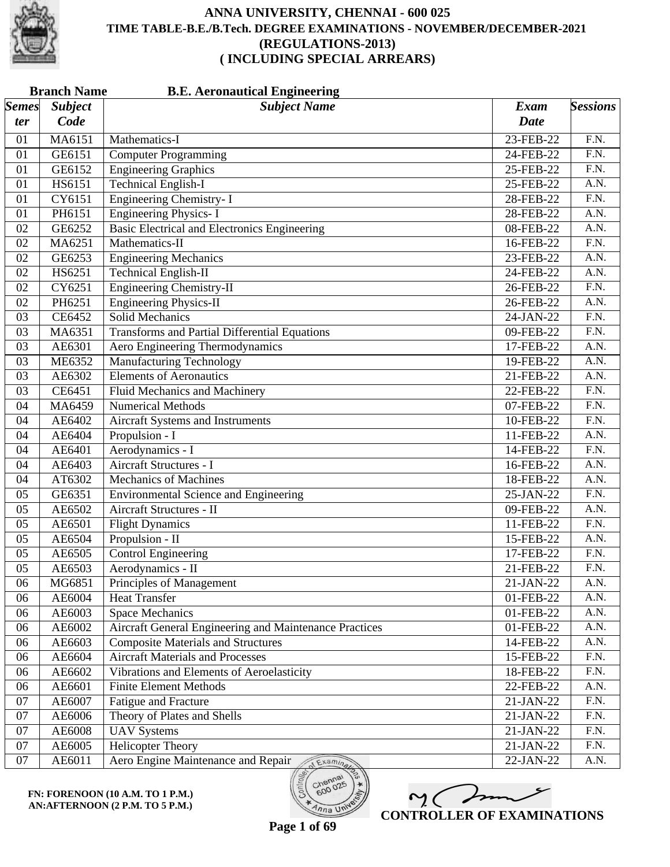

| <b>Branch Name</b><br><b>B.E. Aeronautical Engineering</b> |                |                                                        |             |                   |  |
|------------------------------------------------------------|----------------|--------------------------------------------------------|-------------|-------------------|--|
| <b>Semes</b>                                               | <b>Subject</b> | <b>Subject Name</b>                                    | Exam        | <b>Sessions</b>   |  |
| ter                                                        | Code           |                                                        | <b>Date</b> |                   |  |
| 01                                                         | MA6151         | Mathematics-I                                          | 23-FEB-22   | F.N.              |  |
| 01                                                         | GE6151         | <b>Computer Programming</b>                            | 24-FEB-22   | $\overline{F.N.}$ |  |
| 01                                                         | GE6152         | <b>Engineering Graphics</b>                            | 25-FEB-22   | $\overline{F.N.}$ |  |
| 01                                                         | HS6151         | <b>Technical English-I</b>                             | 25-FEB-22   | A.N.              |  |
| 01                                                         | CY6151         | <b>Engineering Chemistry-I</b>                         | 28-FEB-22   | F.N.              |  |
| 01                                                         | PH6151         | <b>Engineering Physics-I</b>                           | 28-FEB-22   | $\overline{A.N.}$ |  |
| 02                                                         | GE6252         | Basic Electrical and Electronics Engineering           | 08-FEB-22   | $\overline{A.N.}$ |  |
| 02                                                         | MA6251         | Mathematics-II                                         | 16-FEB-22   | $\overline{F.N.}$ |  |
| 02                                                         | GE6253         | <b>Engineering Mechanics</b>                           | 23-FEB-22   | A.N.              |  |
| 02                                                         | HS6251         | <b>Technical English-II</b>                            | 24-FEB-22   | $\overline{A.N.}$ |  |
| 02                                                         | CY6251         | <b>Engineering Chemistry-II</b>                        | 26-FEB-22   | $\overline{F.N.}$ |  |
| 02                                                         | PH6251         | <b>Engineering Physics-II</b>                          | 26-FEB-22   | A.N.              |  |
| 03                                                         | CE6452         | <b>Solid Mechanics</b>                                 | 24-JAN-22   | F.N.              |  |
| 03                                                         | MA6351         | <b>Transforms and Partial Differential Equations</b>   | 09-FEB-22   | $\overline{F.N.}$ |  |
| 03                                                         | AE6301         | Aero Engineering Thermodynamics                        | 17-FEB-22   | $\overline{A.N.}$ |  |
| 03                                                         | <b>ME6352</b>  | <b>Manufacturing Technology</b>                        | 19-FEB-22   | A.N.              |  |
| 03                                                         | AE6302         | <b>Elements of Aeronautics</b>                         | 21-FEB-22   | A.N.              |  |
| 03                                                         | CE6451         | <b>Fluid Mechanics and Machinery</b>                   | 22-FEB-22   | $\overline{F.N.}$ |  |
| 04                                                         | MA6459         | <b>Numerical Methods</b>                               | 07-FEB-22   | F.N.              |  |
| 04                                                         | AE6402         | Aircraft Systems and Instruments                       | 10-FEB-22   | F.N.              |  |
| 04                                                         | AE6404         | Propulsion - I                                         | 11-FEB-22   | A.N.              |  |
| 04                                                         | AE6401         | Aerodynamics - I                                       | 14-FEB-22   | $\overline{F.N.}$ |  |
| 04                                                         | AE6403         | Aircraft Structures - I                                | 16-FEB-22   | $\overline{A.N.}$ |  |
| 04                                                         | AT6302         | <b>Mechanics of Machines</b>                           | 18-FEB-22   | A.N.              |  |
| 05                                                         | GE6351         | <b>Environmental Science and Engineering</b>           | 25-JAN-22   | F.N.              |  |
| 05                                                         | AE6502         | Aircraft Structures - II                               | 09-FEB-22   | $\overline{A.N.}$ |  |
| 05                                                         | AE6501         | <b>Flight Dynamics</b>                                 | 11-FEB-22   | $\overline{F.N.}$ |  |
| 05                                                         | AE6504         | Propulsion - II                                        | 15-FEB-22   | A.N.              |  |
| 05                                                         | AE6505         | <b>Control Engineering</b>                             | 17-FEB-22   | F.N.              |  |
| $\overline{05}$                                            | AE6503         | Aerodynamics - II                                      | 21-FEB-22   | F.N.              |  |
| 06                                                         | MG6851         | Principles of Management                               | 21-JAN-22   | A.N.              |  |
| 06                                                         | AE6004         | <b>Heat Transfer</b>                                   | 01-FEB-22   | A.N.              |  |
| 06                                                         | AE6003         | <b>Space Mechanics</b>                                 | 01-FEB-22   | A.N.              |  |
| 06                                                         | AE6002         | Aircraft General Engineering and Maintenance Practices | 01-FEB-22   | A.N.              |  |
| 06                                                         | AE6603         | <b>Composite Materials and Structures</b>              | 14-FEB-22   | A.N.              |  |
| 06                                                         | AE6604         | <b>Aircraft Materials and Processes</b>                | 15-FEB-22   | F.N.              |  |
| 06                                                         | AE6602         | Vibrations and Elements of Aeroelasticity              | 18-FEB-22   | F.N.              |  |
| 06                                                         | AE6601         | <b>Finite Element Methods</b>                          | 22-FEB-22   | A.N.              |  |
| 07                                                         | AE6007         | Fatigue and Fracture                                   | 21-JAN-22   | F.N.              |  |
| 07                                                         | AE6006         | Theory of Plates and Shells                            | 21-JAN-22   | F.N.              |  |
| 07                                                         | AE6008         | <b>UAV Systems</b>                                     | 21-JAN-22   | F.N.              |  |
| 07                                                         | AE6005         | <b>Helicopter Theory</b>                               | 21-JAN-22   | F.N.              |  |
| 07                                                         | AE6011         | Aero Engine Maintenance and Repair AExaminesi          | 22-JAN-22   | A.N.              |  |
|                                                            |                |                                                        |             |                   |  |



600

 $n_{na}$  Un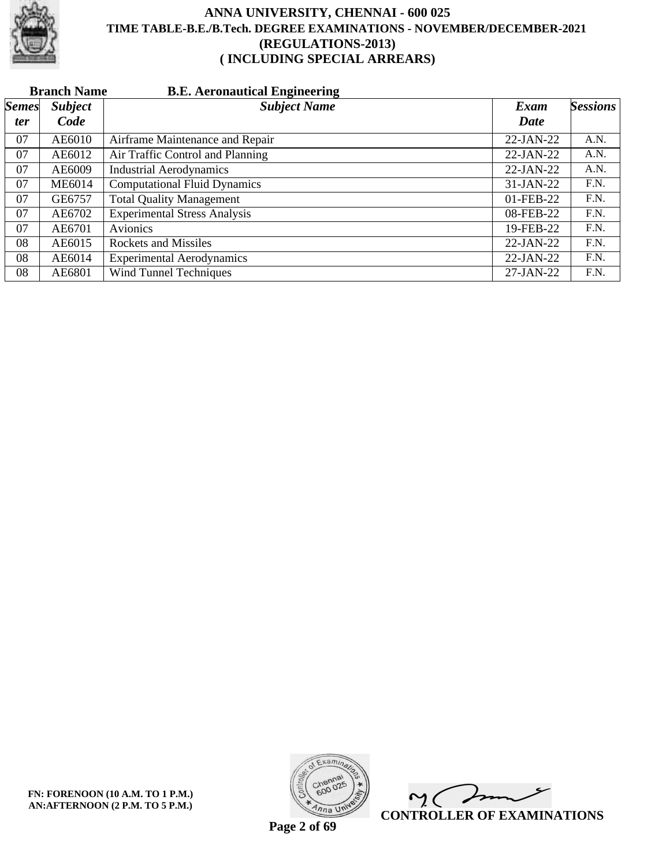

|              | <b>Branch Name</b> | <b>B.E. Aeronautical Engineering</b> |              |                 |
|--------------|--------------------|--------------------------------------|--------------|-----------------|
| <b>Semes</b> | <b>Subject</b>     | <b>Subject Name</b>                  | Exam         | <b>Sessions</b> |
| <i>ter</i>   | Code               |                                      | Date         |                 |
| 07           | AE6010             | Airframe Maintenance and Repair      | $22-JAN-22$  | A.N.            |
| 07           | AE6012             | Air Traffic Control and Planning     | $22-JAN-22$  | A.N.            |
| 07           | AE6009             | <b>Industrial Aerodynamics</b>       | $22-JAN-22$  | A.N.            |
| 07           | <b>ME6014</b>      | <b>Computational Fluid Dynamics</b>  | 31-JAN-22    | F.N.            |
| 07           | GE6757             | <b>Total Quality Management</b>      | 01-FEB-22    | F.N.            |
| 07           | AE6702             | <b>Experimental Stress Analysis</b>  | 08-FEB-22    | F.N.            |
| 07           | AE6701             | Avionics                             | 19-FEB-22    | F.N.            |
| 08           | AE6015             | <b>Rockets and Missiles</b>          | $22$ -JAN-22 | F.N.            |
| 08           | AE6014             | <b>Experimental Aerodynamics</b>     | $22-JAN-22$  | F.N.            |
| 08           | AE6801             | <b>Wind Tunnel Techniques</b>        | 27-JAN-22    | F.N.            |



 $\overline{\mathscr{P}}$  $\mathsf{M}(\mathbb{C})$ **CONTROLLER OF EXAMINATIONS**

**Page 2 of 69**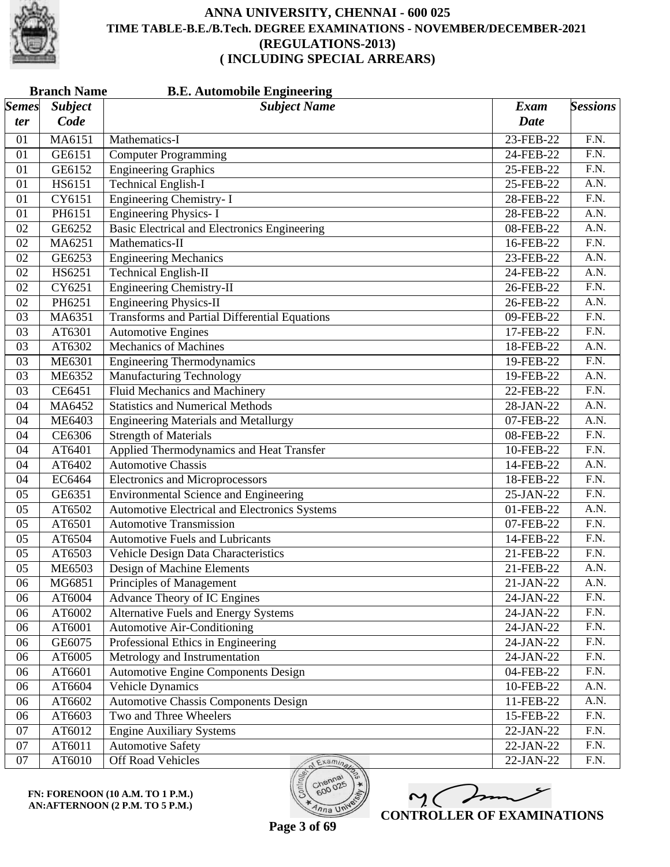

|              | <b>B.E. Automobile Engineering</b><br><b>Branch Name</b> |                                                      |             |                   |  |
|--------------|----------------------------------------------------------|------------------------------------------------------|-------------|-------------------|--|
| <b>Semes</b> | <b>Subject</b>                                           | <b>Subject Name</b>                                  | <b>Exam</b> | <b>Sessions</b>   |  |
| ter          | Code                                                     |                                                      | <b>Date</b> |                   |  |
| 01           | MA6151                                                   | Mathematics-I                                        | 23-FEB-22   | F.N.              |  |
| 01           | GE6151                                                   | <b>Computer Programming</b>                          | 24-FEB-22   | F.N.              |  |
| 01           | GE6152                                                   | <b>Engineering Graphics</b>                          | 25-FEB-22   | $\overline{F.N.}$ |  |
| 01           | HS6151                                                   | <b>Technical English-I</b>                           | 25-FEB-22   | $\overline{A.N.}$ |  |
| 01           | CY6151                                                   | <b>Engineering Chemistry-I</b>                       | 28-FEB-22   | F.N.              |  |
| 01           | PH6151                                                   | <b>Engineering Physics-I</b>                         | 28-FEB-22   | A.N.              |  |
| 02           | GE6252                                                   | Basic Electrical and Electronics Engineering         | 08-FEB-22   | $\overline{A.N.}$ |  |
| 02           | MA6251                                                   | Mathematics-II                                       | 16-FEB-22   | $\overline{F.N.}$ |  |
| 02           | GE6253                                                   | <b>Engineering Mechanics</b>                         | 23-FEB-22   | A.N.              |  |
| 02           | HS6251                                                   | <b>Technical English-II</b>                          | 24-FEB-22   | A.N.              |  |
| 02           | CY6251                                                   | <b>Engineering Chemistry-II</b>                      | 26-FEB-22   | $\overline{F.N.}$ |  |
| 02           | PH6251                                                   | <b>Engineering Physics-II</b>                        | 26-FEB-22   | A.N.              |  |
| 03           | MA6351                                                   | <b>Transforms and Partial Differential Equations</b> | 09-FEB-22   | F.N.              |  |
| 03           | AT6301                                                   | <b>Automotive Engines</b>                            | 17-FEB-22   | F.N.              |  |
| 03           | AT6302                                                   | <b>Mechanics of Machines</b>                         | 18-FEB-22   | $\overline{A.N.}$ |  |
| 03           | ME6301                                                   | <b>Engineering Thermodynamics</b>                    | 19-FEB-22   | $\overline{F.N.}$ |  |
| 03           | ME6352                                                   | <b>Manufacturing Technology</b>                      | 19-FEB-22   | A.N.              |  |
| 03           | CE6451                                                   | <b>Fluid Mechanics and Machinery</b>                 | 22-FEB-22   | $\overline{F.N.}$ |  |
| 04           | MA6452                                                   | <b>Statistics and Numerical Methods</b>              | 28-JAN-22   | $\overline{A.N.}$ |  |
| 04           | <b>ME6403</b>                                            | <b>Engineering Materials and Metallurgy</b>          | 07-FEB-22   | $\overline{A.N.}$ |  |
| 04           | CE6306                                                   | <b>Strength of Materials</b>                         | 08-FEB-22   | F.N.              |  |
| 04           | AT6401                                                   | Applied Thermodynamics and Heat Transfer             | 10-FEB-22   | $\overline{F.N.}$ |  |
| 04           | AT6402                                                   | <b>Automotive Chassis</b>                            | 14-FEB-22   | $\overline{A.N.}$ |  |
| 04           | EC6464                                                   | <b>Electronics and Microprocessors</b>               | 18-FEB-22   | $\overline{F.N.}$ |  |
| 05           | GE6351                                                   | <b>Environmental Science and Engineering</b>         | 25-JAN-22   | F.N.              |  |
| 05           | AT6502                                                   | <b>Automotive Electrical and Electronics Systems</b> | 01-FEB-22   | A.N.              |  |
| 05           | AT6501                                                   | <b>Automotive Transmission</b>                       | 07-FEB-22   | $\overline{F.N.}$ |  |
| 05           | AT6504                                                   | <b>Automotive Fuels and Lubricants</b>               | 14-FEB-22   | $\overline{F.N.}$ |  |
| 05           | AT6503                                                   | Vehicle Design Data Characteristics                  | 21-FEB-22   | F.N.              |  |
| 05           | <b>ME6503</b>                                            | Design of Machine Elements                           | 21-FEB-22   | A.N.              |  |
| 06           | MG6851                                                   | <b>Principles of Management</b>                      | 21-JAN-22   | A.N.              |  |
| 06           | AT6004                                                   | Advance Theory of IC Engines                         | 24-JAN-22   | F.N.              |  |
| 06           | AT6002                                                   | <b>Alternative Fuels and Energy Systems</b>          | 24-JAN-22   | F.N.              |  |
| 06           | AT6001                                                   | <b>Automotive Air-Conditioning</b>                   | 24-JAN-22   | F.N.              |  |
| 06           | GE6075                                                   | Professional Ethics in Engineering                   | 24-JAN-22   | F.N.              |  |
| 06           | AT6005                                                   | Metrology and Instrumentation                        | 24-JAN-22   | F.N.              |  |
| 06           | AT6601                                                   | Automotive Engine Components Design                  | 04-FEB-22   | F.N.              |  |
| 06           | AT6604                                                   | <b>Vehicle Dynamics</b>                              | 10-FEB-22   | A.N.              |  |
| 06           | AT6602                                                   | <b>Automotive Chassis Components Design</b>          | 11-FEB-22   | A.N.              |  |
| 06           | AT6603                                                   | Two and Three Wheelers                               | 15-FEB-22   | F.N.              |  |
| 07           | AT6012                                                   | <b>Engine Auxiliary Systems</b>                      | 22-JAN-22   | F.N.              |  |
| 07           | AT6011                                                   | <b>Automotive Safety</b>                             | 22-JAN-22   | F.N.              |  |
| 07           | AT6010                                                   | Off Road Vehicles<br>Examina                         | 22-JAN-22   | F.N.              |  |

M mm **CONTROLLER OF EXAMINATIONS**

 $600$ 

 $n_{\text{na}}$  UN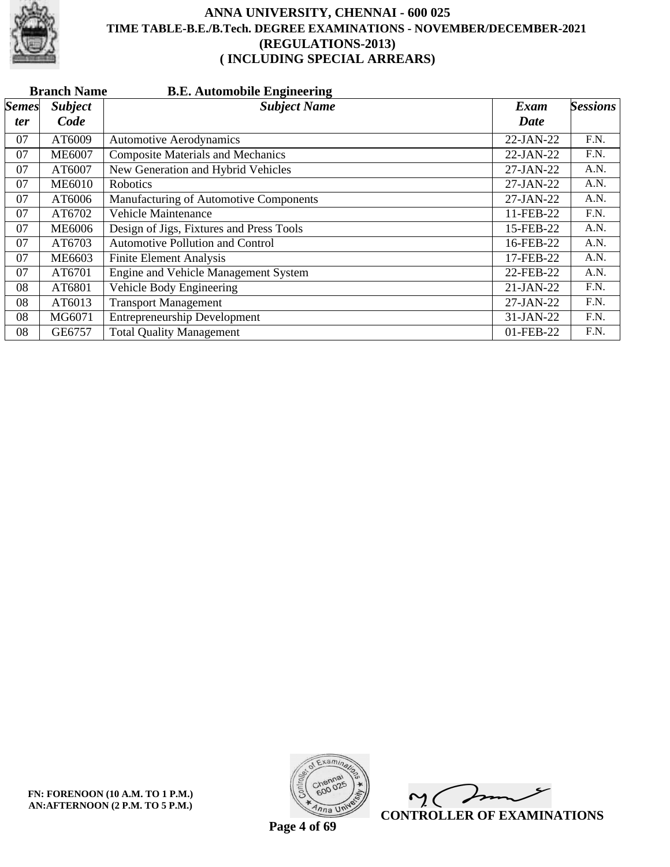

|              | <b>B.E. Automobile Engineering</b><br><b>Branch Name</b> |                                          |           |                 |  |  |
|--------------|----------------------------------------------------------|------------------------------------------|-----------|-----------------|--|--|
| <b>Semes</b> | <b>Subject</b>                                           | <b>Subject Name</b>                      | Exam      | <b>Sessions</b> |  |  |
| <i>ter</i>   | Code                                                     |                                          | Date      |                 |  |  |
| 07           | AT6009                                                   | <b>Automotive Aerodynamics</b>           | 22-JAN-22 | F.N.            |  |  |
| 07           | <b>ME6007</b>                                            | <b>Composite Materials and Mechanics</b> | 22-JAN-22 | F.N.            |  |  |
| 07           | AT6007                                                   | New Generation and Hybrid Vehicles       | 27-JAN-22 | A.N.            |  |  |
| 07           | <b>ME6010</b>                                            | <b>Robotics</b>                          | 27-JAN-22 | A.N.            |  |  |
| 07           | AT6006                                                   | Manufacturing of Automotive Components   | 27-JAN-22 | A.N.            |  |  |
| 07           | AT6702                                                   | <b>Vehicle Maintenance</b>               | 11-FEB-22 | F.N.            |  |  |
| 07           | <b>ME6006</b>                                            | Design of Jigs, Fixtures and Press Tools | 15-FEB-22 | A.N.            |  |  |
| 07           | AT6703                                                   | <b>Automotive Pollution and Control</b>  | 16-FEB-22 | A.N.            |  |  |
| 07           | ME6603                                                   | <b>Finite Element Analysis</b>           | 17-FEB-22 | A.N.            |  |  |
| 07           | AT6701                                                   | Engine and Vehicle Management System     | 22-FEB-22 | A.N.            |  |  |
| 08           | AT6801                                                   | Vehicle Body Engineering                 | 21-JAN-22 | F.N.            |  |  |
| 08           | AT6013                                                   | <b>Transport Management</b>              | 27-JAN-22 | F.N.            |  |  |
| 08           | MG6071                                                   | <b>Entrepreneurship Development</b>      | 31-JAN-22 | F.N.            |  |  |
| 08           | GE6757                                                   | <b>Total Quality Management</b>          | 01-FEB-22 | F.N.            |  |  |



 $\overline{\phantom{a}}$  $\sim$  ( **CONTROLLER OF EXAMINATIONS**

**Page 4 of 69**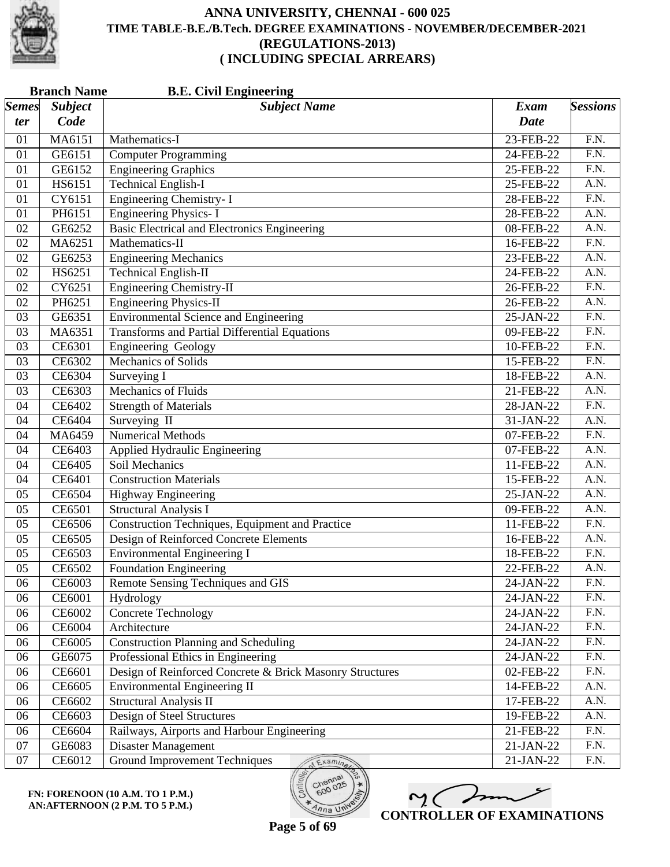

|              | <b>Branch Name</b><br><b>B.E. Civil Engineering</b> |                                                          |              |                   |  |  |
|--------------|-----------------------------------------------------|----------------------------------------------------------|--------------|-------------------|--|--|
| <b>Semes</b> | <b>Subject</b>                                      | <b>Subject Name</b>                                      | Exam         | <b>Sessions</b>   |  |  |
| ter          | Code                                                |                                                          | <b>Date</b>  |                   |  |  |
| 01           | MA6151                                              | Mathematics-I                                            | 23-FEB-22    | F.N.              |  |  |
| 01           | GE6151                                              | <b>Computer Programming</b>                              | 24-FEB-22    | F.N.              |  |  |
| 01           | GE6152                                              | <b>Engineering Graphics</b>                              | 25-FEB-22    | $\overline{F.N.}$ |  |  |
| 01           | HS6151                                              | <b>Technical English-I</b>                               | 25-FEB-22    | $\overline{A.N.}$ |  |  |
| 01           | CY6151                                              | <b>Engineering Chemistry-I</b>                           | 28-FEB-22    | F.N.              |  |  |
| 01           | PH6151                                              | <b>Engineering Physics-I</b>                             | 28-FEB-22    | A.N.              |  |  |
| 02           | GE6252                                              | <b>Basic Electrical and Electronics Engineering</b>      | 08-FEB-22    | $\overline{A.N.}$ |  |  |
| 02           | MA6251                                              | Mathematics-II                                           | 16-FEB-22    | $\overline{F.N.}$ |  |  |
| 02           | GE6253                                              | <b>Engineering Mechanics</b>                             | 23-FEB-22    | A.N.              |  |  |
| 02           | HS6251                                              | <b>Technical English-II</b>                              | 24-FEB-22    | A.N.              |  |  |
| 02           | CY6251                                              | <b>Engineering Chemistry-II</b>                          | 26-FEB-22    | $\overline{F.N.}$ |  |  |
| 02           | PH6251                                              | <b>Engineering Physics-II</b>                            | 26-FEB-22    | $\overline{A.N.}$ |  |  |
| 03           | GE6351                                              | <b>Environmental Science and Engineering</b>             | 25-JAN-22    | F.N.              |  |  |
| 03           | MA6351                                              | <b>Transforms and Partial Differential Equations</b>     | 09-FEB-22    | F.N.              |  |  |
| 03           | CE6301                                              | Engineering Geology                                      | 10-FEB-22    | $\overline{F.N.}$ |  |  |
| 03           | CE6302                                              | <b>Mechanics of Solids</b>                               | 15-FEB-22    | $\overline{F.N.}$ |  |  |
| 03           | CE6304                                              | Surveying I                                              | 18-FEB-22    | A.N.              |  |  |
| 03           | CE6303                                              | Mechanics of Fluids                                      | 21-FEB-22    | A.N.              |  |  |
| 04           | CE6402                                              | <b>Strength of Materials</b>                             | 28-JAN-22    | $\overline{F.N.}$ |  |  |
| 04           | CE6404                                              | Surveying II                                             | 31-JAN-22    | $\overline{A.N.}$ |  |  |
| 04           | MA6459                                              | <b>Numerical Methods</b>                                 | 07-FEB-22    | F.N.              |  |  |
| 04           | CE6403                                              | Applied Hydraulic Engineering                            | 07-FEB-22    | A.N.              |  |  |
| 04           | CE6405                                              | Soil Mechanics                                           | 11-FEB-22    | $\overline{A.N.}$ |  |  |
| 04           | CE6401                                              | <b>Construction Materials</b>                            | 15-FEB-22    | $\overline{A.N.}$ |  |  |
| 05           | CE6504                                              | Highway Engineering                                      | 25-JAN-22    | A.N.              |  |  |
| 05           | CE6501                                              | <b>Structural Analysis I</b>                             | 09-FEB-22    | A.N.              |  |  |
| 05           | CE6506                                              | Construction Techniques, Equipment and Practice          | 11-FEB-22    | $\overline{F.N.}$ |  |  |
| 05           | CE6505                                              | Design of Reinforced Concrete Elements                   | 16-FEB-22    | A.N.              |  |  |
| 05           | CE6503                                              | <b>Environmental Engineering I</b>                       | 18-FEB-22    | F.N.              |  |  |
| 05           | CE6502                                              | Foundation Engineering                                   | 22-FEB-22    | A.N.              |  |  |
| 06           | CE6003                                              | Remote Sensing Techniques and GIS                        | 24-JAN-22    | F.N.              |  |  |
| 06           | CE6001                                              | Hydrology                                                | 24-JAN-22    | F.N.              |  |  |
| 06           | CE6002                                              | <b>Concrete Technology</b>                               | 24-JAN-22    | F.N.              |  |  |
| 06           | CE6004                                              | Architecture                                             | 24-JAN-22    | F.N.              |  |  |
| 06           | CE6005                                              | <b>Construction Planning and Scheduling</b>              | $24$ -JAN-22 | F.N.              |  |  |
| 06           | GE6075                                              | Professional Ethics in Engineering                       | 24-JAN-22    | F.N.              |  |  |
| 06           | CE6601                                              | Design of Reinforced Concrete & Brick Masonry Structures | 02-FEB-22    | F.N.              |  |  |
| 06           | CE6605                                              | <b>Environmental Engineering II</b>                      | 14-FEB-22    | A.N.              |  |  |
| 06           | CE6602                                              | <b>Structural Analysis II</b>                            | 17-FEB-22    | A.N.              |  |  |
| 06           | CE6603                                              | Design of Steel Structures                               | 19-FEB-22    | A.N.              |  |  |
| 06           | CE6604                                              | Railways, Airports and Harbour Engineering               | 21-FEB-22    | F.N.              |  |  |
| 07           | GE6083                                              | <b>Disaster Management</b>                               | 21-JAN-22    | F.N.              |  |  |
| 07           | CE6012                                              | <b>Ground Improvement Techniques</b><br>Examina          | $21-JAN-22$  | F.N.              |  |  |

**FN: FORENOON (10 A.M. TO 1 P.M.) AN:AFTERNOON (2 P.M. TO 5 P.M.)**



 $o_{O_{\mathcal{O}}}$ 

 $lnna$  UN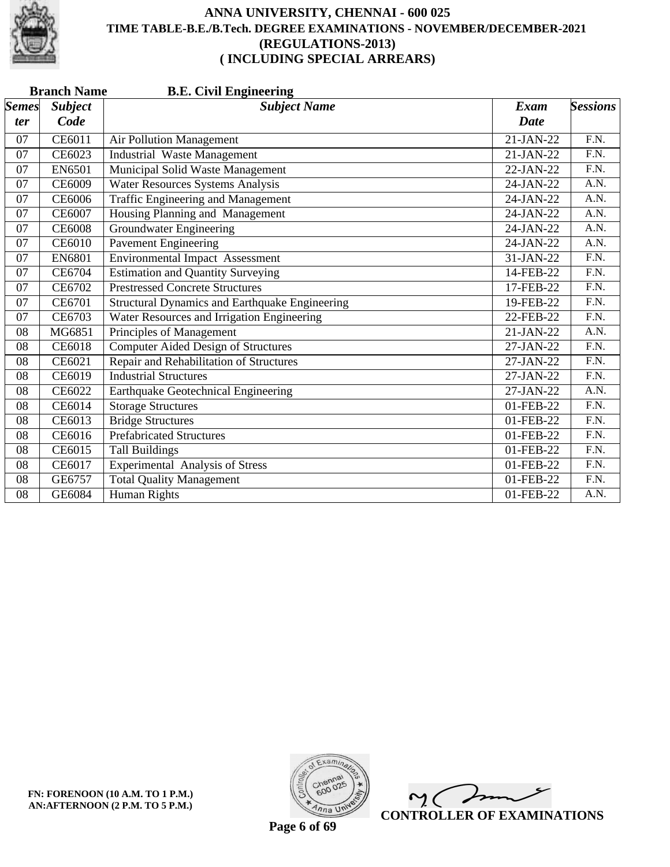

|                       | <b>Branch Name</b><br><b>B.E. Civil Engineering</b> |                                                |             |                   |  |  |  |
|-----------------------|-----------------------------------------------------|------------------------------------------------|-------------|-------------------|--|--|--|
| $\vert$ Semes $\vert$ | <b>Subject</b>                                      | <b>Subject Name</b>                            | <b>Exam</b> | <b>Sessions</b>   |  |  |  |
| <i>ter</i>            | Code                                                |                                                | Date        |                   |  |  |  |
| 07                    | CE6011                                              | Air Pollution Management                       | 21-JAN-22   | $\overline{F.N.}$ |  |  |  |
| 07                    | CE6023                                              | <b>Industrial Waste Management</b>             | $21-JAN-22$ | $\overline{F.N.}$ |  |  |  |
| 07                    | EN6501                                              | Municipal Solid Waste Management               | 22-JAN-22   | $\overline{F.N.}$ |  |  |  |
| 07                    | <b>CE6009</b>                                       | <b>Water Resources Systems Analysis</b>        | 24-JAN-22   | A.N.              |  |  |  |
| 07                    | <b>CE6006</b>                                       | <b>Traffic Engineering and Management</b>      | 24-JAN-22   | A.N.              |  |  |  |
| 07                    | CE6007                                              | Housing Planning and Management                | 24-JAN-22   | A.N.              |  |  |  |
| 07                    | <b>CE6008</b>                                       | <b>Groundwater Engineering</b>                 | 24-JAN-22   | A.N.              |  |  |  |
| 07                    | <b>CE6010</b>                                       | <b>Pavement Engineering</b>                    | 24-JAN-22   | A.N.              |  |  |  |
| 07                    | <b>EN6801</b>                                       | <b>Environmental Impact Assessment</b>         | 31-JAN-22   | F.N.              |  |  |  |
| 07                    | CE6704                                              | <b>Estimation and Quantity Surveying</b>       | 14-FEB-22   | F.N.              |  |  |  |
| 07                    | CE6702                                              | <b>Prestressed Concrete Structures</b>         | 17-FEB-22   | $\overline{F.N.}$ |  |  |  |
| 07                    | CE6701                                              | Structural Dynamics and Earthquake Engineering | 19-FEB-22   | $\overline{F.N.}$ |  |  |  |
| 07                    | CE6703                                              | Water Resources and Irrigation Engineering     | 22-FEB-22   | F.N.              |  |  |  |
| 08                    | MG6851                                              | Principles of Management                       | 21-JAN-22   | A.N.              |  |  |  |
| 08                    | <b>CE6018</b>                                       | <b>Computer Aided Design of Structures</b>     | 27-JAN-22   | F.N.              |  |  |  |
| 08                    | CE6021                                              | Repair and Rehabilitation of Structures        | 27-JAN-22   | F.N.              |  |  |  |
| 08                    | CE6019                                              | <b>Industrial Structures</b>                   | 27-JAN-22   | F.N.              |  |  |  |
| 08                    | CE6022                                              | Earthquake Geotechnical Engineering            | $27-JAN-22$ | A.N.              |  |  |  |
| 08                    | CE6014                                              | <b>Storage Structures</b>                      | 01-FEB-22   | F.N.              |  |  |  |
| 08                    | CE6013                                              | <b>Bridge Structures</b>                       | 01-FEB-22   | $\overline{F.N.}$ |  |  |  |
| 08                    | CE6016                                              | <b>Prefabricated Structures</b>                | 01-FEB-22   | F.N.              |  |  |  |
| 08                    | CE6015                                              | <b>Tall Buildings</b>                          | 01-FEB-22   | $\overline{F.N.}$ |  |  |  |
| 08                    | CE6017                                              | <b>Experimental Analysis of Stress</b>         | 01-FEB-22   | $\overline{F.N.}$ |  |  |  |
| 08                    | GE6757                                              | <b>Total Quality Management</b>                | 01-FEB-22   | F.N.              |  |  |  |
| 08                    | GE6084                                              | <b>Human Rights</b>                            | 01-FEB-22   | A.N.              |  |  |  |

**FN: FORENOON (10 A.M. TO 1 P.M.) AN:AFTERNOON (2 P.M. TO 5 P.M.)**



 $\overline{\phantom{a}}$  $\sim$  ( **CONTROLLER OF EXAMINATIONS**

**Page 6 of 69**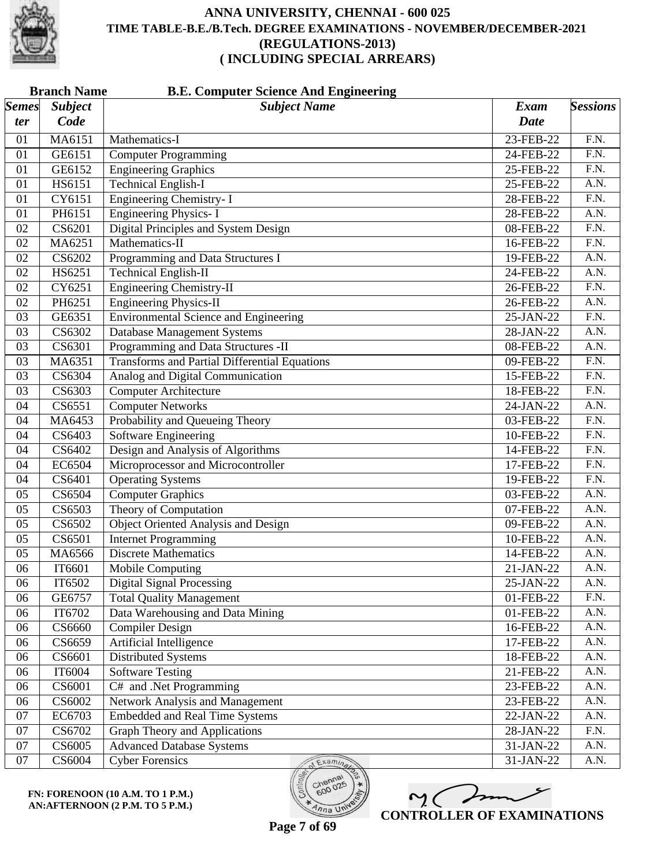

|                       | <b>Branch Name</b><br><b>B.E. Computer Science And Engineering</b> |                                                      |             |                   |  |
|-----------------------|--------------------------------------------------------------------|------------------------------------------------------|-------------|-------------------|--|
| $\vert$ Semes $\vert$ | <b>Subject</b>                                                     | <b>Subject Name</b>                                  | <b>Exam</b> | <b>Sessions</b>   |  |
| ter                   | Code                                                               |                                                      | <b>Date</b> |                   |  |
| 01                    | MA6151                                                             | Mathematics-I                                        | 23-FEB-22   | F.N.              |  |
| 01                    | GE6151                                                             | <b>Computer Programming</b>                          | 24-FEB-22   | F.N.              |  |
| 01                    | GE6152                                                             | <b>Engineering Graphics</b>                          | 25-FEB-22   | $\overline{F.N.}$ |  |
| 01                    | HS6151                                                             | <b>Technical English-I</b>                           | 25-FEB-22   | A.N.              |  |
| 01                    | CY6151                                                             | <b>Engineering Chemistry-I</b>                       | 28-FEB-22   | F.N.              |  |
| 01                    | PH6151                                                             | <b>Engineering Physics-I</b>                         | 28-FEB-22   | A.N.              |  |
| 02                    | CS6201                                                             | Digital Principles and System Design                 | 08-FEB-22   | $\overline{F.N.}$ |  |
| 02                    | MA6251                                                             | Mathematics-II                                       | 16-FEB-22   | $\overline{F.N.}$ |  |
| 02                    | CS6202                                                             | Programming and Data Structures I                    | 19-FEB-22   | A.N.              |  |
| 02                    | HS6251                                                             | <b>Technical English-II</b>                          | 24-FEB-22   | A.N.              |  |
| 02                    | CY6251                                                             | <b>Engineering Chemistry-II</b>                      | 26-FEB-22   | $\overline{F.N.}$ |  |
| 02                    | PH6251                                                             | <b>Engineering Physics-II</b>                        | 26-FEB-22   | A.N.              |  |
| 03                    | GE6351                                                             | <b>Environmental Science and Engineering</b>         | 25-JAN-22   | F.N.              |  |
| 03                    | CS6302                                                             | <b>Database Management Systems</b>                   | 28-JAN-22   | A.N.              |  |
| 03                    | CS6301                                                             | Programming and Data Structures -II                  | 08-FEB-22   | $\overline{A.N.}$ |  |
| 03                    | MA6351                                                             | <b>Transforms and Partial Differential Equations</b> | 09-FEB-22   | $\overline{F.N.}$ |  |
| 03                    | CS6304                                                             | Analog and Digital Communication                     | 15-FEB-22   | F.N.              |  |
| 03                    | CS6303                                                             | <b>Computer Architecture</b>                         | 18-FEB-22   | F.N.              |  |
| 04                    | CS6551                                                             | <b>Computer Networks</b>                             | 24-JAN-22   | $\overline{A.N.}$ |  |
| 04                    | MA6453                                                             | Probability and Queueing Theory                      | 03-FEB-22   | $\overline{F.N.}$ |  |
| 04                    | CS6403                                                             | <b>Software Engineering</b>                          | 10-FEB-22   | F.N.              |  |
| 04                    | CS6402                                                             | Design and Analysis of Algorithms                    | 14-FEB-22   | $\overline{F.N.}$ |  |
| 04                    | EC6504                                                             | Microprocessor and Microcontroller                   | 17-FEB-22   | $\overline{F.N.}$ |  |
| 04                    | CS6401                                                             | <b>Operating Systems</b>                             | 19-FEB-22   | $\overline{F.N.}$ |  |
| 05                    | CS6504                                                             | <b>Computer Graphics</b>                             | 03-FEB-22   | A.N.              |  |
| 05                    | CS6503                                                             | Theory of Computation                                | 07-FEB-22   | A.N.              |  |
| 05                    | CS6502                                                             | <b>Object Oriented Analysis and Design</b>           | 09-FEB-22   | $\overline{A.N.}$ |  |
| 05                    | CS6501                                                             | <b>Internet Programming</b>                          | 10-FEB-22   | A.N.              |  |
| 05                    | MA6566                                                             | <b>Discrete Mathematics</b>                          | 14-FEB-22   | A.N.              |  |
| 06                    | IT6601                                                             | Mobile Computing                                     | $21-JAN-22$ | A.N.              |  |
| 06                    | IT6502                                                             | <b>Digital Signal Processing</b>                     | 25-JAN-22   | A.N.              |  |
| 06                    | GE6757                                                             | <b>Total Quality Management</b>                      | 01-FEB-22   | F.N.              |  |
| 06                    | IT6702                                                             | Data Warehousing and Data Mining                     | 01-FEB-22   | A.N.              |  |
| 06                    | CS6660                                                             | <b>Compiler Design</b>                               | 16-FEB-22   | A.N.              |  |
| 06                    | CS6659                                                             | <b>Artificial Intelligence</b>                       | 17-FEB-22   | A.N.              |  |
| 06                    | CS6601                                                             | Distributed Systems                                  | 18-FEB-22   | A.N.              |  |
| 06                    | IT6004                                                             | <b>Software Testing</b>                              | 21-FEB-22   | A.N.              |  |
| 06                    | CS6001                                                             | C# and .Net Programming                              | 23-FEB-22   | A.N.              |  |
| 06                    | CS6002                                                             | Network Analysis and Management                      | 23-FEB-22   | A.N.              |  |
| 07                    | EC6703                                                             | <b>Embedded and Real Time Systems</b>                | 22-JAN-22   | A.N.              |  |
| 07                    | CS6702                                                             | <b>Graph Theory and Applications</b>                 | 28-JAN-22   | F.N.              |  |
| 07                    | CS6005                                                             | <b>Advanced Database Systems</b>                     | 31-JAN-22   | A.N.              |  |
| 07                    | CS6004                                                             | <b>Cyber Forensics</b><br>Examina                    | 31-JAN-22   | A.N.              |  |

**FN: FORENOON (10 A.M. TO 1 P.M.) AN:AFTERNOON (2 P.M. TO 5 P.M.)**

M mm **CONTROLLER OF EXAMINATIONS**

 $600$ 

 $lnna$  UN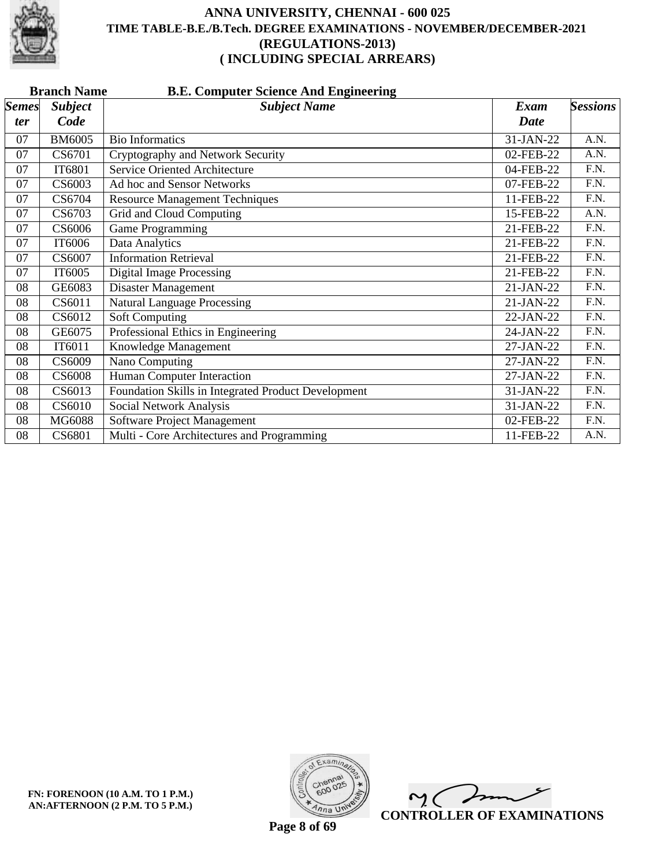

|              | <b>Branch Name</b><br><b>B.E. Computer Science And Engineering</b> |                                                     |             |                   |  |  |  |
|--------------|--------------------------------------------------------------------|-----------------------------------------------------|-------------|-------------------|--|--|--|
| <b>Semes</b> | <b>Subject</b>                                                     | <b>Subject Name</b>                                 | <b>Exam</b> | <b>Sessions</b>   |  |  |  |
| <i>ter</i>   | Code                                                               |                                                     | Date        |                   |  |  |  |
| 07           | <b>BM6005</b>                                                      | <b>Bio Informatics</b>                              | 31-JAN-22   | A.N.              |  |  |  |
| 07           | CS6701                                                             | Cryptography and Network Security                   | 02-FEB-22   | A.N.              |  |  |  |
| 07           | IT6801                                                             | <b>Service Oriented Architecture</b>                | 04-FEB-22   | F.N.              |  |  |  |
| 07           | CS6003                                                             | Ad hoc and Sensor Networks                          | 07-FEB-22   | F.N.              |  |  |  |
| 07           | CS6704                                                             | <b>Resource Management Techniques</b>               | 11-FEB-22   | F.N.              |  |  |  |
| 07           | CS6703                                                             | Grid and Cloud Computing                            | 15-FEB-22   | A.N.              |  |  |  |
| 07           | CS6006                                                             | Game Programming                                    | 21-FEB-22   | F.N.              |  |  |  |
| 07           | IT6006                                                             | Data Analytics                                      | 21-FEB-22   | F.N.              |  |  |  |
| 07           | CS6007                                                             | <b>Information Retrieval</b>                        | 21-FEB-22   | F.N.              |  |  |  |
| 07           | IT6005                                                             | <b>Digital Image Processing</b>                     | 21-FEB-22   | F.N.              |  |  |  |
| 08           | GE6083                                                             | Disaster Management                                 | 21-JAN-22   | $\overline{F.N.}$ |  |  |  |
| 08           | CS6011                                                             | <b>Natural Language Processing</b>                  | $21-JAN-22$ | F.N.              |  |  |  |
| 08           | CS6012                                                             | <b>Soft Computing</b>                               | 22-JAN-22   | F.N.              |  |  |  |
| 08           | GE6075                                                             | Professional Ethics in Engineering                  | 24-JAN-22   | F.N.              |  |  |  |
| 08           | IT6011                                                             | Knowledge Management                                | 27-JAN-22   | F.N.              |  |  |  |
| 08           | CS6009                                                             | Nano Computing                                      | 27-JAN-22   | F.N.              |  |  |  |
| 08           | <b>CS6008</b>                                                      | Human Computer Interaction                          | 27-JAN-22   | F.N.              |  |  |  |
| 08           | CS6013                                                             | Foundation Skills in Integrated Product Development | 31-JAN-22   | F.N.              |  |  |  |
| 08           | CS6010                                                             | Social Network Analysis                             | 31-JAN-22   | F.N.              |  |  |  |
| 08           | MG6088                                                             | Software Project Management                         | 02-FEB-22   | F.N.              |  |  |  |
| 08           | CS6801                                                             | Multi - Core Architectures and Programming          | 11-FEB-22   | A.N.              |  |  |  |



 $\overline{\phantom{a}}$  $\sim$  ( **CONTROLLER OF EXAMINATIONS**

**Page 8 of 69**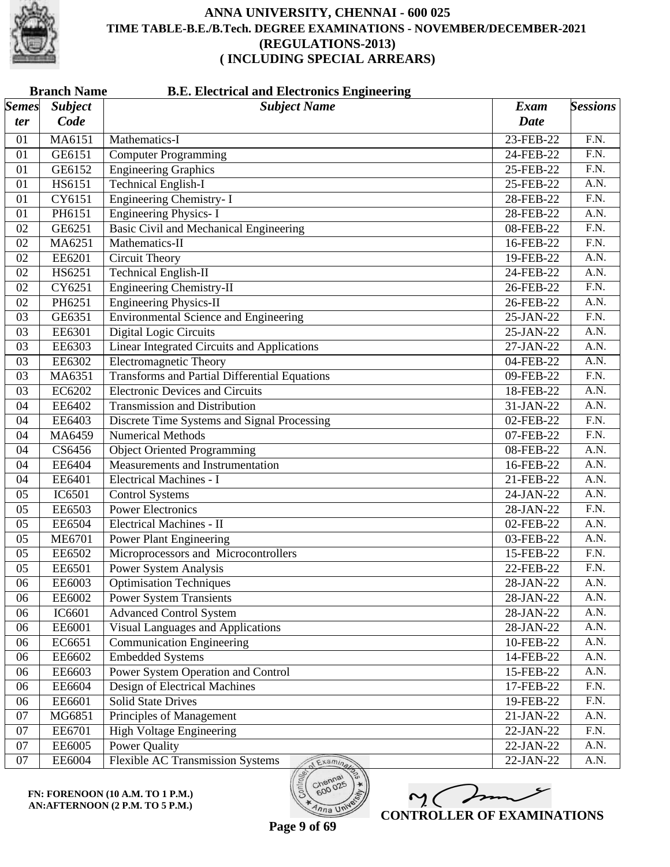

|                       | <b>Branch Name</b><br><b>B.E. Electrical and Electronics Engineering</b> |                                                      |             |                   |  |
|-----------------------|--------------------------------------------------------------------------|------------------------------------------------------|-------------|-------------------|--|
| $\vert$ Semes $\vert$ | <b>Subject</b>                                                           | <b>Subject Name</b>                                  | <b>Exam</b> | <b>Sessions</b>   |  |
| ter                   | Code                                                                     |                                                      | <b>Date</b> |                   |  |
| 01                    | MA6151                                                                   | Mathematics-I                                        | 23-FEB-22   | F.N.              |  |
| 01                    | GE6151                                                                   | <b>Computer Programming</b>                          | 24-FEB-22   | F.N.              |  |
| 01                    | GE6152                                                                   | <b>Engineering Graphics</b>                          | 25-FEB-22   | $\overline{F.N.}$ |  |
| 01                    | HS6151                                                                   | <b>Technical English-I</b>                           | 25-FEB-22   | $\overline{A.N.}$ |  |
| 01                    | CY6151                                                                   | <b>Engineering Chemistry-I</b>                       | 28-FEB-22   | $\overline{F.N.}$ |  |
| 01                    | PH6151                                                                   | <b>Engineering Physics-I</b>                         | 28-FEB-22   | A.N.              |  |
| 02                    | GE6251                                                                   | <b>Basic Civil and Mechanical Engineering</b>        | 08-FEB-22   | F.N.              |  |
| 02                    | MA6251                                                                   | Mathematics-II                                       | 16-FEB-22   | $\overline{F.N.}$ |  |
| 02                    | EE6201                                                                   | <b>Circuit Theory</b>                                | 19-FEB-22   | A.N.              |  |
| 02                    | HS6251                                                                   | <b>Technical English-II</b>                          | 24-FEB-22   | A.N.              |  |
| 02                    | CY6251                                                                   | <b>Engineering Chemistry-II</b>                      | 26-FEB-22   | $\overline{F.N.}$ |  |
| 02                    | PH6251                                                                   | <b>Engineering Physics-II</b>                        | 26-FEB-22   | $\overline{A.N.}$ |  |
| 03                    | GE6351                                                                   | <b>Environmental Science and Engineering</b>         | 25-JAN-22   | $\overline{F.N.}$ |  |
| 03                    | EE6301                                                                   | Digital Logic Circuits                               | 25-JAN-22   | A.N.              |  |
| 03                    | EE6303                                                                   | <b>Linear Integrated Circuits and Applications</b>   | 27-JAN-22   | $\overline{A.N.}$ |  |
| 03                    | EE6302                                                                   | <b>Electromagnetic Theory</b>                        | 04-FEB-22   | $\overline{A.N.}$ |  |
| 03                    | MA6351                                                                   | <b>Transforms and Partial Differential Equations</b> | 09-FEB-22   | F.N.              |  |
| 03                    | EC6202                                                                   | <b>Electronic Devices and Circuits</b>               | 18-FEB-22   | A.N.              |  |
| 04                    | EE6402                                                                   | <b>Transmission and Distribution</b>                 | 31-JAN-22   | $\overline{A.N.}$ |  |
| 04                    | EE6403                                                                   | Discrete Time Systems and Signal Processing          | 02-FEB-22   | $\overline{F.N.}$ |  |
| 04                    | MA6459                                                                   | <b>Numerical Methods</b>                             | 07-FEB-22   | F.N.              |  |
| 04                    | CS6456                                                                   | <b>Object Oriented Programming</b>                   | 08-FEB-22   | A.N.              |  |
| 04                    | EE6404                                                                   | Measurements and Instrumentation                     | 16-FEB-22   | $\overline{A.N.}$ |  |
| 04                    | EE6401                                                                   | <b>Electrical Machines - I</b>                       | 21-FEB-22   | $\overline{A.N.}$ |  |
| 05                    | IC6501                                                                   | <b>Control Systems</b>                               | 24-JAN-22   | A.N.              |  |
| 05                    | EE6503                                                                   | <b>Power Electronics</b>                             | 28-JAN-22   | F.N.              |  |
| 05                    | EE6504                                                                   | Electrical Machines - II                             | 02-FEB-22   | $\overline{A.N.}$ |  |
| 05                    | <b>ME6701</b>                                                            | <b>Power Plant Engineering</b>                       | 03-FEB-22   | A.N.              |  |
| 05                    | EE6502                                                                   | Microprocessors and Microcontrollers                 | 15-FEB-22   | F.N.              |  |
| 05                    | EE6501                                                                   | <b>Power System Analysis</b>                         | 22-FEB-22   | F.N.              |  |
| 06                    | EE6003                                                                   | <b>Optimisation Techniques</b>                       | 28-JAN-22   | A.N.              |  |
| 06                    | EE6002                                                                   | <b>Power System Transients</b>                       | 28-JAN-22   | A.N.              |  |
| 06                    | IC6601                                                                   | <b>Advanced Control System</b>                       | 28-JAN-22   | A.N.              |  |
| 06                    | EE6001                                                                   | <b>Visual Languages and Applications</b>             | 28-JAN-22   | A.N.              |  |
| 06                    | EC6651                                                                   | <b>Communication Engineering</b>                     | 10-FEB-22   | A.N.              |  |
| 06                    | EE6602                                                                   | <b>Embedded Systems</b>                              | 14-FEB-22   | A.N.              |  |
| 06                    | EE6603                                                                   | Power System Operation and Control                   | 15-FEB-22   | A.N.              |  |
| 06                    | EE6604                                                                   | Design of Electrical Machines                        | 17-FEB-22   | F.N.              |  |
| 06                    | EE6601                                                                   | <b>Solid State Drives</b>                            | 19-FEB-22   | F.N.              |  |
| 07                    | MG6851                                                                   | Principles of Management                             | 21-JAN-22   | A.N.              |  |
| 07                    | EE6701                                                                   | <b>High Voltage Engineering</b>                      | 22-JAN-22   | F.N.              |  |
| 07                    | EE6005                                                                   | Power Quality                                        | 22-JAN-22   | A.N.              |  |
| 07                    | EE6004                                                                   | Flexible AC Transmission Systems<br>Examina          | 22-JAN-22   | A.N.              |  |
|                       |                                                                          |                                                      |             |                   |  |

**FN: FORENOON (10 A.M. TO 1 P.M.) AN:AFTERNOON (2 P.M. TO 5 P.M.)**



 $o_{O_{\mathcal{O}}}$ 

 $n_{na}$  UN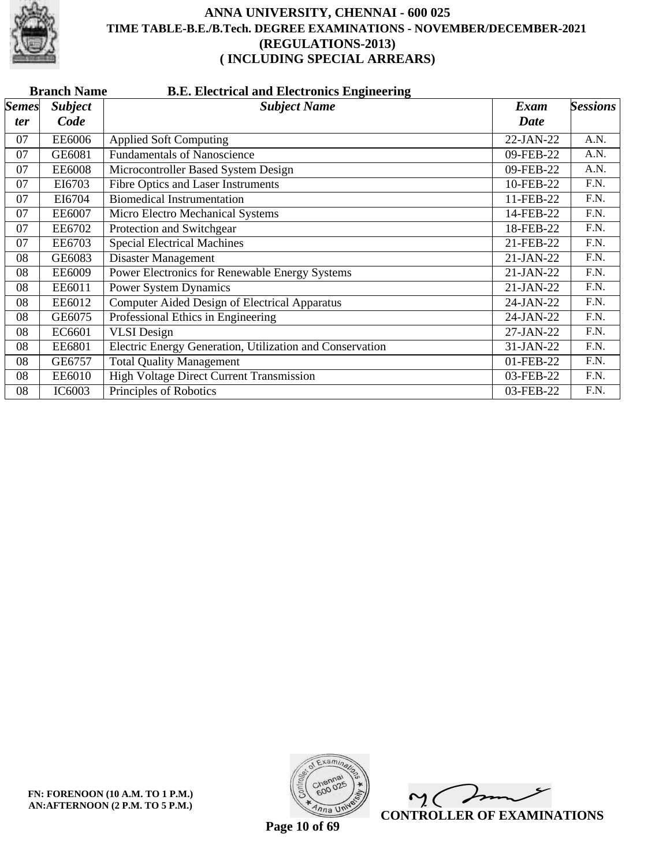

|              | <b>B.E. Electrical and Electronics Engineering</b><br><b>Branch Name</b> |                                                          |             |                 |  |  |
|--------------|--------------------------------------------------------------------------|----------------------------------------------------------|-------------|-----------------|--|--|
| <b>Semes</b> | <b>Subject</b>                                                           | <b>Subject Name</b>                                      | Exam        | <b>Sessions</b> |  |  |
| <i>ter</i>   | Code                                                                     |                                                          | <b>Date</b> |                 |  |  |
| 07           | EE6006                                                                   | <b>Applied Soft Computing</b>                            | $22-JAN-22$ | A.N.            |  |  |
| 07           | GE6081                                                                   | <b>Fundamentals of Nanoscience</b>                       | 09-FEB-22   | A.N.            |  |  |
| 07           | <b>EE6008</b>                                                            | Microcontroller Based System Design                      | 09-FEB-22   | A.N.            |  |  |
| 07           | EI6703                                                                   | <b>Fibre Optics and Laser Instruments</b>                | 10-FEB-22   | F.N.            |  |  |
| 07           | EI6704                                                                   | Biomedical Instrumentation                               | 11-FEB-22   | F.N.            |  |  |
| 07           | <b>EE6007</b>                                                            | Micro Electro Mechanical Systems                         | 14-FEB-22   | F.N.            |  |  |
| 07           | EE6702                                                                   | Protection and Switchgear                                | 18-FEB-22   | F.N.            |  |  |
| 07           | EE6703                                                                   | <b>Special Electrical Machines</b>                       | 21-FEB-22   | F.N.            |  |  |
| 08           | GE6083                                                                   | Disaster Management                                      | 21-JAN-22   | F.N.            |  |  |
| 08           | <b>EE6009</b>                                                            | Power Electronics for Renewable Energy Systems           | 21-JAN-22   | F.N.            |  |  |
| 08           | EE6011                                                                   | <b>Power System Dynamics</b>                             | 21-JAN-22   | F.N.            |  |  |
| 08           | EE6012                                                                   | Computer Aided Design of Electrical Apparatus            | 24-JAN-22   | F.N.            |  |  |
| 08           | GE6075                                                                   | Professional Ethics in Engineering                       | 24-JAN-22   | F.N.            |  |  |
| 08           | EC6601                                                                   | <b>VLSI</b> Design                                       | 27-JAN-22   | F.N.            |  |  |
| 08           | EE6801                                                                   | Electric Energy Generation, Utilization and Conservation | 31-JAN-22   | F.N.            |  |  |
| 08           | GE6757                                                                   | <b>Total Quality Management</b>                          | 01-FEB-22   | F.N.            |  |  |
| 08           | EE6010                                                                   | High Voltage Direct Current Transmission                 | 03-FEB-22   | F.N.            |  |  |
| 08           | IC6003                                                                   | Principles of Robotics                                   | 03-FEB-22   | F.N.            |  |  |



 $\overline{\phantom{a}}$  $\mathsf{M}(\mathbb{C})$ **CONTROLLER OF EXAMINATIONS**

**Page 10 of 69**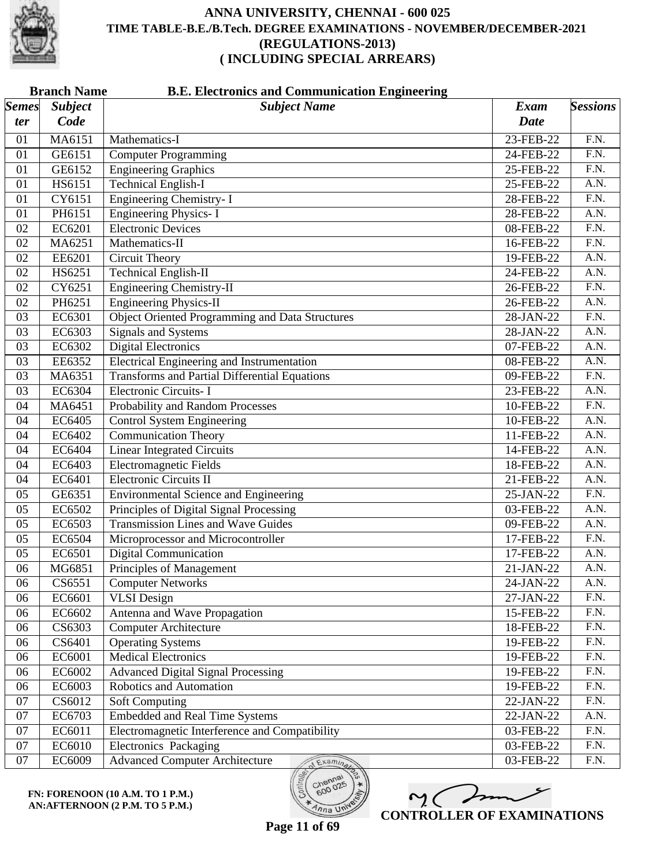

|              | <b>Branch Name</b><br><b>B.E. Electronics and Communication Engineering</b> |                                                        |             |                   |  |
|--------------|-----------------------------------------------------------------------------|--------------------------------------------------------|-------------|-------------------|--|
| <b>Semes</b> | <b>Subject</b>                                                              | <b>Subject Name</b>                                    | <b>Exam</b> | <b>Sessions</b>   |  |
| ter          | Code                                                                        |                                                        | <b>Date</b> |                   |  |
| 01           | MA6151                                                                      | Mathematics-I                                          | 23-FEB-22   | F.N.              |  |
| 01           | GE6151                                                                      | <b>Computer Programming</b>                            | 24-FEB-22   | F.N.              |  |
| 01           | GE6152                                                                      | <b>Engineering Graphics</b>                            | 25-FEB-22   | $\overline{F.N.}$ |  |
| 01           | HS6151                                                                      | <b>Technical English-I</b>                             | 25-FEB-22   | A.N.              |  |
| 01           | CY6151                                                                      | <b>Engineering Chemistry-I</b>                         | 28-FEB-22   | $\overline{F.N.}$ |  |
| 01           | PH6151                                                                      | <b>Engineering Physics-I</b>                           | 28-FEB-22   | A.N.              |  |
| 02           | EC6201                                                                      | <b>Electronic Devices</b>                              | 08-FEB-22   | F.N.              |  |
| 02           | MA6251                                                                      | Mathematics-II                                         | 16-FEB-22   | $\overline{F.N.}$ |  |
| 02           | EE6201                                                                      | <b>Circuit Theory</b>                                  | 19-FEB-22   | A.N.              |  |
| 02           | HS6251                                                                      | <b>Technical English-II</b>                            | 24-FEB-22   | A.N.              |  |
| 02           | CY6251                                                                      | <b>Engineering Chemistry-II</b>                        | 26-FEB-22   | $\overline{F.N.}$ |  |
| 02           | PH6251                                                                      | <b>Engineering Physics-II</b>                          | 26-FEB-22   | A.N.              |  |
| 03           | EC6301                                                                      | <b>Object Oriented Programming and Data Structures</b> | 28-JAN-22   | $\overline{F.N.}$ |  |
| 03           | EC6303                                                                      | <b>Signals and Systems</b>                             | 28-JAN-22   | A.N.              |  |
| 03           | EC6302                                                                      | <b>Digital Electronics</b>                             | 07-FEB-22   | $\overline{A.N.}$ |  |
| 03           | EE6352                                                                      | <b>Electrical Engineering and Instrumentation</b>      | 08-FEB-22   | A.N.              |  |
| 03           | MA6351                                                                      | <b>Transforms and Partial Differential Equations</b>   | 09-FEB-22   | F.N.              |  |
| 03           | EC6304                                                                      | Electronic Circuits- I                                 | 23-FEB-22   | A.N.              |  |
| 04           | MA6451                                                                      | Probability and Random Processes                       | 10-FEB-22   | $\overline{F.N.}$ |  |
| 04           | EC6405                                                                      | <b>Control System Engineering</b>                      | 10-FEB-22   | A.N.              |  |
| 04           | EC6402                                                                      | <b>Communication Theory</b>                            | 11-FEB-22   | A.N.              |  |
| 04           | EC6404                                                                      | <b>Linear Integrated Circuits</b>                      | 14-FEB-22   | A.N.              |  |
| 04           | EC6403                                                                      | <b>Electromagnetic Fields</b>                          | 18-FEB-22   | $\overline{A.N.}$ |  |
| 04           | EC6401                                                                      | <b>Electronic Circuits II</b>                          | 21-FEB-22   | A.N.              |  |
| 05           | GE6351                                                                      | <b>Environmental Science and Engineering</b>           | 25-JAN-22   | $\overline{F.N.}$ |  |
| 05           | EC6502                                                                      | Principles of Digital Signal Processing                | 03-FEB-22   | A.N.              |  |
| 05           | EC6503                                                                      | <b>Transmission Lines and Wave Guides</b>              | 09-FEB-22   | A.N.              |  |
| 05           | EC6504                                                                      | Microprocessor and Microcontroller                     | 17-FEB-22   | $\overline{F.N.}$ |  |
| 05           | EC6501                                                                      | <b>Digital Communication</b>                           | 17-FEB-22   | A.N.              |  |
| 06           | MG6851                                                                      | Principles of Management                               | 21-JAN-22   | A.N.              |  |
| 06           | CS6551                                                                      | <b>Computer Networks</b>                               | 24-JAN-22   | A.N.              |  |
| 06           | EC6601                                                                      | <b>VLSI</b> Design                                     | 27-JAN-22   | F.N.              |  |
| 06           | EC6602                                                                      | Antenna and Wave Propagation                           | 15-FEB-22   | F.N.              |  |
| 06           | CS6303                                                                      | <b>Computer Architecture</b>                           | 18-FEB-22   | F.N.              |  |
| 06           | CS6401                                                                      | <b>Operating Systems</b>                               | 19-FEB-22   | $\overline{F.N.}$ |  |
| 06           | EC6001                                                                      | <b>Medical Electronics</b>                             | 19-FEB-22   | F.N.              |  |
| 06           | EC6002                                                                      | <b>Advanced Digital Signal Processing</b>              | 19-FEB-22   | F.N.              |  |
| 06           | EC6003                                                                      | Robotics and Automation                                | 19-FEB-22   | F.N.              |  |
| 07           | CS6012                                                                      | Soft Computing                                         | 22-JAN-22   | F.N.              |  |
| 07           | EC6703                                                                      | <b>Embedded and Real Time Systems</b>                  | 22-JAN-22   | A.N.              |  |
| 07           | EC6011                                                                      | Electromagnetic Interference and Compatibility         | 03-FEB-22   | F.N.              |  |
| 07           | EC6010                                                                      | <b>Electronics Packaging</b>                           | 03-FEB-22   | F.N.              |  |
| 07           | EC6009                                                                      | <b>Advanced Computer Architecture</b><br>Examina       | 03-FEB-22   | F.N.              |  |

**FN: FORENOON (10 A.M. TO 1 P.M.) AN:AFTERNOON (2 P.M. TO 5 P.M.)**

 $m< 1$ **CONTROLLER OF EXAMINATIONS**

600

 $\overline{\eta_{n}}$  UN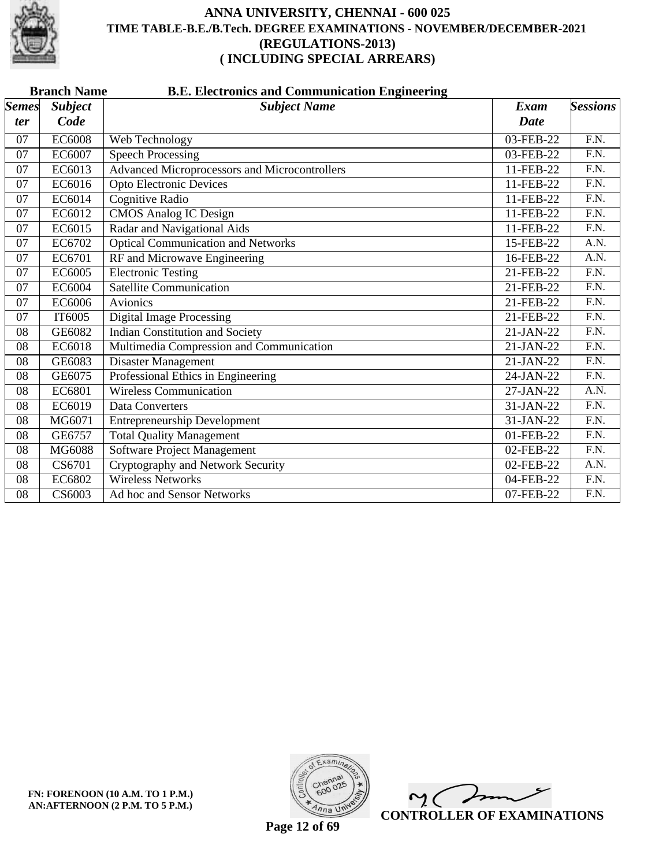

| <b>Branch Name</b><br><b>B.E. Electronics and Communication Engineering</b> |                                                      |                              |                   |  |  |  |
|-----------------------------------------------------------------------------|------------------------------------------------------|------------------------------|-------------------|--|--|--|
| <b>Subject</b>                                                              | <b>Subject Name</b>                                  | Exam                         | <b>Sessions</b>   |  |  |  |
| Code                                                                        |                                                      | <b>Date</b>                  |                   |  |  |  |
| <b>EC6008</b>                                                               | Web Technology                                       | 03-FEB-22                    | F.N.              |  |  |  |
| EC6007                                                                      | <b>Speech Processing</b>                             | 03-FEB-22                    | F.N.              |  |  |  |
| EC6013                                                                      | <b>Advanced Microprocessors and Microcontrollers</b> | 11-FEB-22                    | $\overline{F.N.}$ |  |  |  |
| EC6016                                                                      | <b>Opto Electronic Devices</b>                       | 11-FEB-22                    | $\overline{FN}$ . |  |  |  |
| EC6014                                                                      | <b>Cognitive Radio</b>                               | 11-FEB-22                    | $\overline{F.N.}$ |  |  |  |
| EC6012                                                                      | <b>CMOS Analog IC Design</b>                         | 11-FEB-22                    | $\overline{F.N.}$ |  |  |  |
| EC6015                                                                      | Radar and Navigational Aids                          | 11-FEB-22                    | F.N.              |  |  |  |
| EC6702                                                                      | <b>Optical Communication and Networks</b>            | 15-FEB-22                    | $\overline{A.N.}$ |  |  |  |
| EC6701                                                                      |                                                      | $16$ -FEB-22                 | A.N.              |  |  |  |
| EC6005                                                                      | <b>Electronic Testing</b>                            | 21-FEB-22                    | F.N.              |  |  |  |
| EC6004                                                                      | Satellite Communication                              | 21-FEB-22                    | $\overline{F.N.}$ |  |  |  |
| EC6006                                                                      | Avionics                                             | 21-FEB-22                    | $\overline{FN}$ . |  |  |  |
| IT6005                                                                      | <b>Digital Image Processing</b>                      | 21-FEB-22                    | F.N.              |  |  |  |
| GE6082                                                                      | <b>Indian Constitution and Society</b>               | $21-JAN-22$                  | $\overline{F.N.}$ |  |  |  |
| EC6018                                                                      | Multimedia Compression and Communication             | 21-JAN-22                    | F.N.              |  |  |  |
| GE6083                                                                      | Disaster Management                                  | $21-JAN-22$                  | $\overline{F.N.}$ |  |  |  |
| GE6075                                                                      | Professional Ethics in Engineering                   | 24-JAN-22                    | $\overline{F.N.}$ |  |  |  |
| <b>EC6801</b>                                                               | <b>Wireless Communication</b>                        | $27-JAN-22$                  | A.N.              |  |  |  |
| EC6019                                                                      | Data Converters                                      | 31-JAN-22                    | $\overline{F.N.}$ |  |  |  |
| MG6071                                                                      | <b>Entrepreneurship Development</b>                  | 31-JAN-22                    | F.N.              |  |  |  |
| GE6757                                                                      | <b>Total Quality Management</b>                      | 01-FEB-22                    | F.N.              |  |  |  |
| <b>MG6088</b>                                                               | <b>Software Project Management</b>                   | 02-FEB-22                    | $\overline{F.N.}$ |  |  |  |
| CS6701                                                                      | Cryptography and Network Security                    | 02-FEB-22                    | A.N.              |  |  |  |
| EC6802                                                                      | <b>Wireless Networks</b>                             | 04-FEB-22                    | F.N.              |  |  |  |
| CS6003                                                                      | Ad hoc and Sensor Networks                           | 07-FEB-22                    | $\overline{F.N.}$ |  |  |  |
|                                                                             |                                                      | RF and Microwave Engineering |                   |  |  |  |

**FN: FORENOON (10 A.M. TO 1 P.M.) AN:AFTERNOON (2 P.M. TO 5 P.M.)**



 $\overline{\mathscr{P}}$  $\mathsf{M}(\mathbb{C})$ **CONTROLLER OF EXAMINATIONS**

**Page 12 of 69**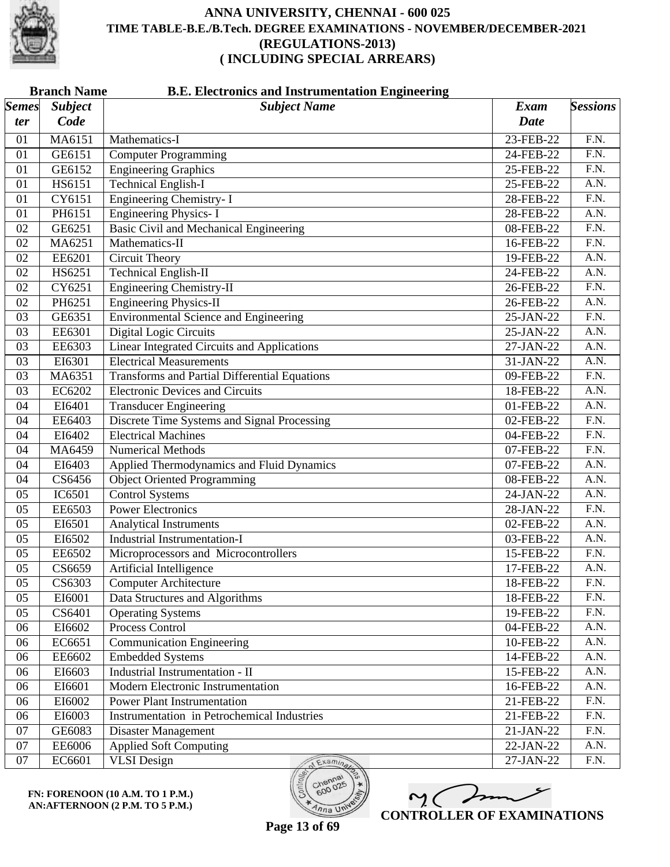

|                       | <b>Branch Name</b><br><b>B.E. Electronics and Instrumentation Engineering</b> |                                                      |              |                   |  |
|-----------------------|-------------------------------------------------------------------------------|------------------------------------------------------|--------------|-------------------|--|
| $\vert$ Semes $\vert$ | <b>Subject</b>                                                                | <b>Subject Name</b>                                  | <b>Exam</b>  | <b>Sessions</b>   |  |
| ter                   | Code                                                                          |                                                      | <b>Date</b>  |                   |  |
| 01                    | MA6151                                                                        | Mathematics-I                                        | 23-FEB-22    | F.N.              |  |
| 01                    | GE6151                                                                        | <b>Computer Programming</b>                          | 24-FEB-22    | F.N.              |  |
| 01                    | GE6152                                                                        | <b>Engineering Graphics</b>                          | 25-FEB-22    | $\overline{F.N.}$ |  |
| 01                    | HS6151                                                                        | <b>Technical English-I</b>                           | 25-FEB-22    | $\overline{A.N.}$ |  |
| 01                    | CY6151                                                                        | <b>Engineering Chemistry-I</b>                       | 28-FEB-22    | $\overline{F.N.}$ |  |
| 01                    | PH6151                                                                        | <b>Engineering Physics-I</b>                         | 28-FEB-22    | A.N.              |  |
| 02                    | GE6251                                                                        | <b>Basic Civil and Mechanical Engineering</b>        | 08-FEB-22    | F.N.              |  |
| 02                    | MA6251                                                                        | Mathematics-II                                       | 16-FEB-22    | $\overline{F.N.}$ |  |
| 02                    | EE6201                                                                        | <b>Circuit Theory</b>                                | 19-FEB-22    | A.N.              |  |
| 02                    | HS6251                                                                        | <b>Technical English-II</b>                          | 24-FEB-22    | A.N.              |  |
| 02                    | CY6251                                                                        | <b>Engineering Chemistry-II</b>                      | 26-FEB-22    | $\overline{F.N.}$ |  |
| 02                    | PH6251                                                                        | <b>Engineering Physics-II</b>                        | 26-FEB-22    | $\overline{A.N.}$ |  |
| 03                    | GE6351                                                                        | <b>Environmental Science and Engineering</b>         | 25-JAN-22    | $\overline{F.N.}$ |  |
| 03                    | EE6301                                                                        | Digital Logic Circuits                               | 25-JAN-22    | A.N.              |  |
| 03                    | EE6303                                                                        | Linear Integrated Circuits and Applications          | 27-JAN-22    | $\overline{A.N.}$ |  |
| 03                    | EI6301                                                                        | <b>Electrical Measurements</b>                       | 31-JAN-22    | $\overline{A.N.}$ |  |
| 03                    | MA6351                                                                        | <b>Transforms and Partial Differential Equations</b> | 09-FEB-22    | F.N.              |  |
| 03                    | EC6202                                                                        | <b>Electronic Devices and Circuits</b>               | 18-FEB-22    | A.N.              |  |
| 04                    | EI6401                                                                        | <b>Transducer Engineering</b>                        | 01-FEB-22    | $\overline{A.N.}$ |  |
| 04                    | EE6403                                                                        | Discrete Time Systems and Signal Processing          | 02-FEB-22    | $\overline{F.N.}$ |  |
| 04                    | EI6402                                                                        | <b>Electrical Machines</b>                           | 04-FEB-22    | F.N.              |  |
| 04                    | MA6459                                                                        | <b>Numerical Methods</b>                             | 07-FEB-22    | $\overline{F.N.}$ |  |
| 04                    | EI6403                                                                        | Applied Thermodynamics and Fluid Dynamics            | 07-FEB-22    | $\overline{A.N.}$ |  |
| 04                    | CS6456                                                                        | <b>Object Oriented Programming</b>                   | 08-FEB-22    | $\overline{A.N.}$ |  |
| 05                    | IC6501                                                                        | <b>Control Systems</b>                               | 24-JAN-22    | A.N.              |  |
| 05                    | EE6503                                                                        | <b>Power Electronics</b>                             | 28-JAN-22    | $\overline{F.N.}$ |  |
| 05                    | EI6501                                                                        | <b>Analytical Instruments</b>                        | 02-FEB-22    | $\overline{A.N.}$ |  |
| 05                    | EI6502                                                                        | <b>Industrial Instrumentation-I</b>                  | 03-FEB-22    | A.N.              |  |
| 05                    | EE6502                                                                        | Microprocessors and Microcontrollers                 | 15-FEB-22    | F.N.              |  |
| 05                    | CS6659                                                                        | Artificial Intelligence                              | 17-FEB-22    | A.N.              |  |
| 05                    | CS6303                                                                        | <b>Computer Architecture</b>                         | 18-FEB-22    | F.N.              |  |
| 05                    | EI6001                                                                        | Data Structures and Algorithms                       | 18-FEB-22    | F.N.              |  |
| 05                    | CS6401                                                                        | <b>Operating Systems</b>                             | 19-FEB-22    | F.N.              |  |
| 06                    | EI6602                                                                        | Process Control                                      | 04-FEB-22    | A.N.              |  |
| 06                    | EC6651                                                                        | <b>Communication Engineering</b>                     | 10-FEB-22    | A.N.              |  |
| 06                    | EE6602                                                                        | <b>Embedded Systems</b>                              | 14-FEB-22    | A.N.              |  |
| 06                    | EI6603                                                                        | <b>Industrial Instrumentation - II</b>               | 15-FEB-22    | A.N.              |  |
| 06                    | EI6601                                                                        | Modern Electronic Instrumentation                    | 16-FEB-22    | A.N.              |  |
| 06                    | EI6002                                                                        | <b>Power Plant Instrumentation</b>                   | 21-FEB-22    | $\overline{F.N.}$ |  |
| 06                    | EI6003                                                                        | Instrumentation in Petrochemical Industries          | 21-FEB-22    | F.N.              |  |
| 07                    | GE6083                                                                        | Disaster Management                                  | 21-JAN-22    | F.N.              |  |
| 07                    | <b>EE6006</b>                                                                 | <b>Applied Soft Computing</b>                        | 22-JAN-22    | A.N.              |  |
| 07                    | EC6601                                                                        | <b>VLSI</b> Design<br>Examina                        | $27$ -JAN-22 | F.N.              |  |

**FN: FORENOON (10 A.M. TO 1 P.M.) AN:AFTERNOON (2 P.M. TO 5 P.M.)**

M mm **CONTROLLER OF EXAMINATIONS**

600

 $\eta_{n}$  UN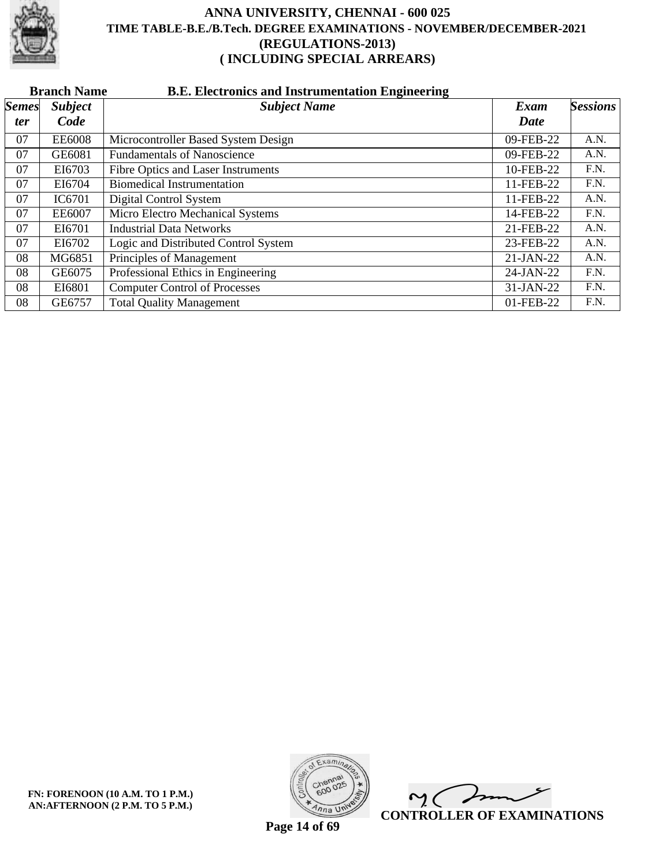

|              | <b>B.E. Electronics and Instrumentation Engineering</b><br><b>Branch Name</b> |                                      |             |                 |  |  |  |
|--------------|-------------------------------------------------------------------------------|--------------------------------------|-------------|-----------------|--|--|--|
| <b>Semes</b> | <b>Subject</b>                                                                | <b>Subject Name</b>                  | Exam        | <b>Sessions</b> |  |  |  |
| <i>ter</i>   | Code                                                                          |                                      | Date        |                 |  |  |  |
| 07           | <b>EE6008</b>                                                                 | Microcontroller Based System Design  | 09-FEB-22   | A.N.            |  |  |  |
| 07           | GE6081                                                                        | <b>Fundamentals of Nanoscience</b>   | 09-FEB-22   | A.N.            |  |  |  |
| 07           | EI6703                                                                        | Fibre Optics and Laser Instruments   | 10-FEB-22   | F.N.            |  |  |  |
| 07           | EI6704                                                                        | <b>Biomedical Instrumentation</b>    | 11-FEB-22   | F.N.            |  |  |  |
| 07           | IC6701                                                                        | Digital Control System               | 11-FEB-22   | A.N.            |  |  |  |
| 07           | EE6007                                                                        | Micro Electro Mechanical Systems     | 14-FEB-22   | F.N.            |  |  |  |
| 07           | EI6701                                                                        | <b>Industrial Data Networks</b>      | 21-FEB-22   | A.N.            |  |  |  |
| 07           | EI6702                                                                        | Logic and Distributed Control System | 23-FEB-22   | A.N.            |  |  |  |
| 08           | MG6851                                                                        | Principles of Management             | $21-JAN-22$ | A.N.            |  |  |  |
| 08           | GE6075                                                                        | Professional Ethics in Engineering   | 24-JAN-22   | F.N.            |  |  |  |
| 08           | EI6801                                                                        | <b>Computer Control of Processes</b> | 31-JAN-22   | F.N.            |  |  |  |
| 08           | GE6757                                                                        | <b>Total Quality Management</b>      | 01-FEB-22   | F.N.            |  |  |  |



 $\overline{\phantom{a}}$  $\mathsf{M}(\mathbb{C})$ **CONTROLLER OF EXAMINATIONS**

**Page 14 of 69**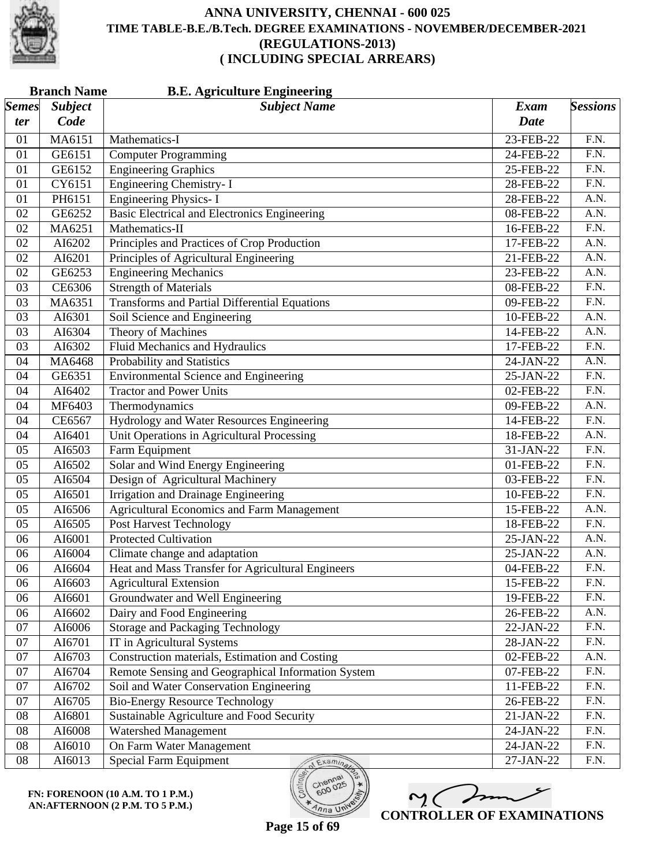

| <b>Semes</b><br><b>Subject</b><br><b>Subject Name</b><br><b>Exam</b><br>Code<br><b>Date</b><br>ter<br>MA6151<br>23-FEB-22<br>F.N.<br>Mathematics-I<br>01<br><b>Computer Programming</b><br>F.N.<br>01<br>GE6151<br>24-FEB-22<br><b>Engineering Graphics</b><br>$\overline{F.N.}$<br>GE6152<br>01<br>25-FEB-22<br><b>Engineering Chemistry-I</b><br>$\overline{F.N.}$<br>CY6151<br>01<br>28-FEB-22<br><b>Engineering Physics-I</b><br>PH6151<br>A.N.<br>01<br>28-FEB-22<br>Basic Electrical and Electronics Engineering<br>A.N.<br>02<br>GE6252<br>08-FEB-22<br>F.N.<br>MA6251<br>Mathematics-II<br>02<br>16-FEB-22<br>Principles and Practices of Crop Production<br>$\overline{A.N.}$<br>02<br>AI6202<br>17-FEB-22<br>Principles of Agricultural Engineering<br>A.N.<br>02<br>AI6201<br>21-FEB-22<br><b>Engineering Mechanics</b><br>GE6253<br>A.N.<br>02<br>23-FEB-22<br><b>Strength of Materials</b><br>$\overline{F.N.}$<br>CE6306<br>03<br>08-FEB-22<br><b>Transforms and Partial Differential Equations</b><br>$\overline{F.N.}$<br>MA6351<br>03<br>09-FEB-22<br>Soil Science and Engineering<br>A.N.<br>03<br>AI6301<br>10-FEB-22<br><b>Theory of Machines</b><br>A.N.<br>03<br>AI6304<br>14-FEB-22<br>Fluid Mechanics and Hydraulics<br>$\overline{F.N.}$<br>AI6302<br>03<br>17-FEB-22<br>Probability and Statistics<br>A.N.<br>MA6468<br>04<br>24-JAN-22<br><b>Environmental Science and Engineering</b><br>F.N.<br>04<br>GE6351<br>25-JAN-22<br><b>Tractor and Power Units</b><br>F.N.<br>AI6402<br>02-FEB-22<br>04<br>$\overline{A.N.}$<br>MF6403<br>Thermodynamics<br>09-FEB-22<br>04<br>$\overline{F.N.}$<br>CE6567<br>Hydrology and Water Resources Engineering<br>04<br>14-FEB-22<br>Unit Operations in Agricultural Processing<br>A.N.<br>04<br>AI6401<br>18-FEB-22<br>Farm Equipment<br>$\overline{F.N.}$<br>05<br>AI6503<br>31-JAN-22<br>Solar and Wind Energy Engineering<br>$\overline{F.N.}$<br>AI6502<br>05<br>01-FEB-22<br>Design of Agricultural Machinery<br>$\overline{F.N.}$<br>AI6504<br>05<br>03-FEB-22<br>Irrigation and Drainage Engineering<br>AI6501<br>F.N.<br>05<br>10-FEB-22<br><b>Agricultural Economics and Farm Management</b><br>A.N.<br>AI6506<br>15-FEB-22<br>05<br>Post Harvest Technology<br>$\overline{F.N.}$<br>AI6505<br>05<br>18-FEB-22<br><b>Protected Cultivation</b><br>A.N.<br>06<br>AI6001<br>25-JAN-22<br>A.N.<br>06<br>AI6004<br>Climate change and adaptation<br>25-JAN-22<br>Heat and Mass Transfer for Agricultural Engineers<br>F.N.<br>AI6604<br>04-FEB-22<br>06<br>AI6603<br><b>Agricultural Extension</b><br>F.N.<br>06<br>15-FEB-22<br>Groundwater and Well Engineering<br>F.N.<br>AI6601<br>06<br>19-FEB-22<br>Dairy and Food Engineering<br>AI6602<br>A.N.<br>06<br>26-FEB-22<br><b>Storage and Packaging Technology</b><br>F.N.<br>07<br>AI6006<br>22-JAN-22<br>IT in Agricultural Systems<br>F.N.<br>07<br>AI6701<br>28-JAN-22<br>Construction materials, Estimation and Costing<br>07<br>AI6703<br>A.N.<br>02-FEB-22<br>AI6704<br>Remote Sensing and Geographical Information System<br>F.N.<br>07<br>07-FEB-22 | <b>Branch Name</b><br><b>B.E. Agriculture Engineering</b> |  |  |                 |  |
|-------------------------------------------------------------------------------------------------------------------------------------------------------------------------------------------------------------------------------------------------------------------------------------------------------------------------------------------------------------------------------------------------------------------------------------------------------------------------------------------------------------------------------------------------------------------------------------------------------------------------------------------------------------------------------------------------------------------------------------------------------------------------------------------------------------------------------------------------------------------------------------------------------------------------------------------------------------------------------------------------------------------------------------------------------------------------------------------------------------------------------------------------------------------------------------------------------------------------------------------------------------------------------------------------------------------------------------------------------------------------------------------------------------------------------------------------------------------------------------------------------------------------------------------------------------------------------------------------------------------------------------------------------------------------------------------------------------------------------------------------------------------------------------------------------------------------------------------------------------------------------------------------------------------------------------------------------------------------------------------------------------------------------------------------------------------------------------------------------------------------------------------------------------------------------------------------------------------------------------------------------------------------------------------------------------------------------------------------------------------------------------------------------------------------------------------------------------------------------------------------------------------------------------------------------------------------------------------------------------------------------------------------------------------------------------------------------------------------------------------------------------------------------------------------------------------------------------------------------------------------------------------------------------------------------------------------------------------------------------------------------------------------------------------------------------------------------------|-----------------------------------------------------------|--|--|-----------------|--|
|                                                                                                                                                                                                                                                                                                                                                                                                                                                                                                                                                                                                                                                                                                                                                                                                                                                                                                                                                                                                                                                                                                                                                                                                                                                                                                                                                                                                                                                                                                                                                                                                                                                                                                                                                                                                                                                                                                                                                                                                                                                                                                                                                                                                                                                                                                                                                                                                                                                                                                                                                                                                                                                                                                                                                                                                                                                                                                                                                                                                                                                                                     |                                                           |  |  | <b>Sessions</b> |  |
|                                                                                                                                                                                                                                                                                                                                                                                                                                                                                                                                                                                                                                                                                                                                                                                                                                                                                                                                                                                                                                                                                                                                                                                                                                                                                                                                                                                                                                                                                                                                                                                                                                                                                                                                                                                                                                                                                                                                                                                                                                                                                                                                                                                                                                                                                                                                                                                                                                                                                                                                                                                                                                                                                                                                                                                                                                                                                                                                                                                                                                                                                     |                                                           |  |  |                 |  |
|                                                                                                                                                                                                                                                                                                                                                                                                                                                                                                                                                                                                                                                                                                                                                                                                                                                                                                                                                                                                                                                                                                                                                                                                                                                                                                                                                                                                                                                                                                                                                                                                                                                                                                                                                                                                                                                                                                                                                                                                                                                                                                                                                                                                                                                                                                                                                                                                                                                                                                                                                                                                                                                                                                                                                                                                                                                                                                                                                                                                                                                                                     |                                                           |  |  |                 |  |
|                                                                                                                                                                                                                                                                                                                                                                                                                                                                                                                                                                                                                                                                                                                                                                                                                                                                                                                                                                                                                                                                                                                                                                                                                                                                                                                                                                                                                                                                                                                                                                                                                                                                                                                                                                                                                                                                                                                                                                                                                                                                                                                                                                                                                                                                                                                                                                                                                                                                                                                                                                                                                                                                                                                                                                                                                                                                                                                                                                                                                                                                                     |                                                           |  |  |                 |  |
|                                                                                                                                                                                                                                                                                                                                                                                                                                                                                                                                                                                                                                                                                                                                                                                                                                                                                                                                                                                                                                                                                                                                                                                                                                                                                                                                                                                                                                                                                                                                                                                                                                                                                                                                                                                                                                                                                                                                                                                                                                                                                                                                                                                                                                                                                                                                                                                                                                                                                                                                                                                                                                                                                                                                                                                                                                                                                                                                                                                                                                                                                     |                                                           |  |  |                 |  |
|                                                                                                                                                                                                                                                                                                                                                                                                                                                                                                                                                                                                                                                                                                                                                                                                                                                                                                                                                                                                                                                                                                                                                                                                                                                                                                                                                                                                                                                                                                                                                                                                                                                                                                                                                                                                                                                                                                                                                                                                                                                                                                                                                                                                                                                                                                                                                                                                                                                                                                                                                                                                                                                                                                                                                                                                                                                                                                                                                                                                                                                                                     |                                                           |  |  |                 |  |
|                                                                                                                                                                                                                                                                                                                                                                                                                                                                                                                                                                                                                                                                                                                                                                                                                                                                                                                                                                                                                                                                                                                                                                                                                                                                                                                                                                                                                                                                                                                                                                                                                                                                                                                                                                                                                                                                                                                                                                                                                                                                                                                                                                                                                                                                                                                                                                                                                                                                                                                                                                                                                                                                                                                                                                                                                                                                                                                                                                                                                                                                                     |                                                           |  |  |                 |  |
|                                                                                                                                                                                                                                                                                                                                                                                                                                                                                                                                                                                                                                                                                                                                                                                                                                                                                                                                                                                                                                                                                                                                                                                                                                                                                                                                                                                                                                                                                                                                                                                                                                                                                                                                                                                                                                                                                                                                                                                                                                                                                                                                                                                                                                                                                                                                                                                                                                                                                                                                                                                                                                                                                                                                                                                                                                                                                                                                                                                                                                                                                     |                                                           |  |  |                 |  |
|                                                                                                                                                                                                                                                                                                                                                                                                                                                                                                                                                                                                                                                                                                                                                                                                                                                                                                                                                                                                                                                                                                                                                                                                                                                                                                                                                                                                                                                                                                                                                                                                                                                                                                                                                                                                                                                                                                                                                                                                                                                                                                                                                                                                                                                                                                                                                                                                                                                                                                                                                                                                                                                                                                                                                                                                                                                                                                                                                                                                                                                                                     |                                                           |  |  |                 |  |
|                                                                                                                                                                                                                                                                                                                                                                                                                                                                                                                                                                                                                                                                                                                                                                                                                                                                                                                                                                                                                                                                                                                                                                                                                                                                                                                                                                                                                                                                                                                                                                                                                                                                                                                                                                                                                                                                                                                                                                                                                                                                                                                                                                                                                                                                                                                                                                                                                                                                                                                                                                                                                                                                                                                                                                                                                                                                                                                                                                                                                                                                                     |                                                           |  |  |                 |  |
|                                                                                                                                                                                                                                                                                                                                                                                                                                                                                                                                                                                                                                                                                                                                                                                                                                                                                                                                                                                                                                                                                                                                                                                                                                                                                                                                                                                                                                                                                                                                                                                                                                                                                                                                                                                                                                                                                                                                                                                                                                                                                                                                                                                                                                                                                                                                                                                                                                                                                                                                                                                                                                                                                                                                                                                                                                                                                                                                                                                                                                                                                     |                                                           |  |  |                 |  |
|                                                                                                                                                                                                                                                                                                                                                                                                                                                                                                                                                                                                                                                                                                                                                                                                                                                                                                                                                                                                                                                                                                                                                                                                                                                                                                                                                                                                                                                                                                                                                                                                                                                                                                                                                                                                                                                                                                                                                                                                                                                                                                                                                                                                                                                                                                                                                                                                                                                                                                                                                                                                                                                                                                                                                                                                                                                                                                                                                                                                                                                                                     |                                                           |  |  |                 |  |
|                                                                                                                                                                                                                                                                                                                                                                                                                                                                                                                                                                                                                                                                                                                                                                                                                                                                                                                                                                                                                                                                                                                                                                                                                                                                                                                                                                                                                                                                                                                                                                                                                                                                                                                                                                                                                                                                                                                                                                                                                                                                                                                                                                                                                                                                                                                                                                                                                                                                                                                                                                                                                                                                                                                                                                                                                                                                                                                                                                                                                                                                                     |                                                           |  |  |                 |  |
|                                                                                                                                                                                                                                                                                                                                                                                                                                                                                                                                                                                                                                                                                                                                                                                                                                                                                                                                                                                                                                                                                                                                                                                                                                                                                                                                                                                                                                                                                                                                                                                                                                                                                                                                                                                                                                                                                                                                                                                                                                                                                                                                                                                                                                                                                                                                                                                                                                                                                                                                                                                                                                                                                                                                                                                                                                                                                                                                                                                                                                                                                     |                                                           |  |  |                 |  |
|                                                                                                                                                                                                                                                                                                                                                                                                                                                                                                                                                                                                                                                                                                                                                                                                                                                                                                                                                                                                                                                                                                                                                                                                                                                                                                                                                                                                                                                                                                                                                                                                                                                                                                                                                                                                                                                                                                                                                                                                                                                                                                                                                                                                                                                                                                                                                                                                                                                                                                                                                                                                                                                                                                                                                                                                                                                                                                                                                                                                                                                                                     |                                                           |  |  |                 |  |
|                                                                                                                                                                                                                                                                                                                                                                                                                                                                                                                                                                                                                                                                                                                                                                                                                                                                                                                                                                                                                                                                                                                                                                                                                                                                                                                                                                                                                                                                                                                                                                                                                                                                                                                                                                                                                                                                                                                                                                                                                                                                                                                                                                                                                                                                                                                                                                                                                                                                                                                                                                                                                                                                                                                                                                                                                                                                                                                                                                                                                                                                                     |                                                           |  |  |                 |  |
|                                                                                                                                                                                                                                                                                                                                                                                                                                                                                                                                                                                                                                                                                                                                                                                                                                                                                                                                                                                                                                                                                                                                                                                                                                                                                                                                                                                                                                                                                                                                                                                                                                                                                                                                                                                                                                                                                                                                                                                                                                                                                                                                                                                                                                                                                                                                                                                                                                                                                                                                                                                                                                                                                                                                                                                                                                                                                                                                                                                                                                                                                     |                                                           |  |  |                 |  |
|                                                                                                                                                                                                                                                                                                                                                                                                                                                                                                                                                                                                                                                                                                                                                                                                                                                                                                                                                                                                                                                                                                                                                                                                                                                                                                                                                                                                                                                                                                                                                                                                                                                                                                                                                                                                                                                                                                                                                                                                                                                                                                                                                                                                                                                                                                                                                                                                                                                                                                                                                                                                                                                                                                                                                                                                                                                                                                                                                                                                                                                                                     |                                                           |  |  |                 |  |
|                                                                                                                                                                                                                                                                                                                                                                                                                                                                                                                                                                                                                                                                                                                                                                                                                                                                                                                                                                                                                                                                                                                                                                                                                                                                                                                                                                                                                                                                                                                                                                                                                                                                                                                                                                                                                                                                                                                                                                                                                                                                                                                                                                                                                                                                                                                                                                                                                                                                                                                                                                                                                                                                                                                                                                                                                                                                                                                                                                                                                                                                                     |                                                           |  |  |                 |  |
|                                                                                                                                                                                                                                                                                                                                                                                                                                                                                                                                                                                                                                                                                                                                                                                                                                                                                                                                                                                                                                                                                                                                                                                                                                                                                                                                                                                                                                                                                                                                                                                                                                                                                                                                                                                                                                                                                                                                                                                                                                                                                                                                                                                                                                                                                                                                                                                                                                                                                                                                                                                                                                                                                                                                                                                                                                                                                                                                                                                                                                                                                     |                                                           |  |  |                 |  |
|                                                                                                                                                                                                                                                                                                                                                                                                                                                                                                                                                                                                                                                                                                                                                                                                                                                                                                                                                                                                                                                                                                                                                                                                                                                                                                                                                                                                                                                                                                                                                                                                                                                                                                                                                                                                                                                                                                                                                                                                                                                                                                                                                                                                                                                                                                                                                                                                                                                                                                                                                                                                                                                                                                                                                                                                                                                                                                                                                                                                                                                                                     |                                                           |  |  |                 |  |
|                                                                                                                                                                                                                                                                                                                                                                                                                                                                                                                                                                                                                                                                                                                                                                                                                                                                                                                                                                                                                                                                                                                                                                                                                                                                                                                                                                                                                                                                                                                                                                                                                                                                                                                                                                                                                                                                                                                                                                                                                                                                                                                                                                                                                                                                                                                                                                                                                                                                                                                                                                                                                                                                                                                                                                                                                                                                                                                                                                                                                                                                                     |                                                           |  |  |                 |  |
|                                                                                                                                                                                                                                                                                                                                                                                                                                                                                                                                                                                                                                                                                                                                                                                                                                                                                                                                                                                                                                                                                                                                                                                                                                                                                                                                                                                                                                                                                                                                                                                                                                                                                                                                                                                                                                                                                                                                                                                                                                                                                                                                                                                                                                                                                                                                                                                                                                                                                                                                                                                                                                                                                                                                                                                                                                                                                                                                                                                                                                                                                     |                                                           |  |  |                 |  |
|                                                                                                                                                                                                                                                                                                                                                                                                                                                                                                                                                                                                                                                                                                                                                                                                                                                                                                                                                                                                                                                                                                                                                                                                                                                                                                                                                                                                                                                                                                                                                                                                                                                                                                                                                                                                                                                                                                                                                                                                                                                                                                                                                                                                                                                                                                                                                                                                                                                                                                                                                                                                                                                                                                                                                                                                                                                                                                                                                                                                                                                                                     |                                                           |  |  |                 |  |
|                                                                                                                                                                                                                                                                                                                                                                                                                                                                                                                                                                                                                                                                                                                                                                                                                                                                                                                                                                                                                                                                                                                                                                                                                                                                                                                                                                                                                                                                                                                                                                                                                                                                                                                                                                                                                                                                                                                                                                                                                                                                                                                                                                                                                                                                                                                                                                                                                                                                                                                                                                                                                                                                                                                                                                                                                                                                                                                                                                                                                                                                                     |                                                           |  |  |                 |  |
|                                                                                                                                                                                                                                                                                                                                                                                                                                                                                                                                                                                                                                                                                                                                                                                                                                                                                                                                                                                                                                                                                                                                                                                                                                                                                                                                                                                                                                                                                                                                                                                                                                                                                                                                                                                                                                                                                                                                                                                                                                                                                                                                                                                                                                                                                                                                                                                                                                                                                                                                                                                                                                                                                                                                                                                                                                                                                                                                                                                                                                                                                     |                                                           |  |  |                 |  |
|                                                                                                                                                                                                                                                                                                                                                                                                                                                                                                                                                                                                                                                                                                                                                                                                                                                                                                                                                                                                                                                                                                                                                                                                                                                                                                                                                                                                                                                                                                                                                                                                                                                                                                                                                                                                                                                                                                                                                                                                                                                                                                                                                                                                                                                                                                                                                                                                                                                                                                                                                                                                                                                                                                                                                                                                                                                                                                                                                                                                                                                                                     |                                                           |  |  |                 |  |
|                                                                                                                                                                                                                                                                                                                                                                                                                                                                                                                                                                                                                                                                                                                                                                                                                                                                                                                                                                                                                                                                                                                                                                                                                                                                                                                                                                                                                                                                                                                                                                                                                                                                                                                                                                                                                                                                                                                                                                                                                                                                                                                                                                                                                                                                                                                                                                                                                                                                                                                                                                                                                                                                                                                                                                                                                                                                                                                                                                                                                                                                                     |                                                           |  |  |                 |  |
|                                                                                                                                                                                                                                                                                                                                                                                                                                                                                                                                                                                                                                                                                                                                                                                                                                                                                                                                                                                                                                                                                                                                                                                                                                                                                                                                                                                                                                                                                                                                                                                                                                                                                                                                                                                                                                                                                                                                                                                                                                                                                                                                                                                                                                                                                                                                                                                                                                                                                                                                                                                                                                                                                                                                                                                                                                                                                                                                                                                                                                                                                     |                                                           |  |  |                 |  |
|                                                                                                                                                                                                                                                                                                                                                                                                                                                                                                                                                                                                                                                                                                                                                                                                                                                                                                                                                                                                                                                                                                                                                                                                                                                                                                                                                                                                                                                                                                                                                                                                                                                                                                                                                                                                                                                                                                                                                                                                                                                                                                                                                                                                                                                                                                                                                                                                                                                                                                                                                                                                                                                                                                                                                                                                                                                                                                                                                                                                                                                                                     |                                                           |  |  |                 |  |
|                                                                                                                                                                                                                                                                                                                                                                                                                                                                                                                                                                                                                                                                                                                                                                                                                                                                                                                                                                                                                                                                                                                                                                                                                                                                                                                                                                                                                                                                                                                                                                                                                                                                                                                                                                                                                                                                                                                                                                                                                                                                                                                                                                                                                                                                                                                                                                                                                                                                                                                                                                                                                                                                                                                                                                                                                                                                                                                                                                                                                                                                                     |                                                           |  |  |                 |  |
|                                                                                                                                                                                                                                                                                                                                                                                                                                                                                                                                                                                                                                                                                                                                                                                                                                                                                                                                                                                                                                                                                                                                                                                                                                                                                                                                                                                                                                                                                                                                                                                                                                                                                                                                                                                                                                                                                                                                                                                                                                                                                                                                                                                                                                                                                                                                                                                                                                                                                                                                                                                                                                                                                                                                                                                                                                                                                                                                                                                                                                                                                     |                                                           |  |  |                 |  |
|                                                                                                                                                                                                                                                                                                                                                                                                                                                                                                                                                                                                                                                                                                                                                                                                                                                                                                                                                                                                                                                                                                                                                                                                                                                                                                                                                                                                                                                                                                                                                                                                                                                                                                                                                                                                                                                                                                                                                                                                                                                                                                                                                                                                                                                                                                                                                                                                                                                                                                                                                                                                                                                                                                                                                                                                                                                                                                                                                                                                                                                                                     |                                                           |  |  |                 |  |
|                                                                                                                                                                                                                                                                                                                                                                                                                                                                                                                                                                                                                                                                                                                                                                                                                                                                                                                                                                                                                                                                                                                                                                                                                                                                                                                                                                                                                                                                                                                                                                                                                                                                                                                                                                                                                                                                                                                                                                                                                                                                                                                                                                                                                                                                                                                                                                                                                                                                                                                                                                                                                                                                                                                                                                                                                                                                                                                                                                                                                                                                                     |                                                           |  |  |                 |  |
|                                                                                                                                                                                                                                                                                                                                                                                                                                                                                                                                                                                                                                                                                                                                                                                                                                                                                                                                                                                                                                                                                                                                                                                                                                                                                                                                                                                                                                                                                                                                                                                                                                                                                                                                                                                                                                                                                                                                                                                                                                                                                                                                                                                                                                                                                                                                                                                                                                                                                                                                                                                                                                                                                                                                                                                                                                                                                                                                                                                                                                                                                     |                                                           |  |  |                 |  |
|                                                                                                                                                                                                                                                                                                                                                                                                                                                                                                                                                                                                                                                                                                                                                                                                                                                                                                                                                                                                                                                                                                                                                                                                                                                                                                                                                                                                                                                                                                                                                                                                                                                                                                                                                                                                                                                                                                                                                                                                                                                                                                                                                                                                                                                                                                                                                                                                                                                                                                                                                                                                                                                                                                                                                                                                                                                                                                                                                                                                                                                                                     |                                                           |  |  |                 |  |
|                                                                                                                                                                                                                                                                                                                                                                                                                                                                                                                                                                                                                                                                                                                                                                                                                                                                                                                                                                                                                                                                                                                                                                                                                                                                                                                                                                                                                                                                                                                                                                                                                                                                                                                                                                                                                                                                                                                                                                                                                                                                                                                                                                                                                                                                                                                                                                                                                                                                                                                                                                                                                                                                                                                                                                                                                                                                                                                                                                                                                                                                                     |                                                           |  |  |                 |  |
|                                                                                                                                                                                                                                                                                                                                                                                                                                                                                                                                                                                                                                                                                                                                                                                                                                                                                                                                                                                                                                                                                                                                                                                                                                                                                                                                                                                                                                                                                                                                                                                                                                                                                                                                                                                                                                                                                                                                                                                                                                                                                                                                                                                                                                                                                                                                                                                                                                                                                                                                                                                                                                                                                                                                                                                                                                                                                                                                                                                                                                                                                     |                                                           |  |  |                 |  |
|                                                                                                                                                                                                                                                                                                                                                                                                                                                                                                                                                                                                                                                                                                                                                                                                                                                                                                                                                                                                                                                                                                                                                                                                                                                                                                                                                                                                                                                                                                                                                                                                                                                                                                                                                                                                                                                                                                                                                                                                                                                                                                                                                                                                                                                                                                                                                                                                                                                                                                                                                                                                                                                                                                                                                                                                                                                                                                                                                                                                                                                                                     |                                                           |  |  |                 |  |
| Soil and Water Conservation Engineering<br>F.N.<br>07<br>AI6702<br>11-FEB-22                                                                                                                                                                                                                                                                                                                                                                                                                                                                                                                                                                                                                                                                                                                                                                                                                                                                                                                                                                                                                                                                                                                                                                                                                                                                                                                                                                                                                                                                                                                                                                                                                                                                                                                                                                                                                                                                                                                                                                                                                                                                                                                                                                                                                                                                                                                                                                                                                                                                                                                                                                                                                                                                                                                                                                                                                                                                                                                                                                                                        |                                                           |  |  |                 |  |
| <b>Bio-Energy Resource Technology</b><br>F.N.<br>07<br>AI6705<br>26-FEB-22                                                                                                                                                                                                                                                                                                                                                                                                                                                                                                                                                                                                                                                                                                                                                                                                                                                                                                                                                                                                                                                                                                                                                                                                                                                                                                                                                                                                                                                                                                                                                                                                                                                                                                                                                                                                                                                                                                                                                                                                                                                                                                                                                                                                                                                                                                                                                                                                                                                                                                                                                                                                                                                                                                                                                                                                                                                                                                                                                                                                          |                                                           |  |  |                 |  |
| Sustainable Agriculture and Food Security<br>F.N.<br>08<br>AI6801<br>21-JAN-22                                                                                                                                                                                                                                                                                                                                                                                                                                                                                                                                                                                                                                                                                                                                                                                                                                                                                                                                                                                                                                                                                                                                                                                                                                                                                                                                                                                                                                                                                                                                                                                                                                                                                                                                                                                                                                                                                                                                                                                                                                                                                                                                                                                                                                                                                                                                                                                                                                                                                                                                                                                                                                                                                                                                                                                                                                                                                                                                                                                                      |                                                           |  |  |                 |  |
| Watershed Management<br>F.N.<br>08<br>AI6008<br>24-JAN-22                                                                                                                                                                                                                                                                                                                                                                                                                                                                                                                                                                                                                                                                                                                                                                                                                                                                                                                                                                                                                                                                                                                                                                                                                                                                                                                                                                                                                                                                                                                                                                                                                                                                                                                                                                                                                                                                                                                                                                                                                                                                                                                                                                                                                                                                                                                                                                                                                                                                                                                                                                                                                                                                                                                                                                                                                                                                                                                                                                                                                           |                                                           |  |  |                 |  |
| On Farm Water Management<br>F.N.<br>AI6010<br>08<br>24-JAN-22                                                                                                                                                                                                                                                                                                                                                                                                                                                                                                                                                                                                                                                                                                                                                                                                                                                                                                                                                                                                                                                                                                                                                                                                                                                                                                                                                                                                                                                                                                                                                                                                                                                                                                                                                                                                                                                                                                                                                                                                                                                                                                                                                                                                                                                                                                                                                                                                                                                                                                                                                                                                                                                                                                                                                                                                                                                                                                                                                                                                                       |                                                           |  |  |                 |  |
| Special Farm Equipment<br>F.N.<br>08<br>AI6013<br>27-JAN-22<br>Examina                                                                                                                                                                                                                                                                                                                                                                                                                                                                                                                                                                                                                                                                                                                                                                                                                                                                                                                                                                                                                                                                                                                                                                                                                                                                                                                                                                                                                                                                                                                                                                                                                                                                                                                                                                                                                                                                                                                                                                                                                                                                                                                                                                                                                                                                                                                                                                                                                                                                                                                                                                                                                                                                                                                                                                                                                                                                                                                                                                                                              |                                                           |  |  |                 |  |

**FN: FORENOON (10 A.M. TO 1 P.M.) AN:AFTERNOON (2 P.M. TO 5 P.M.)**

M mm **CONTROLLER OF EXAMINATIONS**

600

 $\overline{\eta_{n}}$  UN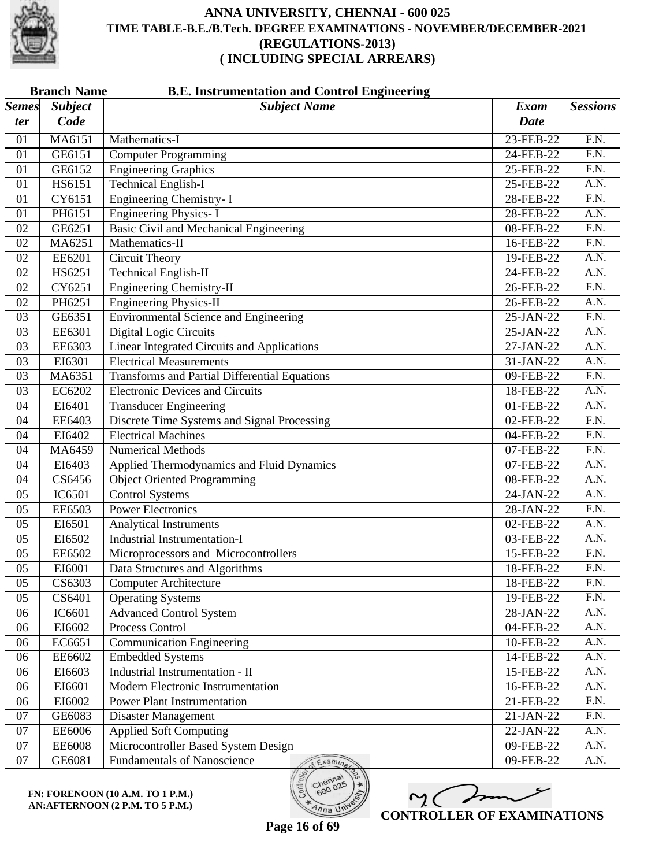

| <b>Branch Name</b><br><b>B.E. Instrumentation and Control Engineering</b> |                |                                                      |             |                   |
|---------------------------------------------------------------------------|----------------|------------------------------------------------------|-------------|-------------------|
| <b>Semes</b>                                                              | <b>Subject</b> | <b>Subject Name</b>                                  | <b>Exam</b> | <b>Sessions</b>   |
| ter                                                                       | Code           |                                                      | <b>Date</b> |                   |
| 01                                                                        | MA6151         | Mathematics-I                                        | 23-FEB-22   | F.N.              |
| 01                                                                        | GE6151         | <b>Computer Programming</b>                          | 24-FEB-22   | F.N.              |
| 01                                                                        | GE6152         | <b>Engineering Graphics</b>                          | 25-FEB-22   | $\overline{F.N.}$ |
| 01                                                                        | HS6151         | <b>Technical English-I</b>                           | 25-FEB-22   | A.N.              |
| 01                                                                        | CY6151         | <b>Engineering Chemistry-I</b>                       | 28-FEB-22   | $\overline{F.N.}$ |
| 01                                                                        | PH6151         | <b>Engineering Physics-I</b>                         | 28-FEB-22   | A.N.              |
| 02                                                                        | GE6251         | <b>Basic Civil and Mechanical Engineering</b>        | 08-FEB-22   | F.N.              |
| 02                                                                        | MA6251         | Mathematics-II                                       | 16-FEB-22   | $\overline{F.N.}$ |
| 02                                                                        | EE6201         | <b>Circuit Theory</b>                                | 19-FEB-22   | A.N.              |
| 02                                                                        | HS6251         | <b>Technical English-II</b>                          | 24-FEB-22   | A.N.              |
| 02                                                                        | CY6251         | <b>Engineering Chemistry-II</b>                      | 26-FEB-22   | $\overline{F.N.}$ |
| 02                                                                        | PH6251         | <b>Engineering Physics-II</b>                        | 26-FEB-22   | A.N.              |
| 03                                                                        | GE6351         | <b>Environmental Science and Engineering</b>         | 25-JAN-22   | F.N.              |
| 03                                                                        | EE6301         | <b>Digital Logic Circuits</b>                        | 25-JAN-22   | A.N.              |
| 03                                                                        | EE6303         | <b>Linear Integrated Circuits and Applications</b>   | 27-JAN-22   | $\overline{A.N.}$ |
| 03                                                                        | EI6301         | <b>Electrical Measurements</b>                       | 31-JAN-22   | A.N.              |
| 03                                                                        | MA6351         | <b>Transforms and Partial Differential Equations</b> | 09-FEB-22   | F.N.              |
| 03                                                                        | EC6202         | <b>Electronic Devices and Circuits</b>               | 18-FEB-22   | A.N.              |
| 04                                                                        | EI6401         | <b>Transducer Engineering</b>                        | 01-FEB-22   | $\overline{A.N.}$ |
| 04                                                                        | EE6403         | Discrete Time Systems and Signal Processing          | 02-FEB-22   | $\overline{F.N.}$ |
| 04                                                                        | EI6402         | <b>Electrical Machines</b>                           | 04-FEB-22   | F.N.              |
| 04                                                                        | MA6459         | <b>Numerical Methods</b>                             | 07-FEB-22   | $\overline{F.N.}$ |
| 04                                                                        | EI6403         | Applied Thermodynamics and Fluid Dynamics            | 07-FEB-22   | $\overline{A.N.}$ |
| 04                                                                        | CS6456         | <b>Object Oriented Programming</b>                   | 08-FEB-22   | A.N.              |
| 05                                                                        | IC6501         | <b>Control Systems</b>                               | 24-JAN-22   | A.N.              |
| 05                                                                        | EE6503         | <b>Power Electronics</b>                             | 28-JAN-22   | F.N.              |
| 05                                                                        | EI6501         | <b>Analytical Instruments</b>                        | 02-FEB-22   | $\overline{A.N.}$ |
| 05                                                                        | EI6502         | <b>Industrial Instrumentation-I</b>                  | 03-FEB-22   | A.N.              |
| 05                                                                        | EE6502         | Microprocessors and Microcontrollers                 | 15-FEB-22   | F.N.              |
| 05                                                                        | EI6001         | Data Structures and Algorithms                       | 18-FEB-22   | F.N.              |
| 05                                                                        | CS6303         | <b>Computer Architecture</b>                         | 18-FEB-22   | F.N.              |
| 05                                                                        | CS6401         | <b>Operating Systems</b>                             | 19-FEB-22   | F.N.              |
| 06                                                                        | IC6601         | <b>Advanced Control System</b>                       | 28-JAN-22   | A.N.              |
| 06                                                                        | EI6602         | Process Control                                      | 04-FEB-22   | A.N.              |
| 06                                                                        | EC6651         | <b>Communication Engineering</b>                     | 10-FEB-22   | A.N.              |
| 06                                                                        | EE6602         | <b>Embedded Systems</b>                              | 14-FEB-22   | A.N.              |
| 06                                                                        | EI6603         | Industrial Instrumentation - II                      | 15-FEB-22   | A.N.              |
| 06                                                                        | EI6601         | Modern Electronic Instrumentation                    | 16-FEB-22   | A.N.              |
| 06                                                                        | EI6002         | <b>Power Plant Instrumentation</b>                   | 21-FEB-22   | $\overline{F.N.}$ |
| 07                                                                        | GE6083         | Disaster Management                                  | 21-JAN-22   | F.N.              |
| 07                                                                        | EE6006         | <b>Applied Soft Computing</b>                        | 22-JAN-22   | A.N.              |
| 07                                                                        | <b>EE6008</b>  | Microcontroller Based System Design                  | 09-FEB-22   | A.N.              |
| 07                                                                        | GE6081         | Fundamentals of Nanoscience<br>Examina               | 09-FEB-22   | A.N.              |

**FN: FORENOON (10 A.M. TO 1 P.M.) AN:AFTERNOON (2 P.M. TO 5 P.M.)**



600

 $\eta_{n}$  UN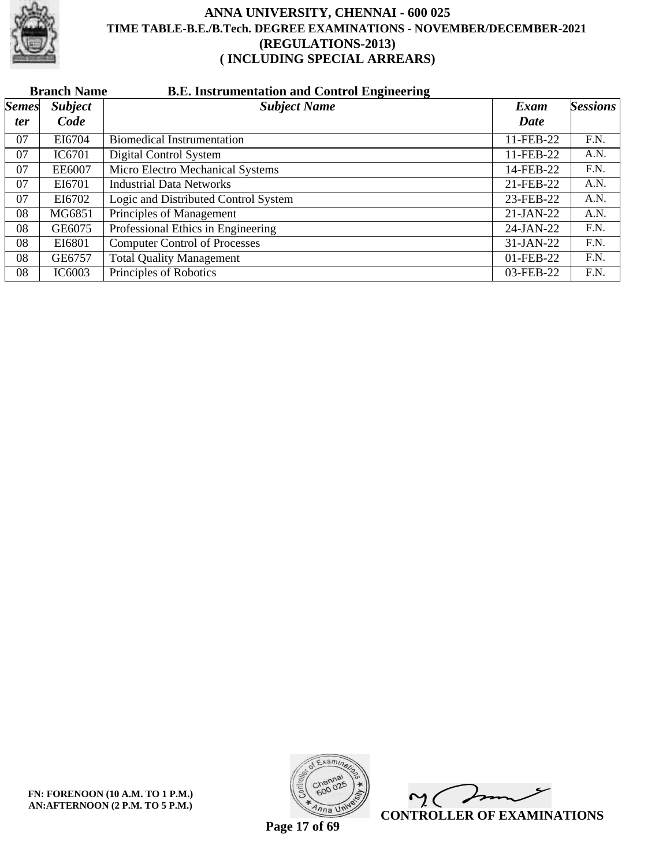

|              | <b>Branch Name</b><br><b>B.E. Instrumentation and Control Engineering</b> |                                      |             |                 |  |  |  |
|--------------|---------------------------------------------------------------------------|--------------------------------------|-------------|-----------------|--|--|--|
| <b>Semes</b> | <b>Subject</b>                                                            | <b>Subject Name</b>                  | Exam        | <b>Sessions</b> |  |  |  |
| ter          | Code                                                                      |                                      | Date        |                 |  |  |  |
| 07           | EI6704                                                                    | <b>Biomedical Instrumentation</b>    | 11-FEB-22   | F.N.            |  |  |  |
| 07           | IC6701                                                                    | Digital Control System               | 11-FEB-22   | A.N.            |  |  |  |
| 07           | EE6007                                                                    | Micro Electro Mechanical Systems     | 14-FEB-22   | F.N.            |  |  |  |
| 07           | EI6701                                                                    | <b>Industrial Data Networks</b>      | 21-FEB-22   | A.N.            |  |  |  |
| 07           | EI6702                                                                    | Logic and Distributed Control System | 23-FEB-22   | A.N.            |  |  |  |
| 08           | MG6851                                                                    | Principles of Management             | $21-JAN-22$ | A.N.            |  |  |  |
| 08           | GE6075                                                                    | Professional Ethics in Engineering   | 24-JAN-22   | F.N.            |  |  |  |
| 08           | EI6801                                                                    | <b>Computer Control of Processes</b> | $31-JAN-22$ | F.N.            |  |  |  |
| 08           | GE6757                                                                    | <b>Total Quality Management</b>      | 01-FEB-22   | F.N.            |  |  |  |
| 08           | IC6003                                                                    | Principles of Robotics               | 03-FEB-22   | F.N.            |  |  |  |



 $\overline{\phantom{a}}$  $\mathsf{M}(\mathbb{C})$ **CONTROLLER OF EXAMINATIONS**

**Page 17 of 69**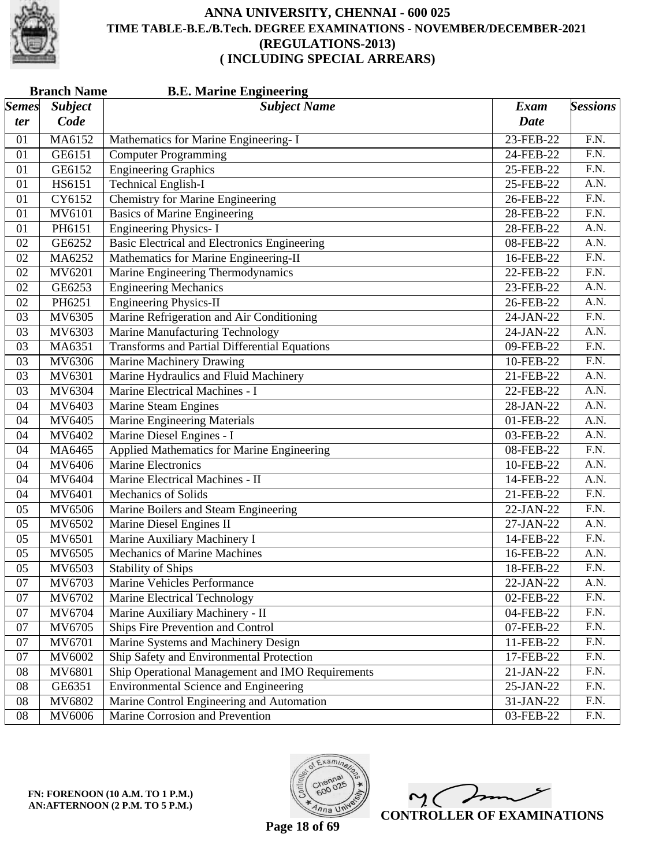

| <b>Branch Name</b><br><b>B.E. Marine Engineering</b> |                |                                                      |             |                   |  |
|------------------------------------------------------|----------------|------------------------------------------------------|-------------|-------------------|--|
| <i>Semes</i>                                         | <b>Subject</b> | <b>Subject Name</b>                                  | <b>Exam</b> | <b>Sessions</b>   |  |
| ter                                                  | Code           |                                                      | <b>Date</b> |                   |  |
| 01                                                   | MA6152         | Mathematics for Marine Engineering- I                | 23-FEB-22   | F.N.              |  |
| 01                                                   | GE6151         | <b>Computer Programming</b>                          | 24-FEB-22   | F.N.              |  |
| 01                                                   | GE6152         | <b>Engineering Graphics</b>                          | 25-FEB-22   | $\overline{F.N.}$ |  |
| 01                                                   | HS6151         | <b>Technical English-I</b>                           | 25-FEB-22   | A.N.              |  |
| 01                                                   | CY6152         | <b>Chemistry for Marine Engineering</b>              | 26-FEB-22   | F.N.              |  |
| 01                                                   | MV6101         | <b>Basics of Marine Engineering</b>                  | 28-FEB-22   | F.N.              |  |
| 01                                                   | PH6151         | <b>Engineering Physics-I</b>                         | 28-FEB-22   | $\overline{A.N.}$ |  |
| 02                                                   | GE6252         | <b>Basic Electrical and Electronics Engineering</b>  | 08-FEB-22   | $\overline{A.N.}$ |  |
| 02                                                   | MA6252         | Mathematics for Marine Engineering-II                | 16-FEB-22   | F.N.              |  |
| 02                                                   | MV6201         | Marine Engineering Thermodynamics                    | 22-FEB-22   | $\overline{F.N.}$ |  |
| 02                                                   | GE6253         | <b>Engineering Mechanics</b>                         | 23-FEB-22   | A.N.              |  |
| 02                                                   | PH6251         | <b>Engineering Physics-II</b>                        | 26-FEB-22   | A.N.              |  |
| 03                                                   | MV6305         | Marine Refrigeration and Air Conditioning            | 24-JAN-22   | F.N.              |  |
| 03                                                   | MV6303         | Marine Manufacturing Technology                      | 24-JAN-22   | A.N.              |  |
| 03                                                   | MA6351         | <b>Transforms and Partial Differential Equations</b> | 09-FEB-22   | $\overline{F.N.}$ |  |
| 03                                                   | MV6306         | <b>Marine Machinery Drawing</b>                      | 10-FEB-22   | $\overline{F.N.}$ |  |
| 03                                                   | MV6301         | Marine Hydraulics and Fluid Machinery                | 21-FEB-22   | A.N.              |  |
| 03                                                   | MV6304         | Marine Electrical Machines - I                       | 22-FEB-22   | A.N.              |  |
| 04                                                   | MV6403         | Marine Steam Engines                                 | 28-JAN-22   | A.N.              |  |
| 04                                                   | MV6405         | <b>Marine Engineering Materials</b>                  | 01-FEB-22   | $\overline{A.N.}$ |  |
| 04                                                   | MV6402         | Marine Diesel Engines - I                            | 03-FEB-22   | A.N.              |  |
| 04                                                   | MA6465         | <b>Applied Mathematics for Marine Engineering</b>    | 08-FEB-22   | F.N.              |  |
| 04                                                   | MV6406         | <b>Marine Electronics</b>                            | 10-FEB-22   | $\overline{A.N.}$ |  |
| 04                                                   | MV6404         | Marine Electrical Machines - II                      | 14-FEB-22   | A.N.              |  |
| 04                                                   | MV6401         | <b>Mechanics of Solids</b>                           | 21-FEB-22   | F.N.              |  |
| 05                                                   | MV6506         | Marine Boilers and Steam Engineering                 | 22-JAN-22   | F.N.              |  |
| 05                                                   | MV6502         | Marine Diesel Engines II                             | 27-JAN-22   | A.N.              |  |
| 05                                                   | MV6501         | Marine Auxiliary Machinery I                         | 14-FEB-22   | $\overline{F.N.}$ |  |
| 05                                                   | MV6505         | <b>Mechanics of Marine Machines</b>                  | 16-FEB-22   | A.N.              |  |
| 05                                                   | MV6503         | <b>Stability of Ships</b>                            | 18-FEB-22   | F.N.              |  |
| 07                                                   | MV6703         | Marine Vehicles Performance                          | 22-JAN-22   | A.N.              |  |
| 07                                                   | MV6702         | Marine Electrical Technology                         | 02-FEB-22   | F.N.              |  |
| 07                                                   | MV6704         | Marine Auxiliary Machinery - II                      | 04-FEB-22   | F.N.              |  |
| 07                                                   | MV6705         | Ships Fire Prevention and Control                    | 07-FEB-22   | F.N.              |  |
| 07                                                   | MV6701         | Marine Systems and Machinery Design                  | 11-FEB-22   | F.N.              |  |
| 07                                                   | MV6002         | Ship Safety and Environmental Protection             | 17-FEB-22   | F.N.              |  |
| 08                                                   | MV6801         | Ship Operational Management and IMO Requirements     | 21-JAN-22   | F.N.              |  |
| 08                                                   | GE6351         | <b>Environmental Science and Engineering</b>         | 25-JAN-22   | F.N.              |  |
| 08                                                   | MV6802         | Marine Control Engineering and Automation            | 31-JAN-22   | F.N.              |  |
| 08                                                   | MV6006         | Marine Corrosion and Prevention                      | 03-FEB-22   | F.N.              |  |



 $\overline{\phantom{a}}$  $\mathsf{M}(\mathbb{C})$ **CONTROLLER OF EXAMINATIONS**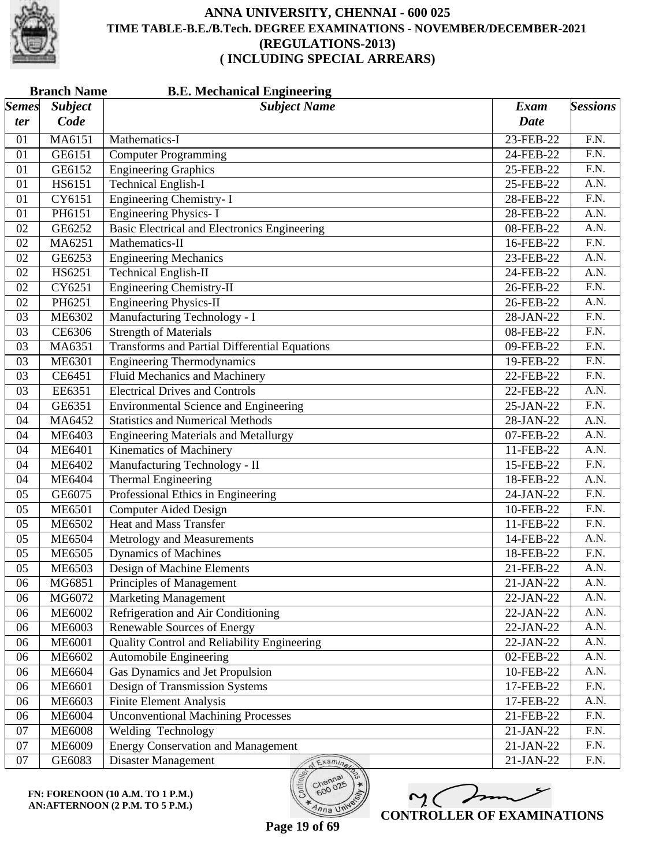

|              | <b>B.E. Mechanical Engineering</b><br><b>Branch Name</b> |                                                      |             |                   |  |  |
|--------------|----------------------------------------------------------|------------------------------------------------------|-------------|-------------------|--|--|
| <b>Semes</b> | <b>Subject</b>                                           | <b>Subject Name</b>                                  | <b>Exam</b> | <b>Sessions</b>   |  |  |
| ter          | Code                                                     |                                                      | <b>Date</b> |                   |  |  |
| 01           | MA6151                                                   | Mathematics-I                                        | 23-FEB-22   | F.N.              |  |  |
| 01           | GE6151                                                   | <b>Computer Programming</b>                          | 24-FEB-22   | F.N.              |  |  |
| 01           | GE6152                                                   | <b>Engineering Graphics</b>                          | 25-FEB-22   | $\overline{F.N.}$ |  |  |
| 01           | HS6151                                                   | <b>Technical English-I</b>                           | 25-FEB-22   | $\overline{A.N.}$ |  |  |
| 01           | CY6151                                                   | <b>Engineering Chemistry-I</b>                       | 28-FEB-22   | F.N.              |  |  |
| 01           | PH6151                                                   | <b>Engineering Physics-I</b>                         | 28-FEB-22   | A.N.              |  |  |
| 02           | GE6252                                                   | <b>Basic Electrical and Electronics Engineering</b>  | 08-FEB-22   | $\overline{A.N.}$ |  |  |
| 02           | MA6251                                                   | Mathematics-II                                       | 16-FEB-22   | $\overline{F.N.}$ |  |  |
| 02           | GE6253                                                   | <b>Engineering Mechanics</b>                         | 23-FEB-22   | A.N.              |  |  |
| 02           | HS6251                                                   | <b>Technical English-II</b>                          | 24-FEB-22   | A.N.              |  |  |
| 02           | CY6251                                                   | <b>Engineering Chemistry-II</b>                      | 26-FEB-22   | $\overline{F.N.}$ |  |  |
| 02           | PH6251                                                   | <b>Engineering Physics-II</b>                        | 26-FEB-22   | A.N.              |  |  |
| 03           | ME6302                                                   | Manufacturing Technology - I                         | 28-JAN-22   | F.N.              |  |  |
| 03           | CE6306                                                   | <b>Strength of Materials</b>                         | 08-FEB-22   | F.N.              |  |  |
| 03           | MA6351                                                   | <b>Transforms and Partial Differential Equations</b> | 09-FEB-22   | $\overline{F.N.}$ |  |  |
| 03           | ME6301                                                   | <b>Engineering Thermodynamics</b>                    | 19-FEB-22   | $\overline{F.N.}$ |  |  |
| 03           | CE6451                                                   | <b>Fluid Mechanics and Machinery</b>                 | 22-FEB-22   | F.N.              |  |  |
| 03           | EE6351                                                   | <b>Electrical Drives and Controls</b>                | 22-FEB-22   | A.N.              |  |  |
| 04           | GE6351                                                   | <b>Environmental Science and Engineering</b>         | 25-JAN-22   | $\overline{F.N.}$ |  |  |
| 04           | MA6452                                                   | <b>Statistics and Numerical Methods</b>              | 28-JAN-22   | $\overline{A.N.}$ |  |  |
| 04           | ME6403                                                   | <b>Engineering Materials and Metallurgy</b>          | 07-FEB-22   | A.N.              |  |  |
| 04           | <b>ME6401</b>                                            | <b>Kinematics of Machinery</b>                       | 11-FEB-22   | A.N.              |  |  |
| 04           | ME6402                                                   | Manufacturing Technology - II                        | 15-FEB-22   | $\overline{F.N.}$ |  |  |
| 04           | <b>ME6404</b>                                            | <b>Thermal Engineering</b>                           | 18-FEB-22   | A.N.              |  |  |
| 05           | GE6075                                                   | Professional Ethics in Engineering                   | 24-JAN-22   | F.N.              |  |  |
| 05           | <b>ME6501</b>                                            | <b>Computer Aided Design</b>                         | 10-FEB-22   | F.N.              |  |  |
| 05           | <b>ME6502</b>                                            | <b>Heat and Mass Transfer</b>                        | 11-FEB-22   | $\overline{F.N.}$ |  |  |
| 05           | <b>ME6504</b>                                            | Metrology and Measurements                           | 14-FEB-22   | A.N.              |  |  |
| 05           | <b>ME6505</b>                                            | <b>Dynamics of Machines</b>                          | 18-FEB-22   | F.N.              |  |  |
| 05           | <b>ME6503</b>                                            | Design of Machine Elements                           | 21-FEB-22   | A.N.              |  |  |
| 06           | MG6851                                                   | Principles of Management                             | 21-JAN-22   | A.N.              |  |  |
| 06           | MG6072                                                   | <b>Marketing Management</b>                          | 22-JAN-22   | A.N.              |  |  |
| 06           | <b>ME6002</b>                                            | Refrigeration and Air Conditioning                   | 22-JAN-22   | A.N.              |  |  |
| 06           | ME6003                                                   | <b>Renewable Sources of Energy</b>                   | 22-JAN-22   | A.N.              |  |  |
| 06           | <b>ME6001</b>                                            | Quality Control and Reliability Engineering          | 22-JAN-22   | A.N.              |  |  |
| 06           | ME6602                                                   | Automobile Engineering                               | 02-FEB-22   | A.N.              |  |  |
| 06           | ME6604                                                   | Gas Dynamics and Jet Propulsion                      | 10-FEB-22   | A.N.              |  |  |
| 06           | <b>ME6601</b>                                            | Design of Transmission Systems                       | 17-FEB-22   | F.N.              |  |  |
| 06           | <b>ME6603</b>                                            | <b>Finite Element Analysis</b>                       | 17-FEB-22   | A.N.              |  |  |
| 06           | <b>ME6004</b>                                            | <b>Unconventional Machining Processes</b>            | 21-FEB-22   | F.N.              |  |  |
| 07           | <b>ME6008</b>                                            | Welding Technology                                   | 21-JAN-22   | F.N.              |  |  |
| 07           | <b>ME6009</b>                                            | <b>Energy Conservation and Management</b>            | 21-JAN-22   | F.N.              |  |  |
| 07           | GE6083                                                   | Disaster Management<br>Examina                       | 21-JAN-22   | F.N.              |  |  |

**FN: FORENOON (10 A.M. TO 1 P.M.) AN:AFTERNOON (2 P.M. TO 5 P.M.)**



**Page 19 of 69**

600

 $\eta_{n}$  UN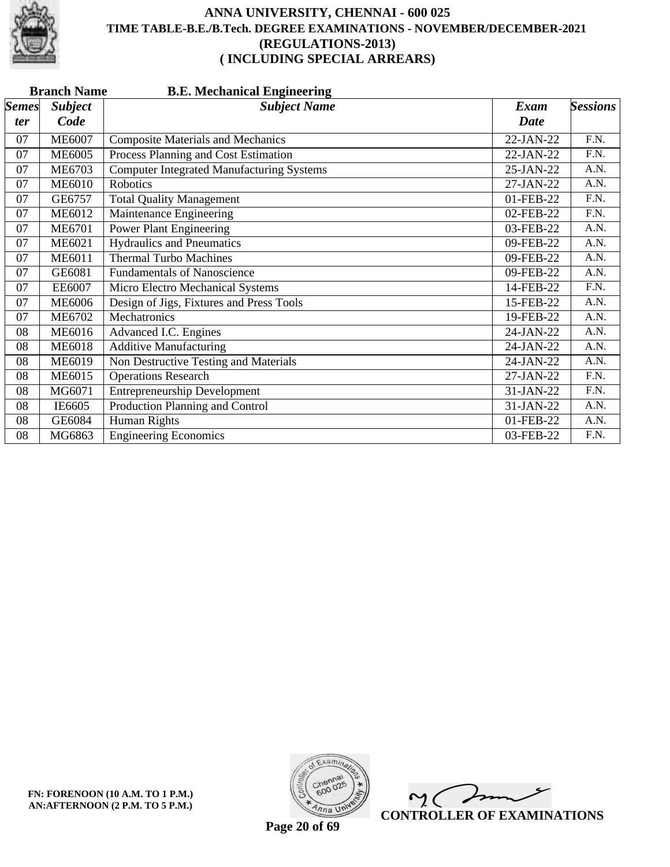

|              | <b>Branch Name</b><br><b>B.E. Mechanical Engineering</b> |                                                  |           |                 |  |  |
|--------------|----------------------------------------------------------|--------------------------------------------------|-----------|-----------------|--|--|
| <b>Semes</b> | <b>Subject</b>                                           | <b>Subject Name</b>                              | Exam      | <b>Sessions</b> |  |  |
| ter          | Code                                                     |                                                  | Date      |                 |  |  |
| 07           | <b>ME6007</b>                                            | <b>Composite Materials and Mechanics</b>         | 22-JAN-22 | F.N.            |  |  |
| 07           | <b>ME6005</b>                                            | Process Planning and Cost Estimation             | 22-JAN-22 | F.N.            |  |  |
| 07           | ME6703                                                   | <b>Computer Integrated Manufacturing Systems</b> | 25-JAN-22 | A.N.            |  |  |
| 07           | <b>ME6010</b>                                            | <b>Robotics</b>                                  | 27-JAN-22 | A.N.            |  |  |
| 07           | GE6757                                                   | <b>Total Quality Management</b>                  | 01-FEB-22 | F.N.            |  |  |
| 07           | <b>ME6012</b>                                            | Maintenance Engineering                          | 02-FEB-22 | F.N.            |  |  |
| 07           | <b>ME6701</b>                                            | <b>Power Plant Engineering</b>                   | 03-FEB-22 | A.N.            |  |  |
| 07           | <b>ME6021</b>                                            | <b>Hydraulics and Pneumatics</b>                 | 09-FEB-22 | A.N.            |  |  |
| 07           | <b>ME6011</b>                                            | <b>Thermal Turbo Machines</b>                    | 09-FEB-22 | A.N.            |  |  |
| 07           | GE6081                                                   | <b>Fundamentals of Nanoscience</b>               | 09-FEB-22 | A.N.            |  |  |
| 07           | EE6007                                                   | Micro Electro Mechanical Systems                 | 14-FEB-22 | F.N.            |  |  |
| 07           | <b>ME6006</b>                                            | Design of Jigs, Fixtures and Press Tools         | 15-FEB-22 | A.N.            |  |  |
| 07           | ME6702                                                   | Mechatronics                                     | 19-FEB-22 | A.N.            |  |  |
| 08           | <b>ME6016</b>                                            | Advanced I.C. Engines                            | 24-JAN-22 | A.N.            |  |  |
| 08           | <b>ME6018</b>                                            | <b>Additive Manufacturing</b>                    | 24-JAN-22 | A.N.            |  |  |
| 08           | ME6019                                                   | Non Destructive Testing and Materials            | 24-JAN-22 | A.N.            |  |  |
| 08           | <b>ME6015</b>                                            | <b>Operations Research</b>                       | 27-JAN-22 | F.N.            |  |  |
| 08           | MG6071                                                   | <b>Entrepreneurship Development</b>              | 31-JAN-22 | F.N.            |  |  |
| 08           | IE6605                                                   | Production Planning and Control                  | 31-JAN-22 | A.N.            |  |  |
| 08           | GE6084                                                   | Human Rights                                     | 01-FEB-22 | A.N.            |  |  |
| 08           | MG6863                                                   | <b>Engineering Economics</b>                     | 03-FEB-22 | F.N.            |  |  |



 $\overline{\phantom{a}}$  $\mathsf{M}(\mathbb{C})$ **CONTROLLER OF EXAMINATIONS**

**Page 20 of 69**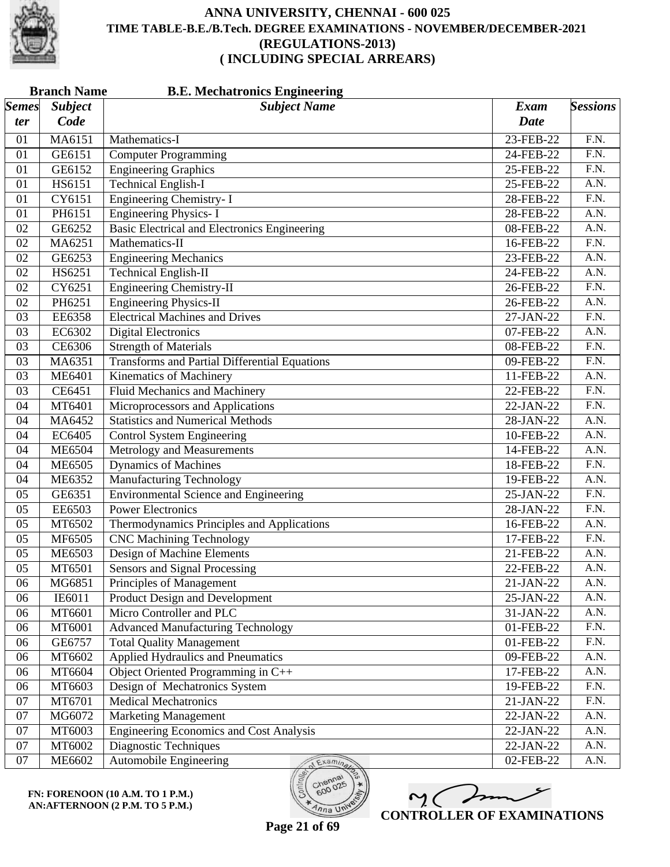

|              | <b>Branch Name</b><br><b>B.E. Mechatronics Engineering</b> |                                                      |             |                   |  |
|--------------|------------------------------------------------------------|------------------------------------------------------|-------------|-------------------|--|
| <b>Semes</b> | <b>Subject</b>                                             | <b>Subject Name</b>                                  | <b>Exam</b> | <b>Sessions</b>   |  |
| ter          | Code                                                       |                                                      | <b>Date</b> |                   |  |
| 01           | MA6151                                                     | Mathematics-I                                        | 23-FEB-22   | F.N.              |  |
| 01           | GE6151                                                     | <b>Computer Programming</b>                          | 24-FEB-22   | F.N.              |  |
| 01           | GE6152                                                     | <b>Engineering Graphics</b>                          | 25-FEB-22   | $\overline{F.N.}$ |  |
| 01           | HS6151                                                     | <b>Technical English-I</b>                           | 25-FEB-22   | A.N.              |  |
| 01           | CY6151                                                     | <b>Engineering Chemistry-I</b>                       | 28-FEB-22   | F.N.              |  |
| 01           | PH6151                                                     | <b>Engineering Physics-I</b>                         | 28-FEB-22   | A.N.              |  |
| 02           | GE6252                                                     | Basic Electrical and Electronics Engineering         | 08-FEB-22   | $\overline{A.N.}$ |  |
| 02           | MA6251                                                     | Mathematics-II                                       | 16-FEB-22   | $\overline{F.N.}$ |  |
| 02           | GE6253                                                     | <b>Engineering Mechanics</b>                         | 23-FEB-22   | A.N.              |  |
| 02           | HS6251                                                     | <b>Technical English-II</b>                          | 24-FEB-22   | A.N.              |  |
| 02           | CY6251                                                     | <b>Engineering Chemistry-II</b>                      | 26-FEB-22   | $\overline{F.N.}$ |  |
| 02           | PH6251                                                     | <b>Engineering Physics-II</b>                        | 26-FEB-22   | A.N.              |  |
| 03           | EE6358                                                     | <b>Electrical Machines and Drives</b>                | 27-JAN-22   | F.N.              |  |
| 03           | EC6302                                                     | <b>Digital Electronics</b>                           | 07-FEB-22   | A.N.              |  |
| 03           | CE6306                                                     | <b>Strength of Materials</b>                         | 08-FEB-22   | $\overline{F.N.}$ |  |
| 03           | MA6351                                                     | <b>Transforms and Partial Differential Equations</b> | 09-FEB-22   | F.N.              |  |
| 03           | <b>ME6401</b>                                              | Kinematics of Machinery                              | 11-FEB-22   | A.N.              |  |
| 03           | CE6451                                                     | Fluid Mechanics and Machinery                        | 22-FEB-22   | $\overline{F.N.}$ |  |
| 04           | MT6401                                                     | Microprocessors and Applications                     | 22-JAN-22   | $\overline{F.N.}$ |  |
| 04           | MA6452                                                     | <b>Statistics and Numerical Methods</b>              | 28-JAN-22   | A.N.              |  |
| 04           | EC6405                                                     | <b>Control System Engineering</b>                    | 10-FEB-22   | A.N.              |  |
| 04           | <b>ME6504</b>                                              | Metrology and Measurements                           | 14-FEB-22   | A.N.              |  |
| 04           | <b>ME6505</b>                                              | <b>Dynamics of Machines</b>                          | 18-FEB-22   | $\overline{F.N.}$ |  |
| 04           | ME6352                                                     | <b>Manufacturing Technology</b>                      | 19-FEB-22   | A.N.              |  |
| 05           | GE6351                                                     | <b>Environmental Science and Engineering</b>         | 25-JAN-22   | F.N.              |  |
| 05           | EE6503                                                     | <b>Power Electronics</b>                             | 28-JAN-22   | F.N.              |  |
| 05           | MT6502                                                     | Thermodynamics Principles and Applications           | 16-FEB-22   | $\overline{A.N.}$ |  |
| 05           | MF6505                                                     | <b>CNC Machining Technology</b>                      | 17-FEB-22   | F.N.              |  |
| 05           | <b>ME6503</b>                                              | Design of Machine Elements                           | 21-FEB-22   | A.N.              |  |
| 05           | MT6501                                                     | <b>Sensors and Signal Processing</b>                 | 22-FEB-22   | A.N.              |  |
| 06           | MG6851                                                     | Principles of Management                             | 21-JAN-22   | A.N.              |  |
| 06           | IE6011                                                     | <b>Product Design and Development</b>                | 25-JAN-22   | A.N.              |  |
| 06           | MT6601                                                     | Micro Controller and PLC                             | 31-JAN-22   | A.N.              |  |
| 06           | MT6001                                                     | <b>Advanced Manufacturing Technology</b>             | 01-FEB-22   | F.N.              |  |
| 06           | GE6757                                                     | <b>Total Quality Management</b>                      | 01-FEB-22   | F.N.              |  |
| 06           | MT6602                                                     | Applied Hydraulics and Pneumatics                    | 09-FEB-22   | A.N.              |  |
| 06           | MT6604                                                     | Object Oriented Programming in C++                   | 17-FEB-22   | A.N.              |  |
| 06           | MT6603                                                     | Design of Mechatronics System                        | 19-FEB-22   | F.N.              |  |
| 07           | MT6701                                                     | <b>Medical Mechatronics</b>                          | 21-JAN-22   | F.N.              |  |
| 07           | MG6072                                                     | <b>Marketing Management</b>                          | 22-JAN-22   | A.N.              |  |
| 07           | MT6003                                                     | <b>Engineering Economics and Cost Analysis</b>       | 22-JAN-22   | A.N.              |  |
| 07           | MT6002                                                     | Diagnostic Techniques                                | 22-JAN-22   | A.N.              |  |
| 07           | ME6602                                                     | Automobile Engineering<br>Examina                    | 02-FEB-22   | A.N.              |  |



600

 $\overline{\eta_{n}}$  UN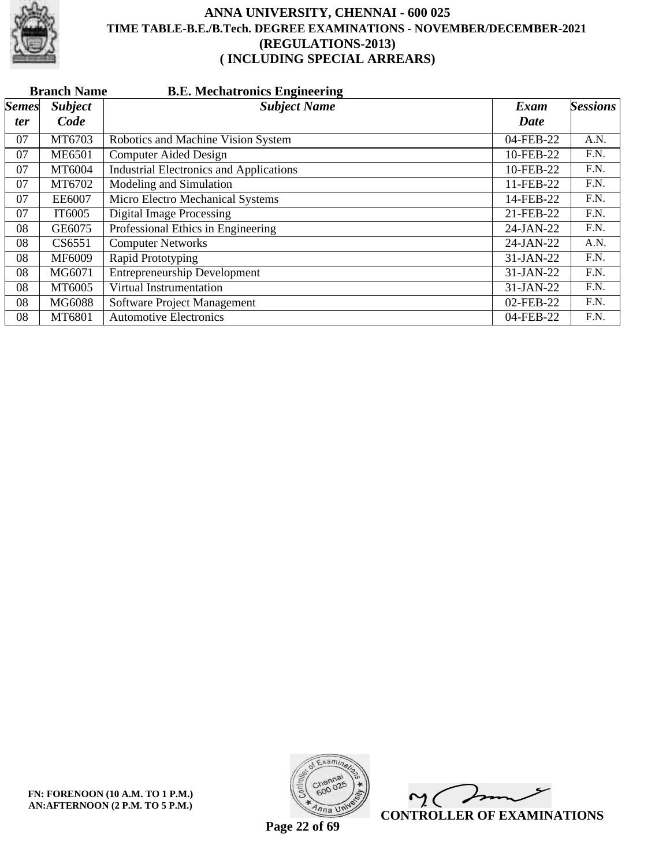

|              | <b>Branch Name</b><br><b>B.E. Mechatronics Engineering</b> |                                                |             |                 |  |  |
|--------------|------------------------------------------------------------|------------------------------------------------|-------------|-----------------|--|--|
| <i>Semes</i> | <b>Subject</b>                                             | <b>Subject Name</b>                            | Exam        | <b>Sessions</b> |  |  |
| <i>ter</i>   | Code                                                       |                                                | Date        |                 |  |  |
| 07           | MT6703                                                     | Robotics and Machine Vision System             | 04-FEB-22   | A.N.            |  |  |
| 07           | <b>ME6501</b>                                              | <b>Computer Aided Design</b>                   | 10-FEB-22   | F.N.            |  |  |
| 07           | MT6004                                                     | <b>Industrial Electronics and Applications</b> | 10-FEB-22   | F.N.            |  |  |
| 07           | MT6702                                                     | Modeling and Simulation                        | 11-FEB-22   | F.N.            |  |  |
| 07           | <b>EE6007</b>                                              | Micro Electro Mechanical Systems               | 14-FEB-22   | F.N.            |  |  |
| 07           | IT6005                                                     | <b>Digital Image Processing</b>                | 21-FEB-22   | F.N.            |  |  |
| 08           | GE6075                                                     | Professional Ethics in Engineering             | 24-JAN-22   | F.N.            |  |  |
| 08           | CS6551                                                     | <b>Computer Networks</b>                       | 24-JAN-22   | A.N.            |  |  |
| 08           | MF6009                                                     | Rapid Prototyping                              | 31-JAN-22   | F.N.            |  |  |
| 08           | MG6071                                                     | <b>Entrepreneurship Development</b>            | 31-JAN-22   | F.N.            |  |  |
| 08           | MT6005                                                     | Virtual Instrumentation                        | $31-JAN-22$ | F.N.            |  |  |
| 08           | MG6088                                                     | Software Project Management                    | 02-FEB-22   | F.N.            |  |  |
| 08           | MT6801                                                     | <b>Automotive Electronics</b>                  | 04-FEB-22   | F.N.            |  |  |



 $\overline{\mathscr{F}}$  $\mathsf{M}(\mathbb{C})$ **CONTROLLER OF EXAMINATIONS**

**Page 22 of 69**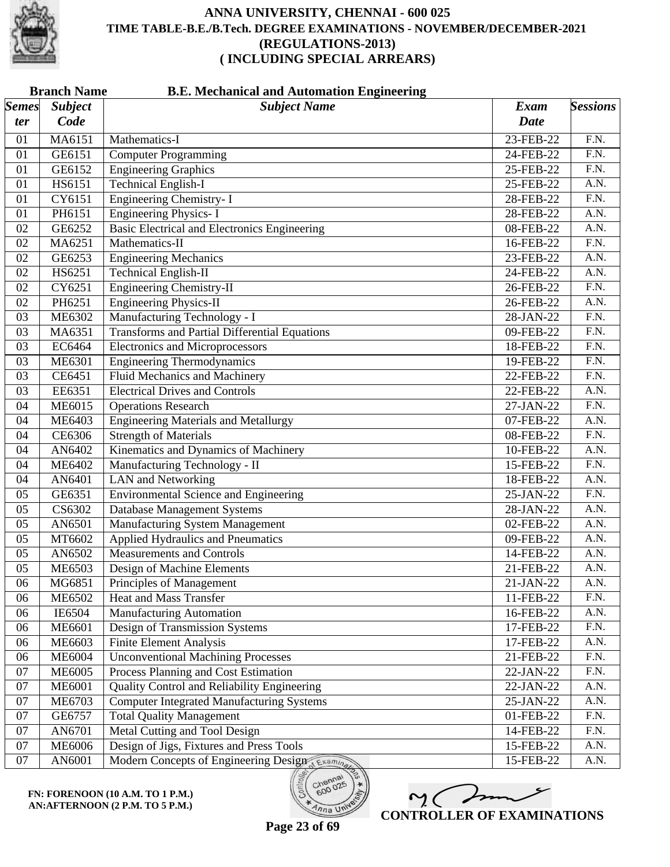

|                       | <b>Branch Name</b><br><b>B.E. Mechanical and Automation Engineering</b> |                                                      |             |                   |  |
|-----------------------|-------------------------------------------------------------------------|------------------------------------------------------|-------------|-------------------|--|
| $\vert$ Semes $\vert$ | <b>Subject</b>                                                          | <b>Subject Name</b>                                  | Exam        | <b>Sessions</b>   |  |
| ter                   | Code                                                                    |                                                      | <b>Date</b> |                   |  |
| 01                    | MA6151                                                                  | Mathematics-I                                        | 23-FEB-22   | F.N.              |  |
| 01                    | GE6151                                                                  | <b>Computer Programming</b>                          | 24-FEB-22   | F.N.              |  |
| 01                    | GE6152                                                                  | <b>Engineering Graphics</b>                          | 25-FEB-22   | $\overline{F.N.}$ |  |
| 01                    | HS6151                                                                  | <b>Technical English-I</b>                           | 25-FEB-22   | $\overline{A.N.}$ |  |
| 01                    | CY6151                                                                  | <b>Engineering Chemistry-I</b>                       | 28-FEB-22   | $\overline{F.N.}$ |  |
| 01                    | PH6151                                                                  | <b>Engineering Physics-I</b>                         | 28-FEB-22   | A.N.              |  |
| 02                    | GE6252                                                                  | <b>Basic Electrical and Electronics Engineering</b>  | 08-FEB-22   | A.N.              |  |
| 02                    | MA6251                                                                  | Mathematics-II                                       | 16-FEB-22   | $\overline{F.N.}$ |  |
| 02                    | GE6253                                                                  | <b>Engineering Mechanics</b>                         | 23-FEB-22   | A.N.              |  |
| 02                    | HS6251                                                                  | Technical English-II                                 | 24-FEB-22   | A.N.              |  |
| 02                    | CY6251                                                                  | <b>Engineering Chemistry-II</b>                      | 26-FEB-22   | $\overline{F.N.}$ |  |
| 02                    | PH6251                                                                  | <b>Engineering Physics-II</b>                        | 26-FEB-22   | A.N.              |  |
| 03                    | ME6302                                                                  | Manufacturing Technology - I                         | 28-JAN-22   | $\overline{F.N.}$ |  |
| 03                    | MA6351                                                                  | <b>Transforms and Partial Differential Equations</b> | 09-FEB-22   | $\overline{F.N.}$ |  |
| 03                    | EC6464                                                                  | <b>Electronics and Microprocessors</b>               | 18-FEB-22   | F.N.              |  |
| 03                    | ME6301                                                                  | <b>Engineering Thermodynamics</b>                    | 19-FEB-22   | $\overline{F.N.}$ |  |
| 03                    | CE6451                                                                  | <b>Fluid Mechanics and Machinery</b>                 | 22-FEB-22   | F.N.              |  |
| 03                    | EE6351                                                                  | <b>Electrical Drives and Controls</b>                | 22-FEB-22   | A.N.              |  |
| 04                    | <b>ME6015</b>                                                           | <b>Operations Research</b>                           | 27-JAN-22   | $\overline{F.N.}$ |  |
| 04                    | ME6403                                                                  | <b>Engineering Materials and Metallurgy</b>          | 07-FEB-22   | A.N.              |  |
| 04                    | CE6306                                                                  | <b>Strength of Materials</b>                         | 08-FEB-22   | $\overline{F.N.}$ |  |
| 04                    | AN6402                                                                  | Kinematics and Dynamics of Machinery                 | 10-FEB-22   | A.N.              |  |
| 04                    | ME6402                                                                  | Manufacturing Technology - II                        | 15-FEB-22   | $\overline{F.N.}$ |  |
| 04                    | AN6401                                                                  | <b>LAN</b> and Networking                            | 18-FEB-22   | A.N.              |  |
| 05                    | GE6351                                                                  | <b>Environmental Science and Engineering</b>         | 25-JAN-22   | F.N.              |  |
| 05                    | CS6302                                                                  | Database Management Systems                          | 28-JAN-22   | A.N.              |  |
| 05                    | AN6501                                                                  | <b>Manufacturing System Management</b>               | 02-FEB-22   | A.N.              |  |
| 05                    | MT6602                                                                  | Applied Hydraulics and Pneumatics                    | 09-FEB-22   | A.N.              |  |
| 05                    | AN6502                                                                  | <b>Measurements and Controls</b>                     | 14-FEB-22   | A.N.              |  |
| 05                    | <b>ME6503</b>                                                           | Design of Machine Elements                           | 21-FEB-22   | A.N.              |  |
| 06                    | MG6851                                                                  | Principles of Management                             | 21-JAN-22   | A.N.              |  |
| 06                    | ME6502                                                                  | <b>Heat and Mass Transfer</b>                        | 11-FEB-22   | F.N.              |  |
| 06                    | IE6504                                                                  | <b>Manufacturing Automation</b>                      | 16-FEB-22   | A.N.              |  |
| 06                    | <b>ME6601</b>                                                           | Design of Transmission Systems                       | 17-FEB-22   | F.N.              |  |
| 06                    | <b>ME6603</b>                                                           | <b>Finite Element Analysis</b>                       | 17-FEB-22   | A.N.              |  |
| 06                    | <b>ME6004</b>                                                           | <b>Unconventional Machining Processes</b>            | 21-FEB-22   | F.N.              |  |
| 07                    | <b>ME6005</b>                                                           | Process Planning and Cost Estimation                 | 22-JAN-22   | F.N.              |  |
| 07                    | <b>ME6001</b>                                                           | Quality Control and Reliability Engineering          | 22-JAN-22   | A.N.              |  |
| 07                    | ME6703                                                                  | <b>Computer Integrated Manufacturing Systems</b>     | 25-JAN-22   | A.N.              |  |
| 07                    | GE6757                                                                  | <b>Total Quality Management</b>                      | 01-FEB-22   | F.N.              |  |
| 07                    | AN6701                                                                  | Metal Cutting and Tool Design                        | 14-FEB-22   | F.N.              |  |
| 07                    | <b>ME6006</b>                                                           | Design of Jigs, Fixtures and Press Tools             | 15-FEB-22   | A.N.              |  |
| 07                    | AN6001                                                                  | Modern Concepts of Engineering Design                | 15-FEB-22   | A.N.              |  |

**FN: FORENOON (10 A.M. TO 1 P.M.) AN:AFTERNOON (2 P.M. TO 5 P.M.)**



**Page 23 of 69**

600

 $\overline{\eta_{n}}$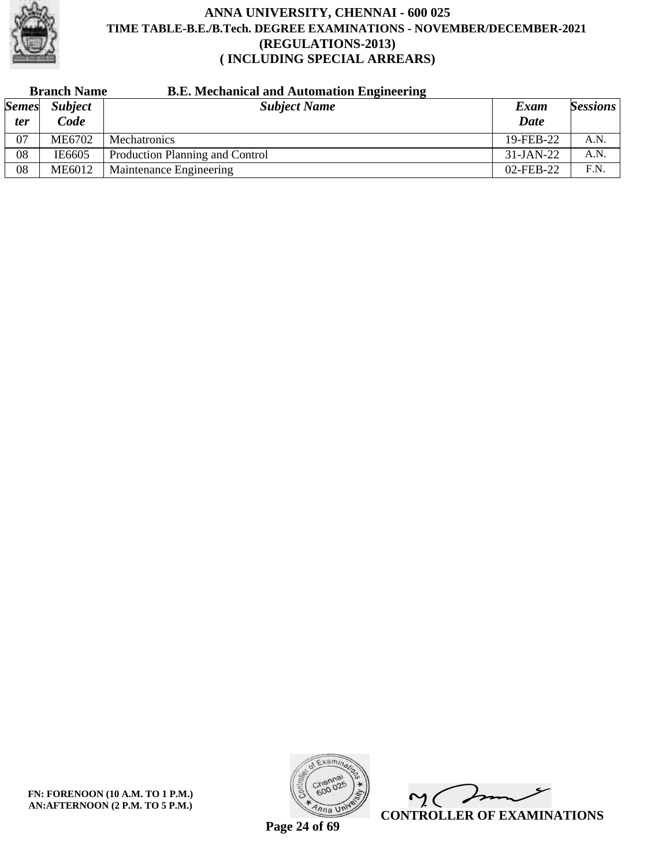

| <b>Branch Name</b> |                | <b>B.E. Mechanical and Automation Engineering</b> |             |                 |
|--------------------|----------------|---------------------------------------------------|-------------|-----------------|
| <b>Semes</b>       | <b>Subject</b> | <b>Subject Name</b>                               | Exam        | <b>Sessions</b> |
| ter                | Code           |                                                   | Date        |                 |
| 07                 | ME6702         | Mechatronics                                      | 19-FEB-22   | A.N.            |
| 08                 | IE6605         | Production Planning and Control                   | $31-JAN-22$ | A.N.            |
| 08                 | <b>ME6012</b>  | Maintenance Engineering                           | 02-FEB-22   | F.N.            |



 $\overline{\phantom{a}}$  $\mathsf{M}(\mathbb{C})$ **CONTROLLER OF EXAMINATIONS**

**Page 24 of 69**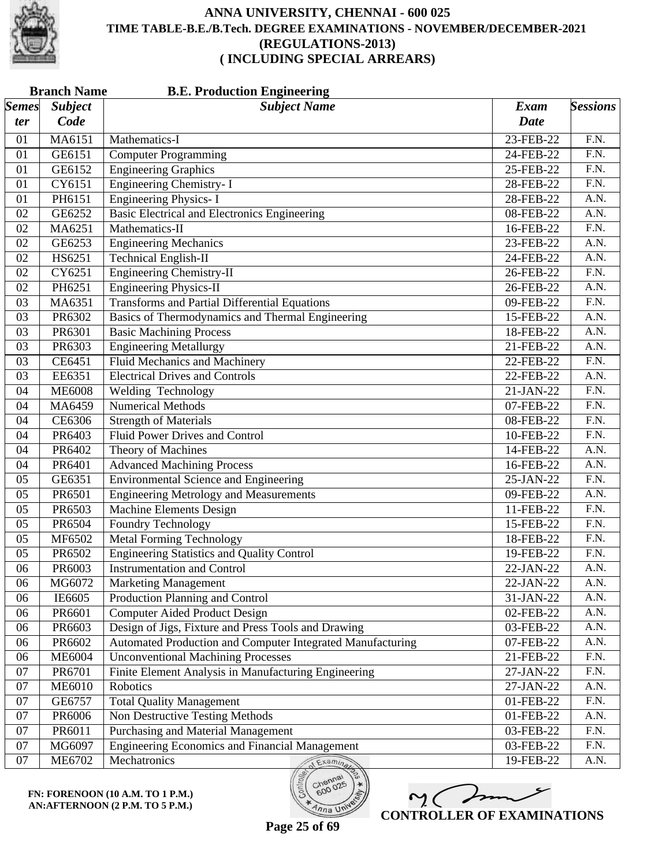

| <b>Branch Name</b><br><b>B.E. Production Engineering</b> |                |                                                            |                         |                   |  |
|----------------------------------------------------------|----------------|------------------------------------------------------------|-------------------------|-------------------|--|
| <b>Semes</b>                                             | <b>Subject</b> | <b>Subject Name</b>                                        | <b>Exam</b>             | <b>Sessions</b>   |  |
| ter                                                      | Code           |                                                            | <b>Date</b>             |                   |  |
| 01                                                       | MA6151         | Mathematics-I                                              | 23-FEB-22               | F.N.              |  |
| 01                                                       | GE6151         | <b>Computer Programming</b>                                | 24-FEB-22               | F.N.              |  |
| 01                                                       | GE6152         | <b>Engineering Graphics</b>                                | 25-FEB-22               | $\overline{F.N.}$ |  |
| 01                                                       | CY6151         | <b>Engineering Chemistry-I</b>                             | 28-FEB-22               | $\overline{F.N.}$ |  |
| 01                                                       | PH6151         | <b>Engineering Physics-I</b>                               | 28-FEB-22               | A.N.              |  |
| 02                                                       | GE6252         | Basic Electrical and Electronics Engineering               | 08-FEB-22               | A.N.              |  |
| 02                                                       | MA6251         | Mathematics-II                                             | 16-FEB-22               | F.N.              |  |
| 02                                                       | GE6253         | <b>Engineering Mechanics</b>                               | 23-FEB-22               | $\overline{A.N.}$ |  |
| 02                                                       | HS6251         | <b>Technical English-II</b>                                | 24-FEB-22               | A.N.              |  |
| 02                                                       | CY6251         | <b>Engineering Chemistry-II</b>                            | 26-FEB-22               | $\overline{F.N.}$ |  |
| 02                                                       | PH6251         | <b>Engineering Physics-II</b>                              | 26-FEB-22               | $\overline{A.N.}$ |  |
| 03                                                       | MA6351         | <b>Transforms and Partial Differential Equations</b>       | 09-FEB-22               | $\overline{F.N.}$ |  |
| 03                                                       | PR6302         | Basics of Thermodynamics and Thermal Engineering           | 15-FEB-22               | A.N.              |  |
| 03                                                       | PR6301         | <b>Basic Machining Process</b>                             | 18-FEB-22               | A.N.              |  |
| 03                                                       | PR6303         | <b>Engineering Metallurgy</b>                              | 21-FEB-22               | $\overline{A.N.}$ |  |
| 03                                                       | CE6451         | Fluid Mechanics and Machinery                              | 22-FEB-22               | $\overline{F.N.}$ |  |
| 03                                                       | EE6351         | <b>Electrical Drives and Controls</b>                      | 22-FEB-22               | A.N.              |  |
| 04                                                       | <b>ME6008</b>  | Welding Technology                                         | 21-JAN-22               | F.N.              |  |
| 04                                                       | MA6459         | <b>Numerical Methods</b>                                   | 07-FEB-22               | $\overline{F.N.}$ |  |
| 04                                                       | CE6306         | <b>Strength of Materials</b>                               | 08-FEB-22               | $\overline{F.N.}$ |  |
| 04                                                       | PR6403         | <b>Fluid Power Drives and Control</b>                      | 10-FEB-22               | F.N.              |  |
| 04                                                       | PR6402         | Theory of Machines                                         | 14-FEB-22               | A.N.              |  |
| 04                                                       | PR6401         | <b>Advanced Machining Process</b>                          | 16-FEB-22               | $\overline{A.N.}$ |  |
| 05                                                       | GE6351         | <b>Environmental Science and Engineering</b>               | 25-JAN-22               | $\overline{F.N.}$ |  |
| 05                                                       | PR6501         | <b>Engineering Metrology and Measurements</b>              | 09-FEB-22               | A.N.              |  |
| 05                                                       | PR6503         | <b>Machine Elements Design</b>                             | 11-FEB-22               | F.N.              |  |
| 05                                                       | PR6504         | <b>Foundry Technology</b>                                  | 15-FEB-22               | $\overline{F.N.}$ |  |
| 05                                                       | MF6502         | <b>Metal Forming Technology</b>                            | 18-FEB-22               | $\overline{F.N.}$ |  |
| 05                                                       | PR6502         | <b>Engineering Statistics and Quality Control</b>          | 19-FEB-22               | F.N.              |  |
| 06                                                       | PR6003         | <b>Instrumentation and Control</b>                         | 22-JAN-22               | A.N.              |  |
| 06                                                       | MG6072         | <b>Marketing Management</b>                                | 22-JAN-22               | A.N.              |  |
| 06                                                       | IE6605         | Production Planning and Control                            | 31-JAN-22               | A.N.              |  |
| 06                                                       | PR6601         | Computer Aided Product Design                              | 02-FEB-22               | A.N.              |  |
| 06                                                       | PR6603         | Design of Jigs, Fixture and Press Tools and Drawing        | 03-FEB-22               | A.N.              |  |
| 06                                                       | PR6602         | Automated Production and Computer Integrated Manufacturing | $\overline{0}$ 7-FEB-22 | A.N.              |  |
| 06                                                       | <b>ME6004</b>  | <b>Unconventional Machining Processes</b>                  | 21-FEB-22               | F.N.              |  |
| 07                                                       | PR6701         | Finite Element Analysis in Manufacturing Engineering       | 27-JAN-22               | F.N.              |  |
| 07                                                       | <b>ME6010</b>  | Robotics                                                   | 27-JAN-22               | A.N.              |  |
| 07                                                       | GE6757         | <b>Total Quality Management</b>                            | 01-FEB-22               | F.N.              |  |
| 07                                                       | PR6006         | Non Destructive Testing Methods                            | 01-FEB-22               | A.N.              |  |
| 07                                                       | PR6011         | Purchasing and Material Management                         | 03-FEB-22               | F.N.              |  |
| 07                                                       | MG6097         | <b>Engineering Economics and Financial Management</b>      | 03-FEB-22               | F.N.              |  |
| $07\,$                                                   | ME6702         | Mechatronics<br>Examina                                    | 19-FEB-22               | A.N.              |  |

M mm **CONTROLLER OF EXAMINATIONS**

600

 $n_{na}$  UN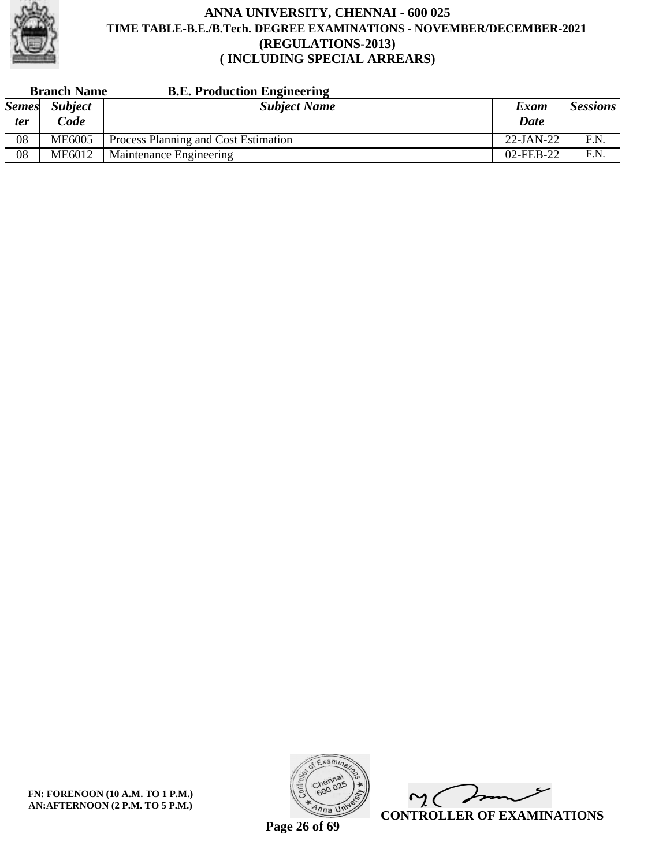

| <b>Branch Name</b> |                | <b>B.E. Production Engineering</b>   |              |                 |
|--------------------|----------------|--------------------------------------|--------------|-----------------|
| <b>Semes</b>       | <b>Subject</b> | <b>Subject Name</b>                  | Exam         | <b>Sessions</b> |
| ter                | Code           |                                      | Date         |                 |
| 08                 | <b>ME6005</b>  | Process Planning and Cost Estimation | $22$ -JAN-22 | F.N.            |
| 08                 | ME6012         | Maintenance Engineering              | 02-FEB-22    | F.N.            |

**FN: FORENOON (10 A.M. TO 1 P.M.) AN:AFTERNOON (2 P.M. TO 5 P.M.)**



 $\overline{\phantom{a}}$  $\mathsf{M}(\mathbb{C})$ **CONTROLLER OF EXAMINATIONS**

**Page 26 of 69**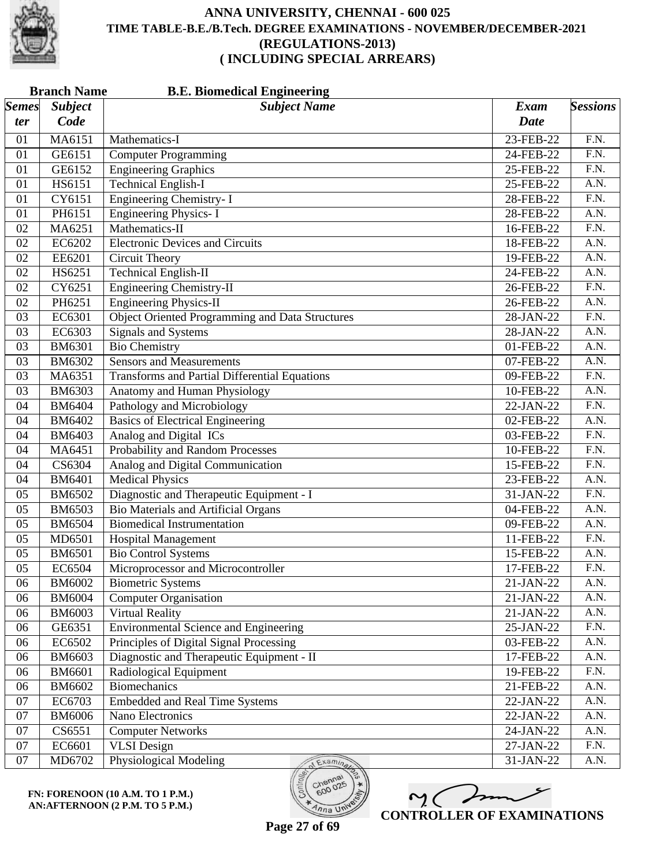

| <b>Branch Name</b><br><b>B.E. Biomedical Engineering</b> |                |                                                        |             |                   |  |
|----------------------------------------------------------|----------------|--------------------------------------------------------|-------------|-------------------|--|
| <b>Semes</b>                                             | <b>Subject</b> | <b>Subject Name</b>                                    | <b>Exam</b> | <b>Sessions</b>   |  |
| ter                                                      | Code           |                                                        | <b>Date</b> |                   |  |
| 01                                                       | MA6151         | Mathematics-I                                          | 23-FEB-22   | F.N.              |  |
| 01                                                       | GE6151         | <b>Computer Programming</b>                            | 24-FEB-22   | $\overline{F.N.}$ |  |
| 01                                                       | GE6152         | <b>Engineering Graphics</b>                            | 25-FEB-22   | $\overline{F.N.}$ |  |
| 01                                                       | HS6151         | <b>Technical English-I</b>                             | 25-FEB-22   | A.N.              |  |
| 01                                                       | CY6151         | Engineering Chemistry- I                               | 28-FEB-22   | F.N.              |  |
| 01                                                       | PH6151         | <b>Engineering Physics-I</b>                           | 28-FEB-22   | A.N.              |  |
| 02                                                       | MA6251         | Mathematics-II                                         | 16-FEB-22   | $\overline{F.N.}$ |  |
| 02                                                       | EC6202         | <b>Electronic Devices and Circuits</b>                 | 18-FEB-22   | A.N.              |  |
| 02                                                       | EE6201         | Circuit Theory                                         | 19-FEB-22   | A.N.              |  |
| 02                                                       | HS6251         | <b>Technical English-II</b>                            | 24-FEB-22   | A.N.              |  |
| 02                                                       | CY6251         | <b>Engineering Chemistry-II</b>                        | 26-FEB-22   | F.N.              |  |
| 02                                                       | PH6251         | <b>Engineering Physics-II</b>                          | 26-FEB-22   | A.N.              |  |
| 03                                                       | EC6301         | <b>Object Oriented Programming and Data Structures</b> | 28-JAN-22   | F.N.              |  |
| 03                                                       | EC6303         | <b>Signals and Systems</b>                             | 28-JAN-22   | A.N.              |  |
| 03                                                       | <b>BM6301</b>  | <b>Bio Chemistry</b>                                   | 01-FEB-22   | $\overline{A.N.}$ |  |
| 03                                                       | <b>BM6302</b>  | <b>Sensors and Measurements</b>                        | 07-FEB-22   | A.N.              |  |
| 03                                                       | MA6351         | <b>Transforms and Partial Differential Equations</b>   | 09-FEB-22   | F.N.              |  |
| 03                                                       | <b>BM6303</b>  | Anatomy and Human Physiology                           | 10-FEB-22   | $\overline{A.N.}$ |  |
| 04                                                       | <b>BM6404</b>  | Pathology and Microbiology                             | 22-JAN-22   | F.N.              |  |
| 04                                                       | <b>BM6402</b>  | <b>Basics of Electrical Engineering</b>                | 02-FEB-22   | A.N.              |  |
| 04                                                       | <b>BM6403</b>  | Analog and Digital ICs                                 | 03-FEB-22   | F.N.              |  |
| 04                                                       | MA6451         | <b>Probability and Random Processes</b>                | 10-FEB-22   | $\overline{F.N.}$ |  |
| 04                                                       | CS6304         | Analog and Digital Communication                       | 15-FEB-22   | $\overline{F.N.}$ |  |
| 04                                                       | <b>BM6401</b>  | <b>Medical Physics</b>                                 | 23-FEB-22   | A.N.              |  |
| 05                                                       | <b>BM6502</b>  | Diagnostic and Therapeutic Equipment - I               | 31-JAN-22   | F.N.              |  |
| 05                                                       | <b>BM6503</b>  | <b>Bio Materials and Artificial Organs</b>             | 04-FEB-22   | A.N.              |  |
| 05                                                       | <b>BM6504</b>  | <b>Biomedical Instrumentation</b>                      | 09-FEB-22   | $\overline{A.N.}$ |  |
| 05                                                       | MD6501         | <b>Hospital Management</b>                             | 11-FEB-22   | F.N.              |  |
| 05                                                       | <b>BM6501</b>  | <b>Bio Control Systems</b>                             | 15-FEB-22   | A.N.              |  |
| 05                                                       | EC6504         | Microprocessor and Microcontroller                     | 17-FEB-22   | $\overline{F.N.}$ |  |
| 06                                                       | <b>BM6002</b>  | <b>Biometric Systems</b>                               | 21-JAN-22   | A.N.              |  |
| 06                                                       | <b>BM6004</b>  | <b>Computer Organisation</b>                           | 21-JAN-22   | A.N.              |  |
| 06                                                       | <b>BM6003</b>  | <b>Virtual Reality</b>                                 | 21-JAN-22   | A.N.              |  |
| 06                                                       | GE6351         | <b>Environmental Science and Engineering</b>           | 25-JAN-22   | F.N.              |  |
| 06                                                       | EC6502         | Principles of Digital Signal Processing                | 03-FEB-22   | A.N.              |  |
| 06                                                       | <b>BM6603</b>  | Diagnostic and Therapeutic Equipment - II              | 17-FEB-22   | A.N.              |  |
| 06                                                       | <b>BM6601</b>  | Radiological Equipment                                 | 19-FEB-22   | F.N.              |  |
| 06                                                       | BM6602         | <b>Biomechanics</b>                                    | 21-FEB-22   | A.N.              |  |
| 07                                                       | EC6703         | <b>Embedded and Real Time Systems</b>                  | 22-JAN-22   | A.N.              |  |
| 07                                                       | <b>BM6006</b>  | Nano Electronics                                       | 22-JAN-22   | A.N.              |  |
| 07                                                       | CS6551         | <b>Computer Networks</b>                               | 24-JAN-22   | A.N.              |  |
| 07                                                       | EC6601         | <b>VLSI</b> Design                                     | 27-JAN-22   | F.N.              |  |
| $07\,$                                                   | MD6702         | <b>Physiological Modeling</b><br>Examinar              | 31-JAN-22   | A.N.              |  |

ノァ 2. C **CONTROLLER OF EXAMINATIONS**

 $n_{\text{na}}$  UN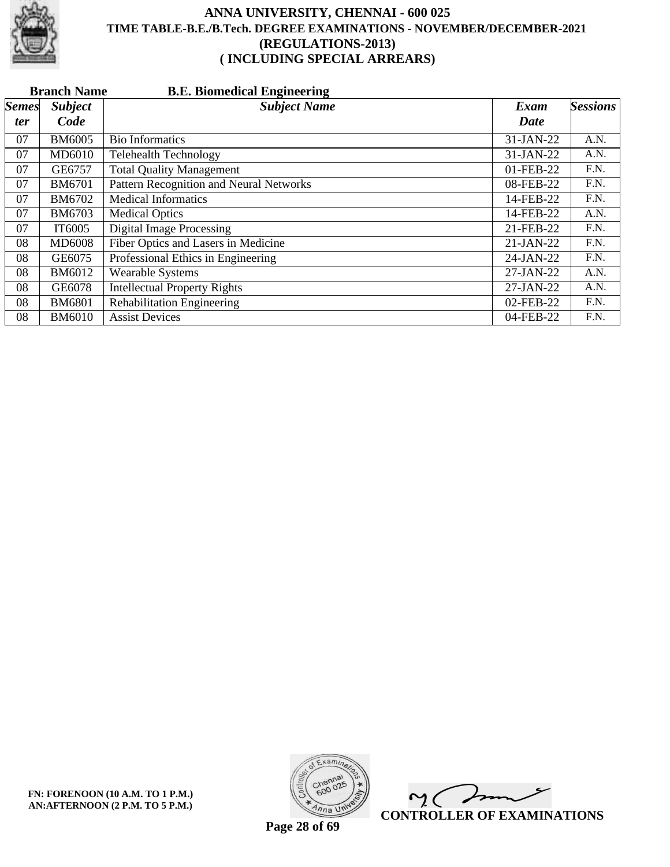

|              | <b>Branch Name</b><br><b>B.E. Biomedical Engineering</b> |                                         |             |                 |  |  |  |
|--------------|----------------------------------------------------------|-----------------------------------------|-------------|-----------------|--|--|--|
| <i>Semes</i> | <b>Subject</b>                                           | <b>Subject Name</b>                     | Exam        | <b>Sessions</b> |  |  |  |
| <i>ter</i>   | Code                                                     |                                         | Date        |                 |  |  |  |
| 07           | <b>BM6005</b>                                            | <b>Bio Informatics</b>                  | 31-JAN-22   | A.N.            |  |  |  |
| 07           | MD6010                                                   | <b>Telehealth Technology</b>            | 31-JAN-22   | A.N.            |  |  |  |
| 07           | GE6757                                                   | <b>Total Quality Management</b>         | 01-FEB-22   | F.N.            |  |  |  |
| 07           | <b>BM6701</b>                                            | Pattern Recognition and Neural Networks | 08-FEB-22   | F.N.            |  |  |  |
| 07           | BM6702                                                   | <b>Medical Informatics</b>              | 14-FEB-22   | F.N.            |  |  |  |
| 07           | <b>BM6703</b>                                            | <b>Medical Optics</b>                   | 14-FEB-22   | A.N.            |  |  |  |
| 07           | IT6005                                                   | <b>Digital Image Processing</b>         | 21-FEB-22   | F.N.            |  |  |  |
| 08           | <b>MD6008</b>                                            | Fiber Optics and Lasers in Medicine     | $21-JAN-22$ | F.N.            |  |  |  |
| 08           | GE6075                                                   | Professional Ethics in Engineering      | 24-JAN-22   | F.N.            |  |  |  |
| 08           | BM6012                                                   | <b>Wearable Systems</b>                 | 27-JAN-22   | A.N.            |  |  |  |
| 08           | GE6078                                                   | <b>Intellectual Property Rights</b>     | 27-JAN-22   | A.N.            |  |  |  |
| 08           | <b>BM6801</b>                                            | Rehabilitation Engineering              | 02-FEB-22   | F.N.            |  |  |  |
| 08           | <b>BM6010</b>                                            | <b>Assist Devices</b>                   | 04-FEB-22   | F.N.            |  |  |  |



 $\overline{\phantom{a}}$  $\mathsf{M}(\mathbb{C})$ **CONTROLLER OF EXAMINATIONS**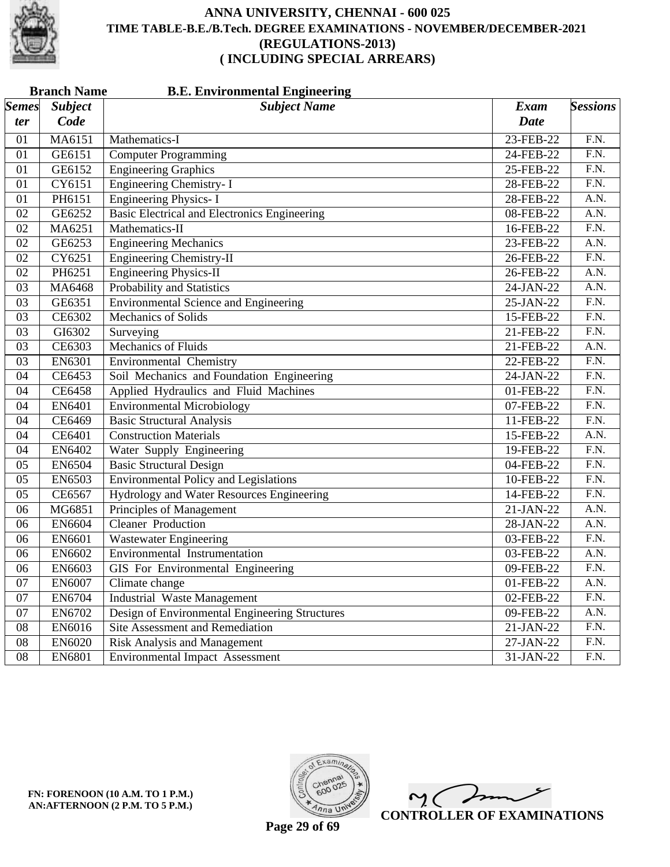

|              | <b>Branch Name</b><br><b>B.E. Environmental Engineering</b> |                                                     |             |                   |  |  |
|--------------|-------------------------------------------------------------|-----------------------------------------------------|-------------|-------------------|--|--|
| <b>Semes</b> | <b>Subject</b>                                              | <b>Subject Name</b>                                 | Exam        | <b>Sessions</b>   |  |  |
| ter          | Code                                                        |                                                     | <b>Date</b> |                   |  |  |
| 01           | MA6151                                                      | Mathematics-I                                       | 23-FEB-22   | F.N.              |  |  |
| 01           | GE6151                                                      | <b>Computer Programming</b>                         | 24-FEB-22   | F.N.              |  |  |
| 01           | GE6152                                                      | <b>Engineering Graphics</b>                         | 25-FEB-22   | F.N.              |  |  |
| 01           | CY6151                                                      | Engineering Chemistry- I                            | 28-FEB-22   | $\overline{F.N.}$ |  |  |
| 01           | PH6151                                                      | <b>Engineering Physics-I</b>                        | 28-FEB-22   | A.N.              |  |  |
| 02           | GE6252                                                      | <b>Basic Electrical and Electronics Engineering</b> | 08-FEB-22   | $\overline{A.N.}$ |  |  |
| 02           | MA6251                                                      | Mathematics-II                                      | 16-FEB-22   | $\overline{F.N.}$ |  |  |
| 02           | GE6253                                                      | <b>Engineering Mechanics</b>                        | 23-FEB-22   | A.N.              |  |  |
| 02           | CY6251                                                      | <b>Engineering Chemistry-II</b>                     | 26-FEB-22   | F.N.              |  |  |
| 02           | PH6251                                                      | <b>Engineering Physics-II</b>                       | 26-FEB-22   | A.N.              |  |  |
| 03           | MA6468                                                      | Probability and Statistics                          | 24-JAN-22   | $\overline{A.N.}$ |  |  |
| 03           | GE6351                                                      | <b>Environmental Science and Engineering</b>        | 25-JAN-22   | $\overline{F.N.}$ |  |  |
| 03           | CE6302                                                      | <b>Mechanics of Solids</b>                          | 15-FEB-22   | F.N.              |  |  |
| 03           | GI6302                                                      | Surveying                                           | 21-FEB-22   | $\overline{F.N.}$ |  |  |
| 03           | CE6303                                                      | Mechanics of Fluids                                 | 21-FEB-22   | $\overline{A.N.}$ |  |  |
| 03           | EN6301                                                      | Environmental Chemistry                             | 22-FEB-22   | $\overline{F.N.}$ |  |  |
| 04           | CE6453                                                      | Soil Mechanics and Foundation Engineering           | 24-JAN-22   | F.N.              |  |  |
| 04           | <b>CE6458</b>                                               | Applied Hydraulics and Fluid Machines               | 01-FEB-22   | $\overline{F.N.}$ |  |  |
| 04           | EN6401                                                      | <b>Environmental Microbiology</b>                   | 07-FEB-22   | F.N.              |  |  |
| 04           | CE6469                                                      | <b>Basic Structural Analysis</b>                    | 11-FEB-22   | $\overline{F.N.}$ |  |  |
| 04           | CE6401                                                      | <b>Construction Materials</b>                       | 15-FEB-22   | A.N.              |  |  |
| 04           | EN6402                                                      | Water Supply Engineering                            | 19-FEB-22   | $\overline{F.N.}$ |  |  |
| 05           | EN6504                                                      | <b>Basic Structural Design</b>                      | 04-FEB-22   | F.N.              |  |  |
| 05           | EN6503                                                      | <b>Environmental Policy and Legislations</b>        | 10-FEB-22   | $\overline{F.N.}$ |  |  |
| 05           | CE6567                                                      | Hydrology and Water Resources Engineering           | 14-FEB-22   | F.N.              |  |  |
| 06           | MG6851                                                      | Principles of Management                            | 21-JAN-22   | A.N.              |  |  |
| 06           | <b>EN6604</b>                                               | <b>Cleaner Production</b>                           | 28-JAN-22   | $\overline{A.N.}$ |  |  |
| 06           | EN6601                                                      | <b>Wastewater Engineering</b>                       | 03-FEB-22   | $\overline{F.N.}$ |  |  |
| 06           | EN6602                                                      | Environmental Instrumentation                       | 03-FEB-22   | A.N.              |  |  |
| 06           | EN6603                                                      | GIS For Environmental Engineering                   | 09-FEB-22   | F.N.              |  |  |
| 07           | EN6007                                                      | Climate change                                      | 01-FEB-22   | A.N.              |  |  |
| 07           | EN6704                                                      | <b>Industrial Waste Management</b>                  | 02-FEB-22   | F.N.              |  |  |
| 07           | EN6702                                                      | Design of Environmental Engineering Structures      | 09-FEB-22   | A.N.              |  |  |
| 08           | EN6016                                                      | Site Assessment and Remediation                     | 21-JAN-22   | F.N.              |  |  |
| 08           | EN6020                                                      | <b>Risk Analysis and Management</b>                 | 27-JAN-22   | F.N.              |  |  |
| 08           | EN6801                                                      | <b>Environmental Impact Assessment</b>              | 31-JAN-22   | F.N.              |  |  |



 $\overline{\phantom{a}}$  $\mathsf{M}(\mathbb{C})$ **CONTROLLER OF EXAMINATIONS**

**Page 29 of 69**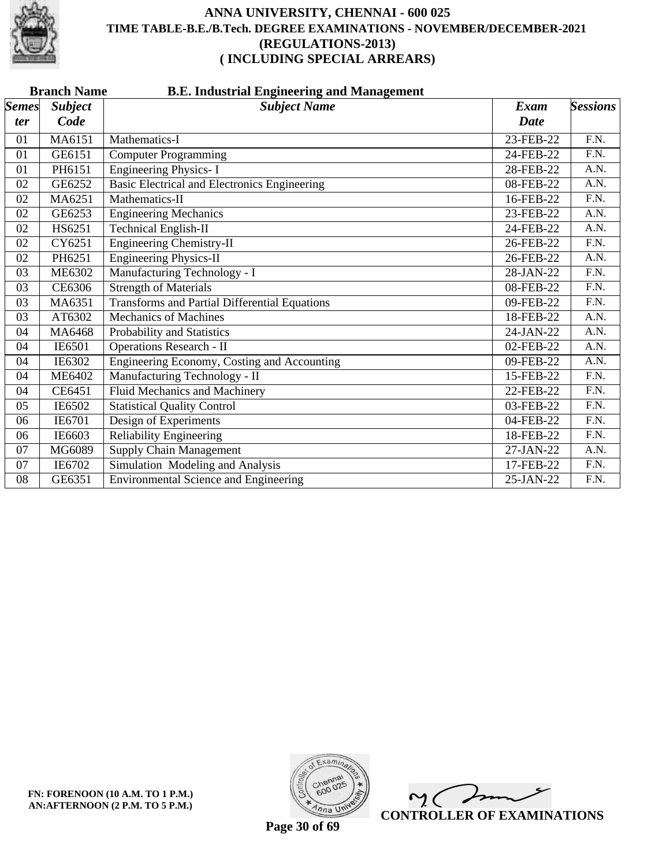

| <b>Branch Name</b><br><b>B.E. Industrial Engineering and Management</b> |                |                                                      |             |                   |  |
|-------------------------------------------------------------------------|----------------|------------------------------------------------------|-------------|-------------------|--|
| <b>Semes</b>                                                            | <b>Subject</b> | <b>Subject Name</b>                                  | Exam        | <b>Sessions</b>   |  |
| ter                                                                     | Code           |                                                      | <b>Date</b> |                   |  |
| 01                                                                      | MA6151         | Mathematics-I                                        | 23-FEB-22   | F.N.              |  |
| 01                                                                      | GE6151         | <b>Computer Programming</b>                          | 24-FEB-22   | $\overline{F.N.}$ |  |
| 01                                                                      | PH6151         | <b>Engineering Physics-I</b>                         | 28-FEB-22   | A.N.              |  |
| 02                                                                      | GE6252         | Basic Electrical and Electronics Engineering         | 08-FEB-22   | A.N.              |  |
| 02                                                                      | MA6251         | Mathematics-II                                       | 16-FEB-22   | $\overline{F.N.}$ |  |
| 02                                                                      | GE6253         | <b>Engineering Mechanics</b>                         | 23-FEB-22   | A.N.              |  |
| 02                                                                      | HS6251         | <b>Technical English-II</b>                          | 24-FEB-22   | A.N.              |  |
| 02                                                                      | CY6251         | <b>Engineering Chemistry-II</b>                      | 26-FEB-22   | F.N.              |  |
| 02                                                                      | PH6251         | <b>Engineering Physics-II</b>                        | 26-FEB-22   | A.N.              |  |
| 03                                                                      | <b>ME6302</b>  | Manufacturing Technology - I                         | 28-JAN-22   | F.N.              |  |
| 03                                                                      | CE6306         | <b>Strength of Materials</b>                         | 08-FEB-22   | F.N.              |  |
| 03                                                                      | MA6351         | <b>Transforms and Partial Differential Equations</b> | 09-FEB-22   | $\overline{F.N.}$ |  |
| 03                                                                      | AT6302         | <b>Mechanics of Machines</b>                         | 18-FEB-22   | A.N.              |  |
| 04                                                                      | MA6468         | Probability and Statistics                           | 24-JAN-22   | A.N.              |  |
| 04                                                                      | IE6501         | <b>Operations Research - II</b>                      | 02-FEB-22   | A.N.              |  |
| 04                                                                      | IE6302         | Engineering Economy, Costing and Accounting          | 09-FEB-22   | $\overline{A.N.}$ |  |
| 04                                                                      | <b>ME6402</b>  | Manufacturing Technology - II                        | 15-FEB-22   | $\overline{F.N.}$ |  |
| 04                                                                      | CE6451         | <b>Fluid Mechanics and Machinery</b>                 | 22-FEB-22   | F.N.              |  |
| 05                                                                      | IE6502         | <b>Statistical Quality Control</b>                   | 03-FEB-22   | F.N.              |  |
| 06                                                                      | IE6701         | Design of Experiments                                | 04-FEB-22   | $\overline{F.N.}$ |  |
| 06                                                                      | IE6603         | <b>Reliability Engineering</b>                       | 18-FEB-22   | F.N.              |  |
| 07                                                                      | MG6089         | <b>Supply Chain Management</b>                       | 27-JAN-22   | A.N.              |  |
| 07                                                                      | IE6702         | Simulation Modeling and Analysis                     | 17-FEB-22   | F.N.              |  |
| 08                                                                      | GE6351         | <b>Environmental Science and Engineering</b>         | 25-JAN-22   | F.N.              |  |



 $\overline{\phantom{a}}$  $\sim$  ( **CONTROLLER OF EXAMINATIONS**

**Page 30 of 69**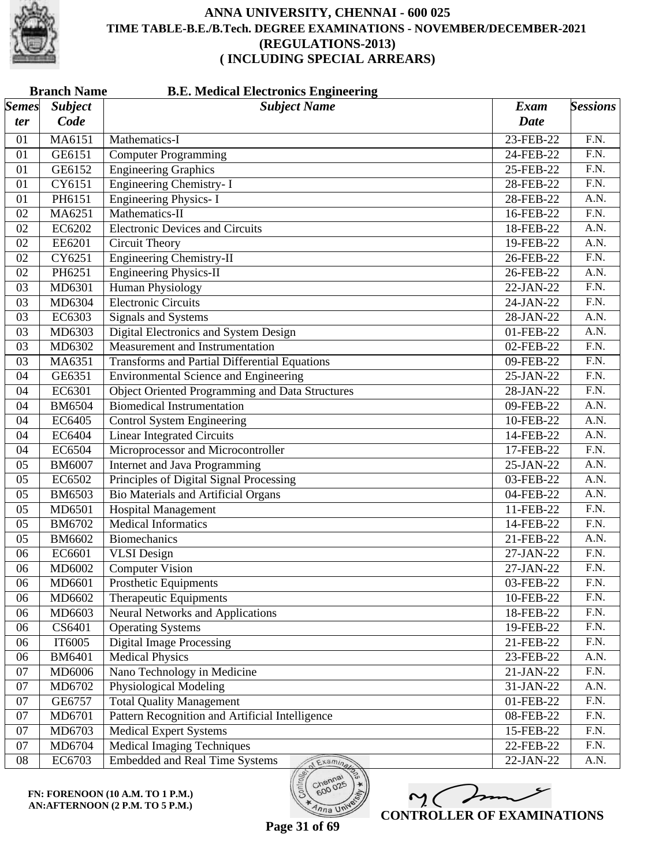

| <b>Subject</b><br><b>Subject Name</b><br>Exam<br>Code<br><b>Date</b><br>ter<br>MA6151<br>23-FEB-22<br>F.N.<br>Mathematics-I<br>01<br><b>Computer Programming</b><br>F.N.<br>01<br>GE6151<br>24-FEB-22<br><b>Engineering Graphics</b><br>$\overline{F.N.}$<br>GE6152<br>25-FEB-22<br>01<br><b>Engineering Chemistry-I</b><br>$\overline{F.N.}$<br>CY6151<br>01<br>28-FEB-22<br><b>Engineering Physics-I</b><br>A.N.<br>01<br>PH6151<br>28-FEB-22<br>Mathematics-II<br>$\overline{F.N.}$<br>02<br>MA6251<br>16-FEB-22<br><b>Electronic Devices and Circuits</b><br>$\overline{A.N.}$<br>EC6202<br>02<br>18-FEB-22<br>$\overline{A.N.}$<br>02<br>EE6201<br>Circuit Theory<br>19-FEB-22<br><b>Engineering Chemistry-II</b><br>F.N.<br>02<br>CY6251<br>26-FEB-22<br><b>Engineering Physics-II</b><br>PH6251<br>A.N.<br>02<br>26-FEB-22<br><b>Human Physiology</b><br>$\overline{F.N.}$<br>MD6301<br>22-JAN-22<br>03<br><b>Electronic Circuits</b><br>$\overline{F.N.}$<br>MD6304<br>03<br>24-JAN-22<br>EC6303<br>A.N.<br>03<br>Signals and Systems<br>28-JAN-22<br>Digital Electronics and System Design<br>A.N.<br>03<br>MD6303<br>01-FEB-22<br>F.N.<br>Measurement and Instrumentation<br>MD6302<br>02-FEB-22<br>03<br>$\overline{F.N.}$<br><b>Transforms and Partial Differential Equations</b><br>03<br>MA6351<br>09-FEB-22<br><b>Environmental Science and Engineering</b><br>F.N.<br>04<br>GE6351<br>25-JAN-22<br><b>Object Oriented Programming and Data Structures</b><br>F.N.<br>EC6301<br>28-JAN-22<br>04<br><b>Biomedical Instrumentation</b><br>$\overline{A.N.}$<br><b>BM6504</b><br>09-FEB-22<br>04<br>EC6405<br><b>Control System Engineering</b><br>A.N.<br>04<br>10-FEB-22<br>EC6404<br><b>Linear Integrated Circuits</b><br>A.N.<br>04<br>14-FEB-22<br>Microprocessor and Microcontroller<br>EC6504<br>F.N.<br>04<br>17-FEB-22<br><b>Internet and Java Programming</b><br>$\overline{A.N.}$<br><b>BM6007</b><br>25-JAN-22<br>05<br>Principles of Digital Signal Processing<br>EC6502<br>A.N.<br>05<br>03-FEB-22<br><b>Bio Materials and Artificial Organs</b><br><b>BM6503</b><br>A.N.<br>05<br>04-FEB-22<br><b>Hospital Management</b><br>11-FEB-22<br>F.N.<br>05<br>MD6501<br><b>Medical Informatics</b><br>$\overline{F.N.}$<br>BM6702<br>14-FEB-22<br>05<br>A.N.<br><b>Biomechanics</b><br>05<br>BM6602<br>21-FEB-22<br>F.N.<br>06<br>EC6601<br><b>VLSI</b> Design<br>27-JAN-22<br><b>Computer Vision</b><br>F.N.<br>06<br>MD6002<br>27-JAN-22<br><b>Prosthetic Equipments</b><br>F.N.<br>MD6601<br>06<br>03-FEB-22<br>MD6602<br>Therapeutic Equipments<br>F.N.<br>10-FEB-22<br>06<br><b>Neural Networks and Applications</b><br>F.N.<br>MD6603<br>18-FEB-22<br>06<br><b>Operating Systems</b><br>F.N.<br>CS6401<br>19-FEB-22<br>06<br><b>Digital Image Processing</b><br>F.N.<br>IT6005<br>21-FEB-22<br>06<br><b>Medical Physics</b><br>A.N.<br><b>BM6401</b><br>06<br>23-FEB-22<br>Nano Technology in Medicine<br>F.N.<br>MD6006<br>21-JAN-22<br>07<br>Physiological Modeling<br>A.N.<br>07<br>MD6702<br>31-JAN-22<br>F.N.<br><b>Total Quality Management</b><br>07<br>GE6757<br>01-FEB-22<br>F.N.<br>Pattern Recognition and Artificial Intelligence<br>07<br>MD6701<br>08-FEB-22<br>MD6703<br><b>Medical Expert Systems</b><br>F.N.<br>15-FEB-22<br>07<br><b>Medical Imaging Techniques</b><br>F.N.<br>07<br>MD6704<br>22-FEB-22<br>A.N.<br>$08\,$<br>EC6703<br><b>Embedded and Real Time Systems</b><br>22-JAN-22<br>Examina | <b>Branch Name</b><br><b>B.E. Medical Electronics Engineering</b> |  |  |  |                 |  |
|----------------------------------------------------------------------------------------------------------------------------------------------------------------------------------------------------------------------------------------------------------------------------------------------------------------------------------------------------------------------------------------------------------------------------------------------------------------------------------------------------------------------------------------------------------------------------------------------------------------------------------------------------------------------------------------------------------------------------------------------------------------------------------------------------------------------------------------------------------------------------------------------------------------------------------------------------------------------------------------------------------------------------------------------------------------------------------------------------------------------------------------------------------------------------------------------------------------------------------------------------------------------------------------------------------------------------------------------------------------------------------------------------------------------------------------------------------------------------------------------------------------------------------------------------------------------------------------------------------------------------------------------------------------------------------------------------------------------------------------------------------------------------------------------------------------------------------------------------------------------------------------------------------------------------------------------------------------------------------------------------------------------------------------------------------------------------------------------------------------------------------------------------------------------------------------------------------------------------------------------------------------------------------------------------------------------------------------------------------------------------------------------------------------------------------------------------------------------------------------------------------------------------------------------------------------------------------------------------------------------------------------------------------------------------------------------------------------------------------------------------------------------------------------------------------------------------------------------------------------------------------------------------------------------------------------------------------------------------------------------------------------------------------------------------------------------------------------------------------------------------------------------------------------------------------------------------------------------------------------------------------------------------------------------------------------------------------------------------------------------------------------------------------------------------------------------------|-------------------------------------------------------------------|--|--|--|-----------------|--|
|                                                                                                                                                                                                                                                                                                                                                                                                                                                                                                                                                                                                                                                                                                                                                                                                                                                                                                                                                                                                                                                                                                                                                                                                                                                                                                                                                                                                                                                                                                                                                                                                                                                                                                                                                                                                                                                                                                                                                                                                                                                                                                                                                                                                                                                                                                                                                                                                                                                                                                                                                                                                                                                                                                                                                                                                                                                                                                                                                                                                                                                                                                                                                                                                                                                                                                                                                                                                                                                    | $\mathcal{S}$ <i>emes</i>                                         |  |  |  | <b>Sessions</b> |  |
|                                                                                                                                                                                                                                                                                                                                                                                                                                                                                                                                                                                                                                                                                                                                                                                                                                                                                                                                                                                                                                                                                                                                                                                                                                                                                                                                                                                                                                                                                                                                                                                                                                                                                                                                                                                                                                                                                                                                                                                                                                                                                                                                                                                                                                                                                                                                                                                                                                                                                                                                                                                                                                                                                                                                                                                                                                                                                                                                                                                                                                                                                                                                                                                                                                                                                                                                                                                                                                                    |                                                                   |  |  |  |                 |  |
|                                                                                                                                                                                                                                                                                                                                                                                                                                                                                                                                                                                                                                                                                                                                                                                                                                                                                                                                                                                                                                                                                                                                                                                                                                                                                                                                                                                                                                                                                                                                                                                                                                                                                                                                                                                                                                                                                                                                                                                                                                                                                                                                                                                                                                                                                                                                                                                                                                                                                                                                                                                                                                                                                                                                                                                                                                                                                                                                                                                                                                                                                                                                                                                                                                                                                                                                                                                                                                                    |                                                                   |  |  |  |                 |  |
|                                                                                                                                                                                                                                                                                                                                                                                                                                                                                                                                                                                                                                                                                                                                                                                                                                                                                                                                                                                                                                                                                                                                                                                                                                                                                                                                                                                                                                                                                                                                                                                                                                                                                                                                                                                                                                                                                                                                                                                                                                                                                                                                                                                                                                                                                                                                                                                                                                                                                                                                                                                                                                                                                                                                                                                                                                                                                                                                                                                                                                                                                                                                                                                                                                                                                                                                                                                                                                                    |                                                                   |  |  |  |                 |  |
|                                                                                                                                                                                                                                                                                                                                                                                                                                                                                                                                                                                                                                                                                                                                                                                                                                                                                                                                                                                                                                                                                                                                                                                                                                                                                                                                                                                                                                                                                                                                                                                                                                                                                                                                                                                                                                                                                                                                                                                                                                                                                                                                                                                                                                                                                                                                                                                                                                                                                                                                                                                                                                                                                                                                                                                                                                                                                                                                                                                                                                                                                                                                                                                                                                                                                                                                                                                                                                                    |                                                                   |  |  |  |                 |  |
|                                                                                                                                                                                                                                                                                                                                                                                                                                                                                                                                                                                                                                                                                                                                                                                                                                                                                                                                                                                                                                                                                                                                                                                                                                                                                                                                                                                                                                                                                                                                                                                                                                                                                                                                                                                                                                                                                                                                                                                                                                                                                                                                                                                                                                                                                                                                                                                                                                                                                                                                                                                                                                                                                                                                                                                                                                                                                                                                                                                                                                                                                                                                                                                                                                                                                                                                                                                                                                                    |                                                                   |  |  |  |                 |  |
|                                                                                                                                                                                                                                                                                                                                                                                                                                                                                                                                                                                                                                                                                                                                                                                                                                                                                                                                                                                                                                                                                                                                                                                                                                                                                                                                                                                                                                                                                                                                                                                                                                                                                                                                                                                                                                                                                                                                                                                                                                                                                                                                                                                                                                                                                                                                                                                                                                                                                                                                                                                                                                                                                                                                                                                                                                                                                                                                                                                                                                                                                                                                                                                                                                                                                                                                                                                                                                                    |                                                                   |  |  |  |                 |  |
|                                                                                                                                                                                                                                                                                                                                                                                                                                                                                                                                                                                                                                                                                                                                                                                                                                                                                                                                                                                                                                                                                                                                                                                                                                                                                                                                                                                                                                                                                                                                                                                                                                                                                                                                                                                                                                                                                                                                                                                                                                                                                                                                                                                                                                                                                                                                                                                                                                                                                                                                                                                                                                                                                                                                                                                                                                                                                                                                                                                                                                                                                                                                                                                                                                                                                                                                                                                                                                                    |                                                                   |  |  |  |                 |  |
|                                                                                                                                                                                                                                                                                                                                                                                                                                                                                                                                                                                                                                                                                                                                                                                                                                                                                                                                                                                                                                                                                                                                                                                                                                                                                                                                                                                                                                                                                                                                                                                                                                                                                                                                                                                                                                                                                                                                                                                                                                                                                                                                                                                                                                                                                                                                                                                                                                                                                                                                                                                                                                                                                                                                                                                                                                                                                                                                                                                                                                                                                                                                                                                                                                                                                                                                                                                                                                                    |                                                                   |  |  |  |                 |  |
|                                                                                                                                                                                                                                                                                                                                                                                                                                                                                                                                                                                                                                                                                                                                                                                                                                                                                                                                                                                                                                                                                                                                                                                                                                                                                                                                                                                                                                                                                                                                                                                                                                                                                                                                                                                                                                                                                                                                                                                                                                                                                                                                                                                                                                                                                                                                                                                                                                                                                                                                                                                                                                                                                                                                                                                                                                                                                                                                                                                                                                                                                                                                                                                                                                                                                                                                                                                                                                                    |                                                                   |  |  |  |                 |  |
|                                                                                                                                                                                                                                                                                                                                                                                                                                                                                                                                                                                                                                                                                                                                                                                                                                                                                                                                                                                                                                                                                                                                                                                                                                                                                                                                                                                                                                                                                                                                                                                                                                                                                                                                                                                                                                                                                                                                                                                                                                                                                                                                                                                                                                                                                                                                                                                                                                                                                                                                                                                                                                                                                                                                                                                                                                                                                                                                                                                                                                                                                                                                                                                                                                                                                                                                                                                                                                                    |                                                                   |  |  |  |                 |  |
|                                                                                                                                                                                                                                                                                                                                                                                                                                                                                                                                                                                                                                                                                                                                                                                                                                                                                                                                                                                                                                                                                                                                                                                                                                                                                                                                                                                                                                                                                                                                                                                                                                                                                                                                                                                                                                                                                                                                                                                                                                                                                                                                                                                                                                                                                                                                                                                                                                                                                                                                                                                                                                                                                                                                                                                                                                                                                                                                                                                                                                                                                                                                                                                                                                                                                                                                                                                                                                                    |                                                                   |  |  |  |                 |  |
|                                                                                                                                                                                                                                                                                                                                                                                                                                                                                                                                                                                                                                                                                                                                                                                                                                                                                                                                                                                                                                                                                                                                                                                                                                                                                                                                                                                                                                                                                                                                                                                                                                                                                                                                                                                                                                                                                                                                                                                                                                                                                                                                                                                                                                                                                                                                                                                                                                                                                                                                                                                                                                                                                                                                                                                                                                                                                                                                                                                                                                                                                                                                                                                                                                                                                                                                                                                                                                                    |                                                                   |  |  |  |                 |  |
|                                                                                                                                                                                                                                                                                                                                                                                                                                                                                                                                                                                                                                                                                                                                                                                                                                                                                                                                                                                                                                                                                                                                                                                                                                                                                                                                                                                                                                                                                                                                                                                                                                                                                                                                                                                                                                                                                                                                                                                                                                                                                                                                                                                                                                                                                                                                                                                                                                                                                                                                                                                                                                                                                                                                                                                                                                                                                                                                                                                                                                                                                                                                                                                                                                                                                                                                                                                                                                                    |                                                                   |  |  |  |                 |  |
|                                                                                                                                                                                                                                                                                                                                                                                                                                                                                                                                                                                                                                                                                                                                                                                                                                                                                                                                                                                                                                                                                                                                                                                                                                                                                                                                                                                                                                                                                                                                                                                                                                                                                                                                                                                                                                                                                                                                                                                                                                                                                                                                                                                                                                                                                                                                                                                                                                                                                                                                                                                                                                                                                                                                                                                                                                                                                                                                                                                                                                                                                                                                                                                                                                                                                                                                                                                                                                                    |                                                                   |  |  |  |                 |  |
|                                                                                                                                                                                                                                                                                                                                                                                                                                                                                                                                                                                                                                                                                                                                                                                                                                                                                                                                                                                                                                                                                                                                                                                                                                                                                                                                                                                                                                                                                                                                                                                                                                                                                                                                                                                                                                                                                                                                                                                                                                                                                                                                                                                                                                                                                                                                                                                                                                                                                                                                                                                                                                                                                                                                                                                                                                                                                                                                                                                                                                                                                                                                                                                                                                                                                                                                                                                                                                                    |                                                                   |  |  |  |                 |  |
|                                                                                                                                                                                                                                                                                                                                                                                                                                                                                                                                                                                                                                                                                                                                                                                                                                                                                                                                                                                                                                                                                                                                                                                                                                                                                                                                                                                                                                                                                                                                                                                                                                                                                                                                                                                                                                                                                                                                                                                                                                                                                                                                                                                                                                                                                                                                                                                                                                                                                                                                                                                                                                                                                                                                                                                                                                                                                                                                                                                                                                                                                                                                                                                                                                                                                                                                                                                                                                                    |                                                                   |  |  |  |                 |  |
|                                                                                                                                                                                                                                                                                                                                                                                                                                                                                                                                                                                                                                                                                                                                                                                                                                                                                                                                                                                                                                                                                                                                                                                                                                                                                                                                                                                                                                                                                                                                                                                                                                                                                                                                                                                                                                                                                                                                                                                                                                                                                                                                                                                                                                                                                                                                                                                                                                                                                                                                                                                                                                                                                                                                                                                                                                                                                                                                                                                                                                                                                                                                                                                                                                                                                                                                                                                                                                                    |                                                                   |  |  |  |                 |  |
|                                                                                                                                                                                                                                                                                                                                                                                                                                                                                                                                                                                                                                                                                                                                                                                                                                                                                                                                                                                                                                                                                                                                                                                                                                                                                                                                                                                                                                                                                                                                                                                                                                                                                                                                                                                                                                                                                                                                                                                                                                                                                                                                                                                                                                                                                                                                                                                                                                                                                                                                                                                                                                                                                                                                                                                                                                                                                                                                                                                                                                                                                                                                                                                                                                                                                                                                                                                                                                                    |                                                                   |  |  |  |                 |  |
|                                                                                                                                                                                                                                                                                                                                                                                                                                                                                                                                                                                                                                                                                                                                                                                                                                                                                                                                                                                                                                                                                                                                                                                                                                                                                                                                                                                                                                                                                                                                                                                                                                                                                                                                                                                                                                                                                                                                                                                                                                                                                                                                                                                                                                                                                                                                                                                                                                                                                                                                                                                                                                                                                                                                                                                                                                                                                                                                                                                                                                                                                                                                                                                                                                                                                                                                                                                                                                                    |                                                                   |  |  |  |                 |  |
|                                                                                                                                                                                                                                                                                                                                                                                                                                                                                                                                                                                                                                                                                                                                                                                                                                                                                                                                                                                                                                                                                                                                                                                                                                                                                                                                                                                                                                                                                                                                                                                                                                                                                                                                                                                                                                                                                                                                                                                                                                                                                                                                                                                                                                                                                                                                                                                                                                                                                                                                                                                                                                                                                                                                                                                                                                                                                                                                                                                                                                                                                                                                                                                                                                                                                                                                                                                                                                                    |                                                                   |  |  |  |                 |  |
|                                                                                                                                                                                                                                                                                                                                                                                                                                                                                                                                                                                                                                                                                                                                                                                                                                                                                                                                                                                                                                                                                                                                                                                                                                                                                                                                                                                                                                                                                                                                                                                                                                                                                                                                                                                                                                                                                                                                                                                                                                                                                                                                                                                                                                                                                                                                                                                                                                                                                                                                                                                                                                                                                                                                                                                                                                                                                                                                                                                                                                                                                                                                                                                                                                                                                                                                                                                                                                                    |                                                                   |  |  |  |                 |  |
|                                                                                                                                                                                                                                                                                                                                                                                                                                                                                                                                                                                                                                                                                                                                                                                                                                                                                                                                                                                                                                                                                                                                                                                                                                                                                                                                                                                                                                                                                                                                                                                                                                                                                                                                                                                                                                                                                                                                                                                                                                                                                                                                                                                                                                                                                                                                                                                                                                                                                                                                                                                                                                                                                                                                                                                                                                                                                                                                                                                                                                                                                                                                                                                                                                                                                                                                                                                                                                                    |                                                                   |  |  |  |                 |  |
|                                                                                                                                                                                                                                                                                                                                                                                                                                                                                                                                                                                                                                                                                                                                                                                                                                                                                                                                                                                                                                                                                                                                                                                                                                                                                                                                                                                                                                                                                                                                                                                                                                                                                                                                                                                                                                                                                                                                                                                                                                                                                                                                                                                                                                                                                                                                                                                                                                                                                                                                                                                                                                                                                                                                                                                                                                                                                                                                                                                                                                                                                                                                                                                                                                                                                                                                                                                                                                                    |                                                                   |  |  |  |                 |  |
|                                                                                                                                                                                                                                                                                                                                                                                                                                                                                                                                                                                                                                                                                                                                                                                                                                                                                                                                                                                                                                                                                                                                                                                                                                                                                                                                                                                                                                                                                                                                                                                                                                                                                                                                                                                                                                                                                                                                                                                                                                                                                                                                                                                                                                                                                                                                                                                                                                                                                                                                                                                                                                                                                                                                                                                                                                                                                                                                                                                                                                                                                                                                                                                                                                                                                                                                                                                                                                                    |                                                                   |  |  |  |                 |  |
|                                                                                                                                                                                                                                                                                                                                                                                                                                                                                                                                                                                                                                                                                                                                                                                                                                                                                                                                                                                                                                                                                                                                                                                                                                                                                                                                                                                                                                                                                                                                                                                                                                                                                                                                                                                                                                                                                                                                                                                                                                                                                                                                                                                                                                                                                                                                                                                                                                                                                                                                                                                                                                                                                                                                                                                                                                                                                                                                                                                                                                                                                                                                                                                                                                                                                                                                                                                                                                                    |                                                                   |  |  |  |                 |  |
|                                                                                                                                                                                                                                                                                                                                                                                                                                                                                                                                                                                                                                                                                                                                                                                                                                                                                                                                                                                                                                                                                                                                                                                                                                                                                                                                                                                                                                                                                                                                                                                                                                                                                                                                                                                                                                                                                                                                                                                                                                                                                                                                                                                                                                                                                                                                                                                                                                                                                                                                                                                                                                                                                                                                                                                                                                                                                                                                                                                                                                                                                                                                                                                                                                                                                                                                                                                                                                                    |                                                                   |  |  |  |                 |  |
|                                                                                                                                                                                                                                                                                                                                                                                                                                                                                                                                                                                                                                                                                                                                                                                                                                                                                                                                                                                                                                                                                                                                                                                                                                                                                                                                                                                                                                                                                                                                                                                                                                                                                                                                                                                                                                                                                                                                                                                                                                                                                                                                                                                                                                                                                                                                                                                                                                                                                                                                                                                                                                                                                                                                                                                                                                                                                                                                                                                                                                                                                                                                                                                                                                                                                                                                                                                                                                                    |                                                                   |  |  |  |                 |  |
|                                                                                                                                                                                                                                                                                                                                                                                                                                                                                                                                                                                                                                                                                                                                                                                                                                                                                                                                                                                                                                                                                                                                                                                                                                                                                                                                                                                                                                                                                                                                                                                                                                                                                                                                                                                                                                                                                                                                                                                                                                                                                                                                                                                                                                                                                                                                                                                                                                                                                                                                                                                                                                                                                                                                                                                                                                                                                                                                                                                                                                                                                                                                                                                                                                                                                                                                                                                                                                                    |                                                                   |  |  |  |                 |  |
|                                                                                                                                                                                                                                                                                                                                                                                                                                                                                                                                                                                                                                                                                                                                                                                                                                                                                                                                                                                                                                                                                                                                                                                                                                                                                                                                                                                                                                                                                                                                                                                                                                                                                                                                                                                                                                                                                                                                                                                                                                                                                                                                                                                                                                                                                                                                                                                                                                                                                                                                                                                                                                                                                                                                                                                                                                                                                                                                                                                                                                                                                                                                                                                                                                                                                                                                                                                                                                                    |                                                                   |  |  |  |                 |  |
|                                                                                                                                                                                                                                                                                                                                                                                                                                                                                                                                                                                                                                                                                                                                                                                                                                                                                                                                                                                                                                                                                                                                                                                                                                                                                                                                                                                                                                                                                                                                                                                                                                                                                                                                                                                                                                                                                                                                                                                                                                                                                                                                                                                                                                                                                                                                                                                                                                                                                                                                                                                                                                                                                                                                                                                                                                                                                                                                                                                                                                                                                                                                                                                                                                                                                                                                                                                                                                                    |                                                                   |  |  |  |                 |  |
|                                                                                                                                                                                                                                                                                                                                                                                                                                                                                                                                                                                                                                                                                                                                                                                                                                                                                                                                                                                                                                                                                                                                                                                                                                                                                                                                                                                                                                                                                                                                                                                                                                                                                                                                                                                                                                                                                                                                                                                                                                                                                                                                                                                                                                                                                                                                                                                                                                                                                                                                                                                                                                                                                                                                                                                                                                                                                                                                                                                                                                                                                                                                                                                                                                                                                                                                                                                                                                                    |                                                                   |  |  |  |                 |  |
|                                                                                                                                                                                                                                                                                                                                                                                                                                                                                                                                                                                                                                                                                                                                                                                                                                                                                                                                                                                                                                                                                                                                                                                                                                                                                                                                                                                                                                                                                                                                                                                                                                                                                                                                                                                                                                                                                                                                                                                                                                                                                                                                                                                                                                                                                                                                                                                                                                                                                                                                                                                                                                                                                                                                                                                                                                                                                                                                                                                                                                                                                                                                                                                                                                                                                                                                                                                                                                                    |                                                                   |  |  |  |                 |  |
|                                                                                                                                                                                                                                                                                                                                                                                                                                                                                                                                                                                                                                                                                                                                                                                                                                                                                                                                                                                                                                                                                                                                                                                                                                                                                                                                                                                                                                                                                                                                                                                                                                                                                                                                                                                                                                                                                                                                                                                                                                                                                                                                                                                                                                                                                                                                                                                                                                                                                                                                                                                                                                                                                                                                                                                                                                                                                                                                                                                                                                                                                                                                                                                                                                                                                                                                                                                                                                                    |                                                                   |  |  |  |                 |  |
|                                                                                                                                                                                                                                                                                                                                                                                                                                                                                                                                                                                                                                                                                                                                                                                                                                                                                                                                                                                                                                                                                                                                                                                                                                                                                                                                                                                                                                                                                                                                                                                                                                                                                                                                                                                                                                                                                                                                                                                                                                                                                                                                                                                                                                                                                                                                                                                                                                                                                                                                                                                                                                                                                                                                                                                                                                                                                                                                                                                                                                                                                                                                                                                                                                                                                                                                                                                                                                                    |                                                                   |  |  |  |                 |  |
|                                                                                                                                                                                                                                                                                                                                                                                                                                                                                                                                                                                                                                                                                                                                                                                                                                                                                                                                                                                                                                                                                                                                                                                                                                                                                                                                                                                                                                                                                                                                                                                                                                                                                                                                                                                                                                                                                                                                                                                                                                                                                                                                                                                                                                                                                                                                                                                                                                                                                                                                                                                                                                                                                                                                                                                                                                                                                                                                                                                                                                                                                                                                                                                                                                                                                                                                                                                                                                                    |                                                                   |  |  |  |                 |  |
|                                                                                                                                                                                                                                                                                                                                                                                                                                                                                                                                                                                                                                                                                                                                                                                                                                                                                                                                                                                                                                                                                                                                                                                                                                                                                                                                                                                                                                                                                                                                                                                                                                                                                                                                                                                                                                                                                                                                                                                                                                                                                                                                                                                                                                                                                                                                                                                                                                                                                                                                                                                                                                                                                                                                                                                                                                                                                                                                                                                                                                                                                                                                                                                                                                                                                                                                                                                                                                                    |                                                                   |  |  |  |                 |  |
|                                                                                                                                                                                                                                                                                                                                                                                                                                                                                                                                                                                                                                                                                                                                                                                                                                                                                                                                                                                                                                                                                                                                                                                                                                                                                                                                                                                                                                                                                                                                                                                                                                                                                                                                                                                                                                                                                                                                                                                                                                                                                                                                                                                                                                                                                                                                                                                                                                                                                                                                                                                                                                                                                                                                                                                                                                                                                                                                                                                                                                                                                                                                                                                                                                                                                                                                                                                                                                                    |                                                                   |  |  |  |                 |  |
|                                                                                                                                                                                                                                                                                                                                                                                                                                                                                                                                                                                                                                                                                                                                                                                                                                                                                                                                                                                                                                                                                                                                                                                                                                                                                                                                                                                                                                                                                                                                                                                                                                                                                                                                                                                                                                                                                                                                                                                                                                                                                                                                                                                                                                                                                                                                                                                                                                                                                                                                                                                                                                                                                                                                                                                                                                                                                                                                                                                                                                                                                                                                                                                                                                                                                                                                                                                                                                                    |                                                                   |  |  |  |                 |  |
|                                                                                                                                                                                                                                                                                                                                                                                                                                                                                                                                                                                                                                                                                                                                                                                                                                                                                                                                                                                                                                                                                                                                                                                                                                                                                                                                                                                                                                                                                                                                                                                                                                                                                                                                                                                                                                                                                                                                                                                                                                                                                                                                                                                                                                                                                                                                                                                                                                                                                                                                                                                                                                                                                                                                                                                                                                                                                                                                                                                                                                                                                                                                                                                                                                                                                                                                                                                                                                                    |                                                                   |  |  |  |                 |  |
|                                                                                                                                                                                                                                                                                                                                                                                                                                                                                                                                                                                                                                                                                                                                                                                                                                                                                                                                                                                                                                                                                                                                                                                                                                                                                                                                                                                                                                                                                                                                                                                                                                                                                                                                                                                                                                                                                                                                                                                                                                                                                                                                                                                                                                                                                                                                                                                                                                                                                                                                                                                                                                                                                                                                                                                                                                                                                                                                                                                                                                                                                                                                                                                                                                                                                                                                                                                                                                                    |                                                                   |  |  |  |                 |  |
|                                                                                                                                                                                                                                                                                                                                                                                                                                                                                                                                                                                                                                                                                                                                                                                                                                                                                                                                                                                                                                                                                                                                                                                                                                                                                                                                                                                                                                                                                                                                                                                                                                                                                                                                                                                                                                                                                                                                                                                                                                                                                                                                                                                                                                                                                                                                                                                                                                                                                                                                                                                                                                                                                                                                                                                                                                                                                                                                                                                                                                                                                                                                                                                                                                                                                                                                                                                                                                                    |                                                                   |  |  |  |                 |  |
|                                                                                                                                                                                                                                                                                                                                                                                                                                                                                                                                                                                                                                                                                                                                                                                                                                                                                                                                                                                                                                                                                                                                                                                                                                                                                                                                                                                                                                                                                                                                                                                                                                                                                                                                                                                                                                                                                                                                                                                                                                                                                                                                                                                                                                                                                                                                                                                                                                                                                                                                                                                                                                                                                                                                                                                                                                                                                                                                                                                                                                                                                                                                                                                                                                                                                                                                                                                                                                                    |                                                                   |  |  |  |                 |  |
|                                                                                                                                                                                                                                                                                                                                                                                                                                                                                                                                                                                                                                                                                                                                                                                                                                                                                                                                                                                                                                                                                                                                                                                                                                                                                                                                                                                                                                                                                                                                                                                                                                                                                                                                                                                                                                                                                                                                                                                                                                                                                                                                                                                                                                                                                                                                                                                                                                                                                                                                                                                                                                                                                                                                                                                                                                                                                                                                                                                                                                                                                                                                                                                                                                                                                                                                                                                                                                                    |                                                                   |  |  |  |                 |  |
|                                                                                                                                                                                                                                                                                                                                                                                                                                                                                                                                                                                                                                                                                                                                                                                                                                                                                                                                                                                                                                                                                                                                                                                                                                                                                                                                                                                                                                                                                                                                                                                                                                                                                                                                                                                                                                                                                                                                                                                                                                                                                                                                                                                                                                                                                                                                                                                                                                                                                                                                                                                                                                                                                                                                                                                                                                                                                                                                                                                                                                                                                                                                                                                                                                                                                                                                                                                                                                                    |                                                                   |  |  |  |                 |  |

**FN: FORENOON (10 A.M. TO 1 P.M.) AN:AFTERNOON (2 P.M. TO 5 P.M.)**



600

 $\overline{\eta_{n}}$  UN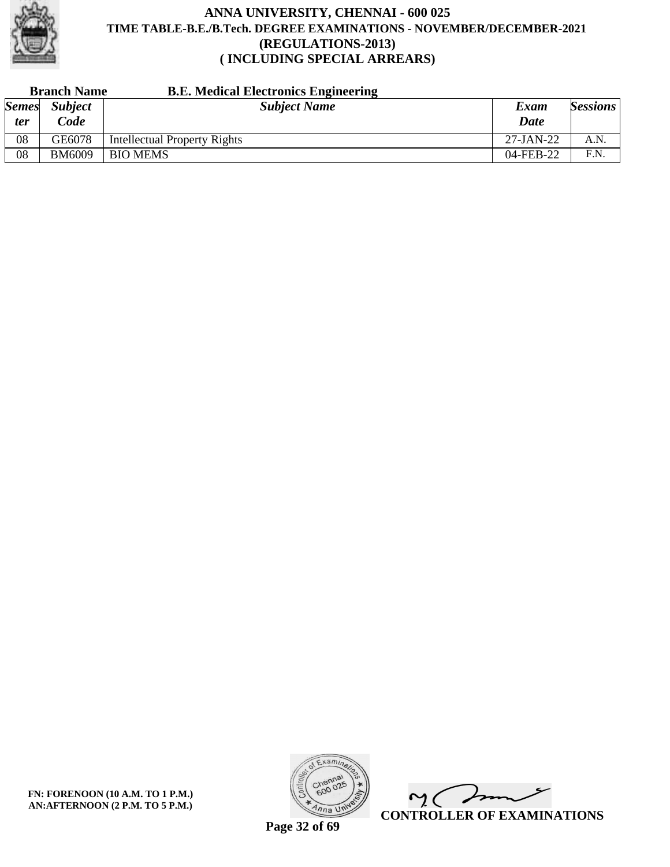

| <b>Branch Name</b> |                | <b>B.E. Medical Electronics Engineering</b> |              |                 |
|--------------------|----------------|---------------------------------------------|--------------|-----------------|
| <b>Semes</b>       | <b>Subject</b> | <b>Subject Name</b>                         | Exam         | <b>Sessions</b> |
| <i>ter</i>         | $\partial$ ode |                                             | <b>Date</b>  |                 |
| 08                 | GE6078         | <b>Intellectual Property Rights</b>         | $27$ -JAN-22 | A.N.            |
| 08                 | <b>BM6009</b>  | <b>BIO MEMS</b>                             | 04-FEB-22    | F.N.            |

**FN: FORENOON (10 A.M. TO 1 P.M.) AN:AFTERNOON (2 P.M. TO 5 P.M.)**



 $\overline{\mathscr{L}}$  $\mathsf{M}(\mathbb{C})$ **CONTROLLER OF EXAMINATIONS**

**Page 32 of 69**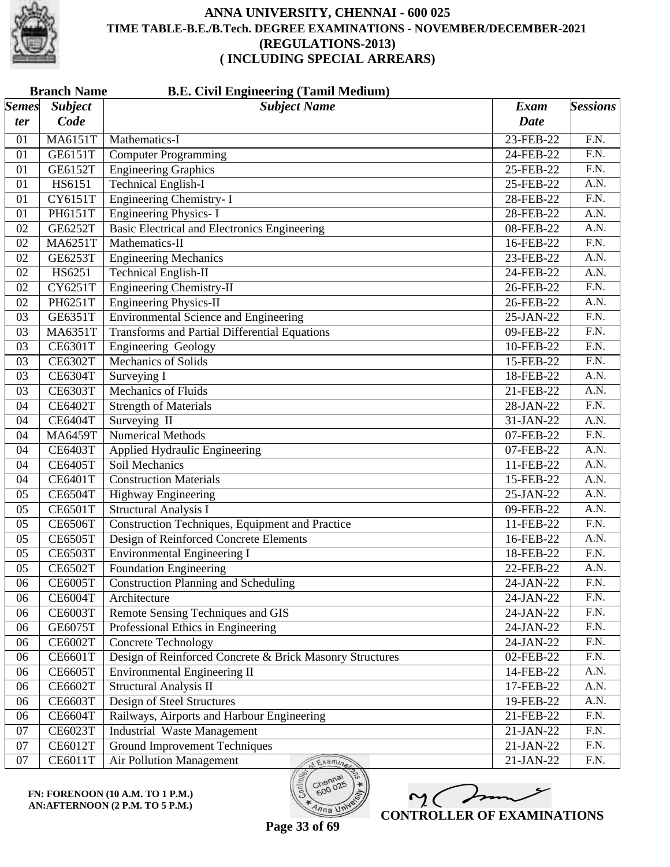

|                       | <b>B.E. Civil Engineering (Tamil Medium)</b><br><b>Branch Name</b> |                                                          |             |                   |  |  |
|-----------------------|--------------------------------------------------------------------|----------------------------------------------------------|-------------|-------------------|--|--|
| $\vert$ Semes $\vert$ | <b>Subject</b>                                                     | <b>Subject Name</b>                                      | Exam        | <b>Sessions</b>   |  |  |
| ter                   | Code                                                               |                                                          | <b>Date</b> |                   |  |  |
| 01                    | <b>MA6151T</b>                                                     | Mathematics-I                                            | 23-FEB-22   | F.N.              |  |  |
| 01                    | GE6151T                                                            | <b>Computer Programming</b>                              | 24-FEB-22   | F.N.              |  |  |
| 01                    | GE6152T                                                            | <b>Engineering Graphics</b>                              | 25-FEB-22   | $\overline{F.N.}$ |  |  |
| 01                    | HS6151                                                             | <b>Technical English-I</b>                               | 25-FEB-22   | $\overline{A.N.}$ |  |  |
| 01                    | <b>CY6151T</b>                                                     | <b>Engineering Chemistry-I</b>                           | 28-FEB-22   | $\overline{F.N.}$ |  |  |
| 01                    | PH6151T                                                            | <b>Engineering Physics-I</b>                             | 28-FEB-22   | A.N.              |  |  |
| 02                    | GE6252T                                                            | <b>Basic Electrical and Electronics Engineering</b>      | 08-FEB-22   | $\overline{A.N.}$ |  |  |
| 02                    | MA6251T                                                            | Mathematics-II                                           | 16-FEB-22   | $\overline{F.N.}$ |  |  |
| 02                    | GE6253T                                                            | <b>Engineering Mechanics</b>                             | 23-FEB-22   | A.N.              |  |  |
| 02                    | HS6251                                                             | <b>Technical English-II</b>                              | 24-FEB-22   | A.N.              |  |  |
| 02                    | CY6251T                                                            | <b>Engineering Chemistry-II</b>                          | 26-FEB-22   | $\overline{F.N.}$ |  |  |
| 02                    | PH6251T                                                            | <b>Engineering Physics-II</b>                            | 26-FEB-22   | $\overline{A.N.}$ |  |  |
| 03                    | GE6351T                                                            | <b>Environmental Science and Engineering</b>             | 25-JAN-22   | $\overline{F.N.}$ |  |  |
| 03                    | MA6351T                                                            | <b>Transforms and Partial Differential Equations</b>     | 09-FEB-22   | $\overline{F.N.}$ |  |  |
| 03                    | <b>CE6301T</b>                                                     | Engineering Geology                                      | 10-FEB-22   | F.N.              |  |  |
| 03                    | <b>CE6302T</b>                                                     | <b>Mechanics of Solids</b>                               | 15-FEB-22   | $\overline{F.N.}$ |  |  |
| 03                    | <b>CE6304T</b>                                                     | Surveying I                                              | 18-FEB-22   | A.N.              |  |  |
| 03                    | <b>CE6303T</b>                                                     | <b>Mechanics of Fluids</b>                               | 21-FEB-22   | A.N.              |  |  |
| 04                    | <b>CE6402T</b>                                                     | <b>Strength of Materials</b>                             | 28-JAN-22   | $\overline{F.N.}$ |  |  |
| 04                    | <b>CE6404T</b>                                                     | Surveying II                                             | 31-JAN-22   | $\overline{A.N.}$ |  |  |
| 04                    | <b>MA6459T</b>                                                     | <b>Numerical Methods</b>                                 | 07-FEB-22   | $\overline{F.N.}$ |  |  |
| 04                    | <b>CE6403T</b>                                                     | Applied Hydraulic Engineering                            | 07-FEB-22   | A.N.              |  |  |
| 04                    | <b>CE6405T</b>                                                     | Soil Mechanics                                           | 11-FEB-22   | $\overline{A.N.}$ |  |  |
| 04                    | <b>CE6401T</b>                                                     | <b>Construction Materials</b>                            | 15-FEB-22   | $\overline{A.N.}$ |  |  |
| 05                    | <b>CE6504T</b>                                                     | Highway Engineering                                      | 25-JAN-22   | A.N.              |  |  |
| 05                    | <b>CE6501T</b>                                                     | <b>Structural Analysis I</b>                             | 09-FEB-22   | A.N.              |  |  |
| 05                    | <b>CE6506T</b>                                                     | Construction Techniques, Equipment and Practice          | 11-FEB-22   | $\overline{F.N.}$ |  |  |
| 05                    | <b>CE6505T</b>                                                     | Design of Reinforced Concrete Elements                   | 16-FEB-22   | A.N.              |  |  |
| 05                    | <b>CE6503T</b>                                                     | <b>Environmental Engineering I</b>                       | 18-FEB-22   | F.N.              |  |  |
| 05                    | <b>CE6502T</b>                                                     | Foundation Engineering                                   | 22-FEB-22   | A.N.              |  |  |
| 06                    | <b>CE6005T</b>                                                     | <b>Construction Planning and Scheduling</b>              | 24-JAN-22   | F.N.              |  |  |
| 06                    | <b>CE6004T</b>                                                     | Architecture                                             | 24-JAN-22   | F.N.              |  |  |
| 06                    | <b>CE6003T</b>                                                     | Remote Sensing Techniques and GIS                        | 24-JAN-22   | F.N.              |  |  |
| 06                    | GE6075T                                                            | Professional Ethics in Engineering                       | 24-JAN-22   | F.N.              |  |  |
| 06                    | <b>CE6002T</b>                                                     | <b>Concrete Technology</b>                               | 24-JAN-22   | $\overline{F.N.}$ |  |  |
| 06                    | <b>CE6601T</b>                                                     | Design of Reinforced Concrete & Brick Masonry Structures | 02-FEB-22   | F.N.              |  |  |
| 06                    | <b>CE6605T</b>                                                     | Environmental Engineering II                             | 14-FEB-22   | A.N.              |  |  |
| 06                    | <b>CE6602T</b>                                                     | <b>Structural Analysis II</b>                            | 17-FEB-22   | A.N.              |  |  |
| 06                    | <b>CE6603T</b>                                                     | Design of Steel Structures                               | 19-FEB-22   | A.N.              |  |  |
| 06                    | <b>CE6604T</b>                                                     | Railways, Airports and Harbour Engineering               | 21-FEB-22   | F.N.              |  |  |
| 07                    | <b>CE6023T</b>                                                     | <b>Industrial Waste Management</b>                       | 21-JAN-22   | F.N.              |  |  |
| 07                    | <b>CE6012T</b>                                                     | <b>Ground Improvement Techniques</b>                     | 21-JAN-22   | F.N.              |  |  |
| 07                    | <b>CE6011T</b>                                                     | Air Pollution Management<br>Examina                      | 21-JAN-22   | F.N.              |  |  |

**FN: FORENOON (10 A.M. TO 1 P.M.) AN:AFTERNOON (2 P.M. TO 5 P.M.)**



**Page 33 of 69**

600

 $\overline{\eta_{n}}$  UN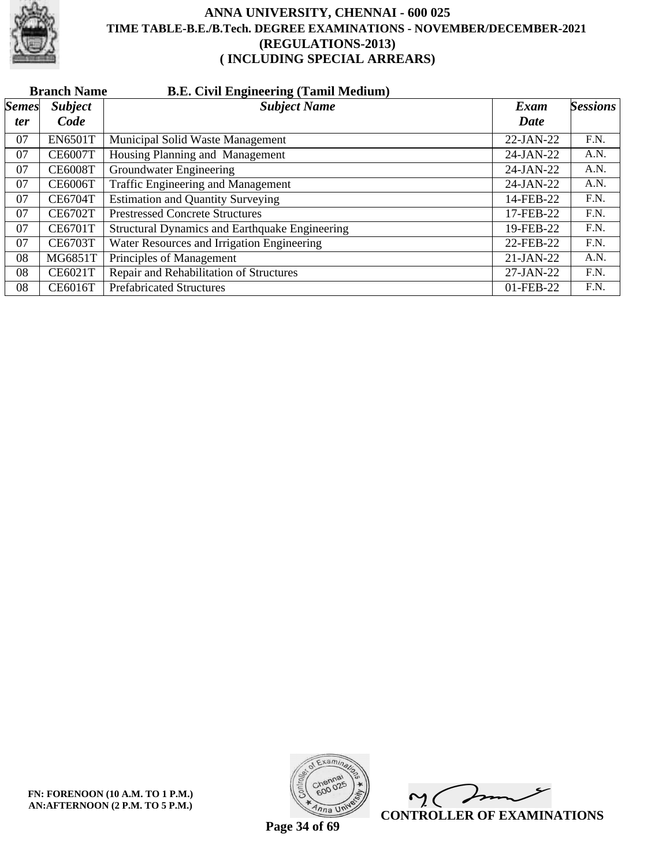

|              | <b>B.E. Civil Engineering (Tamil Medium)</b><br><b>Branch Name</b> |                                                |             |          |  |  |  |
|--------------|--------------------------------------------------------------------|------------------------------------------------|-------------|----------|--|--|--|
| <b>Semes</b> | <b>Subject</b>                                                     | <b>Subject Name</b>                            | Exam        | Sessions |  |  |  |
| <i>ter</i>   | Code                                                               |                                                | Date        |          |  |  |  |
| 07           | <b>EN6501T</b>                                                     | Municipal Solid Waste Management               | $22-JAN-22$ | F.N.     |  |  |  |
| 07           | <b>CE6007T</b>                                                     | Housing Planning and Management                | 24-JAN-22   | A.N.     |  |  |  |
| 07           | <b>CE6008T</b>                                                     | Groundwater Engineering                        | 24-JAN-22   | A.N.     |  |  |  |
| 07           | <b>CE6006T</b>                                                     | Traffic Engineering and Management             | $24-JAN-22$ | A.N.     |  |  |  |
| 07           | <b>CE6704T</b>                                                     | <b>Estimation and Quantity Surveying</b>       | 14-FEB-22   | F.N.     |  |  |  |
| 07           | <b>CE6702T</b>                                                     | <b>Prestressed Concrete Structures</b>         | 17-FEB-22   | F.N.     |  |  |  |
| 07           | <b>CE6701T</b>                                                     | Structural Dynamics and Earthquake Engineering | 19-FEB-22   | F.N.     |  |  |  |
| 07           | <b>CE6703T</b>                                                     | Water Resources and Irrigation Engineering     | 22-FEB-22   | F.N.     |  |  |  |
| 08           | MG6851T                                                            | Principles of Management                       | $21-JAN-22$ | A.N.     |  |  |  |
| 08           | <b>CE6021T</b>                                                     | Repair and Rehabilitation of Structures        | $27-JAN-22$ | F.N.     |  |  |  |
| 08           | <b>CE6016T</b>                                                     | <b>Prefabricated Structures</b>                | 01-FEB-22   | F.N.     |  |  |  |



 $\overline{\phantom{a}}$  $\mathsf{M}(\mathbb{C})$ **CONTROLLER OF EXAMINATIONS**

**Page 34 of 69**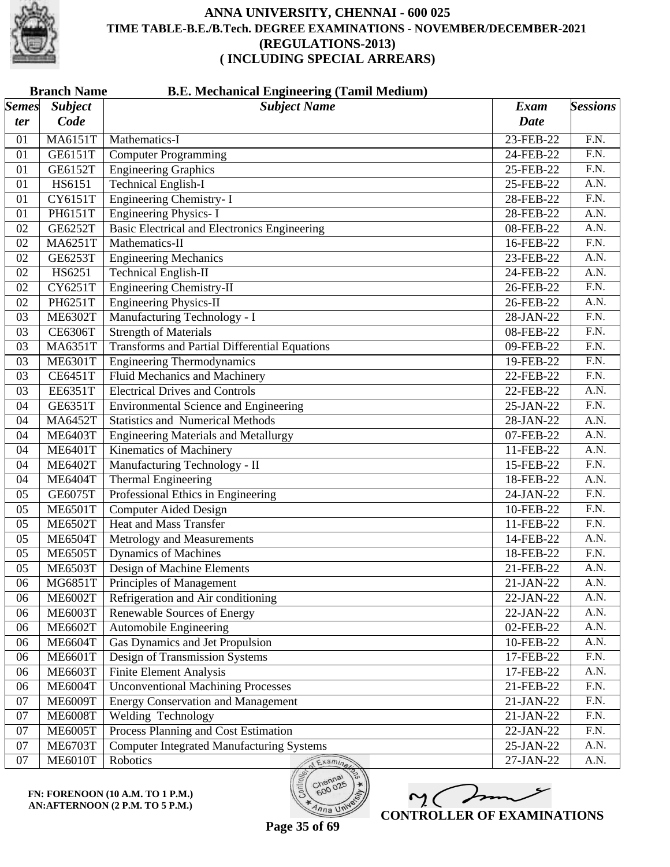

|                       | <b>B.E. Mechanical Engineering (Tamil Medium)</b><br><b>Branch Name</b> |                                                      |             |                   |  |  |
|-----------------------|-------------------------------------------------------------------------|------------------------------------------------------|-------------|-------------------|--|--|
| $\vert$ Semes $\vert$ | <b>Subject</b>                                                          | <b>Subject Name</b>                                  | <b>Exam</b> | <b>Sessions</b>   |  |  |
| ter                   | Code                                                                    |                                                      | <b>Date</b> |                   |  |  |
| 01                    | <b>MA6151T</b>                                                          | Mathematics-I                                        | 23-FEB-22   | F.N.              |  |  |
| 01                    | GE6151T                                                                 | <b>Computer Programming</b>                          | 24-FEB-22   | F.N.              |  |  |
| 01                    | GE6152T                                                                 | <b>Engineering Graphics</b>                          | 25-FEB-22   | $\overline{F.N.}$ |  |  |
| 01                    | HS6151                                                                  | <b>Technical English-I</b>                           | 25-FEB-22   | A.N.              |  |  |
| 01                    | <b>CY6151T</b>                                                          | <b>Engineering Chemistry-I</b>                       | 28-FEB-22   | $\overline{F.N.}$ |  |  |
| 01                    | PH6151T                                                                 | <b>Engineering Physics-I</b>                         | 28-FEB-22   | A.N.              |  |  |
| 02                    | GE6252T                                                                 | <b>Basic Electrical and Electronics Engineering</b>  | 08-FEB-22   | $\overline{A.N.}$ |  |  |
| 02                    | MA6251T                                                                 | Mathematics-II                                       | 16-FEB-22   | $\overline{F.N.}$ |  |  |
| 02                    | GE6253T                                                                 | <b>Engineering Mechanics</b>                         | 23-FEB-22   | A.N.              |  |  |
| 02                    | HS6251                                                                  | <b>Technical English-II</b>                          | 24-FEB-22   | A.N.              |  |  |
| 02                    | CY6251T                                                                 | <b>Engineering Chemistry-II</b>                      | 26-FEB-22   | $\overline{F.N.}$ |  |  |
| 02                    | PH6251T                                                                 | <b>Engineering Physics-II</b>                        | 26-FEB-22   | A.N.              |  |  |
| 03                    | <b>ME6302T</b>                                                          | Manufacturing Technology - I                         | 28-JAN-22   | $\overline{F.N.}$ |  |  |
| 03                    | <b>CE6306T</b>                                                          | <b>Strength of Materials</b>                         | 08-FEB-22   | $\overline{F.N.}$ |  |  |
| 03                    | MA6351T                                                                 | <b>Transforms and Partial Differential Equations</b> | 09-FEB-22   | $\overline{F.N.}$ |  |  |
| 03                    | <b>ME6301T</b>                                                          | <b>Engineering Thermodynamics</b>                    | 19-FEB-22   | $\overline{F.N.}$ |  |  |
| 03                    | <b>CE6451T</b>                                                          | <b>Fluid Mechanics and Machinery</b>                 | 22-FEB-22   | F.N.              |  |  |
| 03                    | EE6351T                                                                 | <b>Electrical Drives and Controls</b>                | 22-FEB-22   | A.N.              |  |  |
| 04                    | GE6351T                                                                 | <b>Environmental Science and Engineering</b>         | 25-JAN-22   | $\overline{F.N.}$ |  |  |
| 04                    | <b>MA6452T</b>                                                          | <b>Statistics and Numerical Methods</b>              | 28-JAN-22   | A.N.              |  |  |
| 04                    | <b>ME6403T</b>                                                          | <b>Engineering Materials and Metallurgy</b>          | 07-FEB-22   | A.N.              |  |  |
| 04                    | <b>ME6401T</b>                                                          | <b>Kinematics of Machinery</b>                       | 11-FEB-22   | A.N.              |  |  |
| 04                    | <b>ME6402T</b>                                                          | Manufacturing Technology - II                        | 15-FEB-22   | $\overline{F.N.}$ |  |  |
| 04                    | <b>ME6404T</b>                                                          | <b>Thermal Engineering</b>                           | 18-FEB-22   | A.N.              |  |  |
| 05                    | <b>GE6075T</b>                                                          | Professional Ethics in Engineering                   | 24-JAN-22   | F.N.              |  |  |
| 05                    | <b>ME6501T</b>                                                          | <b>Computer Aided Design</b>                         | 10-FEB-22   | F.N.              |  |  |
| 05                    | <b>ME6502T</b>                                                          | <b>Heat and Mass Transfer</b>                        | 11-FEB-22   | $\overline{F.N.}$ |  |  |
| 05                    | <b>ME6504T</b>                                                          | Metrology and Measurements                           | 14-FEB-22   | A.N.              |  |  |
| 05                    | <b>ME6505T</b>                                                          | Dynamics of Machines                                 | 18-FEB-22   | F.N.              |  |  |
| 05                    | <b>ME6503T</b>                                                          | Design of Machine Elements                           | 21-FEB-22   | A.N.              |  |  |
| 06                    | MG6851T                                                                 | Principles of Management                             | 21-JAN-22   | A.N.              |  |  |
| 06                    | <b>ME6002T</b>                                                          | Refrigeration and Air conditioning                   | 22-JAN-22   | A.N.              |  |  |
| 06                    | <b>ME6003T</b>                                                          | <b>Renewable Sources of Energy</b>                   | 22-JAN-22   | A.N.              |  |  |
| 06                    | <b>ME6602T</b>                                                          | Automobile Engineering                               | 02-FEB-22   | A.N.              |  |  |
| 06                    | <b>ME6604T</b>                                                          | <b>Gas Dynamics and Jet Propulsion</b>               | 10-FEB-22   | A.N.              |  |  |
| 06                    | <b>ME6601T</b>                                                          | Design of Transmission Systems                       | 17-FEB-22   | F.N.              |  |  |
| 06                    | <b>ME6603T</b>                                                          | <b>Finite Element Analysis</b>                       | 17-FEB-22   | A.N.              |  |  |
| 06                    | <b>ME6004T</b>                                                          | <b>Unconventional Machining Processes</b>            | 21-FEB-22   | F.N.              |  |  |
| 07                    | <b>ME6009T</b>                                                          | <b>Energy Conservation and Management</b>            | 21-JAN-22   | F.N.              |  |  |
| 07                    | <b>ME6008T</b>                                                          | Welding Technology                                   | 21-JAN-22   | F.N.              |  |  |
| 07                    | <b>ME6005T</b>                                                          | Process Planning and Cost Estimation                 | 22-JAN-22   | F.N.              |  |  |
| 07                    | <b>ME6703T</b>                                                          | <b>Computer Integrated Manufacturing Systems</b>     | 25-JAN-22   | A.N.              |  |  |
| 07                    | <b>ME6010T</b>                                                          | Robotics<br>Examinary                                | 27-JAN-22   | A.N.              |  |  |

 $m($ **CONTROLLER OF EXAMINATIONS**

600

 $\overline{\eta_{n}}$  UN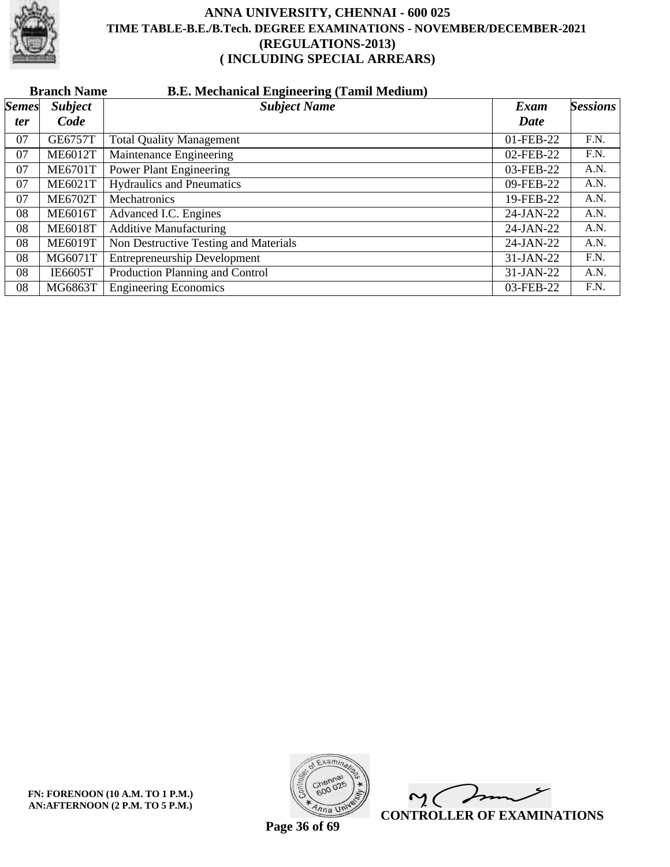

|              | <b>Branch Name</b><br><b>B.E. Mechanical Engineering (Tamil Medium)</b> |                                       |              |                 |  |  |  |
|--------------|-------------------------------------------------------------------------|---------------------------------------|--------------|-----------------|--|--|--|
| <b>Semes</b> | <b>Subject</b>                                                          | <b>Subject Name</b>                   | Exam         | <b>Sessions</b> |  |  |  |
| <i>ter</i>   | Code                                                                    |                                       | Date         |                 |  |  |  |
| 07           | <b>GE6757T</b>                                                          | <b>Total Quality Management</b>       | 01-FEB-22    | F.N.            |  |  |  |
| 07           | <b>ME6012T</b>                                                          | Maintenance Engineering               | 02-FEB-22    | F.N.            |  |  |  |
| 07           | <b>ME6701T</b>                                                          | <b>Power Plant Engineering</b>        | 03-FEB-22    | A.N.            |  |  |  |
| 07           | <b>ME6021T</b>                                                          | <b>Hydraulics and Pneumatics</b>      | 09-FEB-22    | A.N.            |  |  |  |
| 07           | <b>ME6702T</b>                                                          | Mechatronics                          | 19-FEB-22    | A.N.            |  |  |  |
| 08           | <b>ME6016T</b>                                                          | Advanced I.C. Engines                 | 24-JAN-22    | A.N.            |  |  |  |
| 08           | <b>ME6018T</b>                                                          | <b>Additive Manufacturing</b>         | $24$ -JAN-22 | A.N.            |  |  |  |
| 08           | <b>ME6019T</b>                                                          | Non Destructive Testing and Materials | 24-JAN-22    | A.N.            |  |  |  |
| 08           | MG6071T                                                                 | <b>Entrepreneurship Development</b>   | 31-JAN-22    | F.N.            |  |  |  |
| 08           | <b>IE6605T</b>                                                          | Production Planning and Control       | 31-JAN-22    | A.N.            |  |  |  |
| 08           | MG6863T                                                                 | <b>Engineering Economics</b>          | 03-FEB-22    | F.N.            |  |  |  |



 $\overline{\phantom{a}}$  $\sim$  ( **CONTROLLER OF EXAMINATIONS**

**Page 36 of 69**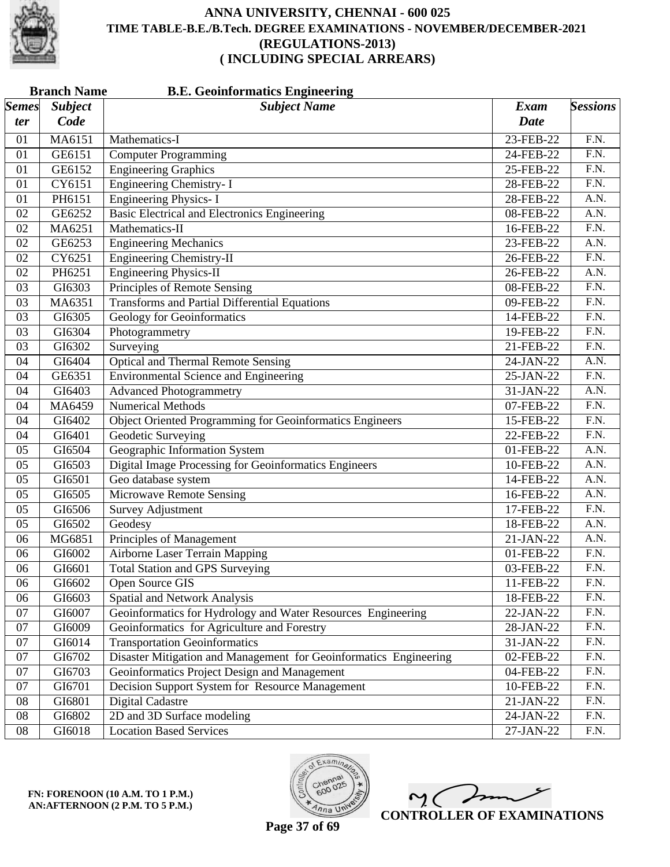

|              | <b>Branch Name</b><br><b>B.E. Geoinformatics Engineering</b> |                                                                   |             |                   |  |
|--------------|--------------------------------------------------------------|-------------------------------------------------------------------|-------------|-------------------|--|
| <b>Semes</b> | <b>Subject</b>                                               | <b>Subject Name</b>                                               | <b>Exam</b> | <b>Sessions</b>   |  |
| ter          | Code                                                         |                                                                   | <b>Date</b> |                   |  |
| 01           | MA6151                                                       | Mathematics-I                                                     | 23-FEB-22   | F.N.              |  |
| 01           | GE6151                                                       | <b>Computer Programming</b>                                       | 24-FEB-22   | F.N.              |  |
| 01           | GE6152                                                       | <b>Engineering Graphics</b>                                       | 25-FEB-22   | $\overline{F.N.}$ |  |
| 01           | CY6151                                                       | Engineering Chemistry- I                                          | 28-FEB-22   | $\overline{F.N.}$ |  |
| 01           | PH6151                                                       | <b>Engineering Physics-I</b>                                      | 28-FEB-22   | A.N.              |  |
| 02           | GE6252                                                       | <b>Basic Electrical and Electronics Engineering</b>               | 08-FEB-22   | A.N.              |  |
| 02           | MA6251                                                       | Mathematics-II                                                    | 16-FEB-22   | $\overline{F.N.}$ |  |
| 02           | GE6253                                                       | <b>Engineering Mechanics</b>                                      | 23-FEB-22   | A.N.              |  |
| 02           | CY6251                                                       | <b>Engineering Chemistry-II</b>                                   | 26-FEB-22   | F.N.              |  |
| 02           | PH6251                                                       | <b>Engineering Physics-II</b>                                     | 26-FEB-22   | A.N.              |  |
| 03           | GI6303                                                       | Principles of Remote Sensing                                      | 08-FEB-22   | $\overline{F.N.}$ |  |
| 03           | MA6351                                                       | <b>Transforms and Partial Differential Equations</b>              | 09-FEB-22   | $\overline{F.N.}$ |  |
| 03           | GI6305                                                       | <b>Geology for Geoinformatics</b>                                 | 14-FEB-22   | F.N.              |  |
| 03           | GI6304                                                       | Photogrammetry                                                    | 19-FEB-22   | F.N.              |  |
| 03           | GI6302                                                       | Surveying                                                         | 21-FEB-22   | $\overline{F.N.}$ |  |
| 04           | GI6404                                                       | <b>Optical and Thermal Remote Sensing</b>                         | $24-JAN-22$ | $\overline{A.N.}$ |  |
| 04           | GE6351                                                       | <b>Environmental Science and Engineering</b>                      | 25-JAN-22   | F.N.              |  |
| 04           | GI6403                                                       | <b>Advanced Photogrammetry</b>                                    | 31-JAN-22   | A.N.              |  |
| 04           | MA6459                                                       | Numerical Methods                                                 | 07-FEB-22   | $\overline{F.N.}$ |  |
| 04           | GI6402                                                       | Object Oriented Programming for Geoinformatics Engineers          | 15-FEB-22   | $\overline{F.N.}$ |  |
| 04           | GI6401                                                       | <b>Geodetic Surveying</b>                                         | 22-FEB-22   | F.N.              |  |
| 05           | GI6504                                                       | Geographic Information System                                     | 01-FEB-22   | A.N.              |  |
| 05           | GI6503                                                       | <b>Digital Image Processing for Geoinformatics Engineers</b>      | 10-FEB-22   | $\overline{A.N.}$ |  |
| 05           | GI6501                                                       | Geo database system                                               | 14-FEB-22   | A.N.              |  |
| 05           | GI6505                                                       | <b>Microwave Remote Sensing</b>                                   | 16-FEB-22   | A.N.              |  |
| 05           | GI6506                                                       | <b>Survey Adjustment</b>                                          | 17-FEB-22   | F.N.              |  |
| 05           | GI6502                                                       | Geodesy                                                           | 18-FEB-22   | A.N.              |  |
| 06           | MG6851                                                       | <b>Principles of Management</b>                                   | 21-JAN-22   | A.N.              |  |
| 06           | GI6002                                                       | <b>Airborne Laser Terrain Mapping</b>                             | 01-FEB-22   | F.N.              |  |
| 06           | GI6601                                                       | <b>Total Station and GPS Surveying</b>                            | 03-FEB-22   | F.N.              |  |
| 06           | GI6602                                                       | <b>Open Source GIS</b>                                            | 11-FEB-22   | F.N.              |  |
| 06           | GI6603                                                       | Spatial and Network Analysis                                      | 18-FEB-22   | F.N.              |  |
| 07           | GI6007                                                       | Geoinformatics for Hydrology and Water Resources Engineering      | 22-JAN-22   | F.N.              |  |
| 07           | GI6009                                                       | Geoinformatics for Agriculture and Forestry                       | 28-JAN-22   | F.N.              |  |
| 07           | GI6014                                                       | <b>Transportation Geoinformatics</b>                              | 31-JAN-22   | F.N.              |  |
| 07           | GI6702                                                       | Disaster Mitigation and Management for Geoinformatics Engineering | 02-FEB-22   | F.N.              |  |
| 07           | GI6703                                                       | Geoinformatics Project Design and Management                      | 04-FEB-22   | F.N.              |  |
| 07           | GI6701                                                       | Decision Support System for Resource Management                   | 10-FEB-22   | F.N.              |  |
| 08           | GI6801                                                       | <b>Digital Cadastre</b>                                           | 21-JAN-22   | F.N.              |  |
| 08           | GI6802                                                       | 2D and 3D Surface modeling                                        | 24-JAN-22   | F.N.              |  |
| 08           | GI6018                                                       | <b>Location Based Services</b>                                    | 27-JAN-22   | F.N.              |  |
|              |                                                              |                                                                   |             |                   |  |





 $\sim$  ( **CONTROLLER OF EXAMINATIONS**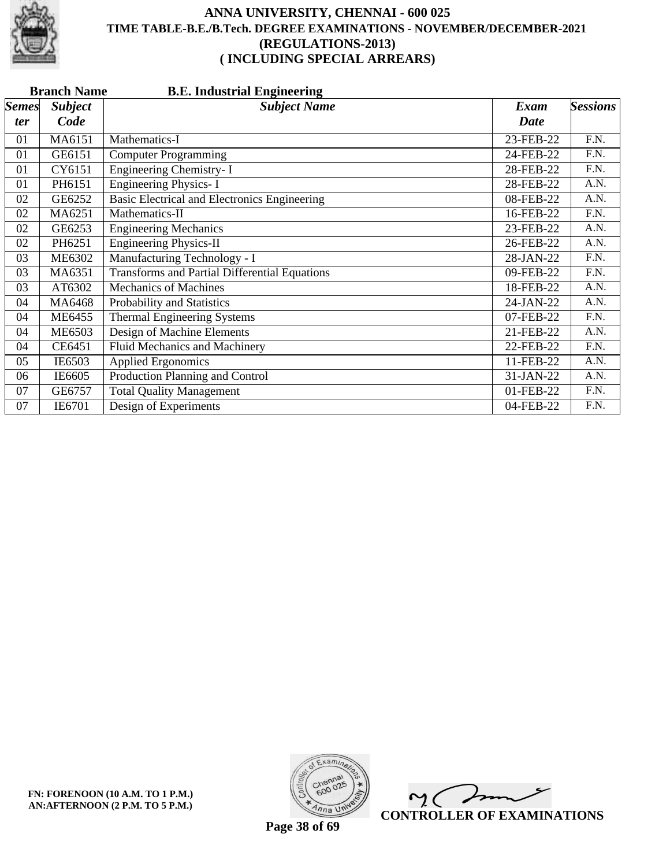

|              | <b>Branch Name</b><br><b>B.E. Industrial Engineering</b> |                                                      |             |                   |  |
|--------------|----------------------------------------------------------|------------------------------------------------------|-------------|-------------------|--|
| <b>Semes</b> | <b>Subject</b>                                           | <b>Subject Name</b>                                  | <b>Exam</b> | <b>Sessions</b>   |  |
| ter          | Code                                                     |                                                      | <b>Date</b> |                   |  |
| 01           | MA6151                                                   | Mathematics-I                                        | 23-FEB-22   | F.N.              |  |
| 01           | GE6151                                                   | <b>Computer Programming</b>                          | 24-FEB-22   | F.N.              |  |
| 01           | CY6151                                                   | Engineering Chemistry- I                             | 28-FEB-22   | F.N.              |  |
| 01           | PH6151                                                   | <b>Engineering Physics-I</b>                         | 28-FEB-22   | A.N.              |  |
| 02           | GE6252                                                   | <b>Basic Electrical and Electronics Engineering</b>  | 08-FEB-22   | A.N.              |  |
| 02           | MA6251                                                   | Mathematics-II                                       | 16-FEB-22   | $\overline{F.N.}$ |  |
| 02           | GE6253                                                   | <b>Engineering Mechanics</b>                         | 23-FEB-22   | A.N.              |  |
| 02           | PH6251                                                   | <b>Engineering Physics-II</b>                        | 26-FEB-22   | A.N.              |  |
| 03           | <b>ME6302</b>                                            | Manufacturing Technology - I                         | 28-JAN-22   | F.N.              |  |
| 03           | MA6351                                                   | <b>Transforms and Partial Differential Equations</b> | 09-FEB-22   | F.N.              |  |
| 03           | AT6302                                                   | <b>Mechanics of Machines</b>                         | 18-FEB-22   | $\overline{A.N.}$ |  |
| 04           | MA6468                                                   | Probability and Statistics                           | 24-JAN-22   | A.N.              |  |
| 04           | <b>ME6455</b>                                            | Thermal Engineering Systems                          | 07-FEB-22   | F.N.              |  |
| 04           | <b>ME6503</b>                                            | Design of Machine Elements                           | 21-FEB-22   | A.N.              |  |
| 04           | CE6451                                                   | Fluid Mechanics and Machinery                        | 22-FEB-22   | F.N.              |  |
| 05           | IE6503                                                   | <b>Applied Ergonomics</b>                            | 11-FEB-22   | A.N.              |  |
| 06           | IE6605                                                   | Production Planning and Control                      | 31-JAN-22   | A.N.              |  |
| 07           | GE6757                                                   | <b>Total Quality Management</b>                      | 01-FEB-22   | F.N.              |  |
| 07           | IE6701                                                   | Design of Experiments                                | 04-FEB-22   | F.N.              |  |



 $\overline{\phantom{a}}$  $\mathsf{M}(\mathbb{C})$ **CONTROLLER OF EXAMINATIONS**

**Page 38 of 69**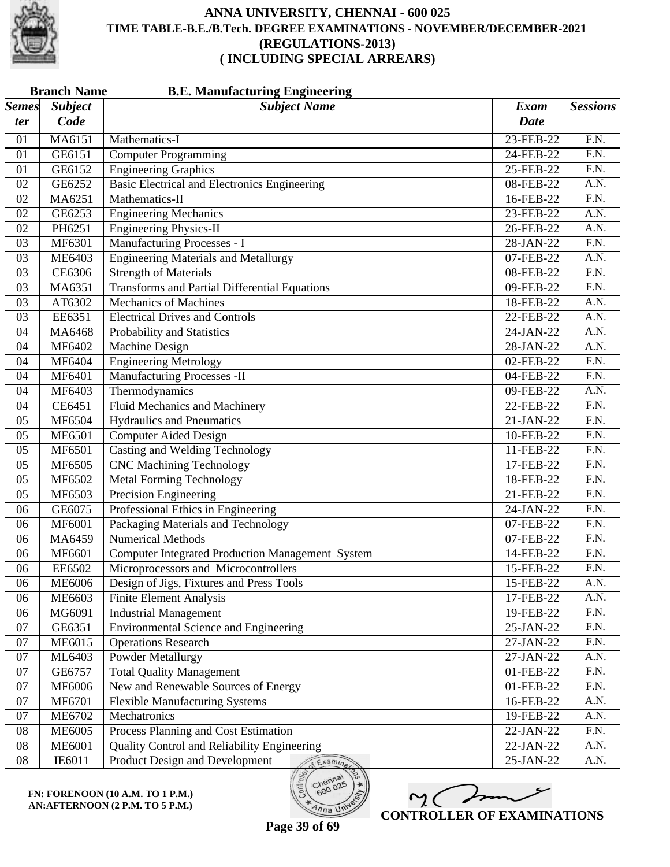

|              | <b>Branch Name</b><br><b>B.E. Manufacturing Engineering</b> |                                                         |             |                   |
|--------------|-------------------------------------------------------------|---------------------------------------------------------|-------------|-------------------|
| <b>Semes</b> | <b>Subject</b>                                              | <b>Subject Name</b>                                     | Exam        | <b>Sessions</b>   |
| ter          | Code                                                        |                                                         | <b>Date</b> |                   |
| 01           | MA6151                                                      | Mathematics-I                                           | 23-FEB-22   | F.N.              |
| 01           | GE6151                                                      | <b>Computer Programming</b>                             | 24-FEB-22   | F.N.              |
| 01           | GE6152                                                      | <b>Engineering Graphics</b>                             | 25-FEB-22   | $\overline{F.N.}$ |
| 02           | GE6252                                                      | <b>Basic Electrical and Electronics Engineering</b>     | 08-FEB-22   | $\overline{A.N.}$ |
| 02           | MA6251                                                      | Mathematics-II                                          | 16-FEB-22   | $\overline{F.N.}$ |
| 02           | GE6253                                                      | <b>Engineering Mechanics</b>                            | 23-FEB-22   | A.N.              |
| 02           | PH6251                                                      | <b>Engineering Physics-II</b>                           | 26-FEB-22   | A.N.              |
| 03           | MF6301                                                      | Manufacturing Processes - I                             | 28-JAN-22   | $\overline{F.N.}$ |
| 03           | ME6403                                                      | <b>Engineering Materials and Metallurgy</b>             | 07-FEB-22   | A.N.              |
| 03           | CE6306                                                      | <b>Strength of Materials</b>                            | 08-FEB-22   | $\overline{F.N.}$ |
| 03           | MA6351                                                      | <b>Transforms and Partial Differential Equations</b>    | 09-FEB-22   | F.N.              |
| 03           | AT6302                                                      | <b>Mechanics of Machines</b>                            | 18-FEB-22   | A.N.              |
| 03           | EE6351                                                      | <b>Electrical Drives and Controls</b>                   | 22-FEB-22   | A.N.              |
| 04           | MA6468                                                      | Probability and Statistics                              | 24-JAN-22   | A.N.              |
| 04           | MF6402                                                      | <b>Machine Design</b>                                   | 28-JAN-22   | A.N.              |
| 04           | MF6404                                                      | <b>Engineering Metrology</b>                            | 02-FEB-22   | $\overline{F.N.}$ |
| 04           | <b>MF6401</b>                                               | Manufacturing Processes -II                             | 04-FEB-22   | F.N.              |
| 04           | MF6403                                                      | Thermodynamics                                          | 09-FEB-22   | A.N.              |
| 04           | CE6451                                                      | Fluid Mechanics and Machinery                           | 22-FEB-22   | $\overline{F.N.}$ |
| 05           | MF6504                                                      | <b>Hydraulics</b> and Pneumatics                        | 21-JAN-22   | $\overline{F.N.}$ |
| 05           | <b>ME6501</b>                                               | <b>Computer Aided Design</b>                            | 10-FEB-22   | $\overline{F.N.}$ |
| 05           | MF6501                                                      | <b>Casting and Welding Technology</b>                   | 11-FEB-22   | F.N.              |
| 05           | MF6505                                                      | <b>CNC Machining Technology</b>                         | 17-FEB-22   | F.N.              |
| 05           | MF6502                                                      | <b>Metal Forming Technology</b>                         | 18-FEB-22   | $\overline{F.N.}$ |
| 05           | MF6503                                                      | <b>Precision Engineering</b>                            | 21-FEB-22   | $\overline{F.N.}$ |
| 06           | GE6075                                                      | Professional Ethics in Engineering                      | 24-JAN-22   | F.N.              |
| 06           | MF6001                                                      | Packaging Materials and Technology                      | 07-FEB-22   | F.N.              |
| 06           | MA6459                                                      | <b>Numerical Methods</b>                                | 07-FEB-22   | $\overline{F.N.}$ |
| 06           | MF6601                                                      | <b>Computer Integrated Production Management System</b> | 14-FEB-22   | F.N.              |
| 06           | EE6502                                                      | Microprocessors and Microcontrollers                    | 15-FEB-22   | F.N.              |
| 06           | <b>ME6006</b>                                               | Design of Jigs, Fixtures and Press Tools                | 15-FEB-22   | A.N.              |
| 06           | ME6603                                                      | <b>Finite Element Analysis</b>                          | 17-FEB-22   | A.N.              |
| 06           | MG6091                                                      | <b>Industrial Management</b>                            | 19-FEB-22   | F.N.              |
| 07           | GE6351                                                      | <b>Environmental Science and Engineering</b>            | 25-JAN-22   | F.N.              |
| 07           | ME6015                                                      | <b>Operations Research</b>                              | 27-JAN-22   | F.N.              |
| 07           | ML6403                                                      | <b>Powder Metallurgy</b>                                | 27-JAN-22   | A.N.              |
| 07           | GE6757                                                      | <b>Total Quality Management</b>                         | 01-FEB-22   | F.N.              |
| 07           | MF6006                                                      | New and Renewable Sources of Energy                     | 01-FEB-22   | F.N.              |
| 07           | MF6701                                                      | <b>Flexible Manufacturing Systems</b>                   | 16-FEB-22   | A.N.              |
| 07           | <b>ME6702</b>                                               | Mechatronics                                            | 19-FEB-22   | A.N.              |
| 08           | <b>ME6005</b>                                               | Process Planning and Cost Estimation                    | 22-JAN-22   | F.N.              |
| 08           | <b>ME6001</b>                                               | Quality Control and Reliability Engineering             | 22-JAN-22   | A.N.              |
| 08           | IE6011                                                      | Product Design and Development<br>Examina               | 25-JAN-22   | A.N.              |

**FN: FORENOON (10 A.M. TO 1 P.M.) AN:AFTERNOON (2 P.M. TO 5 P.M.)**



**Page 39 of 69**

 $o_{O_{\mathcal{O}}}$ 

 $\overline{\eta_{n}}$  UN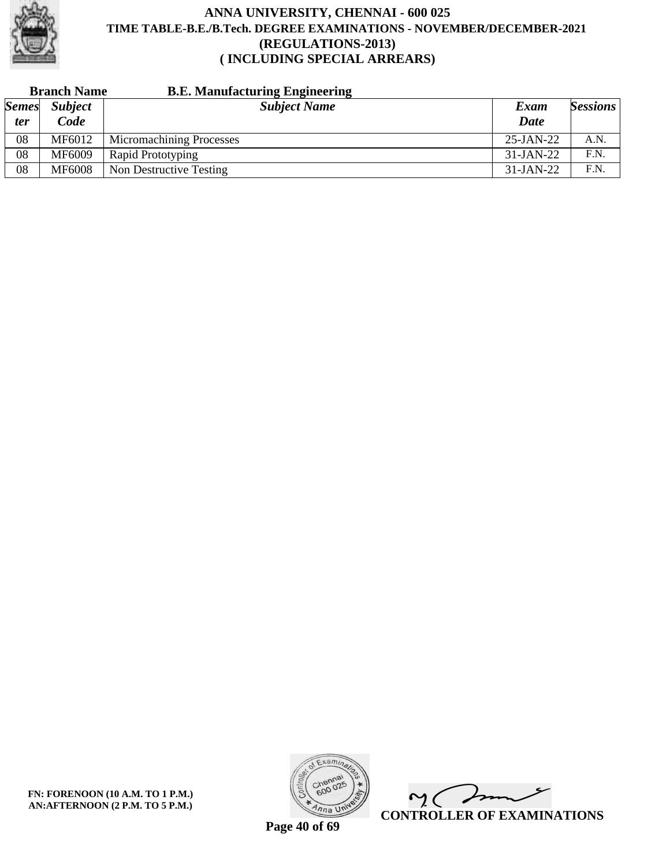

|              | <b>Branch Name</b> | <b>B.E. Manufacturing Engineering</b> |              |                 |
|--------------|--------------------|---------------------------------------|--------------|-----------------|
| <b>Semes</b> | <b>Subject</b>     | <b>Subject Name</b>                   | Exam         | <b>Sessions</b> |
| ter          | Code               |                                       | <b>Date</b>  |                 |
| 08           | MF6012             | <b>Micromachining Processes</b>       | $25$ -JAN-22 | A.N.            |
| 08           | MF6009             | Rapid Prototyping                     | $31-JAN-22$  | F.N.            |
| 08           | <b>MF6008</b>      | Non Destructive Testing               | $31-JAN-22$  | F.N.            |



 $\overline{\phantom{a}}$  $\mathsf{M}(\mathbb{C})$ **CONTROLLER OF EXAMINATIONS**

**Page 40 of 69**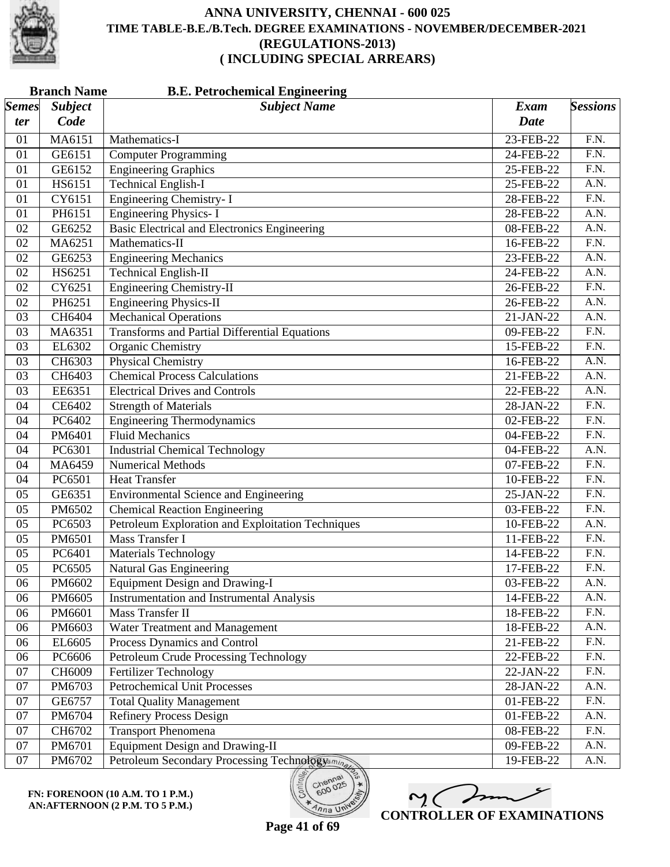

| <b>Subject</b><br><b>Subject Name</b><br><b>Sessions</b><br><b>Exam</b><br>Code<br><b>Date</b><br>ter<br>MA6151<br>23-FEB-22<br>F.N.<br>Mathematics-I<br>01<br><b>Computer Programming</b><br>F.N.<br>GE6151<br>24-FEB-22<br>01<br><b>Engineering Graphics</b><br>$\overline{F.N.}$<br>GE6152<br>01<br>25-FEB-22<br><b>Technical English-I</b><br>HS6151<br>A.N.<br>25-FEB-22<br>01<br><b>Engineering Chemistry-I</b><br>F.N.<br>CY6151<br>28-FEB-22<br>01<br><b>Engineering Physics-I</b><br>A.N.<br>PH6151<br>28-FEB-22<br>01<br><b>Basic Electrical and Electronics Engineering</b><br>A.N.<br>GE6252<br>02<br>08-FEB-22<br>$\overline{F.N.}$<br>MA6251<br>Mathematics-II<br>02<br>16-FEB-22<br><b>Engineering Mechanics</b><br>A.N.<br>02<br>GE6253<br>23-FEB-22<br><b>Technical English-II</b><br>HS6251<br>A.N.<br>02<br>24-FEB-22<br><b>Engineering Chemistry-II</b><br>$\overline{F.N.}$<br>CY6251<br>02<br>26-FEB-22<br><b>Engineering Physics-II</b><br>02<br>PH6251<br>A.N.<br>26-FEB-22<br><b>Mechanical Operations</b><br>A.N.<br>03<br>CH6404<br>21-JAN-22<br><b>Transforms and Partial Differential Equations</b><br>$\overline{F.N.}$<br>03<br>MA6351<br>09-FEB-22<br><b>Organic Chemistry</b><br>$\overline{F.N.}$<br>EL6302<br>03<br>15-FEB-22<br><b>Physical Chemistry</b><br>CH6303<br>A.N.<br>03<br>16-FEB-22<br><b>Chemical Process Calculations</b><br>A.N.<br>03<br>CH6403<br>21-FEB-22<br>EE6351<br><b>Electrical Drives and Controls</b><br>A.N.<br>03<br>22-FEB-22<br>$\overline{F.N.}$<br>CE6402<br><b>Strength of Materials</b><br>04<br>28-JAN-22<br>$\overline{F.N.}$<br>PC6402<br><b>Engineering Thermodynamics</b><br>04<br>02-FEB-22<br><b>Fluid Mechanics</b><br>04<br>PM6401<br>F.N.<br>04-FEB-22<br><b>Industrial Chemical Technology</b><br>A.N.<br>PC6301<br>04-FEB-22<br>04<br><b>Numerical Methods</b><br>$\overline{F.N.}$<br>04<br>MA6459<br>07-FEB-22<br>$\overline{F.N.}$<br>04<br>PC6501<br><b>Heat Transfer</b><br>10-FEB-22<br><b>Environmental Science and Engineering</b><br>F.N.<br>05<br>GE6351<br>25-JAN-22<br><b>Chemical Reaction Engineering</b><br>F.N.<br>PM6502<br>03-FEB-22<br>05<br>Petroleum Exploration and Exploitation Techniques<br>A.N.<br>PC6503<br>05<br>10-FEB-22<br>Mass Transfer I<br>$\overline{F.N.}$<br>05<br>PM6501<br>11-FEB-22<br><b>Materials Technology</b><br>F.N.<br>05<br>PC6401<br>14-FEB-22<br><b>Natural Gas Engineering</b><br>F.N.<br>05<br>PC6505<br>17-FEB-22<br>PM6602<br><b>Equipment Design and Drawing-I</b><br>03-FEB-22<br>A.N.<br>06<br><b>Instrumentation and Instrumental Analysis</b><br>PM6605<br>A.N.<br>06<br>14-FEB-22<br>Mass Transfer II<br>F.N.<br>PM6601<br>18-FEB-22<br>06<br>A.N.<br>PM6603<br>Water Treatment and Management<br>18-FEB-22<br>06<br>F.N.<br>Process Dynamics and Control<br>EL6605<br>21-FEB-22<br>06<br><b>Petroleum Crude Processing Technology</b><br>F.N.<br>PC6606<br>06<br>22-FEB-22<br>CH6009<br>Fertilizer Technology<br>F.N.<br>07<br>22-JAN-22<br><b>Petrochemical Unit Processes</b><br>07<br>PM6703<br>A.N.<br>28-JAN-22<br>F.N.<br><b>Total Quality Management</b><br>07<br>GE6757<br>01-FEB-22<br><b>Refinery Process Design</b><br>A.N.<br>07<br>PM6704<br>$01$ -FEB-22<br><b>Transport Phenomena</b><br>F.N.<br>CH6702<br>08-FEB-22<br>07<br><b>Equipment Design and Drawing-II</b><br>07<br>PM6701<br>09-FEB-22<br>A.N.<br>07<br>Petroleum Secondary Processing Technologyamina<br>A.N.<br>PM6702<br>19-FEB-22 |              | <b>Branch Name</b><br><b>B.E. Petrochemical Engineering</b> |  |  |  |
|---------------------------------------------------------------------------------------------------------------------------------------------------------------------------------------------------------------------------------------------------------------------------------------------------------------------------------------------------------------------------------------------------------------------------------------------------------------------------------------------------------------------------------------------------------------------------------------------------------------------------------------------------------------------------------------------------------------------------------------------------------------------------------------------------------------------------------------------------------------------------------------------------------------------------------------------------------------------------------------------------------------------------------------------------------------------------------------------------------------------------------------------------------------------------------------------------------------------------------------------------------------------------------------------------------------------------------------------------------------------------------------------------------------------------------------------------------------------------------------------------------------------------------------------------------------------------------------------------------------------------------------------------------------------------------------------------------------------------------------------------------------------------------------------------------------------------------------------------------------------------------------------------------------------------------------------------------------------------------------------------------------------------------------------------------------------------------------------------------------------------------------------------------------------------------------------------------------------------------------------------------------------------------------------------------------------------------------------------------------------------------------------------------------------------------------------------------------------------------------------------------------------------------------------------------------------------------------------------------------------------------------------------------------------------------------------------------------------------------------------------------------------------------------------------------------------------------------------------------------------------------------------------------------------------------------------------------------------------------------------------------------------------------------------------------------------------------------------------------------------------------------------------------------------------------------------------------------------------------------------------------------------------------------------------------------------------------------------------------------------------------------------------------------------------------------------------------------|--------------|-------------------------------------------------------------|--|--|--|
|                                                                                                                                                                                                                                                                                                                                                                                                                                                                                                                                                                                                                                                                                                                                                                                                                                                                                                                                                                                                                                                                                                                                                                                                                                                                                                                                                                                                                                                                                                                                                                                                                                                                                                                                                                                                                                                                                                                                                                                                                                                                                                                                                                                                                                                                                                                                                                                                                                                                                                                                                                                                                                                                                                                                                                                                                                                                                                                                                                                                                                                                                                                                                                                                                                                                                                                                                                                                                                                               | <b>Semes</b> |                                                             |  |  |  |
|                                                                                                                                                                                                                                                                                                                                                                                                                                                                                                                                                                                                                                                                                                                                                                                                                                                                                                                                                                                                                                                                                                                                                                                                                                                                                                                                                                                                                                                                                                                                                                                                                                                                                                                                                                                                                                                                                                                                                                                                                                                                                                                                                                                                                                                                                                                                                                                                                                                                                                                                                                                                                                                                                                                                                                                                                                                                                                                                                                                                                                                                                                                                                                                                                                                                                                                                                                                                                                                               |              |                                                             |  |  |  |
|                                                                                                                                                                                                                                                                                                                                                                                                                                                                                                                                                                                                                                                                                                                                                                                                                                                                                                                                                                                                                                                                                                                                                                                                                                                                                                                                                                                                                                                                                                                                                                                                                                                                                                                                                                                                                                                                                                                                                                                                                                                                                                                                                                                                                                                                                                                                                                                                                                                                                                                                                                                                                                                                                                                                                                                                                                                                                                                                                                                                                                                                                                                                                                                                                                                                                                                                                                                                                                                               |              |                                                             |  |  |  |
|                                                                                                                                                                                                                                                                                                                                                                                                                                                                                                                                                                                                                                                                                                                                                                                                                                                                                                                                                                                                                                                                                                                                                                                                                                                                                                                                                                                                                                                                                                                                                                                                                                                                                                                                                                                                                                                                                                                                                                                                                                                                                                                                                                                                                                                                                                                                                                                                                                                                                                                                                                                                                                                                                                                                                                                                                                                                                                                                                                                                                                                                                                                                                                                                                                                                                                                                                                                                                                                               |              |                                                             |  |  |  |
|                                                                                                                                                                                                                                                                                                                                                                                                                                                                                                                                                                                                                                                                                                                                                                                                                                                                                                                                                                                                                                                                                                                                                                                                                                                                                                                                                                                                                                                                                                                                                                                                                                                                                                                                                                                                                                                                                                                                                                                                                                                                                                                                                                                                                                                                                                                                                                                                                                                                                                                                                                                                                                                                                                                                                                                                                                                                                                                                                                                                                                                                                                                                                                                                                                                                                                                                                                                                                                                               |              |                                                             |  |  |  |
|                                                                                                                                                                                                                                                                                                                                                                                                                                                                                                                                                                                                                                                                                                                                                                                                                                                                                                                                                                                                                                                                                                                                                                                                                                                                                                                                                                                                                                                                                                                                                                                                                                                                                                                                                                                                                                                                                                                                                                                                                                                                                                                                                                                                                                                                                                                                                                                                                                                                                                                                                                                                                                                                                                                                                                                                                                                                                                                                                                                                                                                                                                                                                                                                                                                                                                                                                                                                                                                               |              |                                                             |  |  |  |
|                                                                                                                                                                                                                                                                                                                                                                                                                                                                                                                                                                                                                                                                                                                                                                                                                                                                                                                                                                                                                                                                                                                                                                                                                                                                                                                                                                                                                                                                                                                                                                                                                                                                                                                                                                                                                                                                                                                                                                                                                                                                                                                                                                                                                                                                                                                                                                                                                                                                                                                                                                                                                                                                                                                                                                                                                                                                                                                                                                                                                                                                                                                                                                                                                                                                                                                                                                                                                                                               |              |                                                             |  |  |  |
|                                                                                                                                                                                                                                                                                                                                                                                                                                                                                                                                                                                                                                                                                                                                                                                                                                                                                                                                                                                                                                                                                                                                                                                                                                                                                                                                                                                                                                                                                                                                                                                                                                                                                                                                                                                                                                                                                                                                                                                                                                                                                                                                                                                                                                                                                                                                                                                                                                                                                                                                                                                                                                                                                                                                                                                                                                                                                                                                                                                                                                                                                                                                                                                                                                                                                                                                                                                                                                                               |              |                                                             |  |  |  |
|                                                                                                                                                                                                                                                                                                                                                                                                                                                                                                                                                                                                                                                                                                                                                                                                                                                                                                                                                                                                                                                                                                                                                                                                                                                                                                                                                                                                                                                                                                                                                                                                                                                                                                                                                                                                                                                                                                                                                                                                                                                                                                                                                                                                                                                                                                                                                                                                                                                                                                                                                                                                                                                                                                                                                                                                                                                                                                                                                                                                                                                                                                                                                                                                                                                                                                                                                                                                                                                               |              |                                                             |  |  |  |
|                                                                                                                                                                                                                                                                                                                                                                                                                                                                                                                                                                                                                                                                                                                                                                                                                                                                                                                                                                                                                                                                                                                                                                                                                                                                                                                                                                                                                                                                                                                                                                                                                                                                                                                                                                                                                                                                                                                                                                                                                                                                                                                                                                                                                                                                                                                                                                                                                                                                                                                                                                                                                                                                                                                                                                                                                                                                                                                                                                                                                                                                                                                                                                                                                                                                                                                                                                                                                                                               |              |                                                             |  |  |  |
|                                                                                                                                                                                                                                                                                                                                                                                                                                                                                                                                                                                                                                                                                                                                                                                                                                                                                                                                                                                                                                                                                                                                                                                                                                                                                                                                                                                                                                                                                                                                                                                                                                                                                                                                                                                                                                                                                                                                                                                                                                                                                                                                                                                                                                                                                                                                                                                                                                                                                                                                                                                                                                                                                                                                                                                                                                                                                                                                                                                                                                                                                                                                                                                                                                                                                                                                                                                                                                                               |              |                                                             |  |  |  |
|                                                                                                                                                                                                                                                                                                                                                                                                                                                                                                                                                                                                                                                                                                                                                                                                                                                                                                                                                                                                                                                                                                                                                                                                                                                                                                                                                                                                                                                                                                                                                                                                                                                                                                                                                                                                                                                                                                                                                                                                                                                                                                                                                                                                                                                                                                                                                                                                                                                                                                                                                                                                                                                                                                                                                                                                                                                                                                                                                                                                                                                                                                                                                                                                                                                                                                                                                                                                                                                               |              |                                                             |  |  |  |
|                                                                                                                                                                                                                                                                                                                                                                                                                                                                                                                                                                                                                                                                                                                                                                                                                                                                                                                                                                                                                                                                                                                                                                                                                                                                                                                                                                                                                                                                                                                                                                                                                                                                                                                                                                                                                                                                                                                                                                                                                                                                                                                                                                                                                                                                                                                                                                                                                                                                                                                                                                                                                                                                                                                                                                                                                                                                                                                                                                                                                                                                                                                                                                                                                                                                                                                                                                                                                                                               |              |                                                             |  |  |  |
|                                                                                                                                                                                                                                                                                                                                                                                                                                                                                                                                                                                                                                                                                                                                                                                                                                                                                                                                                                                                                                                                                                                                                                                                                                                                                                                                                                                                                                                                                                                                                                                                                                                                                                                                                                                                                                                                                                                                                                                                                                                                                                                                                                                                                                                                                                                                                                                                                                                                                                                                                                                                                                                                                                                                                                                                                                                                                                                                                                                                                                                                                                                                                                                                                                                                                                                                                                                                                                                               |              |                                                             |  |  |  |
|                                                                                                                                                                                                                                                                                                                                                                                                                                                                                                                                                                                                                                                                                                                                                                                                                                                                                                                                                                                                                                                                                                                                                                                                                                                                                                                                                                                                                                                                                                                                                                                                                                                                                                                                                                                                                                                                                                                                                                                                                                                                                                                                                                                                                                                                                                                                                                                                                                                                                                                                                                                                                                                                                                                                                                                                                                                                                                                                                                                                                                                                                                                                                                                                                                                                                                                                                                                                                                                               |              |                                                             |  |  |  |
|                                                                                                                                                                                                                                                                                                                                                                                                                                                                                                                                                                                                                                                                                                                                                                                                                                                                                                                                                                                                                                                                                                                                                                                                                                                                                                                                                                                                                                                                                                                                                                                                                                                                                                                                                                                                                                                                                                                                                                                                                                                                                                                                                                                                                                                                                                                                                                                                                                                                                                                                                                                                                                                                                                                                                                                                                                                                                                                                                                                                                                                                                                                                                                                                                                                                                                                                                                                                                                                               |              |                                                             |  |  |  |
|                                                                                                                                                                                                                                                                                                                                                                                                                                                                                                                                                                                                                                                                                                                                                                                                                                                                                                                                                                                                                                                                                                                                                                                                                                                                                                                                                                                                                                                                                                                                                                                                                                                                                                                                                                                                                                                                                                                                                                                                                                                                                                                                                                                                                                                                                                                                                                                                                                                                                                                                                                                                                                                                                                                                                                                                                                                                                                                                                                                                                                                                                                                                                                                                                                                                                                                                                                                                                                                               |              |                                                             |  |  |  |
|                                                                                                                                                                                                                                                                                                                                                                                                                                                                                                                                                                                                                                                                                                                                                                                                                                                                                                                                                                                                                                                                                                                                                                                                                                                                                                                                                                                                                                                                                                                                                                                                                                                                                                                                                                                                                                                                                                                                                                                                                                                                                                                                                                                                                                                                                                                                                                                                                                                                                                                                                                                                                                                                                                                                                                                                                                                                                                                                                                                                                                                                                                                                                                                                                                                                                                                                                                                                                                                               |              |                                                             |  |  |  |
|                                                                                                                                                                                                                                                                                                                                                                                                                                                                                                                                                                                                                                                                                                                                                                                                                                                                                                                                                                                                                                                                                                                                                                                                                                                                                                                                                                                                                                                                                                                                                                                                                                                                                                                                                                                                                                                                                                                                                                                                                                                                                                                                                                                                                                                                                                                                                                                                                                                                                                                                                                                                                                                                                                                                                                                                                                                                                                                                                                                                                                                                                                                                                                                                                                                                                                                                                                                                                                                               |              |                                                             |  |  |  |
|                                                                                                                                                                                                                                                                                                                                                                                                                                                                                                                                                                                                                                                                                                                                                                                                                                                                                                                                                                                                                                                                                                                                                                                                                                                                                                                                                                                                                                                                                                                                                                                                                                                                                                                                                                                                                                                                                                                                                                                                                                                                                                                                                                                                                                                                                                                                                                                                                                                                                                                                                                                                                                                                                                                                                                                                                                                                                                                                                                                                                                                                                                                                                                                                                                                                                                                                                                                                                                                               |              |                                                             |  |  |  |
|                                                                                                                                                                                                                                                                                                                                                                                                                                                                                                                                                                                                                                                                                                                                                                                                                                                                                                                                                                                                                                                                                                                                                                                                                                                                                                                                                                                                                                                                                                                                                                                                                                                                                                                                                                                                                                                                                                                                                                                                                                                                                                                                                                                                                                                                                                                                                                                                                                                                                                                                                                                                                                                                                                                                                                                                                                                                                                                                                                                                                                                                                                                                                                                                                                                                                                                                                                                                                                                               |              |                                                             |  |  |  |
|                                                                                                                                                                                                                                                                                                                                                                                                                                                                                                                                                                                                                                                                                                                                                                                                                                                                                                                                                                                                                                                                                                                                                                                                                                                                                                                                                                                                                                                                                                                                                                                                                                                                                                                                                                                                                                                                                                                                                                                                                                                                                                                                                                                                                                                                                                                                                                                                                                                                                                                                                                                                                                                                                                                                                                                                                                                                                                                                                                                                                                                                                                                                                                                                                                                                                                                                                                                                                                                               |              |                                                             |  |  |  |
|                                                                                                                                                                                                                                                                                                                                                                                                                                                                                                                                                                                                                                                                                                                                                                                                                                                                                                                                                                                                                                                                                                                                                                                                                                                                                                                                                                                                                                                                                                                                                                                                                                                                                                                                                                                                                                                                                                                                                                                                                                                                                                                                                                                                                                                                                                                                                                                                                                                                                                                                                                                                                                                                                                                                                                                                                                                                                                                                                                                                                                                                                                                                                                                                                                                                                                                                                                                                                                                               |              |                                                             |  |  |  |
|                                                                                                                                                                                                                                                                                                                                                                                                                                                                                                                                                                                                                                                                                                                                                                                                                                                                                                                                                                                                                                                                                                                                                                                                                                                                                                                                                                                                                                                                                                                                                                                                                                                                                                                                                                                                                                                                                                                                                                                                                                                                                                                                                                                                                                                                                                                                                                                                                                                                                                                                                                                                                                                                                                                                                                                                                                                                                                                                                                                                                                                                                                                                                                                                                                                                                                                                                                                                                                                               |              |                                                             |  |  |  |
|                                                                                                                                                                                                                                                                                                                                                                                                                                                                                                                                                                                                                                                                                                                                                                                                                                                                                                                                                                                                                                                                                                                                                                                                                                                                                                                                                                                                                                                                                                                                                                                                                                                                                                                                                                                                                                                                                                                                                                                                                                                                                                                                                                                                                                                                                                                                                                                                                                                                                                                                                                                                                                                                                                                                                                                                                                                                                                                                                                                                                                                                                                                                                                                                                                                                                                                                                                                                                                                               |              |                                                             |  |  |  |
|                                                                                                                                                                                                                                                                                                                                                                                                                                                                                                                                                                                                                                                                                                                                                                                                                                                                                                                                                                                                                                                                                                                                                                                                                                                                                                                                                                                                                                                                                                                                                                                                                                                                                                                                                                                                                                                                                                                                                                                                                                                                                                                                                                                                                                                                                                                                                                                                                                                                                                                                                                                                                                                                                                                                                                                                                                                                                                                                                                                                                                                                                                                                                                                                                                                                                                                                                                                                                                                               |              |                                                             |  |  |  |
|                                                                                                                                                                                                                                                                                                                                                                                                                                                                                                                                                                                                                                                                                                                                                                                                                                                                                                                                                                                                                                                                                                                                                                                                                                                                                                                                                                                                                                                                                                                                                                                                                                                                                                                                                                                                                                                                                                                                                                                                                                                                                                                                                                                                                                                                                                                                                                                                                                                                                                                                                                                                                                                                                                                                                                                                                                                                                                                                                                                                                                                                                                                                                                                                                                                                                                                                                                                                                                                               |              |                                                             |  |  |  |
|                                                                                                                                                                                                                                                                                                                                                                                                                                                                                                                                                                                                                                                                                                                                                                                                                                                                                                                                                                                                                                                                                                                                                                                                                                                                                                                                                                                                                                                                                                                                                                                                                                                                                                                                                                                                                                                                                                                                                                                                                                                                                                                                                                                                                                                                                                                                                                                                                                                                                                                                                                                                                                                                                                                                                                                                                                                                                                                                                                                                                                                                                                                                                                                                                                                                                                                                                                                                                                                               |              |                                                             |  |  |  |
|                                                                                                                                                                                                                                                                                                                                                                                                                                                                                                                                                                                                                                                                                                                                                                                                                                                                                                                                                                                                                                                                                                                                                                                                                                                                                                                                                                                                                                                                                                                                                                                                                                                                                                                                                                                                                                                                                                                                                                                                                                                                                                                                                                                                                                                                                                                                                                                                                                                                                                                                                                                                                                                                                                                                                                                                                                                                                                                                                                                                                                                                                                                                                                                                                                                                                                                                                                                                                                                               |              |                                                             |  |  |  |
|                                                                                                                                                                                                                                                                                                                                                                                                                                                                                                                                                                                                                                                                                                                                                                                                                                                                                                                                                                                                                                                                                                                                                                                                                                                                                                                                                                                                                                                                                                                                                                                                                                                                                                                                                                                                                                                                                                                                                                                                                                                                                                                                                                                                                                                                                                                                                                                                                                                                                                                                                                                                                                                                                                                                                                                                                                                                                                                                                                                                                                                                                                                                                                                                                                                                                                                                                                                                                                                               |              |                                                             |  |  |  |
|                                                                                                                                                                                                                                                                                                                                                                                                                                                                                                                                                                                                                                                                                                                                                                                                                                                                                                                                                                                                                                                                                                                                                                                                                                                                                                                                                                                                                                                                                                                                                                                                                                                                                                                                                                                                                                                                                                                                                                                                                                                                                                                                                                                                                                                                                                                                                                                                                                                                                                                                                                                                                                                                                                                                                                                                                                                                                                                                                                                                                                                                                                                                                                                                                                                                                                                                                                                                                                                               |              |                                                             |  |  |  |
|                                                                                                                                                                                                                                                                                                                                                                                                                                                                                                                                                                                                                                                                                                                                                                                                                                                                                                                                                                                                                                                                                                                                                                                                                                                                                                                                                                                                                                                                                                                                                                                                                                                                                                                                                                                                                                                                                                                                                                                                                                                                                                                                                                                                                                                                                                                                                                                                                                                                                                                                                                                                                                                                                                                                                                                                                                                                                                                                                                                                                                                                                                                                                                                                                                                                                                                                                                                                                                                               |              |                                                             |  |  |  |
|                                                                                                                                                                                                                                                                                                                                                                                                                                                                                                                                                                                                                                                                                                                                                                                                                                                                                                                                                                                                                                                                                                                                                                                                                                                                                                                                                                                                                                                                                                                                                                                                                                                                                                                                                                                                                                                                                                                                                                                                                                                                                                                                                                                                                                                                                                                                                                                                                                                                                                                                                                                                                                                                                                                                                                                                                                                                                                                                                                                                                                                                                                                                                                                                                                                                                                                                                                                                                                                               |              |                                                             |  |  |  |
|                                                                                                                                                                                                                                                                                                                                                                                                                                                                                                                                                                                                                                                                                                                                                                                                                                                                                                                                                                                                                                                                                                                                                                                                                                                                                                                                                                                                                                                                                                                                                                                                                                                                                                                                                                                                                                                                                                                                                                                                                                                                                                                                                                                                                                                                                                                                                                                                                                                                                                                                                                                                                                                                                                                                                                                                                                                                                                                                                                                                                                                                                                                                                                                                                                                                                                                                                                                                                                                               |              |                                                             |  |  |  |
|                                                                                                                                                                                                                                                                                                                                                                                                                                                                                                                                                                                                                                                                                                                                                                                                                                                                                                                                                                                                                                                                                                                                                                                                                                                                                                                                                                                                                                                                                                                                                                                                                                                                                                                                                                                                                                                                                                                                                                                                                                                                                                                                                                                                                                                                                                                                                                                                                                                                                                                                                                                                                                                                                                                                                                                                                                                                                                                                                                                                                                                                                                                                                                                                                                                                                                                                                                                                                                                               |              |                                                             |  |  |  |
|                                                                                                                                                                                                                                                                                                                                                                                                                                                                                                                                                                                                                                                                                                                                                                                                                                                                                                                                                                                                                                                                                                                                                                                                                                                                                                                                                                                                                                                                                                                                                                                                                                                                                                                                                                                                                                                                                                                                                                                                                                                                                                                                                                                                                                                                                                                                                                                                                                                                                                                                                                                                                                                                                                                                                                                                                                                                                                                                                                                                                                                                                                                                                                                                                                                                                                                                                                                                                                                               |              |                                                             |  |  |  |
|                                                                                                                                                                                                                                                                                                                                                                                                                                                                                                                                                                                                                                                                                                                                                                                                                                                                                                                                                                                                                                                                                                                                                                                                                                                                                                                                                                                                                                                                                                                                                                                                                                                                                                                                                                                                                                                                                                                                                                                                                                                                                                                                                                                                                                                                                                                                                                                                                                                                                                                                                                                                                                                                                                                                                                                                                                                                                                                                                                                                                                                                                                                                                                                                                                                                                                                                                                                                                                                               |              |                                                             |  |  |  |
|                                                                                                                                                                                                                                                                                                                                                                                                                                                                                                                                                                                                                                                                                                                                                                                                                                                                                                                                                                                                                                                                                                                                                                                                                                                                                                                                                                                                                                                                                                                                                                                                                                                                                                                                                                                                                                                                                                                                                                                                                                                                                                                                                                                                                                                                                                                                                                                                                                                                                                                                                                                                                                                                                                                                                                                                                                                                                                                                                                                                                                                                                                                                                                                                                                                                                                                                                                                                                                                               |              |                                                             |  |  |  |
|                                                                                                                                                                                                                                                                                                                                                                                                                                                                                                                                                                                                                                                                                                                                                                                                                                                                                                                                                                                                                                                                                                                                                                                                                                                                                                                                                                                                                                                                                                                                                                                                                                                                                                                                                                                                                                                                                                                                                                                                                                                                                                                                                                                                                                                                                                                                                                                                                                                                                                                                                                                                                                                                                                                                                                                                                                                                                                                                                                                                                                                                                                                                                                                                                                                                                                                                                                                                                                                               |              |                                                             |  |  |  |
|                                                                                                                                                                                                                                                                                                                                                                                                                                                                                                                                                                                                                                                                                                                                                                                                                                                                                                                                                                                                                                                                                                                                                                                                                                                                                                                                                                                                                                                                                                                                                                                                                                                                                                                                                                                                                                                                                                                                                                                                                                                                                                                                                                                                                                                                                                                                                                                                                                                                                                                                                                                                                                                                                                                                                                                                                                                                                                                                                                                                                                                                                                                                                                                                                                                                                                                                                                                                                                                               |              |                                                             |  |  |  |
|                                                                                                                                                                                                                                                                                                                                                                                                                                                                                                                                                                                                                                                                                                                                                                                                                                                                                                                                                                                                                                                                                                                                                                                                                                                                                                                                                                                                                                                                                                                                                                                                                                                                                                                                                                                                                                                                                                                                                                                                                                                                                                                                                                                                                                                                                                                                                                                                                                                                                                                                                                                                                                                                                                                                                                                                                                                                                                                                                                                                                                                                                                                                                                                                                                                                                                                                                                                                                                                               |              |                                                             |  |  |  |
|                                                                                                                                                                                                                                                                                                                                                                                                                                                                                                                                                                                                                                                                                                                                                                                                                                                                                                                                                                                                                                                                                                                                                                                                                                                                                                                                                                                                                                                                                                                                                                                                                                                                                                                                                                                                                                                                                                                                                                                                                                                                                                                                                                                                                                                                                                                                                                                                                                                                                                                                                                                                                                                                                                                                                                                                                                                                                                                                                                                                                                                                                                                                                                                                                                                                                                                                                                                                                                                               |              |                                                             |  |  |  |
|                                                                                                                                                                                                                                                                                                                                                                                                                                                                                                                                                                                                                                                                                                                                                                                                                                                                                                                                                                                                                                                                                                                                                                                                                                                                                                                                                                                                                                                                                                                                                                                                                                                                                                                                                                                                                                                                                                                                                                                                                                                                                                                                                                                                                                                                                                                                                                                                                                                                                                                                                                                                                                                                                                                                                                                                                                                                                                                                                                                                                                                                                                                                                                                                                                                                                                                                                                                                                                                               |              |                                                             |  |  |  |
|                                                                                                                                                                                                                                                                                                                                                                                                                                                                                                                                                                                                                                                                                                                                                                                                                                                                                                                                                                                                                                                                                                                                                                                                                                                                                                                                                                                                                                                                                                                                                                                                                                                                                                                                                                                                                                                                                                                                                                                                                                                                                                                                                                                                                                                                                                                                                                                                                                                                                                                                                                                                                                                                                                                                                                                                                                                                                                                                                                                                                                                                                                                                                                                                                                                                                                                                                                                                                                                               |              |                                                             |  |  |  |
|                                                                                                                                                                                                                                                                                                                                                                                                                                                                                                                                                                                                                                                                                                                                                                                                                                                                                                                                                                                                                                                                                                                                                                                                                                                                                                                                                                                                                                                                                                                                                                                                                                                                                                                                                                                                                                                                                                                                                                                                                                                                                                                                                                                                                                                                                                                                                                                                                                                                                                                                                                                                                                                                                                                                                                                                                                                                                                                                                                                                                                                                                                                                                                                                                                                                                                                                                                                                                                                               |              |                                                             |  |  |  |

 $m< 1$ **CONTROLLER OF EXAMINATIONS**

600

 $\overline{\eta_{n}}$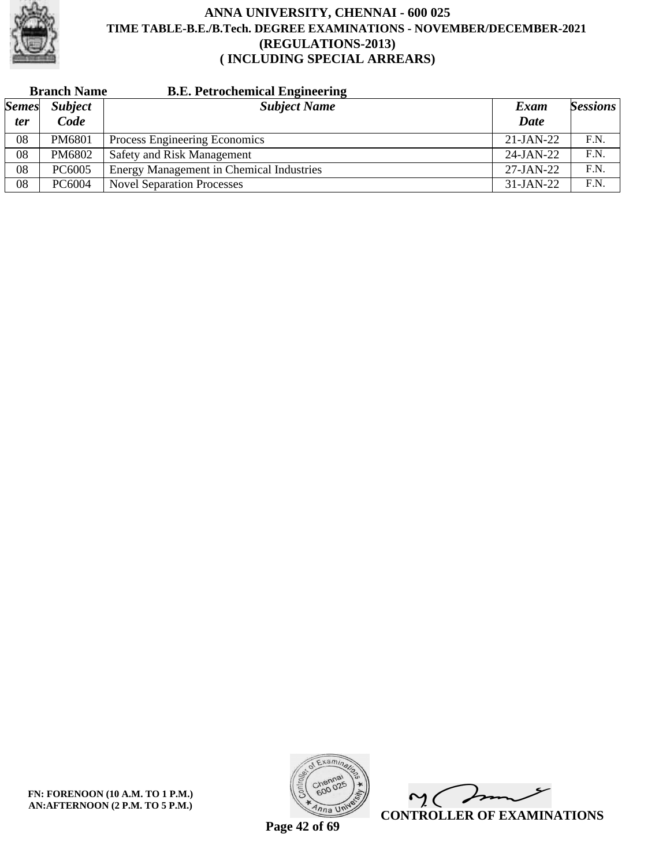

|              | <b>Branch Name</b> | <b>B.E. Petrochemical Engineering</b>           |              |                 |
|--------------|--------------------|-------------------------------------------------|--------------|-----------------|
| <i>Semes</i> | <b>Subject</b>     | <b>Subject Name</b>                             | Exam         | <b>Sessions</b> |
| <i>ter</i>   | Code               |                                                 | <b>Date</b>  |                 |
| 08           | PM6801             | Process Engineering Economics                   | $21-JAN-22$  | F.N.            |
| 08           | PM6802             | Safety and Risk Management                      | $24$ -JAN-22 | F.N.            |
| 08           | PC6005             | <b>Energy Management in Chemical Industries</b> | $27-JAN-22$  | F.N.            |
| 08           | PC6004             | <b>Novel Separation Processes</b>               | $31-JAN-22$  | F.N.            |



 $\overline{\mathscr{F}}$  $\mathsf{M}(\mathbb{C})$ **CONTROLLER OF EXAMINATIONS**

**Page 42 of 69**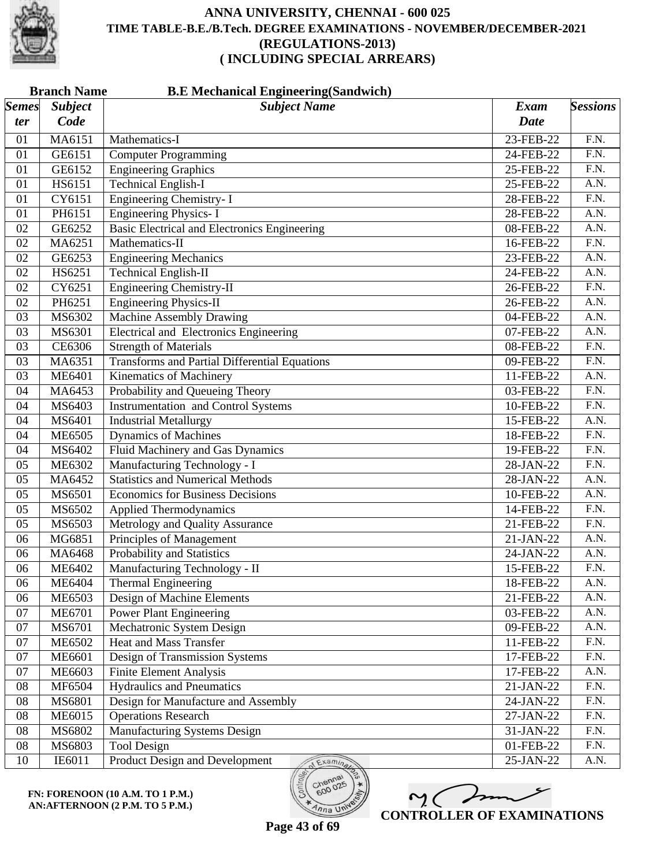

|                       | <b>B.E Mechanical Engineering (Sandwich)</b><br><b>Branch Name</b> |                                                      |             |                   |
|-----------------------|--------------------------------------------------------------------|------------------------------------------------------|-------------|-------------------|
| $\vert$ Semes $\vert$ | <b>Subject</b>                                                     | <b>Subject Name</b>                                  | <b>Exam</b> | <b>Sessions</b>   |
| ter                   | Code                                                               |                                                      | <b>Date</b> |                   |
| 01                    | MA6151                                                             | Mathematics-I                                        | 23-FEB-22   | F.N.              |
| 01                    | GE6151                                                             | <b>Computer Programming</b>                          | 24-FEB-22   | F.N.              |
| 01                    | GE6152                                                             | <b>Engineering Graphics</b>                          | 25-FEB-22   | $\overline{F.N.}$ |
| 01                    | HS6151                                                             | <b>Technical English-I</b>                           | 25-FEB-22   | A.N.              |
| 01                    | CY6151                                                             | <b>Engineering Chemistry-I</b>                       | 28-FEB-22   | $\overline{F.N.}$ |
| 01                    | PH6151                                                             | <b>Engineering Physics-I</b>                         | 28-FEB-22   | A.N.              |
| 02                    | GE6252                                                             | <b>Basic Electrical and Electronics Engineering</b>  | 08-FEB-22   | A.N.              |
| 02                    | MA6251                                                             | Mathematics-II                                       | 16-FEB-22   | F.N.              |
| 02                    | GE6253                                                             | <b>Engineering Mechanics</b>                         | 23-FEB-22   | A.N.              |
| 02                    | HS6251                                                             | <b>Technical English-II</b>                          | 24-FEB-22   | A.N.              |
| 02                    | CY6251                                                             | <b>Engineering Chemistry-II</b>                      | 26-FEB-22   | $\overline{F.N.}$ |
| 02                    | PH6251                                                             | <b>Engineering Physics-II</b>                        | 26-FEB-22   | A.N.              |
| 03                    | MS6302                                                             | <b>Machine Assembly Drawing</b>                      | 04-FEB-22   | A.N.              |
| 03                    | MS6301                                                             | <b>Electrical and Electronics Engineering</b>        | 07-FEB-22   | A.N.              |
| 03                    | CE6306                                                             | <b>Strength of Materials</b>                         | 08-FEB-22   | F.N.              |
| 03                    | MA6351                                                             | <b>Transforms and Partial Differential Equations</b> | 09-FEB-22   | $\overline{F.N.}$ |
| 03                    | <b>ME6401</b>                                                      | <b>Kinematics of Machinery</b>                       | 11-FEB-22   | A.N.              |
| 04                    | MA6453                                                             | Probability and Queueing Theory                      | 03-FEB-22   | $\overline{F.N.}$ |
| 04                    | MS6403                                                             | <b>Instrumentation and Control Systems</b>           | 10-FEB-22   | $\overline{F.N.}$ |
| 04                    | MS6401                                                             | <b>Industrial Metallurgy</b>                         | 15-FEB-22   | A.N.              |
| 04                    | <b>ME6505</b>                                                      | <b>Dynamics of Machines</b>                          | 18-FEB-22   | $\overline{F.N.}$ |
| 04                    | MS6402                                                             | Fluid Machinery and Gas Dynamics                     | 19-FEB-22   | $\overline{F.N.}$ |
| 05                    | ME6302                                                             | Manufacturing Technology - I                         | 28-JAN-22   | F.N.              |
| 05                    | MA6452                                                             | <b>Statistics and Numerical Methods</b>              | 28-JAN-22   | A.N.              |
| 05                    | MS6501                                                             | <b>Economics for Business Decisions</b>              | 10-FEB-22   | A.N.              |
| 05                    | MS6502                                                             | <b>Applied Thermodynamics</b>                        | 14-FEB-22   | $\overline{F.N.}$ |
| 05                    | MS6503                                                             | Metrology and Quality Assurance                      | 21-FEB-22   | $\overline{F.N.}$ |
| 06                    | MG6851                                                             | Principles of Management                             | 21-JAN-22   | A.N.              |
| 06                    | MA6468                                                             | Probability and Statistics                           | 24-JAN-22   | A.N.              |
| 06                    | <b>ME6402</b>                                                      | Manufacturing Technology - II                        | 15-FEB-22   | F.N.              |
| 06                    | <b>ME6404</b>                                                      | <b>Thermal Engineering</b>                           | 18-FEB-22   | A.N.              |
| 06                    | <b>ME6503</b>                                                      | Design of Machine Elements                           | 21-FEB-22   | A.N.              |
| 07                    | <b>ME6701</b>                                                      | <b>Power Plant Engineering</b>                       | 03-FEB-22   | A.N.              |
| 07                    | MS6701                                                             | Mechatronic System Design                            | 09-FEB-22   | A.N.              |
| 07                    | <b>ME6502</b>                                                      | Heat and Mass Transfer                               | 11-FEB-22   | $\overline{F.N.}$ |
| 07                    | <b>ME6601</b>                                                      | Design of Transmission Systems                       | 17-FEB-22   | F.N.              |
| 07                    | ME6603                                                             | <b>Finite Element Analysis</b>                       | 17-FEB-22   | A.N.              |
| 08                    | MF6504                                                             | <b>Hydraulics and Pneumatics</b>                     | 21-JAN-22   | F.N.              |
| 08                    | MS6801                                                             | Design for Manufacture and Assembly                  | 24-JAN-22   | F.N.              |
| 08                    | ME6015                                                             | <b>Operations Research</b>                           | 27-JAN-22   | F.N.              |
| 08                    | MS6802                                                             | Manufacturing Systems Design                         | 31-JAN-22   | F.N.              |
| 08                    | MS6803                                                             | <b>Tool Design</b>                                   | 01-FEB-22   | F.N.              |
| 10                    | IE6011                                                             | Product Design and Development<br>Examina            | 25-JAN-22   | A.N.              |



 $600$ 

 $\overline{\eta_{n}}$  UN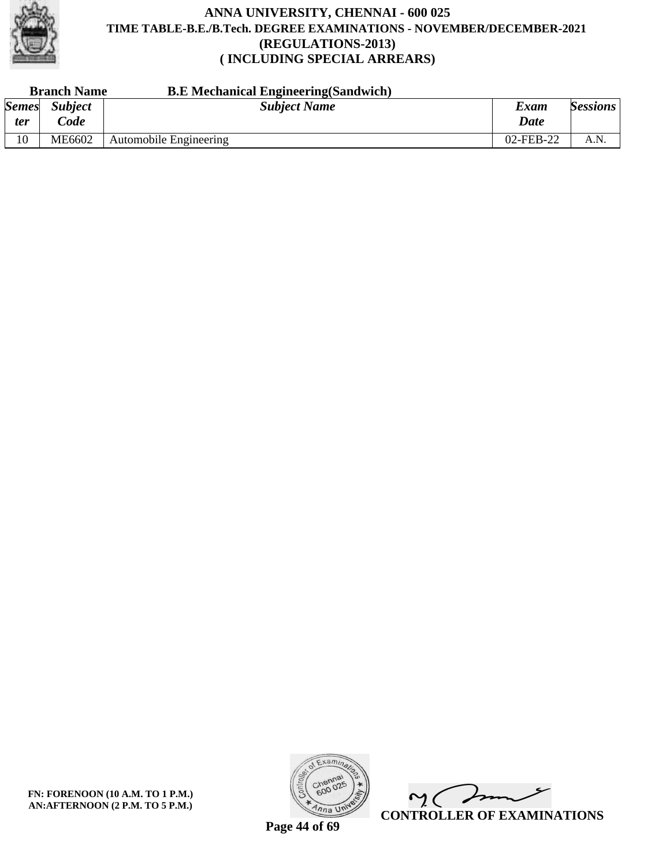

|                            | <b>B.E</b> Mechanical Engineering (Sandwich)<br><b>Branch Name</b> |                        |              |                 |
|----------------------------|--------------------------------------------------------------------|------------------------|--------------|-----------------|
| <b>Semes</b><br><i>ter</i> | <b>Subject</b><br>$\mathcal{C}$ ode                                | <b>Subject Name</b>    | Exam<br>Date | <b>Sessions</b> |
| 10                         | ME6602                                                             | Automobile Engineering | 02-FEB-22    | A.N.            |

**FN: FORENOON (10 A.M. TO 1 P.M.) AN:AFTERNOON (2 P.M. TO 5 P.M.)**



 $\overline{\phantom{a}}$  $\mathsf{M}(\mathbb{C})$ **CONTROLLER OF EXAMINATIONS**

**Page 44 of 69**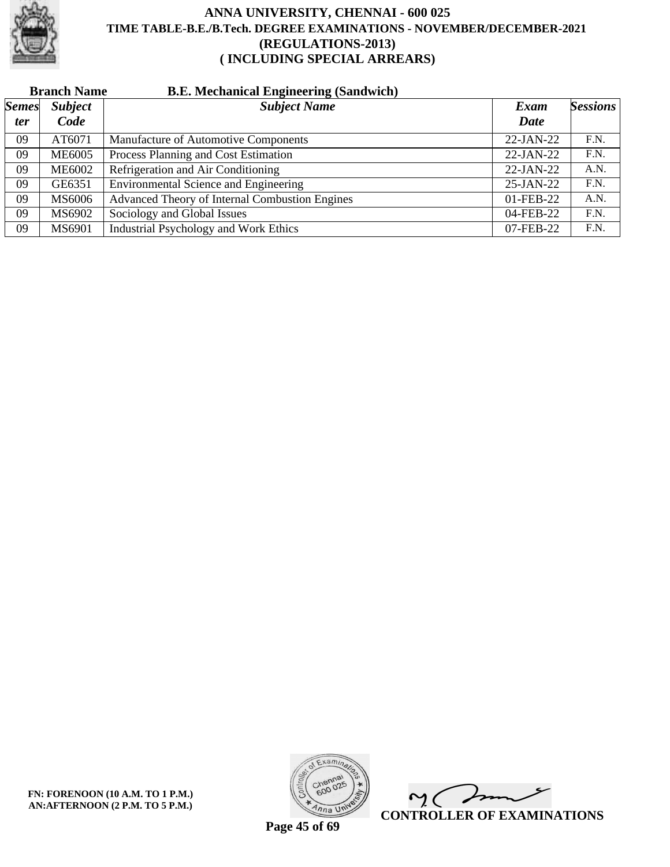

| <b>Branch Name</b> |  | <b>B.E. Mechanical Engineering (Sandwich)</b> |
|--------------------|--|-----------------------------------------------|
|--------------------|--|-----------------------------------------------|

| <b>Semes</b> | <b>Subject</b> | <b>Subject Name</b>                            | Exam        | <b>Sessions</b> |
|--------------|----------------|------------------------------------------------|-------------|-----------------|
| <i>ter</i>   | Code           |                                                | <b>Date</b> |                 |
| 09           | AT6071         | Manufacture of Automotive Components           | 22-JAN-22   | F.N.            |
| 09           | <b>ME6005</b>  | Process Planning and Cost Estimation           | 22-JAN-22   | F.N.            |
| 09           | <b>ME6002</b>  | Refrigeration and Air Conditioning             | $22-JAN-22$ | A.N.            |
| 09           | GE6351         | <b>Environmental Science and Engineering</b>   | $25-JAN-22$ | F.N.            |
| 09           | MS6006         | Advanced Theory of Internal Combustion Engines | 01-FEB-22   | A.N.            |
| 09           | MS6902         | Sociology and Global Issues                    | 04-FEB-22   | F.N.            |
| 09           | MS6901         | <b>Industrial Psychology and Work Ethics</b>   | 07-FEB-22   | F.N.            |

**FN: FORENOON (10 A.M. TO 1 P.M.) AN:AFTERNOON (2 P.M. TO 5 P.M.)**



 $\overline{\phantom{a}}$  $\mathsf{M}(\mathbb{C})$ **CONTROLLER OF EXAMINATIONS**

**Page 45 of 69**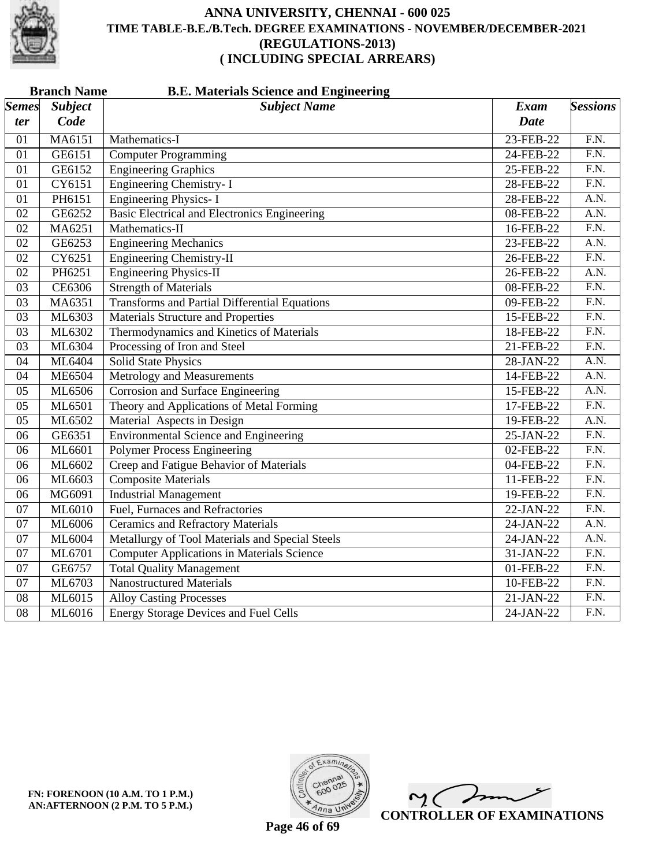

|                 | <b>B.E. Materials Science and Engineering</b><br><b>Branch Name</b> |                                                      |             |                   |
|-----------------|---------------------------------------------------------------------|------------------------------------------------------|-------------|-------------------|
| <b>Semes</b>    | <b>Subject</b>                                                      | <b>Subject Name</b>                                  | <b>Exam</b> | <b>Sessions</b>   |
| ter             | Code                                                                |                                                      | Date        |                   |
| 01              | MA6151                                                              | Mathematics-I                                        | 23-FEB-22   | $\overline{F.N.}$ |
| 01              | GE6151                                                              | <b>Computer Programming</b>                          | 24-FEB-22   | $\overline{F.N.}$ |
| 01              | GE6152                                                              | <b>Engineering Graphics</b>                          | 25-FEB-22   | $\overline{F.N.}$ |
| 01              | CY6151                                                              | <b>Engineering Chemistry-I</b>                       | 28-FEB-22   | $\overline{F.N.}$ |
| $\overline{01}$ | PH6151                                                              | <b>Engineering Physics-I</b>                         | 28-FEB-22   | A.N.              |
| $\overline{02}$ | GE6252                                                              | <b>Basic Electrical and Electronics Engineering</b>  | 08-FEB-22   | A.N.              |
| $\overline{02}$ | MA6251                                                              | Mathematics-II                                       | 16-FEB-22   | F.N.              |
| $\overline{02}$ | GE6253                                                              | <b>Engineering Mechanics</b>                         | 23-FEB-22   | A.N.              |
| 02              | CY6251                                                              | <b>Engineering Chemistry-II</b>                      | 26-FEB-22   | $\overline{F.N.}$ |
| 02              | PH6251                                                              | <b>Engineering Physics-II</b>                        | 26-FEB-22   | A.N.              |
| 03              | CE6306                                                              | <b>Strength of Materials</b>                         | 08-FEB-22   | $\overline{F.N.}$ |
| $\overline{03}$ | MA6351                                                              | <b>Transforms and Partial Differential Equations</b> | 09-FEB-22   | $\overline{F.N.}$ |
| 03              | ML6303                                                              | <b>Materials Structure and Properties</b>            | 15-FEB-22   | F.N.              |
| $\overline{03}$ | ML6302                                                              | Thermodynamics and Kinetics of Materials             | 18-FEB-22   | $\overline{F.N.}$ |
| $\overline{03}$ | ML6304                                                              | Processing of Iron and Steel                         | 21-FEB-22   | F.N.              |
| 04              | ML6404                                                              | <b>Solid State Physics</b>                           | 28-JAN-22   | $\overline{A.N.}$ |
| 04              | <b>ME6504</b>                                                       | Metrology and Measurements                           | 14-FEB-22   | $\overline{A.N.}$ |
| 05              | ML6506                                                              | <b>Corrosion and Surface Engineering</b>             | 15-FEB-22   | $\overline{A.N.}$ |
| 05              | ML6501                                                              | Theory and Applications of Metal Forming             | 17-FEB-22   | F.N.              |
| 05              | ML6502                                                              | Material Aspects in Design                           | 19-FEB-22   | A.N.              |
| $\overline{06}$ | GE6351                                                              | <b>Environmental Science and Engineering</b>         | 25-JAN-22   | F.N.              |
| $\overline{06}$ | ML6601                                                              | <b>Polymer Process Engineering</b>                   | 02-FEB-22   | $\overline{F.N.}$ |
| 06              | ML6602                                                              | Creep and Fatigue Behavior of Materials              | 04-FEB-22   | $\overline{F.N.}$ |
| 06              | ML6603                                                              | <b>Composite Materials</b>                           | 11-FEB-22   | $\overline{F.N.}$ |
| 06              | MG6091                                                              | <b>Industrial Management</b>                         | 19-FEB-22   | $\overline{F.N.}$ |
| 07              | ML6010                                                              | Fuel, Furnaces and Refractories                      | 22-JAN-22   | $\overline{F.N.}$ |
| 07              | ML6006                                                              | <b>Ceramics and Refractory Materials</b>             | 24-JAN-22   | A.N.              |
| 07              | ML6004                                                              | Metallurgy of Tool Materials and Special Steels      | 24-JAN-22   | A.N.              |
| $\overline{07}$ | ML6701                                                              | <b>Computer Applications in Materials Science</b>    | 31-JAN-22   | F.N.              |
| $\overline{07}$ | GE6757                                                              | <b>Total Quality Management</b>                      | 01-FEB-22   | $\overline{F.N.}$ |
| 07              | ML6703                                                              | <b>Nanostructured Materials</b>                      | 10-FEB-22   | F.N.              |
| 08              | ML6015                                                              | <b>Alloy Casting Processes</b>                       | $21-JAN-22$ | $\overline{F.N.}$ |
| $\overline{08}$ | ML6016                                                              | <b>Energy Storage Devices and Fuel Cells</b>         | 24-JAN-22   | $\overline{F.N.}$ |



 $\overline{\mathscr{F}}$  $\sim$  ( **CONTROLLER OF EXAMINATIONS**

**Page 46 of 69**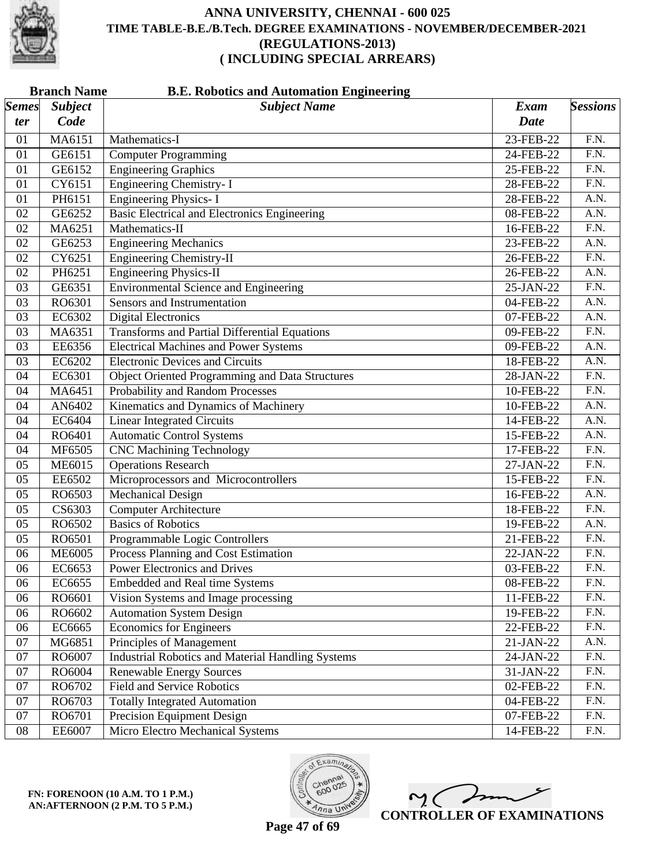

|              | <b>Branch Name</b><br><b>B.E. Robotics and Automation Engineering</b> |                                                          |             |                   |
|--------------|-----------------------------------------------------------------------|----------------------------------------------------------|-------------|-------------------|
| <b>Semes</b> | <b>Subject</b>                                                        | <b>Subject Name</b>                                      | <b>Exam</b> | <b>Sessions</b>   |
| ter          | Code                                                                  |                                                          | <b>Date</b> |                   |
| 01           | MA6151                                                                | Mathematics-I                                            | 23-FEB-22   | F.N.              |
| 01           | GE6151                                                                | <b>Computer Programming</b>                              | 24-FEB-22   | F.N.              |
| 01           | GE6152                                                                | <b>Engineering Graphics</b>                              | 25-FEB-22   | F.N.              |
| 01           | CY6151                                                                | Engineering Chemistry- I                                 | 28-FEB-22   | $\overline{F.N.}$ |
| 01           | PH6151                                                                | <b>Engineering Physics-I</b>                             | 28-FEB-22   | A.N.              |
| 02           | GE6252                                                                | <b>Basic Electrical and Electronics Engineering</b>      | 08-FEB-22   | A.N.              |
| 02           | MA6251                                                                | Mathematics-II                                           | 16-FEB-22   | F.N.              |
| 02           | GE6253                                                                | <b>Engineering Mechanics</b>                             | 23-FEB-22   | A.N.              |
| 02           | CY6251                                                                | <b>Engineering Chemistry-II</b>                          | 26-FEB-22   | F.N.              |
| 02           | PH6251                                                                | <b>Engineering Physics-II</b>                            | 26-FEB-22   | A.N.              |
| 03           | GE6351                                                                | <b>Environmental Science and Engineering</b>             | 25-JAN-22   | $\overline{F.N.}$ |
| 03           | RO6301                                                                | Sensors and Instrumentation                              | 04-FEB-22   | A.N.              |
| 03           | EC6302                                                                | <b>Digital Electronics</b>                               | 07-FEB-22   | A.N.              |
| 03           | MA6351                                                                | <b>Transforms and Partial Differential Equations</b>     | 09-FEB-22   | $\overline{F.N.}$ |
| 03           | EE6356                                                                | <b>Electrical Machines and Power Systems</b>             | 09-FEB-22   | $\overline{A.N.}$ |
| 03           | EC6202                                                                | <b>Electronic Devices and Circuits</b>                   | 18-FEB-22   | A.N.              |
| 04           | EC6301                                                                | Object Oriented Programming and Data Structures          | 28-JAN-22   | F.N.              |
| 04           | MA6451                                                                | Probability and Random Processes                         | 10-FEB-22   | F.N.              |
| 04           | AN6402                                                                | Kinematics and Dynamics of Machinery                     | 10-FEB-22   | $\overline{A.N.}$ |
| 04           | EC6404                                                                | <b>Linear Integrated Circuits</b>                        | 14-FEB-22   | A.N.              |
| 04           | RO6401                                                                | <b>Automatic Control Systems</b>                         | 15-FEB-22   | A.N.              |
| 04           | MF6505                                                                | <b>CNC Machining Technology</b>                          | 17-FEB-22   | $\overline{F.N.}$ |
| 05           | <b>ME6015</b>                                                         | <b>Operations Research</b>                               | $27-JAN-22$ | F.N.              |
| 05           | EE6502                                                                | Microprocessors and Microcontrollers                     | 15-FEB-22   | $\overline{F.N.}$ |
| 05           | RO6503                                                                | Mechanical Design                                        | 16-FEB-22   | A.N.              |
| 05           | CS6303                                                                | <b>Computer Architecture</b>                             | 18-FEB-22   | $\overline{F.N.}$ |
| 05           | RO6502                                                                | <b>Basics of Robotics</b>                                | 19-FEB-22   | $\overline{A.N.}$ |
| 05           | RO6501                                                                | Programmable Logic Controllers                           | 21-FEB-22   | $\overline{F.N.}$ |
| 06           | <b>ME6005</b>                                                         | Process Planning and Cost Estimation                     | 22-JAN-22   | F.N.              |
| 06           | EC6653                                                                | <b>Power Electronics and Drives</b>                      | 03-FEB-22   | F.N.              |
| 06           | EC6655                                                                | Embedded and Real time Systems                           | 08-FEB-22   | F.N.              |
| 06           | RO6601                                                                | Vision Systems and Image processing                      | 11-FEB-22   | F.N.              |
| 06           | RO6602                                                                | <b>Automation System Design</b>                          | 19-FEB-22   | F.N.              |
| 06           | EC6665                                                                | <b>Economics for Engineers</b>                           | 22-FEB-22   | F.N.              |
| 07           | MG6851                                                                | Principles of Management                                 | 21-JAN-22   | A.N.              |
| 07           | RO6007                                                                | <b>Industrial Robotics and Material Handling Systems</b> | $24-JAN-22$ | F.N.              |
| 07           | RO6004                                                                | <b>Renewable Energy Sources</b>                          | 31-JAN-22   | F.N.              |
| 07           | RO6702                                                                | <b>Field and Service Robotics</b>                        | 02-FEB-22   | F.N.              |
| 07           | RO6703                                                                | <b>Totally Integrated Automation</b>                     | 04-FEB-22   | F.N.              |
| 07           | RO6701                                                                | Precision Equipment Design                               | 07-FEB-22   | F.N.              |
| 08           | EE6007                                                                | Micro Electro Mechanical Systems                         | 14-FEB-22   | F.N.              |





 $\sim$  ( **CONTROLLER OF EXAMINATIONS**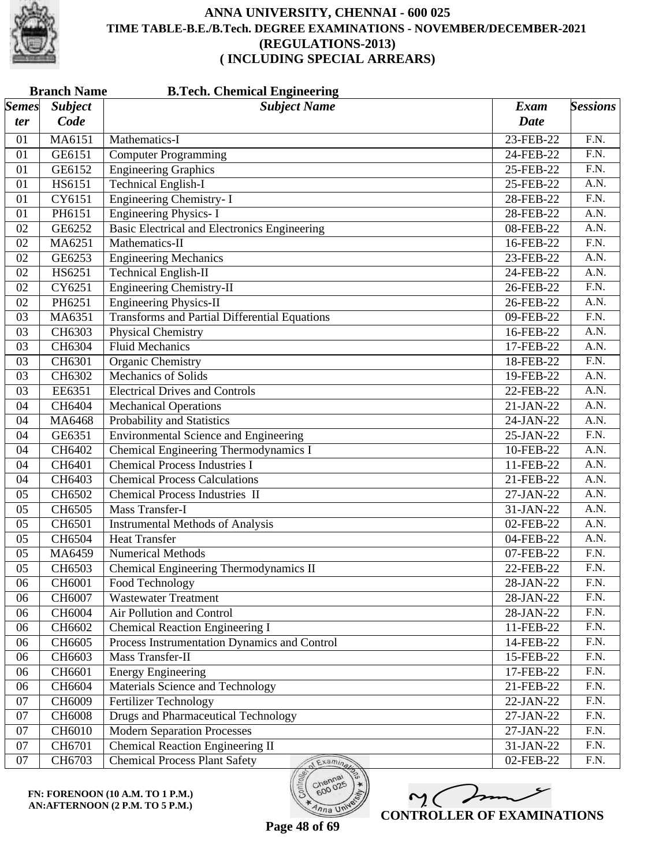

| <b>Subject Name</b><br><b>Subject</b><br><b>Sessions</b><br>Exam<br>Code<br><b>Date</b><br>ter<br>MA6151<br>F.N.<br>Mathematics-I<br>23-FEB-22<br>01<br>$\overline{F.N.}$<br>GE6151<br><b>Computer Programming</b><br>01<br>24-FEB-22<br><b>Engineering Graphics</b><br>$\overline{F.N.}$<br>GE6152<br>01<br>25-FEB-22<br><b>Technical English-I</b><br>HS6151<br>A.N.<br>01<br>25-FEB-22<br><b>Engineering Chemistry-I</b><br>F.N.<br>CY6151<br>01<br>28-FEB-22<br><b>Engineering Physics-I</b><br>PH6151<br>28-FEB-22<br>A.N.<br>01<br><b>Basic Electrical and Electronics Engineering</b><br>$\overline{A.N.}$<br>GE6252<br>02<br>08-FEB-22<br>$\overline{F.N.}$<br>02<br>MA6251<br>Mathematics-II<br>16-FEB-22<br>A.N.<br>GE6253<br><b>Engineering Mechanics</b><br>02<br>23-FEB-22<br><b>Technical English-II</b><br>$\overline{A.N.}$<br>HS6251<br>$24$ -FEB-22<br>02<br>F.N.<br><b>Engineering Chemistry-II</b><br>CY6251<br>02<br>26-FEB-22<br><b>Engineering Physics-II</b><br>02<br>PH6251<br>A.N.<br>26-FEB-22<br><b>Transforms and Partial Differential Equations</b><br>F.N.<br>MA6351<br>09-FEB-22<br>03<br>A.N.<br>CH6303<br><b>Physical Chemistry</b><br>16-FEB-22<br>03<br>$\overline{A.N.}$<br>CH6304<br><b>Fluid Mechanics</b><br>03<br>17-FEB-22<br>$\overline{F.N.}$<br>CH6301<br><b>Organic Chemistry</b><br>03<br>18-FEB-22<br><b>Mechanics of Solids</b><br>A.N.<br>03<br>CH6302<br>19-FEB-22<br>A.N.<br>EE6351<br><b>Electrical Drives and Controls</b><br>22-FEB-22<br>03<br>$\overline{A.N.}$<br>CH6404<br><b>Mechanical Operations</b><br>04<br>21-JAN-22<br>Probability and Statistics<br>04<br>MA6468<br>A.N.<br>24-JAN-22<br><b>Environmental Science and Engineering</b><br>F.N.<br>04<br>GE6351<br>25-JAN-22<br>Chemical Engineering Thermodynamics I<br>A.N.<br>CH6402<br>10-FEB-22<br>04<br><b>Chemical Process Industries I</b><br>$\overline{A.N.}$<br>CH6401<br>04<br>11-FEB-22<br>CH6403<br><b>Chemical Process Calculations</b><br>A.N.<br>04<br>21-FEB-22<br><b>Chemical Process Industries II</b><br>A.N.<br>05<br>CH6502<br>27-JAN-22<br><b>Mass Transfer-I</b><br>A.N.<br>CH6505<br>05<br>31-JAN-22<br>$\overline{A.N.}$<br>CH6501<br>05<br><b>Instrumental Methods of Analysis</b><br>02-FEB-22<br><b>Heat Transfer</b><br>CH6504<br>A.N.<br>05<br>04-FEB-22<br>Numerical Methods<br>F.N.<br>05<br>MA6459<br>07-FEB-22<br>05<br>Chemical Engineering Thermodynamics II<br>F.N.<br>CH6503<br>22-FEB-22<br>CH6001<br>F.N.<br>06<br>Food Technology<br>28-JAN-22<br><b>Wastewater Treatment</b><br>F.N.<br>06<br>CH6007<br>28-JAN-22<br>F.N.<br>CH6004<br>Air Pollution and Control<br>06<br>28-JAN-22<br><b>Chemical Reaction Engineering I</b><br>F.N.<br>06<br>CH6602<br>11-FEB-22<br>F.N.<br>Process Instrumentation Dynamics and Control<br>CH6605<br>14-FEB-22<br>06<br>Mass Transfer-II<br>F.N.<br>06<br>CH6603<br>15-FEB-22<br>CH6601<br>F.N.<br>06<br><b>Energy Engineering</b><br>17-FEB-22<br>Materials Science and Technology<br>F.N.<br>06<br>CH6604<br>21-FEB-22<br>F.N.<br>07<br>CH6009<br>Fertilizer Technology<br>22-JAN-22<br><b>Drugs and Pharmaceutical Technology</b><br>F.N.<br>07<br>CH6008<br>27-JAN-22<br><b>Modern Separation Processes</b><br>CH6010<br>F.N.<br>07<br>27-JAN-22<br><b>Chemical Reaction Engineering II</b><br>F.N.<br>07<br>CH6701<br>31-JAN-22<br>F.N.<br>07<br><b>Chemical Process Plant Safety</b><br>CH6703<br>02-FEB-22<br>Examinac | <b>Branch Name</b><br><b>B.Tech. Chemical Engineering</b> |  |  |  |  |  |
|-------------------------------------------------------------------------------------------------------------------------------------------------------------------------------------------------------------------------------------------------------------------------------------------------------------------------------------------------------------------------------------------------------------------------------------------------------------------------------------------------------------------------------------------------------------------------------------------------------------------------------------------------------------------------------------------------------------------------------------------------------------------------------------------------------------------------------------------------------------------------------------------------------------------------------------------------------------------------------------------------------------------------------------------------------------------------------------------------------------------------------------------------------------------------------------------------------------------------------------------------------------------------------------------------------------------------------------------------------------------------------------------------------------------------------------------------------------------------------------------------------------------------------------------------------------------------------------------------------------------------------------------------------------------------------------------------------------------------------------------------------------------------------------------------------------------------------------------------------------------------------------------------------------------------------------------------------------------------------------------------------------------------------------------------------------------------------------------------------------------------------------------------------------------------------------------------------------------------------------------------------------------------------------------------------------------------------------------------------------------------------------------------------------------------------------------------------------------------------------------------------------------------------------------------------------------------------------------------------------------------------------------------------------------------------------------------------------------------------------------------------------------------------------------------------------------------------------------------------------------------------------------------------------------------------------------------------------------------------------------------------------------------------------------------------------------------------------------------------------------------------------------------------------------------------------------------------------------------------------------------------------------------------------------------------------------------------------------------------------------------------------------------------------------------------|-----------------------------------------------------------|--|--|--|--|--|
|                                                                                                                                                                                                                                                                                                                                                                                                                                                                                                                                                                                                                                                                                                                                                                                                                                                                                                                                                                                                                                                                                                                                                                                                                                                                                                                                                                                                                                                                                                                                                                                                                                                                                                                                                                                                                                                                                                                                                                                                                                                                                                                                                                                                                                                                                                                                                                                                                                                                                                                                                                                                                                                                                                                                                                                                                                                                                                                                                                                                                                                                                                                                                                                                                                                                                                                                                                                                                               | <b>Semes</b>                                              |  |  |  |  |  |
|                                                                                                                                                                                                                                                                                                                                                                                                                                                                                                                                                                                                                                                                                                                                                                                                                                                                                                                                                                                                                                                                                                                                                                                                                                                                                                                                                                                                                                                                                                                                                                                                                                                                                                                                                                                                                                                                                                                                                                                                                                                                                                                                                                                                                                                                                                                                                                                                                                                                                                                                                                                                                                                                                                                                                                                                                                                                                                                                                                                                                                                                                                                                                                                                                                                                                                                                                                                                                               |                                                           |  |  |  |  |  |
|                                                                                                                                                                                                                                                                                                                                                                                                                                                                                                                                                                                                                                                                                                                                                                                                                                                                                                                                                                                                                                                                                                                                                                                                                                                                                                                                                                                                                                                                                                                                                                                                                                                                                                                                                                                                                                                                                                                                                                                                                                                                                                                                                                                                                                                                                                                                                                                                                                                                                                                                                                                                                                                                                                                                                                                                                                                                                                                                                                                                                                                                                                                                                                                                                                                                                                                                                                                                                               |                                                           |  |  |  |  |  |
|                                                                                                                                                                                                                                                                                                                                                                                                                                                                                                                                                                                                                                                                                                                                                                                                                                                                                                                                                                                                                                                                                                                                                                                                                                                                                                                                                                                                                                                                                                                                                                                                                                                                                                                                                                                                                                                                                                                                                                                                                                                                                                                                                                                                                                                                                                                                                                                                                                                                                                                                                                                                                                                                                                                                                                                                                                                                                                                                                                                                                                                                                                                                                                                                                                                                                                                                                                                                                               |                                                           |  |  |  |  |  |
|                                                                                                                                                                                                                                                                                                                                                                                                                                                                                                                                                                                                                                                                                                                                                                                                                                                                                                                                                                                                                                                                                                                                                                                                                                                                                                                                                                                                                                                                                                                                                                                                                                                                                                                                                                                                                                                                                                                                                                                                                                                                                                                                                                                                                                                                                                                                                                                                                                                                                                                                                                                                                                                                                                                                                                                                                                                                                                                                                                                                                                                                                                                                                                                                                                                                                                                                                                                                                               |                                                           |  |  |  |  |  |
|                                                                                                                                                                                                                                                                                                                                                                                                                                                                                                                                                                                                                                                                                                                                                                                                                                                                                                                                                                                                                                                                                                                                                                                                                                                                                                                                                                                                                                                                                                                                                                                                                                                                                                                                                                                                                                                                                                                                                                                                                                                                                                                                                                                                                                                                                                                                                                                                                                                                                                                                                                                                                                                                                                                                                                                                                                                                                                                                                                                                                                                                                                                                                                                                                                                                                                                                                                                                                               |                                                           |  |  |  |  |  |
|                                                                                                                                                                                                                                                                                                                                                                                                                                                                                                                                                                                                                                                                                                                                                                                                                                                                                                                                                                                                                                                                                                                                                                                                                                                                                                                                                                                                                                                                                                                                                                                                                                                                                                                                                                                                                                                                                                                                                                                                                                                                                                                                                                                                                                                                                                                                                                                                                                                                                                                                                                                                                                                                                                                                                                                                                                                                                                                                                                                                                                                                                                                                                                                                                                                                                                                                                                                                                               |                                                           |  |  |  |  |  |
|                                                                                                                                                                                                                                                                                                                                                                                                                                                                                                                                                                                                                                                                                                                                                                                                                                                                                                                                                                                                                                                                                                                                                                                                                                                                                                                                                                                                                                                                                                                                                                                                                                                                                                                                                                                                                                                                                                                                                                                                                                                                                                                                                                                                                                                                                                                                                                                                                                                                                                                                                                                                                                                                                                                                                                                                                                                                                                                                                                                                                                                                                                                                                                                                                                                                                                                                                                                                                               |                                                           |  |  |  |  |  |
|                                                                                                                                                                                                                                                                                                                                                                                                                                                                                                                                                                                                                                                                                                                                                                                                                                                                                                                                                                                                                                                                                                                                                                                                                                                                                                                                                                                                                                                                                                                                                                                                                                                                                                                                                                                                                                                                                                                                                                                                                                                                                                                                                                                                                                                                                                                                                                                                                                                                                                                                                                                                                                                                                                                                                                                                                                                                                                                                                                                                                                                                                                                                                                                                                                                                                                                                                                                                                               |                                                           |  |  |  |  |  |
|                                                                                                                                                                                                                                                                                                                                                                                                                                                                                                                                                                                                                                                                                                                                                                                                                                                                                                                                                                                                                                                                                                                                                                                                                                                                                                                                                                                                                                                                                                                                                                                                                                                                                                                                                                                                                                                                                                                                                                                                                                                                                                                                                                                                                                                                                                                                                                                                                                                                                                                                                                                                                                                                                                                                                                                                                                                                                                                                                                                                                                                                                                                                                                                                                                                                                                                                                                                                                               |                                                           |  |  |  |  |  |
|                                                                                                                                                                                                                                                                                                                                                                                                                                                                                                                                                                                                                                                                                                                                                                                                                                                                                                                                                                                                                                                                                                                                                                                                                                                                                                                                                                                                                                                                                                                                                                                                                                                                                                                                                                                                                                                                                                                                                                                                                                                                                                                                                                                                                                                                                                                                                                                                                                                                                                                                                                                                                                                                                                                                                                                                                                                                                                                                                                                                                                                                                                                                                                                                                                                                                                                                                                                                                               |                                                           |  |  |  |  |  |
|                                                                                                                                                                                                                                                                                                                                                                                                                                                                                                                                                                                                                                                                                                                                                                                                                                                                                                                                                                                                                                                                                                                                                                                                                                                                                                                                                                                                                                                                                                                                                                                                                                                                                                                                                                                                                                                                                                                                                                                                                                                                                                                                                                                                                                                                                                                                                                                                                                                                                                                                                                                                                                                                                                                                                                                                                                                                                                                                                                                                                                                                                                                                                                                                                                                                                                                                                                                                                               |                                                           |  |  |  |  |  |
|                                                                                                                                                                                                                                                                                                                                                                                                                                                                                                                                                                                                                                                                                                                                                                                                                                                                                                                                                                                                                                                                                                                                                                                                                                                                                                                                                                                                                                                                                                                                                                                                                                                                                                                                                                                                                                                                                                                                                                                                                                                                                                                                                                                                                                                                                                                                                                                                                                                                                                                                                                                                                                                                                                                                                                                                                                                                                                                                                                                                                                                                                                                                                                                                                                                                                                                                                                                                                               |                                                           |  |  |  |  |  |
|                                                                                                                                                                                                                                                                                                                                                                                                                                                                                                                                                                                                                                                                                                                                                                                                                                                                                                                                                                                                                                                                                                                                                                                                                                                                                                                                                                                                                                                                                                                                                                                                                                                                                                                                                                                                                                                                                                                                                                                                                                                                                                                                                                                                                                                                                                                                                                                                                                                                                                                                                                                                                                                                                                                                                                                                                                                                                                                                                                                                                                                                                                                                                                                                                                                                                                                                                                                                                               |                                                           |  |  |  |  |  |
|                                                                                                                                                                                                                                                                                                                                                                                                                                                                                                                                                                                                                                                                                                                                                                                                                                                                                                                                                                                                                                                                                                                                                                                                                                                                                                                                                                                                                                                                                                                                                                                                                                                                                                                                                                                                                                                                                                                                                                                                                                                                                                                                                                                                                                                                                                                                                                                                                                                                                                                                                                                                                                                                                                                                                                                                                                                                                                                                                                                                                                                                                                                                                                                                                                                                                                                                                                                                                               |                                                           |  |  |  |  |  |
|                                                                                                                                                                                                                                                                                                                                                                                                                                                                                                                                                                                                                                                                                                                                                                                                                                                                                                                                                                                                                                                                                                                                                                                                                                                                                                                                                                                                                                                                                                                                                                                                                                                                                                                                                                                                                                                                                                                                                                                                                                                                                                                                                                                                                                                                                                                                                                                                                                                                                                                                                                                                                                                                                                                                                                                                                                                                                                                                                                                                                                                                                                                                                                                                                                                                                                                                                                                                                               |                                                           |  |  |  |  |  |
|                                                                                                                                                                                                                                                                                                                                                                                                                                                                                                                                                                                                                                                                                                                                                                                                                                                                                                                                                                                                                                                                                                                                                                                                                                                                                                                                                                                                                                                                                                                                                                                                                                                                                                                                                                                                                                                                                                                                                                                                                                                                                                                                                                                                                                                                                                                                                                                                                                                                                                                                                                                                                                                                                                                                                                                                                                                                                                                                                                                                                                                                                                                                                                                                                                                                                                                                                                                                                               |                                                           |  |  |  |  |  |
|                                                                                                                                                                                                                                                                                                                                                                                                                                                                                                                                                                                                                                                                                                                                                                                                                                                                                                                                                                                                                                                                                                                                                                                                                                                                                                                                                                                                                                                                                                                                                                                                                                                                                                                                                                                                                                                                                                                                                                                                                                                                                                                                                                                                                                                                                                                                                                                                                                                                                                                                                                                                                                                                                                                                                                                                                                                                                                                                                                                                                                                                                                                                                                                                                                                                                                                                                                                                                               |                                                           |  |  |  |  |  |
|                                                                                                                                                                                                                                                                                                                                                                                                                                                                                                                                                                                                                                                                                                                                                                                                                                                                                                                                                                                                                                                                                                                                                                                                                                                                                                                                                                                                                                                                                                                                                                                                                                                                                                                                                                                                                                                                                                                                                                                                                                                                                                                                                                                                                                                                                                                                                                                                                                                                                                                                                                                                                                                                                                                                                                                                                                                                                                                                                                                                                                                                                                                                                                                                                                                                                                                                                                                                                               |                                                           |  |  |  |  |  |
|                                                                                                                                                                                                                                                                                                                                                                                                                                                                                                                                                                                                                                                                                                                                                                                                                                                                                                                                                                                                                                                                                                                                                                                                                                                                                                                                                                                                                                                                                                                                                                                                                                                                                                                                                                                                                                                                                                                                                                                                                                                                                                                                                                                                                                                                                                                                                                                                                                                                                                                                                                                                                                                                                                                                                                                                                                                                                                                                                                                                                                                                                                                                                                                                                                                                                                                                                                                                                               |                                                           |  |  |  |  |  |
|                                                                                                                                                                                                                                                                                                                                                                                                                                                                                                                                                                                                                                                                                                                                                                                                                                                                                                                                                                                                                                                                                                                                                                                                                                                                                                                                                                                                                                                                                                                                                                                                                                                                                                                                                                                                                                                                                                                                                                                                                                                                                                                                                                                                                                                                                                                                                                                                                                                                                                                                                                                                                                                                                                                                                                                                                                                                                                                                                                                                                                                                                                                                                                                                                                                                                                                                                                                                                               |                                                           |  |  |  |  |  |
|                                                                                                                                                                                                                                                                                                                                                                                                                                                                                                                                                                                                                                                                                                                                                                                                                                                                                                                                                                                                                                                                                                                                                                                                                                                                                                                                                                                                                                                                                                                                                                                                                                                                                                                                                                                                                                                                                                                                                                                                                                                                                                                                                                                                                                                                                                                                                                                                                                                                                                                                                                                                                                                                                                                                                                                                                                                                                                                                                                                                                                                                                                                                                                                                                                                                                                                                                                                                                               |                                                           |  |  |  |  |  |
|                                                                                                                                                                                                                                                                                                                                                                                                                                                                                                                                                                                                                                                                                                                                                                                                                                                                                                                                                                                                                                                                                                                                                                                                                                                                                                                                                                                                                                                                                                                                                                                                                                                                                                                                                                                                                                                                                                                                                                                                                                                                                                                                                                                                                                                                                                                                                                                                                                                                                                                                                                                                                                                                                                                                                                                                                                                                                                                                                                                                                                                                                                                                                                                                                                                                                                                                                                                                                               |                                                           |  |  |  |  |  |
|                                                                                                                                                                                                                                                                                                                                                                                                                                                                                                                                                                                                                                                                                                                                                                                                                                                                                                                                                                                                                                                                                                                                                                                                                                                                                                                                                                                                                                                                                                                                                                                                                                                                                                                                                                                                                                                                                                                                                                                                                                                                                                                                                                                                                                                                                                                                                                                                                                                                                                                                                                                                                                                                                                                                                                                                                                                                                                                                                                                                                                                                                                                                                                                                                                                                                                                                                                                                                               |                                                           |  |  |  |  |  |
|                                                                                                                                                                                                                                                                                                                                                                                                                                                                                                                                                                                                                                                                                                                                                                                                                                                                                                                                                                                                                                                                                                                                                                                                                                                                                                                                                                                                                                                                                                                                                                                                                                                                                                                                                                                                                                                                                                                                                                                                                                                                                                                                                                                                                                                                                                                                                                                                                                                                                                                                                                                                                                                                                                                                                                                                                                                                                                                                                                                                                                                                                                                                                                                                                                                                                                                                                                                                                               |                                                           |  |  |  |  |  |
|                                                                                                                                                                                                                                                                                                                                                                                                                                                                                                                                                                                                                                                                                                                                                                                                                                                                                                                                                                                                                                                                                                                                                                                                                                                                                                                                                                                                                                                                                                                                                                                                                                                                                                                                                                                                                                                                                                                                                                                                                                                                                                                                                                                                                                                                                                                                                                                                                                                                                                                                                                                                                                                                                                                                                                                                                                                                                                                                                                                                                                                                                                                                                                                                                                                                                                                                                                                                                               |                                                           |  |  |  |  |  |
|                                                                                                                                                                                                                                                                                                                                                                                                                                                                                                                                                                                                                                                                                                                                                                                                                                                                                                                                                                                                                                                                                                                                                                                                                                                                                                                                                                                                                                                                                                                                                                                                                                                                                                                                                                                                                                                                                                                                                                                                                                                                                                                                                                                                                                                                                                                                                                                                                                                                                                                                                                                                                                                                                                                                                                                                                                                                                                                                                                                                                                                                                                                                                                                                                                                                                                                                                                                                                               |                                                           |  |  |  |  |  |
|                                                                                                                                                                                                                                                                                                                                                                                                                                                                                                                                                                                                                                                                                                                                                                                                                                                                                                                                                                                                                                                                                                                                                                                                                                                                                                                                                                                                                                                                                                                                                                                                                                                                                                                                                                                                                                                                                                                                                                                                                                                                                                                                                                                                                                                                                                                                                                                                                                                                                                                                                                                                                                                                                                                                                                                                                                                                                                                                                                                                                                                                                                                                                                                                                                                                                                                                                                                                                               |                                                           |  |  |  |  |  |
|                                                                                                                                                                                                                                                                                                                                                                                                                                                                                                                                                                                                                                                                                                                                                                                                                                                                                                                                                                                                                                                                                                                                                                                                                                                                                                                                                                                                                                                                                                                                                                                                                                                                                                                                                                                                                                                                                                                                                                                                                                                                                                                                                                                                                                                                                                                                                                                                                                                                                                                                                                                                                                                                                                                                                                                                                                                                                                                                                                                                                                                                                                                                                                                                                                                                                                                                                                                                                               |                                                           |  |  |  |  |  |
|                                                                                                                                                                                                                                                                                                                                                                                                                                                                                                                                                                                                                                                                                                                                                                                                                                                                                                                                                                                                                                                                                                                                                                                                                                                                                                                                                                                                                                                                                                                                                                                                                                                                                                                                                                                                                                                                                                                                                                                                                                                                                                                                                                                                                                                                                                                                                                                                                                                                                                                                                                                                                                                                                                                                                                                                                                                                                                                                                                                                                                                                                                                                                                                                                                                                                                                                                                                                                               |                                                           |  |  |  |  |  |
|                                                                                                                                                                                                                                                                                                                                                                                                                                                                                                                                                                                                                                                                                                                                                                                                                                                                                                                                                                                                                                                                                                                                                                                                                                                                                                                                                                                                                                                                                                                                                                                                                                                                                                                                                                                                                                                                                                                                                                                                                                                                                                                                                                                                                                                                                                                                                                                                                                                                                                                                                                                                                                                                                                                                                                                                                                                                                                                                                                                                                                                                                                                                                                                                                                                                                                                                                                                                                               |                                                           |  |  |  |  |  |
|                                                                                                                                                                                                                                                                                                                                                                                                                                                                                                                                                                                                                                                                                                                                                                                                                                                                                                                                                                                                                                                                                                                                                                                                                                                                                                                                                                                                                                                                                                                                                                                                                                                                                                                                                                                                                                                                                                                                                                                                                                                                                                                                                                                                                                                                                                                                                                                                                                                                                                                                                                                                                                                                                                                                                                                                                                                                                                                                                                                                                                                                                                                                                                                                                                                                                                                                                                                                                               |                                                           |  |  |  |  |  |
|                                                                                                                                                                                                                                                                                                                                                                                                                                                                                                                                                                                                                                                                                                                                                                                                                                                                                                                                                                                                                                                                                                                                                                                                                                                                                                                                                                                                                                                                                                                                                                                                                                                                                                                                                                                                                                                                                                                                                                                                                                                                                                                                                                                                                                                                                                                                                                                                                                                                                                                                                                                                                                                                                                                                                                                                                                                                                                                                                                                                                                                                                                                                                                                                                                                                                                                                                                                                                               |                                                           |  |  |  |  |  |
|                                                                                                                                                                                                                                                                                                                                                                                                                                                                                                                                                                                                                                                                                                                                                                                                                                                                                                                                                                                                                                                                                                                                                                                                                                                                                                                                                                                                                                                                                                                                                                                                                                                                                                                                                                                                                                                                                                                                                                                                                                                                                                                                                                                                                                                                                                                                                                                                                                                                                                                                                                                                                                                                                                                                                                                                                                                                                                                                                                                                                                                                                                                                                                                                                                                                                                                                                                                                                               |                                                           |  |  |  |  |  |
|                                                                                                                                                                                                                                                                                                                                                                                                                                                                                                                                                                                                                                                                                                                                                                                                                                                                                                                                                                                                                                                                                                                                                                                                                                                                                                                                                                                                                                                                                                                                                                                                                                                                                                                                                                                                                                                                                                                                                                                                                                                                                                                                                                                                                                                                                                                                                                                                                                                                                                                                                                                                                                                                                                                                                                                                                                                                                                                                                                                                                                                                                                                                                                                                                                                                                                                                                                                                                               |                                                           |  |  |  |  |  |
|                                                                                                                                                                                                                                                                                                                                                                                                                                                                                                                                                                                                                                                                                                                                                                                                                                                                                                                                                                                                                                                                                                                                                                                                                                                                                                                                                                                                                                                                                                                                                                                                                                                                                                                                                                                                                                                                                                                                                                                                                                                                                                                                                                                                                                                                                                                                                                                                                                                                                                                                                                                                                                                                                                                                                                                                                                                                                                                                                                                                                                                                                                                                                                                                                                                                                                                                                                                                                               |                                                           |  |  |  |  |  |
|                                                                                                                                                                                                                                                                                                                                                                                                                                                                                                                                                                                                                                                                                                                                                                                                                                                                                                                                                                                                                                                                                                                                                                                                                                                                                                                                                                                                                                                                                                                                                                                                                                                                                                                                                                                                                                                                                                                                                                                                                                                                                                                                                                                                                                                                                                                                                                                                                                                                                                                                                                                                                                                                                                                                                                                                                                                                                                                                                                                                                                                                                                                                                                                                                                                                                                                                                                                                                               |                                                           |  |  |  |  |  |
|                                                                                                                                                                                                                                                                                                                                                                                                                                                                                                                                                                                                                                                                                                                                                                                                                                                                                                                                                                                                                                                                                                                                                                                                                                                                                                                                                                                                                                                                                                                                                                                                                                                                                                                                                                                                                                                                                                                                                                                                                                                                                                                                                                                                                                                                                                                                                                                                                                                                                                                                                                                                                                                                                                                                                                                                                                                                                                                                                                                                                                                                                                                                                                                                                                                                                                                                                                                                                               |                                                           |  |  |  |  |  |
|                                                                                                                                                                                                                                                                                                                                                                                                                                                                                                                                                                                                                                                                                                                                                                                                                                                                                                                                                                                                                                                                                                                                                                                                                                                                                                                                                                                                                                                                                                                                                                                                                                                                                                                                                                                                                                                                                                                                                                                                                                                                                                                                                                                                                                                                                                                                                                                                                                                                                                                                                                                                                                                                                                                                                                                                                                                                                                                                                                                                                                                                                                                                                                                                                                                                                                                                                                                                                               |                                                           |  |  |  |  |  |
|                                                                                                                                                                                                                                                                                                                                                                                                                                                                                                                                                                                                                                                                                                                                                                                                                                                                                                                                                                                                                                                                                                                                                                                                                                                                                                                                                                                                                                                                                                                                                                                                                                                                                                                                                                                                                                                                                                                                                                                                                                                                                                                                                                                                                                                                                                                                                                                                                                                                                                                                                                                                                                                                                                                                                                                                                                                                                                                                                                                                                                                                                                                                                                                                                                                                                                                                                                                                                               |                                                           |  |  |  |  |  |
|                                                                                                                                                                                                                                                                                                                                                                                                                                                                                                                                                                                                                                                                                                                                                                                                                                                                                                                                                                                                                                                                                                                                                                                                                                                                                                                                                                                                                                                                                                                                                                                                                                                                                                                                                                                                                                                                                                                                                                                                                                                                                                                                                                                                                                                                                                                                                                                                                                                                                                                                                                                                                                                                                                                                                                                                                                                                                                                                                                                                                                                                                                                                                                                                                                                                                                                                                                                                                               |                                                           |  |  |  |  |  |
|                                                                                                                                                                                                                                                                                                                                                                                                                                                                                                                                                                                                                                                                                                                                                                                                                                                                                                                                                                                                                                                                                                                                                                                                                                                                                                                                                                                                                                                                                                                                                                                                                                                                                                                                                                                                                                                                                                                                                                                                                                                                                                                                                                                                                                                                                                                                                                                                                                                                                                                                                                                                                                                                                                                                                                                                                                                                                                                                                                                                                                                                                                                                                                                                                                                                                                                                                                                                                               |                                                           |  |  |  |  |  |
|                                                                                                                                                                                                                                                                                                                                                                                                                                                                                                                                                                                                                                                                                                                                                                                                                                                                                                                                                                                                                                                                                                                                                                                                                                                                                                                                                                                                                                                                                                                                                                                                                                                                                                                                                                                                                                                                                                                                                                                                                                                                                                                                                                                                                                                                                                                                                                                                                                                                                                                                                                                                                                                                                                                                                                                                                                                                                                                                                                                                                                                                                                                                                                                                                                                                                                                                                                                                                               |                                                           |  |  |  |  |  |
|                                                                                                                                                                                                                                                                                                                                                                                                                                                                                                                                                                                                                                                                                                                                                                                                                                                                                                                                                                                                                                                                                                                                                                                                                                                                                                                                                                                                                                                                                                                                                                                                                                                                                                                                                                                                                                                                                                                                                                                                                                                                                                                                                                                                                                                                                                                                                                                                                                                                                                                                                                                                                                                                                                                                                                                                                                                                                                                                                                                                                                                                                                                                                                                                                                                                                                                                                                                                                               |                                                           |  |  |  |  |  |
|                                                                                                                                                                                                                                                                                                                                                                                                                                                                                                                                                                                                                                                                                                                                                                                                                                                                                                                                                                                                                                                                                                                                                                                                                                                                                                                                                                                                                                                                                                                                                                                                                                                                                                                                                                                                                                                                                                                                                                                                                                                                                                                                                                                                                                                                                                                                                                                                                                                                                                                                                                                                                                                                                                                                                                                                                                                                                                                                                                                                                                                                                                                                                                                                                                                                                                                                                                                                                               |                                                           |  |  |  |  |  |

**FN: FORENOON (10 A.M. TO 1 P.M.) AN:AFTERNOON (2 P.M. TO 5 P.M.)**



600

 $\overline{\eta_{n}}$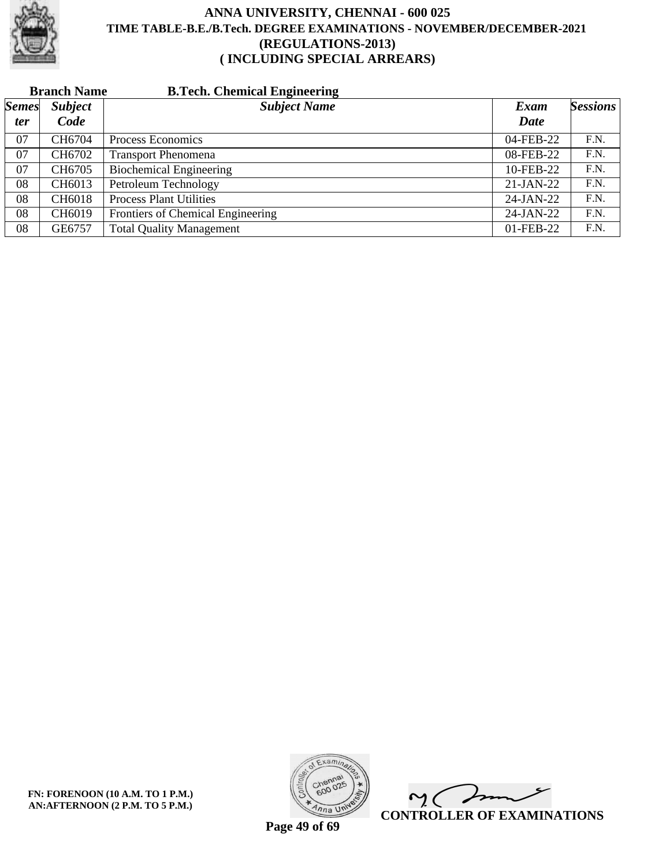

|              | <b>Branch Name</b> | <b>B.Tech. Chemical Engineering</b> |             |                 |
|--------------|--------------------|-------------------------------------|-------------|-----------------|
| <b>Semes</b> | <b>Subject</b>     | <b>Subject Name</b>                 | Exam        | <b>Sessions</b> |
| <i>ter</i>   | Code               |                                     | <b>Date</b> |                 |
| 07           | CH6704             | Process Economics                   | 04-FEB-22   | F.N.            |
| 07           | CH6702             | <b>Transport Phenomena</b>          | 08-FEB-22   | F.N.            |
| 07           | CH6705             | <b>Biochemical Engineering</b>      | 10-FEB-22   | F.N.            |
| 08           | CH6013             | Petroleum Technology                | $21-JAN-22$ | F.N.            |
| 08           | CH6018             | <b>Process Plant Utilities</b>      | 24-JAN-22   | F.N.            |
| 08           | CH6019             | Frontiers of Chemical Engineering   | 24-JAN-22   | F.N.            |
| 08           | GE6757             | <b>Total Quality Management</b>     | 01-FEB-22   | F.N.            |

**FN: FORENOON (10 A.M. TO 1 P.M.) AN:AFTERNOON (2 P.M. TO 5 P.M.)**



 $\overline{\phantom{a}}$  $\sim$  ( **CONTROLLER OF EXAMINATIONS**

**Page 49 of 69**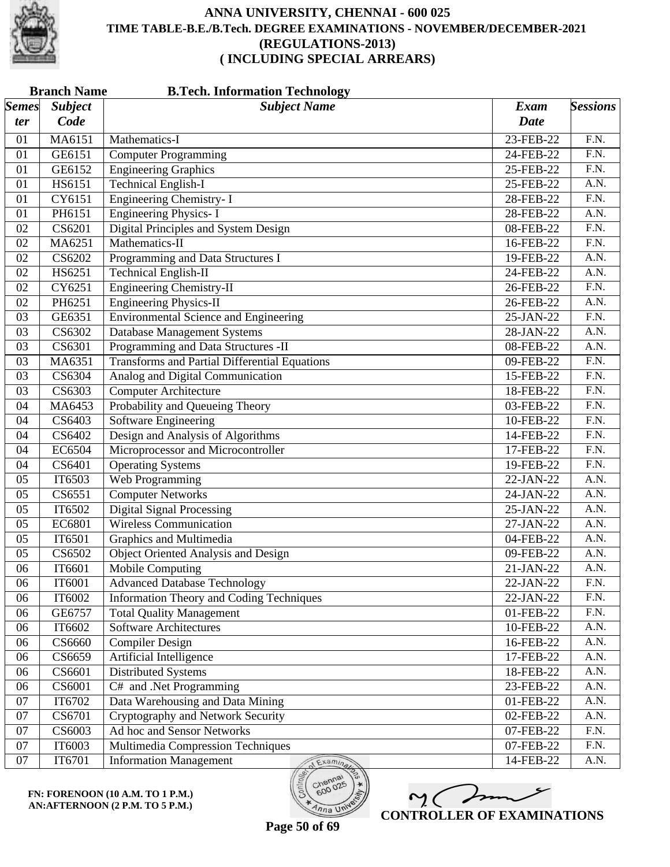

| <b>Branch Name</b><br><b>B.Tech. Information Technology</b> |                             |                                                      |                 |                   |  |
|-------------------------------------------------------------|-----------------------------|------------------------------------------------------|-----------------|-------------------|--|
| <b>Semes</b>                                                | <b>Subject</b>              | <b>Subject Name</b>                                  | <b>Exam</b>     | <b>Sessions</b>   |  |
| ter                                                         | Code                        |                                                      | Date            |                   |  |
| 01                                                          | MA6151                      | Mathematics-I                                        | 23-FEB-22       | F.N.              |  |
| 01                                                          | GE6151                      | <b>Computer Programming</b>                          | 24-FEB-22       | F.N.              |  |
| 01                                                          | GE6152                      | <b>Engineering Graphics</b>                          | 25-FEB-22       | $\overline{F.N.}$ |  |
| 01                                                          | HS6151                      | <b>Technical English-I</b>                           | 25-FEB-22       | A.N.              |  |
| 01                                                          | CY6151                      | <b>Engineering Chemistry-I</b>                       | $28$ -FEB- $22$ | F.N.              |  |
| 01                                                          | PH6151                      | <b>Engineering Physics-I</b>                         | 28-FEB-22       | $\overline{A.N.}$ |  |
| 02                                                          | CS6201                      | <b>Digital Principles and System Design</b>          | 08-FEB-22       | $\overline{F.N.}$ |  |
| 02                                                          | MA6251                      | Mathematics-II                                       | 16-FEB-22       | F.N.              |  |
| 02                                                          | CS6202                      | Programming and Data Structures I                    | 19-FEB-22       | A.N.              |  |
| 02                                                          | HS6251                      | <b>Technical English-II</b>                          | 24-FEB-22       | A.N.              |  |
| 02                                                          | CY6251                      | <b>Engineering Chemistry-II</b>                      | 26-FEB-22       | $\overline{F.N.}$ |  |
| 02                                                          | PH6251                      | <b>Engineering Physics-II</b>                        | 26-FEB-22       | A.N.              |  |
| 03                                                          | GE6351                      | <b>Environmental Science</b> and Engineering         | 25-JAN-22       | F.N.              |  |
| 03                                                          | CS6302                      | <b>Database Management Systems</b>                   | 28-JAN-22       | $\overline{A.N.}$ |  |
| 03                                                          | CS6301                      | Programming and Data Structures -II                  | 08-FEB-22       | $\overline{A.N.}$ |  |
| 03                                                          | MA6351                      | <b>Transforms and Partial Differential Equations</b> | 09-FEB-22       | F.N.              |  |
| 03                                                          | CS6304                      | Analog and Digital Communication                     | 15-FEB-22       | F.N.              |  |
| 03                                                          | CS6303                      | <b>Computer Architecture</b>                         | 18-FEB-22       | $\overline{F.N.}$ |  |
| 04                                                          | MA6453                      | Probability and Queueing Theory                      | 03-FEB-22       | $\overline{F.N.}$ |  |
| 04                                                          | CS6403                      | <b>Software Engineering</b>                          | 10-FEB-22       | $\overline{F.N.}$ |  |
| 04                                                          | CS6402                      | Design and Analysis of Algorithms                    | 14-FEB-22       | F.N.              |  |
| 04                                                          | EC6504                      | Microprocessor and Microcontroller                   | 17-FEB-22       | $\overline{F.N.}$ |  |
| 04                                                          | CS6401                      | <b>Operating Systems</b>                             | 19-FEB-22       | $\overline{F.N.}$ |  |
| 05                                                          | IT6503                      | Web Programming                                      | 22-JAN-22       | A.N.              |  |
| 05                                                          | CS6551                      | <b>Computer Networks</b>                             | 24-JAN-22       | A.N.              |  |
| 05                                                          | IT6502                      | <b>Digital Signal Processing</b>                     | 25-JAN-22       | A.N.              |  |
| 05                                                          | EC6801                      | <b>Wireless Communication</b>                        | 27-JAN-22       | $\overline{A.N.}$ |  |
| 05                                                          | IT6501                      | Graphics and Multimedia                              | 04-FEB-22       | A.N.              |  |
| 05                                                          | CS6502                      | Object Oriented Analysis and Design                  | 09-FEB-22       | A.N.              |  |
| 06                                                          | IT6601                      | <b>Mobile Computing</b>                              | 21-JAN-22       | A.N.              |  |
| 06                                                          | IT6001                      | <b>Advanced Database Technology</b>                  | 22-JAN-22       | F.N.              |  |
| 06                                                          | IT6002                      | <b>Information Theory and Coding Techniques</b>      | 22-JAN-22       | F.N.              |  |
| 06                                                          | GE6757                      | <b>Total Quality Management</b>                      | 01-FEB-22       | F.N.              |  |
| 06                                                          | IT6602                      | <b>Software Architectures</b>                        | 10-FEB-22       | A.N.              |  |
| 06                                                          | $\overline{\text{CS}}$ 6660 | <b>Compiler Design</b>                               | 16-FEB-22       | A.N.              |  |
| 06                                                          | CS6659                      | Artificial Intelligence                              | 17-FEB-22       | A.N.              |  |
| 06                                                          | CS6601                      | Distributed Systems                                  | 18-FEB-22       | A.N.              |  |
| 06                                                          | CS6001                      | C# and .Net Programming                              | 23-FEB-22       | A.N.              |  |
| 07                                                          | IT6702                      | Data Warehousing and Data Mining                     | 01-FEB-22       | A.N.              |  |
| 07                                                          | CS6701                      | Cryptography and Network Security                    | 02-FEB-22       | A.N.              |  |
| 07                                                          | CS6003                      | Ad hoc and Sensor Networks                           | 07-FEB-22       | F.N.              |  |
| 07                                                          | IT6003                      | Multimedia Compression Techniques                    | 07-FEB-22       | F.N.              |  |
|                                                             |                             |                                                      |                 | A.N.              |  |
| 07                                                          | IT6701                      | <b>Information Management</b><br>Examinar            | 14-FEB-22       |                   |  |

**FN: FORENOON (10 A.M. TO 1 P.M.) AN:AFTERNOON (2 P.M. TO 5 P.M.)**

 $m($ **CONTROLLER OF EXAMINATIONS**

600

 $\eta_{n}$  UN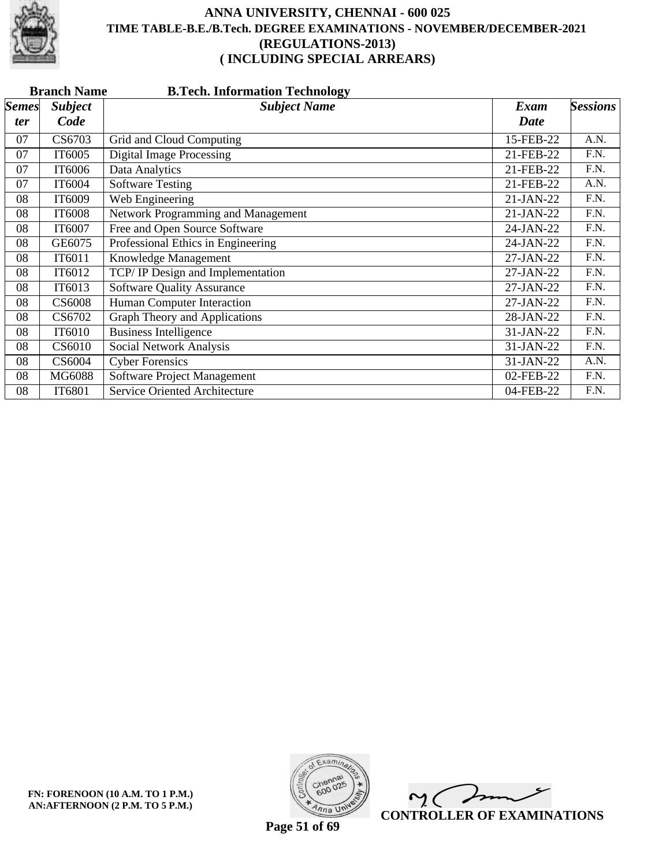

|              | <b>Branch Name</b><br><b>B.Tech. Information Technology</b> |                                         |             |                   |  |  |
|--------------|-------------------------------------------------------------|-----------------------------------------|-------------|-------------------|--|--|
| <b>Semes</b> | <b>Subject</b>                                              | <b>Subject Name</b>                     | Exam        | <b>Sessions</b>   |  |  |
| ter          | Code                                                        |                                         | <b>Date</b> |                   |  |  |
| 07           | CS6703                                                      | Grid and Cloud Computing                | 15-FEB-22   | A.N.              |  |  |
| 07           | IT6005                                                      | <b>Digital Image Processing</b>         | 21-FEB-22   | F.N.              |  |  |
| 07           | IT6006                                                      | Data Analytics                          | 21-FEB-22   | F.N.              |  |  |
| 07           | IT6004                                                      | <b>Software Testing</b>                 | 21-FEB-22   | A.N.              |  |  |
| 08           | IT6009                                                      | Web Engineering                         | 21-JAN-22   | F.N.              |  |  |
| 08           | IT6008                                                      | Network Programming and Management      | 21-JAN-22   | F.N.              |  |  |
| 08           | IT6007                                                      | Free and Open Source Software           | 24-JAN-22   | F.N.              |  |  |
| 08           | GE6075                                                      | Professional Ethics in Engineering      | 24-JAN-22   | F.N.              |  |  |
| 08           | IT6011                                                      | Knowledge Management                    | 27-JAN-22   | $\overline{F.N.}$ |  |  |
| 08           | IT6012                                                      | <b>TCP/IP</b> Design and Implementation | 27-JAN-22   | F.N.              |  |  |
| 08           | IT6013                                                      | <b>Software Quality Assurance</b>       | 27-JAN-22   | F.N.              |  |  |
| 08           | <b>CS6008</b>                                               | Human Computer Interaction              | 27-JAN-22   | F.N.              |  |  |
| 08           | CS6702                                                      | Graph Theory and Applications           | 28-JAN-22   | F.N.              |  |  |
| 08           | IT6010                                                      | <b>Business Intelligence</b>            | 31-JAN-22   | F.N.              |  |  |
| 08           | CS6010                                                      | Social Network Analysis                 | 31-JAN-22   | F.N.              |  |  |
| 08           | CS6004                                                      | <b>Cyber Forensics</b>                  | 31-JAN-22   | A.N.              |  |  |
| 08           | MG6088                                                      | Software Project Management             | 02-FEB-22   | F.N.              |  |  |
| 08           | IT6801                                                      | <b>Service Oriented Architecture</b>    | 04-FEB-22   | F.N.              |  |  |



 $\overline{\phantom{a}}$  $\mathsf{M}(\mathbb{C})$ **CONTROLLER OF EXAMINATIONS**

**Page 51 of 69**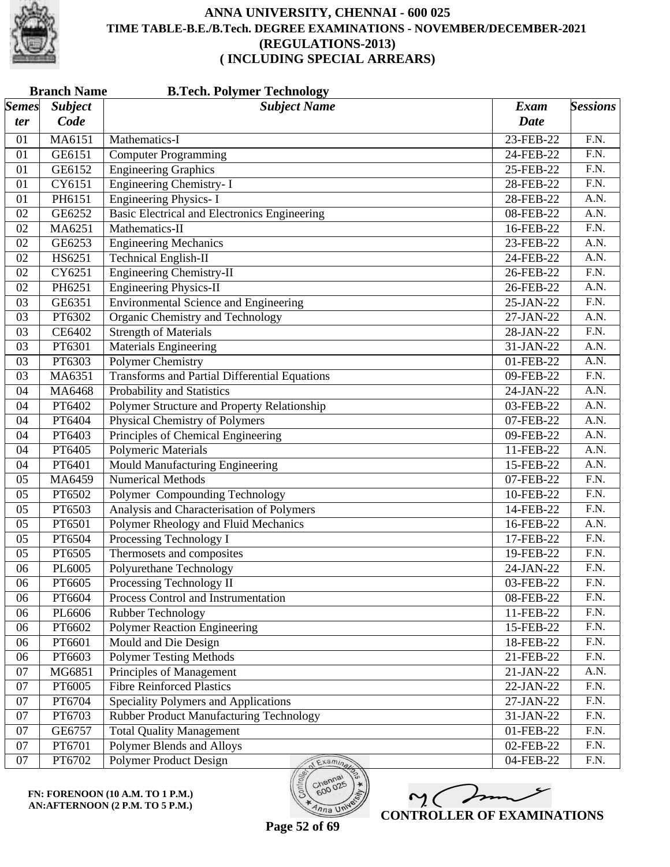

|                       | <b>Branch Name</b><br><b>B.Tech. Polymer Technology</b> |                                                      |             |                   |  |  |  |
|-----------------------|---------------------------------------------------------|------------------------------------------------------|-------------|-------------------|--|--|--|
| $\vert$ Semes $\vert$ | <b>Subject</b>                                          | <b>Subject Name</b>                                  | <b>Exam</b> | <b>Sessions</b>   |  |  |  |
| ter                   | Code                                                    |                                                      | <b>Date</b> |                   |  |  |  |
| 01                    | MA6151                                                  | Mathematics-I                                        | 23-FEB-22   | F.N.              |  |  |  |
| 01                    | GE6151                                                  | Computer Programming                                 | 24-FEB-22   | F.N.              |  |  |  |
| 01                    | GE6152                                                  | <b>Engineering Graphics</b>                          | 25-FEB-22   | $\overline{F.N.}$ |  |  |  |
| 01                    | CY6151                                                  | Engineering Chemistry- I                             | 28-FEB-22   | $\overline{F.N.}$ |  |  |  |
| 01                    | PH6151                                                  | <b>Engineering Physics-I</b>                         | 28-FEB-22   | A.N.              |  |  |  |
| 02                    | GE6252                                                  | <b>Basic Electrical and Electronics Engineering</b>  | 08-FEB-22   | A.N.              |  |  |  |
| 02                    | MA6251                                                  | Mathematics-II                                       | 16-FEB-22   | F.N.              |  |  |  |
| 02                    | GE6253                                                  | <b>Engineering Mechanics</b>                         | 23-FEB-22   | A.N.              |  |  |  |
| 02                    | HS6251                                                  | <b>Technical English-II</b>                          | 24-FEB-22   | A.N.              |  |  |  |
| 02                    | CY6251                                                  | <b>Engineering Chemistry-II</b>                      | 26-FEB-22   | F.N.              |  |  |  |
| 02                    | PH6251                                                  | <b>Engineering Physics-II</b>                        | 26-FEB-22   | A.N.              |  |  |  |
| 03                    | GE6351                                                  | <b>Environmental Science and Engineering</b>         | 25-JAN-22   | $\overline{F.N.}$ |  |  |  |
| 03                    | PT6302                                                  | Organic Chemistry and Technology                     | 27-JAN-22   | A.N.              |  |  |  |
| 03                    | CE6402                                                  | <b>Strength of Materials</b>                         | 28-JAN-22   | $\overline{F.N.}$ |  |  |  |
| 03                    | PT6301                                                  | <b>Materials Engineering</b>                         | 31-JAN-22   | $\overline{A.N.}$ |  |  |  |
| 03                    | PT6303                                                  | <b>Polymer Chemistry</b>                             | 01-FEB-22   | A.N.              |  |  |  |
| 03                    | MA6351                                                  | <b>Transforms and Partial Differential Equations</b> | 09-FEB-22   | F.N.              |  |  |  |
| 04                    | MA6468                                                  | Probability and Statistics                           | 24-JAN-22   | A.N.              |  |  |  |
| 04                    | PT6402                                                  | Polymer Structure and Property Relationship          | 03-FEB-22   | A.N.              |  |  |  |
| 04                    | PT6404                                                  | <b>Physical Chemistry of Polymers</b>                | 07-FEB-22   | A.N.              |  |  |  |
| 04                    | PT6403                                                  | Principles of Chemical Engineering                   | 09-FEB-22   | A.N.              |  |  |  |
| 04                    | PT6405                                                  | <b>Polymeric Materials</b>                           | 11-FEB-22   | A.N.              |  |  |  |
| 04                    | PT6401                                                  | Mould Manufacturing Engineering                      | 15-FEB-22   | A.N.              |  |  |  |
| 05                    | MA6459                                                  | <b>Numerical Methods</b>                             | 07-FEB-22   | $\overline{F.N.}$ |  |  |  |
| 05                    | PT6502                                                  | Polymer Compounding Technology                       | 10-FEB-22   | F.N.              |  |  |  |
| 05                    | PT6503                                                  | Analysis and Characterisation of Polymers            | 14-FEB-22   | F.N.              |  |  |  |
| 05                    | PT6501                                                  | Polymer Rheology and Fluid Mechanics                 | 16-FEB-22   | A.N.              |  |  |  |
| 05                    | PT6504                                                  | Processing Technology I                              | 17-FEB-22   | $\overline{F.N.}$ |  |  |  |
| 05                    | PT6505                                                  | Thermosets and composites                            | 19-FEB-22   | F.N.              |  |  |  |
| 06                    | PL6005                                                  | Polyurethane Technology                              | 24-JAN-22   | F.N.              |  |  |  |
| 06                    | PT6605                                                  | Processing Technology II                             | 03-FEB-22   | F.N.              |  |  |  |
| 06                    | PT6604                                                  | Process Control and Instrumentation                  | 08-FEB-22   | F.N.              |  |  |  |
| 06                    | PL6606                                                  | Rubber Technology                                    | 11-FEB-22   | F.N.              |  |  |  |
| 06                    | PT6602                                                  | <b>Polymer Reaction Engineering</b>                  | 15-FEB-22   | F.N.              |  |  |  |
| 06                    | PT6601                                                  | <b>Mould and Die Design</b>                          | 18-FEB-22   | $\overline{F.N.}$ |  |  |  |
| 06                    | PT6603                                                  | <b>Polymer Testing Methods</b>                       | 21-FEB-22   | F.N.              |  |  |  |
| 07                    | MG6851                                                  | Principles of Management                             | 21-JAN-22   | A.N.              |  |  |  |
| 07                    | PT6005                                                  | <b>Fibre Reinforced Plastics</b>                     | 22-JAN-22   | F.N.              |  |  |  |
| 07                    | PT6704                                                  | Speciality Polymers and Applications                 | 27-JAN-22   | $\overline{F.N.}$ |  |  |  |
| 07                    | PT6703                                                  | <b>Rubber Product Manufacturing Technology</b>       | 31-JAN-22   | F.N.              |  |  |  |
| 07                    | GE6757                                                  | <b>Total Quality Management</b>                      | 01-FEB-22   | F.N.              |  |  |  |
| 07                    | PT6701                                                  | Polymer Blends and Alloys                            | 02-FEB-22   | F.N.              |  |  |  |
| 07                    | PT6702                                                  | Polymer Product Design<br>Examina                    | 04-FEB-22   | F.N.              |  |  |  |

**FN: FORENOON (10 A.M. TO 1 P.M.) AN:AFTERNOON (2 P.M. TO 5 P.M.)**

 $m<sub>2</sub>$ **CONTROLLER OF EXAMINATIONS**

 $600$ 

 $\overline{\eta_{n}}$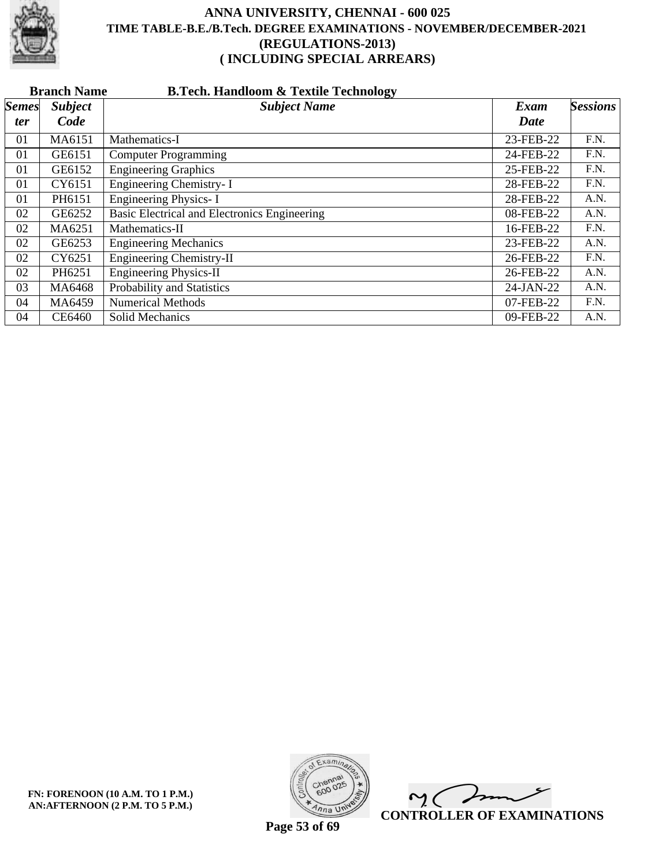

|              | <b>B.Tech. Handloom &amp; Textile Technology</b><br><b>Branch Name</b> |                                              |           |                 |  |  |  |
|--------------|------------------------------------------------------------------------|----------------------------------------------|-----------|-----------------|--|--|--|
| <b>Semes</b> | <b>Subject</b>                                                         | <b>Subject Name</b>                          | Exam      | <b>Sessions</b> |  |  |  |
| ter          | Code                                                                   |                                              | Date      |                 |  |  |  |
| 01           | MA6151                                                                 | Mathematics-I                                | 23-FEB-22 | F.N.            |  |  |  |
| 01           | GE6151                                                                 | <b>Computer Programming</b>                  | 24-FEB-22 | F.N.            |  |  |  |
| 01           | GE6152                                                                 | <b>Engineering Graphics</b>                  | 25-FEB-22 | F.N.            |  |  |  |
| 01           | CY6151                                                                 | Engineering Chemistry-I                      | 28-FEB-22 | F.N.            |  |  |  |
| 01           | PH6151                                                                 | Engineering Physics- I                       | 28-FEB-22 | A.N.            |  |  |  |
| 02           | GE6252                                                                 | Basic Electrical and Electronics Engineering | 08-FEB-22 | A.N.            |  |  |  |
| 02           | MA6251                                                                 | Mathematics-II                               | 16-FEB-22 | F.N.            |  |  |  |
| 02           | GE6253                                                                 | <b>Engineering Mechanics</b>                 | 23-FEB-22 | A.N.            |  |  |  |
| 02           | CY6251                                                                 | Engineering Chemistry-II                     | 26-FEB-22 | F.N.            |  |  |  |
| 02           | PH6251                                                                 | <b>Engineering Physics-II</b>                | 26-FEB-22 | A.N.            |  |  |  |
| 03           | MA6468                                                                 | Probability and Statistics                   | 24-JAN-22 | A.N.            |  |  |  |
| 04           | MA6459                                                                 | <b>Numerical Methods</b>                     | 07-FEB-22 | F.N.            |  |  |  |
| 04           | CE6460                                                                 | Solid Mechanics                              | 09-FEB-22 | A.N.            |  |  |  |



 $\overline{\phantom{a}}$  $\sim$  ( **CONTROLLER OF EXAMINATIONS**

**Page 53 of 69**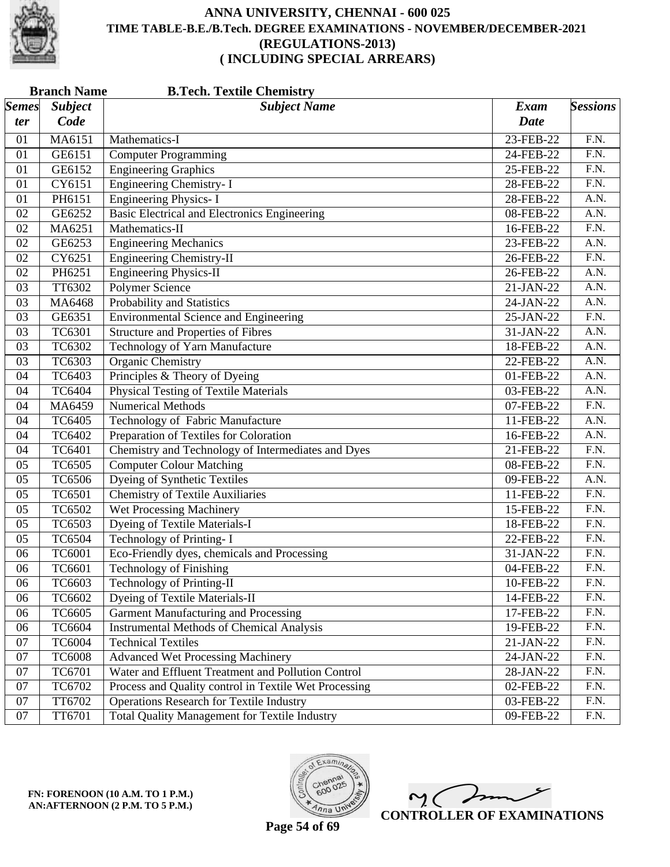

| <b>Branch Name</b><br><b>B.Tech. Textile Chemistry</b> |                |                                                       |                         |                   |  |
|--------------------------------------------------------|----------------|-------------------------------------------------------|-------------------------|-------------------|--|
| $\vert$ Semes $\vert$                                  | <b>Subject</b> | <b>Subject Name</b>                                   | Exam                    | <b>Sessions</b>   |  |
| ter                                                    | Code           |                                                       | <b>Date</b>             |                   |  |
| 01                                                     | MA6151         | Mathematics-I                                         | 23-FEB-22               | F.N.              |  |
| 01                                                     | GE6151         | <b>Computer Programming</b>                           | 24-FEB-22               | F.N.              |  |
| 01                                                     | GE6152         | <b>Engineering Graphics</b>                           | 25-FEB-22               | $\overline{F.N.}$ |  |
| 01                                                     | CY6151         | <b>Engineering Chemistry-I</b>                        | 28-FEB-22               | $\overline{F.N.}$ |  |
| 01                                                     | PH6151         | <b>Engineering Physics-I</b>                          | 28-FEB-22               | A.N.              |  |
| 02                                                     | GE6252         | <b>Basic Electrical and Electronics Engineering</b>   | 08-FEB-22               | A.N.              |  |
| 02                                                     | MA6251         | Mathematics-II                                        | 16-FEB-22               | F.N.              |  |
| 02                                                     | GE6253         | <b>Engineering Mechanics</b>                          | 23-FEB-22               | A.N.              |  |
| 02                                                     | CY6251         | <b>Engineering Chemistry-II</b>                       | 26-FEB-22               | F.N.              |  |
| 02                                                     | PH6251         | <b>Engineering Physics-II</b>                         | 26-FEB-22               | A.N.              |  |
| 03                                                     | TT6302         | <b>Polymer Science</b>                                | 21-JAN-22               | A.N.              |  |
| 03                                                     | MA6468         | Probability and Statistics                            | 24-JAN-22               | A.N.              |  |
| 03                                                     | GE6351         | <b>Environmental Science and Engineering</b>          | 25-JAN-22               | $\overline{F.N.}$ |  |
| 03                                                     | <b>TC6301</b>  | <b>Structure and Properties of Fibres</b>             | 31-JAN-22               | A.N.              |  |
| 03                                                     | TC6302         | <b>Technology of Yarn Manufacture</b>                 | 18-FEB-22               | A.N.              |  |
| 03                                                     | TC6303         | <b>Organic Chemistry</b>                              | 22-FEB-22               | A.N.              |  |
| 04                                                     | TC6403         | Principles & Theory of Dyeing                         | 01-FEB-22               | A.N.              |  |
| 04                                                     | <b>TC6404</b>  | <b>Physical Testing of Textile Materials</b>          | 03-FEB-22               | A.N.              |  |
| 04                                                     | MA6459         | <b>Numerical Methods</b>                              | 07-FEB-22               | $\overline{F.N.}$ |  |
| 04                                                     | <b>TC6405</b>  | Technology of Fabric Manufacture                      | 11-FEB-22               | A.N.              |  |
| 04                                                     | <b>TC6402</b>  | Preparation of Textiles for Coloration                | 16-FEB-22               | A.N.              |  |
| 04                                                     | <b>TC6401</b>  | Chemistry and Technology of Intermediates and Dyes    | 21-FEB-22               | $\overline{F.N.}$ |  |
| 05                                                     | <b>TC6505</b>  | <b>Computer Colour Matching</b>                       | 08-FEB-22               | $\overline{F.N.}$ |  |
| 05                                                     | <b>TC6506</b>  | <b>Dyeing of Synthetic Textiles</b>                   | 09-FEB-22               | A.N.              |  |
| 05                                                     | <b>TC6501</b>  | <b>Chemistry of Textile Auxiliaries</b>               | 11-FEB-22               | $\overline{F.N.}$ |  |
| 05                                                     | <b>TC6502</b>  | <b>Wet Processing Machinery</b>                       | 15-FEB-22               | F.N.              |  |
| 05                                                     | TC6503         | <b>Dyeing of Textile Materials-I</b>                  | 18-FEB-22               | $\overline{F.N.}$ |  |
| 05                                                     | <b>TC6504</b>  | <b>Technology of Printing-I</b>                       | 22-FEB-22               | $\overline{F.N.}$ |  |
| 06                                                     | <b>TC6001</b>  | Eco-Friendly dyes, chemicals and Processing           | 31-JAN-22               | F.N.              |  |
| 06                                                     | TC6601         | <b>Technology of Finishing</b>                        | 04-FEB-22               | F.N.              |  |
| 06                                                     | TC6603         | Technology of Printing-II                             | 10-FEB-22               | F.N.              |  |
| 06                                                     | TC6602         | <b>Dyeing of Textile Materials-II</b>                 | 14-FEB-22               | F.N.              |  |
| 06                                                     | <b>TC6605</b>  | <b>Garment Manufacturing and Processing</b>           | 17-FEB-22               | F.N.              |  |
| 06                                                     | TC6604         | <b>Instrumental Methods of Chemical Analysis</b>      | 19-FEB-22               | F.N.              |  |
| 07                                                     | <b>TC6004</b>  | <b>Technical Textiles</b>                             | $\overline{2}$ 1-JAN-22 | F.N.              |  |
| $07\,$                                                 | <b>TC6008</b>  | <b>Advanced Wet Processing Machinery</b>              | 24-JAN-22               | F.N.              |  |
| 07                                                     | TC6701         | Water and Effluent Treatment and Pollution Control    | 28-JAN-22               | F.N.              |  |
| 07                                                     | TC6702         | Process and Quality control in Textile Wet Processing | 02-FEB-22               | F.N.              |  |
| 07                                                     | TT6702         | <b>Operations Research for Textile Industry</b>       | 03-FEB-22               | F.N.              |  |
| 07                                                     | TT6701         | <b>Total Quality Management for Textile Industry</b>  | 09-FEB-22               | F.N.              |  |



 $\overline{\phantom{a}}$  $\mathsf{M}(\mathbb{C})$ **CONTROLLER OF EXAMINATIONS**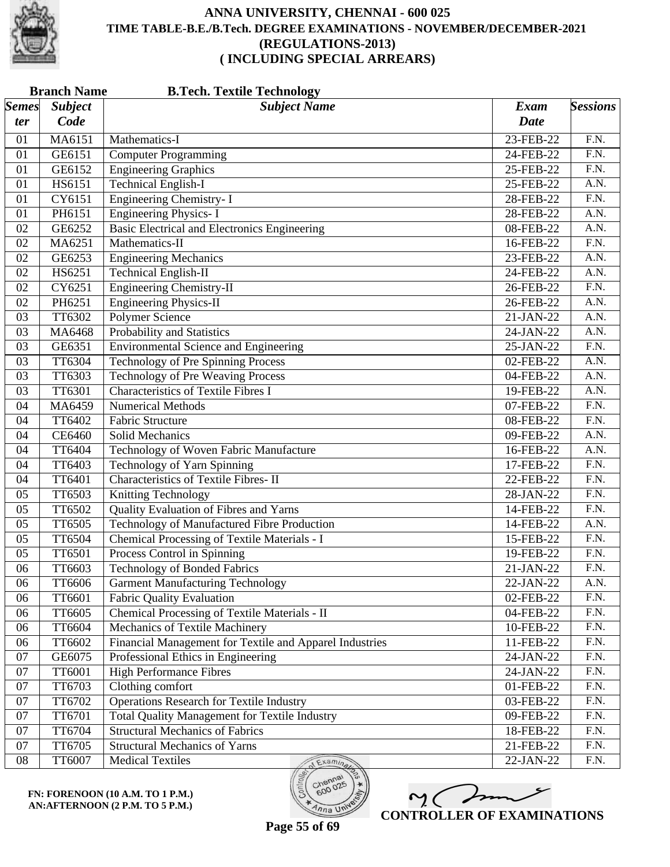

| <b>Branch Name</b><br><b>B.Tech. Textile Technology</b> |                |                                                         |             |                   |  |  |
|---------------------------------------------------------|----------------|---------------------------------------------------------|-------------|-------------------|--|--|
| <b>Semes</b>                                            | <b>Subject</b> | <b>Subject Name</b>                                     | <b>Exam</b> | <b>Sessions</b>   |  |  |
| ter                                                     | Code           |                                                         | <b>Date</b> |                   |  |  |
| 01                                                      | MA6151         | Mathematics-I                                           | 23-FEB-22   | F.N.              |  |  |
| 01                                                      | GE6151         | <b>Computer Programming</b>                             | 24-FEB-22   | $\overline{F.N.}$ |  |  |
| 01                                                      | GE6152         | <b>Engineering Graphics</b>                             | 25-FEB-22   | $\overline{F.N.}$ |  |  |
| 01                                                      | HS6151         | <b>Technical English-I</b>                              | 25-FEB-22   | A.N.              |  |  |
| 01                                                      | CY6151         | <b>Engineering Chemistry-I</b>                          | 28-FEB-22   | F.N.              |  |  |
| 01                                                      | PH6151         | <b>Engineering Physics-I</b>                            | 28-FEB-22   | A.N.              |  |  |
| 02                                                      | GE6252         | <b>Basic Electrical and Electronics Engineering</b>     | 08-FEB-22   | $\overline{A.N.}$ |  |  |
| 02                                                      | MA6251         | Mathematics-II                                          | 16-FEB-22   | $\overline{F.N.}$ |  |  |
| 02                                                      | GE6253         | <b>Engineering Mechanics</b>                            | 23-FEB-22   | A.N.              |  |  |
| 02                                                      | HS6251         | <b>Technical English-II</b>                             | 24-FEB-22   | $\overline{A.N.}$ |  |  |
| 02                                                      | CY6251         | <b>Engineering Chemistry-II</b>                         | 26-FEB-22   | $\overline{F.N.}$ |  |  |
| 02                                                      | PH6251         | <b>Engineering Physics-II</b>                           | 26-FEB-22   | A.N.              |  |  |
| 03                                                      | TT6302         | Polymer Science                                         | 21-JAN-22   | A.N.              |  |  |
| 03                                                      | MA6468         | Probability and Statistics                              | 24-JAN-22   | A.N.              |  |  |
| 03                                                      | GE6351         | <b>Environmental Science and Engineering</b>            | 25-JAN-22   | $\overline{F.N.}$ |  |  |
| 03                                                      | <b>TT6304</b>  | <b>Technology of Pre Spinning Process</b>               | 02-FEB-22   | A.N.              |  |  |
| 03                                                      | TT6303         | <b>Technology of Pre Weaving Process</b>                | 04-FEB-22   | A.N.              |  |  |
| 03                                                      | TT6301         | <b>Characteristics of Textile Fibres I</b>              | 19-FEB-22   | A.N.              |  |  |
| 04                                                      | MA6459         | <b>Numerical Methods</b>                                | 07-FEB-22   | F.N.              |  |  |
| 04                                                      | TT6402         | <b>Fabric Structure</b>                                 | 08-FEB-22   | F.N.              |  |  |
| 04                                                      | CE6460         | Solid Mechanics                                         | 09-FEB-22   | A.N.              |  |  |
| 04                                                      | TT6404         | Technology of Woven Fabric Manufacture                  | 16-FEB-22   | A.N.              |  |  |
| 04                                                      | TT6403         | Technology of Yarn Spinning                             | 17-FEB-22   | $\overline{F.N.}$ |  |  |
| 04                                                      | TT6401         | <b>Characteristics of Textile Fibres-II</b>             | 22-FEB-22   | $\overline{F.N.}$ |  |  |
| 05                                                      | TT6503         | Knitting Technology                                     | 28-JAN-22   | F.N.              |  |  |
| 05                                                      | TT6502         | Quality Evaluation of Fibres and Yarns                  | 14-FEB-22   | $\overline{F.N.}$ |  |  |
| 05                                                      | TT6505         | Technology of Manufactured Fibre Production             | 14-FEB-22   | $\overline{A.N.}$ |  |  |
| 05                                                      | <b>TT6504</b>  | Chemical Processing of Textile Materials - I            | 15-FEB-22   | $\overline{F.N.}$ |  |  |
| 05                                                      | TT6501         | Process Control in Spinning                             | 19-FEB-22   | F.N.              |  |  |
| 06                                                      | TT6603         | <b>Technology of Bonded Fabrics</b>                     | 21-JAN-22   | F.N.              |  |  |
| 06                                                      | TT6606         | <b>Garment Manufacturing Technology</b>                 | 22-JAN-22   | A.N.              |  |  |
| 06                                                      | TT6601         | <b>Fabric Quality Evaluation</b>                        | 02-FEB-22   | F.N.              |  |  |
| 06                                                      | TT6605         | Chemical Processing of Textile Materials - II           | 04-FEB-22   | F.N.              |  |  |
| 06                                                      | TT6604         | Mechanics of Textile Machinery                          | 10-FEB-22   | F.N.              |  |  |
| 06                                                      | TT6602         | Financial Management for Textile and Apparel Industries | 11-FEB-22   | F.N.              |  |  |
| $07\,$                                                  | GE6075         | Professional Ethics in Engineering                      | 24-JAN-22   | F.N.              |  |  |
| 07                                                      | TT6001         | <b>High Performance Fibres</b>                          | 24-JAN-22   | F.N.              |  |  |
| 07                                                      | TT6703         | Clothing comfort                                        | 01-FEB-22   | F.N.              |  |  |
| 07                                                      | TT6702         | <b>Operations Research for Textile Industry</b>         | 03-FEB-22   | F.N.              |  |  |
| 07                                                      | TT6701         | <b>Total Quality Management for Textile Industry</b>    | 09-FEB-22   | F.N.              |  |  |
| 07                                                      | TT6704         | <b>Structural Mechanics of Fabrics</b>                  | 18-FEB-22   | F.N.              |  |  |
| 07                                                      | TT6705         | <b>Structural Mechanics of Yarns</b>                    | 21-FEB-22   | F.N.              |  |  |
| ${\bf 08}$                                              | TT6007         | Medical Textiles<br>Examinac                            | 22-JAN-22   | F.N.              |  |  |

**FN: FORENOON (10 A.M. TO 1 P.M.) AN:AFTERNOON (2 P.M. TO 5 P.M.)**



600

 $\overline{\eta_{n}}$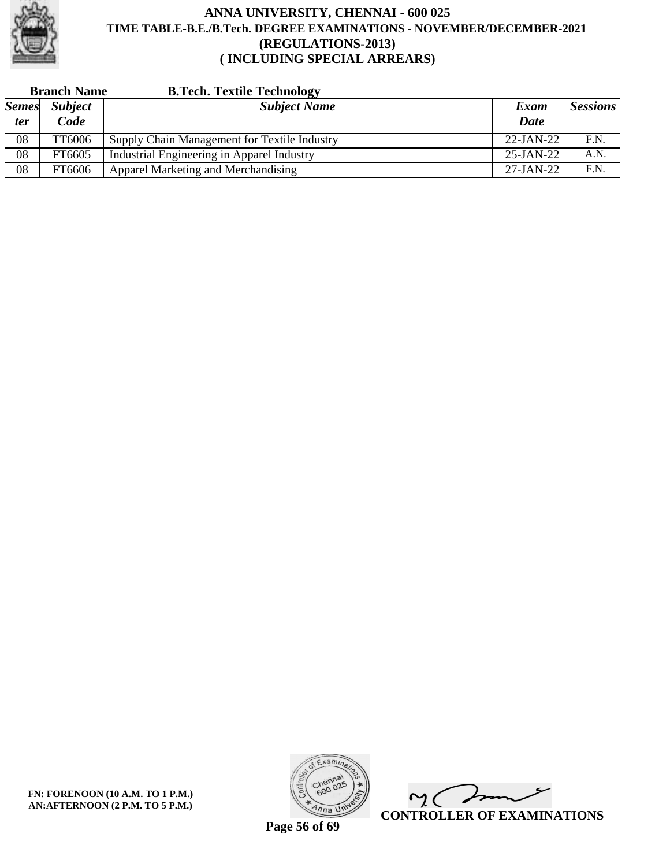

| <b>Branch Name</b> |                | <b>B.Tech. Textile Technology</b>            |              |                 |
|--------------------|----------------|----------------------------------------------|--------------|-----------------|
| <b>Semes</b>       | <b>Subject</b> | <b>Subject Name</b>                          | Exam         | <b>Sessions</b> |
| ter                | Code           |                                              | <b>Date</b>  |                 |
| 08                 | TT6006         | Supply Chain Management for Textile Industry | $22-JAN-22$  | F.N.            |
| 08                 | FT6605         | Industrial Engineering in Apparel Industry   | $25$ -JAN-22 | A.N.            |
| 08                 | FT6606         | Apparel Marketing and Merchandising          | 27-JAN-22    | F.N.            |



 $\sqrt{2}$  $\sim$  ( **CONTROLLER OF EXAMINATIONS**

**Page 56 of 69**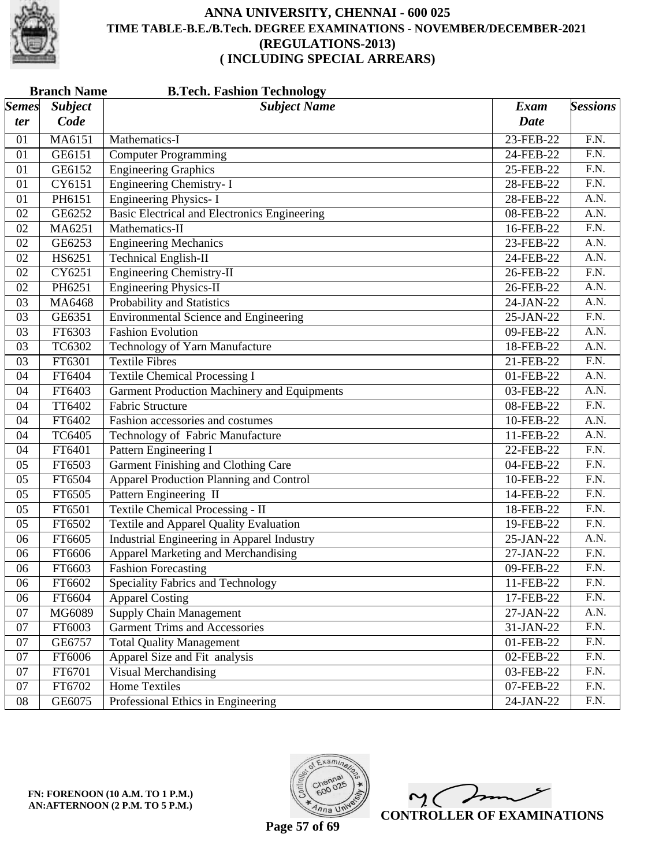

|              | <b>Branch Name</b> | <b>B.Tech. Fashion Technology</b>                   |             |                   |
|--------------|--------------------|-----------------------------------------------------|-------------|-------------------|
| <b>Semes</b> | <b>Subject</b>     | <b>Subject Name</b>                                 | <b>Exam</b> | <b>Sessions</b>   |
| ter          | Code               |                                                     | <b>Date</b> |                   |
| 01           | MA6151             | Mathematics-I                                       | 23-FEB-22   | F.N.              |
| 01           | GE6151             | <b>Computer Programming</b>                         | 24-FEB-22   | F.N.              |
| 01           | GE6152             | <b>Engineering Graphics</b>                         | 25-FEB-22   | $\overline{F.N.}$ |
| 01           | CY6151             | Engineering Chemistry- I                            | 28-FEB-22   | $\overline{F.N.}$ |
| 01           | PH6151             | <b>Engineering Physics-I</b>                        | 28-FEB-22   | A.N.              |
| 02           | GE6252             | <b>Basic Electrical and Electronics Engineering</b> | 08-FEB-22   | $\overline{A.N.}$ |
| 02           | MA6251             | Mathematics-II                                      | 16-FEB-22   | $\overline{F.N.}$ |
| 02           | GE6253             | <b>Engineering Mechanics</b>                        | 23-FEB-22   | A.N.              |
| 02           | HS6251             | <b>Technical English-II</b>                         | 24-FEB-22   | A.N.              |
| 02           | CY6251             | <b>Engineering Chemistry-II</b>                     | 26-FEB-22   | $\overline{F.N.}$ |
| 02           | PH6251             | <b>Engineering Physics-II</b>                       | 26-FEB-22   | $\overline{A.N.}$ |
| 03           | MA6468             | Probability and Statistics                          | 24-JAN-22   | A.N.              |
| 03           | GE6351             | <b>Environmental Science and Engineering</b>        | 25-JAN-22   | $\overline{F.N.}$ |
| 03           | FT6303             | <b>Fashion Evolution</b>                            | 09-FEB-22   | A.N.              |
| 03           | TC6302             | Technology of Yarn Manufacture                      | 18-FEB-22   | $\overline{A.N.}$ |
| 03           | FT6301             | <b>Textile Fibres</b>                               | 21-FEB-22   | $\overline{F.N.}$ |
| 04           | FT6404             | <b>Textile Chemical Processing I</b>                | 01-FEB-22   | A.N.              |
| 04           | FT6403             | <b>Garment Production Machinery and Equipments</b>  | 03-FEB-22   | A.N.              |
| 04           | <b>TT6402</b>      | <b>Fabric Structure</b>                             | 08-FEB-22   | $\overline{F.N.}$ |
| 04           | FT6402             | Fashion accessories and costumes                    | 10-FEB-22   | A.N.              |
| 04           | <b>TC6405</b>      | Technology of Fabric Manufacture                    | 11-FEB-22   | A.N.              |
| 04           | FT6401             | <b>Pattern Engineering I</b>                        | 22-FEB-22   | $\overline{F.N.}$ |
| 05           | FT6503             | <b>Garment Finishing and Clothing Care</b>          | 04-FEB-22   | F.N.              |
| 05           | FT6504             | <b>Apparel Production Planning and Control</b>      | 10-FEB-22   | $\overline{F.N.}$ |
| 05           | FT6505             | Pattern Engineering II                              | 14-FEB-22   | F.N.              |
| 05           | FT6501             | <b>Textile Chemical Processing - II</b>             | 18-FEB-22   | F.N.              |
| 05           | FT6502             | <b>Textile and Apparel Quality Evaluation</b>       | 19-FEB-22   | $\overline{F.N.}$ |
| 06           | FT6605             | <b>Industrial Engineering in Apparel Industry</b>   | 25-JAN-22   | A.N.              |
| 06           | FT6606             | Apparel Marketing and Merchandising                 | 27-JAN-22   | F.N.              |
| 06           | FT6603             | <b>Fashion Forecasting</b>                          | 09-FEB-22   | F.N.              |
| 06           | FT6602             | Speciality Fabrics and Technology                   | 11-FEB-22   | F.N.              |
| 06           | FT6604             | <b>Apparel Costing</b>                              | 17-FEB-22   | F.N.              |
| 07           | MG6089             | <b>Supply Chain Management</b>                      | 27-JAN-22   | A.N.              |
| 07           | FT6003             | <b>Garment Trims and Accessories</b>                | 31-JAN-22   | F.N.              |
| 07           | GE6757             | <b>Total Quality Management</b>                     | 01-FEB-22   | F.N.              |
| 07           | FT6006             | Apparel Size and Fit analysis                       | 02-FEB-22   | F.N.              |
| 07           | FT6701             | Visual Merchandising                                | 03-FEB-22   | F.N.              |
| 07           | FT6702             | <b>Home Textiles</b>                                | 07-FEB-22   | F.N.              |
| ${\bf 08}$   | GE6075             | Professional Ethics in Engineering                  | 24-JAN-22   | F.N.              |



 $\overline{\phantom{a}}$  $\mathsf{M}(\mathbb{C})$ **CONTROLLER OF EXAMINATIONS**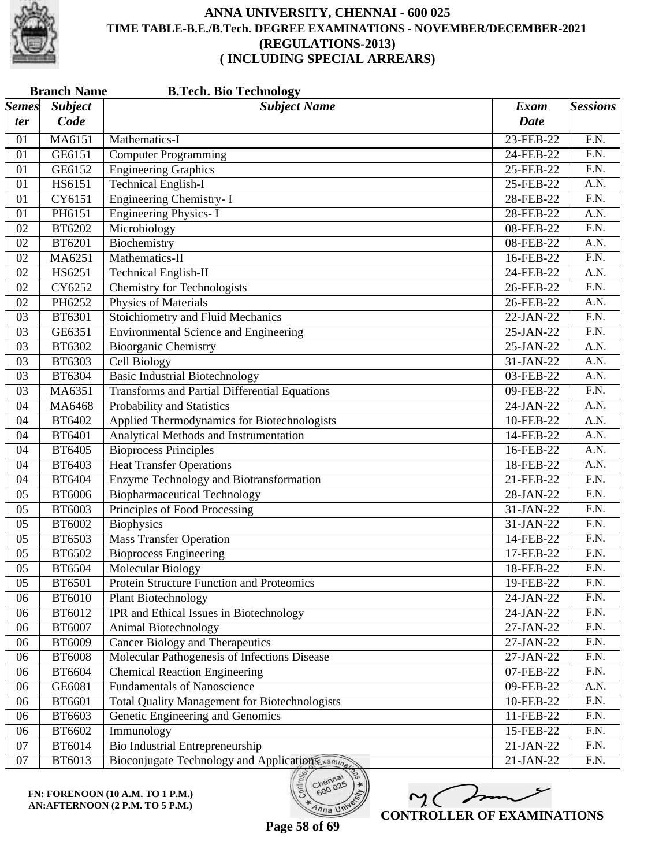

|                 | <b>Branch Name</b><br><b>B.Tech. Bio Technology</b> |                                                      |             |                   |  |  |
|-----------------|-----------------------------------------------------|------------------------------------------------------|-------------|-------------------|--|--|
| <b>Semes</b>    | <b>Subject</b>                                      | <b>Subject Name</b>                                  | <b>Exam</b> | <b>Sessions</b>   |  |  |
| ter             | Code                                                |                                                      | <b>Date</b> |                   |  |  |
| 01              | MA6151                                              | Mathematics-I                                        | 23-FEB-22   | F.N.              |  |  |
| 01              | GE6151                                              | Computer Programming                                 | 24-FEB-22   | $\overline{F.N.}$ |  |  |
| 01              | GE6152                                              | <b>Engineering Graphics</b>                          | 25-FEB-22   | F.N.              |  |  |
| 01              | HS6151                                              | <b>Technical English-I</b>                           | 25-FEB-22   | A.N.              |  |  |
| 01              | CY6151                                              | <b>Engineering Chemistry-I</b>                       | 28-FEB-22   | $\overline{F.N.}$ |  |  |
| 01              | PH6151                                              | <b>Engineering Physics-I</b>                         | 28-FEB-22   | $\overline{A.N.}$ |  |  |
| 02              | <b>BT6202</b>                                       | Microbiology                                         | 08-FEB-22   | F.N.              |  |  |
| 02              | BT6201                                              | Biochemistry                                         | 08-FEB-22   | A.N.              |  |  |
| 02              | MA6251                                              | Mathematics-II                                       | 16-FEB-22   | $\overline{F.N.}$ |  |  |
| 02              | HS6251                                              | <b>Technical English-II</b>                          | 24-FEB-22   | $\overline{A.N.}$ |  |  |
| 02              | CY6252                                              | <b>Chemistry for Technologists</b>                   | 26-FEB-22   | F.N.              |  |  |
| 02              | PH6252                                              | <b>Physics of Materials</b>                          | 26-FEB-22   | $\overline{A.N.}$ |  |  |
| 03              | BT6301                                              | Stoichiometry and Fluid Mechanics                    | 22-JAN-22   | $\overline{F.N.}$ |  |  |
| 03              | GE6351                                              | <b>Environmental Science and Engineering</b>         | 25-JAN-22   | F.N.              |  |  |
| 03              | BT6302                                              | <b>Bioorganic Chemistry</b>                          | 25-JAN-22   | $\overline{A.N.}$ |  |  |
| 03              | <b>BT6303</b>                                       | <b>Cell Biology</b>                                  | 31-JAN-22   | A.N.              |  |  |
| 03              | BT6304                                              | <b>Basic Industrial Biotechnology</b>                | 03-FEB-22   | A.N.              |  |  |
| 03              | MA6351                                              | <b>Transforms and Partial Differential Equations</b> | 09-FEB-22   | F.N.              |  |  |
| 04              | MA6468                                              | Probability and Statistics                           | 24-JAN-22   | $\overline{A.N.}$ |  |  |
| 04              | BT6402                                              | Applied Thermodynamics for Biotechnologists          | 10-FEB-22   | A.N.              |  |  |
| 04              | BT6401                                              | Analytical Methods and Instrumentation               | 14-FEB-22   | A.N.              |  |  |
| 04              | <b>BT6405</b>                                       | <b>Bioprocess Principles</b>                         | 16-FEB-22   | A.N.              |  |  |
| 04              | BT6403                                              | <b>Heat Transfer Operations</b>                      | 18-FEB-22   | $\overline{A.N.}$ |  |  |
| 04              | <b>BT6404</b>                                       | Enzyme Technology and Biotransformation              | 21-FEB-22   | F.N.              |  |  |
| 05              | <b>BT6006</b>                                       | <b>Biopharmaceutical Technology</b>                  | 28-JAN-22   | $\overline{F.N.}$ |  |  |
| 05              | <b>BT6003</b>                                       | Principles of Food Processing                        | 31-JAN-22   | F.N.              |  |  |
| 05              | BT6002                                              | Biophysics                                           | 31-JAN-22   | F.N.              |  |  |
| 05              | <b>BT6503</b>                                       | <b>Mass Transfer Operation</b>                       | 14-FEB-22   | $\overline{F.N.}$ |  |  |
| 05              | BT6502                                              | <b>Bioprocess Engineering</b>                        | 17-FEB-22   | F.N.              |  |  |
| $\overline{05}$ | BT6504                                              | <b>Molecular Biology</b>                             | 18-FEB-22   | F.N.              |  |  |
| 05              | BT6501                                              | Protein Structure Function and Proteomics            | 19-FEB-22   | F.N.              |  |  |
| 06              | <b>BT6010</b>                                       | <b>Plant Biotechnology</b>                           | 24-JAN-22   | F.N.              |  |  |
| 06              | BT6012                                              | IPR and Ethical Issues in Biotechnology              | 24-JAN-22   | F.N.              |  |  |
| 06              | <b>BT6007</b>                                       | Animal Biotechnology                                 | 27-JAN-22   | F.N.              |  |  |
| 06              | BT6009                                              | Cancer Biology and Therapeutics                      | 27-JAN-22   | F.N.              |  |  |
| 06              | <b>BT6008</b>                                       | Molecular Pathogenesis of Infections Disease         | 27-JAN-22   | F.N.              |  |  |
| 06              | BT6604                                              | <b>Chemical Reaction Engineering</b>                 | 07-FEB-22   | F.N.              |  |  |
| 06              | GE6081                                              | <b>Fundamentals of Nanoscience</b>                   | 09-FEB-22   | A.N.              |  |  |
| 06              | BT6601                                              | <b>Total Quality Management for Biotechnologists</b> | 10-FEB-22   | F.N.              |  |  |
| 06              | <b>BT6603</b>                                       | Genetic Engineering and Genomics                     | 11-FEB-22   | F.N.              |  |  |
| 06              | BT6602                                              | Immunology                                           | 15-FEB-22   | F.N.              |  |  |
| 07              | BT6014                                              | Bio Industrial Entrepreneurship                      | 21-JAN-22   | F.N.              |  |  |
| 07              | BT6013                                              | Bioconjugate Technology and Applications xaming      | 21-JAN-22   | F.N.              |  |  |



 $o_{O_{\mathcal{O}}}$ 

 $\eta_{n}$  UN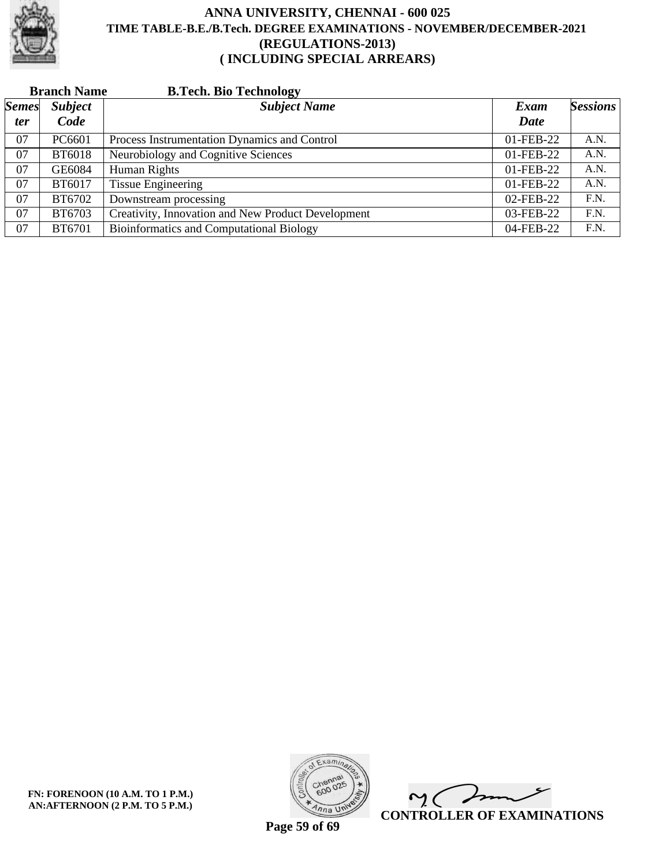

|              | <b>Branch Name</b> | <b>B.Tech. Bio Technology</b>                      |           |                 |
|--------------|--------------------|----------------------------------------------------|-----------|-----------------|
| <b>Semes</b> | <b>Subject</b>     | <b>Subject Name</b>                                | Exam      | <b>Sessions</b> |
| ter          | Code               |                                                    | Date      |                 |
| 07           | PC6601             | Process Instrumentation Dynamics and Control       | 01-FEB-22 | A.N.            |
| 07           | <b>BT6018</b>      | Neurobiology and Cognitive Sciences                | 01-FEB-22 | A.N.            |
| 07           | GE6084             | Human Rights                                       | 01-FEB-22 | A.N.            |
| 07           | BT6017             | <b>Tissue Engineering</b>                          | 01-FEB-22 | A.N.            |
| 07           | BT6702             | Downstream processing                              | 02-FEB-22 | F.N.            |
| 07           | <b>BT6703</b>      | Creativity, Innovation and New Product Development | 03-FEB-22 | F.N.            |
| 07           | BT6701             | <b>Bioinformatics and Computational Biology</b>    | 04-FEB-22 | F.N.            |



 $\overline{\phantom{a}}$  $\sim$  ( **CONTROLLER OF EXAMINATIONS**

**Page 59 of 69**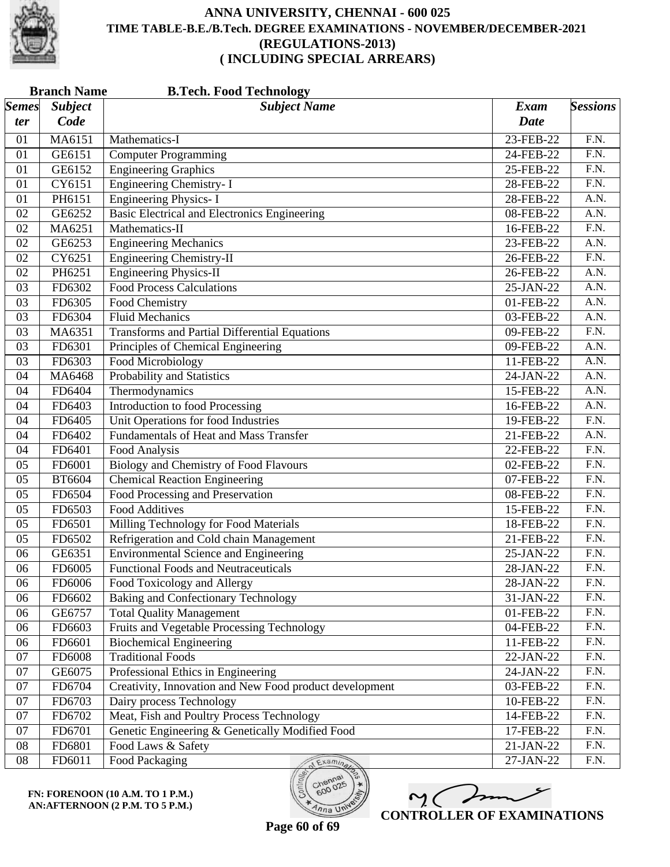

|                       | <b>Branch Name</b><br><b>B.Tech. Food Technology</b> |                                                         |              |                   |  |
|-----------------------|------------------------------------------------------|---------------------------------------------------------|--------------|-------------------|--|
| $\vert$ Semes $\vert$ | <b>Subject</b>                                       | <b>Subject Name</b>                                     | Exam         | <b>Sessions</b>   |  |
| ter                   | Code                                                 |                                                         | <b>Date</b>  |                   |  |
| 01                    | MA6151                                               | Mathematics-I                                           | 23-FEB-22    | F.N.              |  |
| 01                    | GE6151                                               | <b>Computer Programming</b>                             | 24-FEB-22    | F.N.              |  |
| 01                    | GE6152                                               | <b>Engineering Graphics</b>                             | 25-FEB-22    | F.N.              |  |
| 01                    | CY6151                                               | Engineering Chemistry- I                                | 28-FEB-22    | $\overline{F.N.}$ |  |
| 01                    | PH6151                                               | <b>Engineering Physics-I</b>                            | 28-FEB-22    | A.N.              |  |
| 02                    | GE6252                                               | Basic Electrical and Electronics Engineering            | 08-FEB-22    | A.N.              |  |
| 02                    | MA6251                                               | Mathematics-II                                          | 16-FEB-22    | F.N.              |  |
| 02                    | GE6253                                               | <b>Engineering Mechanics</b>                            | 23-FEB-22    | A.N.              |  |
| 02                    | CY6251                                               | <b>Engineering Chemistry-II</b>                         | 26-FEB-22    | $\overline{F.N.}$ |  |
| 02                    | PH6251                                               | <b>Engineering Physics-II</b>                           | 26-FEB-22    | A.N.              |  |
| 03                    | FD6302                                               | <b>Food Process Calculations</b>                        | 25-JAN-22    | A.N.              |  |
| 03                    | FD6305                                               | Food Chemistry                                          | 01-FEB-22    | $\overline{A.N.}$ |  |
| 03                    | FD6304                                               | <b>Fluid Mechanics</b>                                  | 03-FEB-22    | A.N.              |  |
| 03                    | MA6351                                               | <b>Transforms and Partial Differential Equations</b>    | 09-FEB-22    | $\overline{F.N.}$ |  |
| 03                    | FD6301                                               | Principles of Chemical Engineering                      | 09-FEB-22    | $\overline{A.N.}$ |  |
| 03                    | FD6303                                               | <b>Food Microbiology</b>                                | 11-FEB-22    | $\overline{A.N.}$ |  |
| 04                    | MA6468                                               | Probability and Statistics                              | 24-JAN-22    | A.N.              |  |
| 04                    | FD6404                                               | Thermodynamics                                          | 15-FEB-22    | A.N.              |  |
| 04                    | FD6403                                               | <b>Introduction to food Processing</b>                  | 16-FEB-22    | A.N.              |  |
| 04                    | FD6405                                               | Unit Operations for food Industries                     | 19-FEB-22    | F.N.              |  |
| 04                    | FD6402                                               | <b>Fundamentals of Heat and Mass Transfer</b>           | 21-FEB-22    | A.N.              |  |
| 04                    | FD6401                                               | Food Analysis                                           | 22-FEB-22    | $\overline{F.N.}$ |  |
| 05                    | FD6001                                               | Biology and Chemistry of Food Flavours                  | 02-FEB-22    | F.N.              |  |
| 05                    | <b>BT6604</b>                                        | <b>Chemical Reaction Engineering</b>                    | 07-FEB-22    | F.N.              |  |
| 05                    | FD6504                                               | Food Processing and Preservation                        | 08-FEB-22    | $\overline{F.N.}$ |  |
| 05                    | FD6503                                               | <b>Food Additives</b>                                   | 15-FEB-22    | $\overline{F.N.}$ |  |
| 05                    | FD6501                                               | Milling Technology for Food Materials                   | 18-FEB-22    | F.N.              |  |
| 05                    | FD6502                                               | Refrigeration and Cold chain Management                 | 21-FEB-22    | $\overline{F.N.}$ |  |
| 06                    | GE6351                                               | <b>Environmental Science and Engineering</b>            | 25-JAN-22    | F.N.              |  |
| 06                    | FD6005                                               | <b>Functional Foods and Neutraceuticals</b>             | 28-JAN-22    | F.N.              |  |
| 06                    | FD6006                                               | Food Toxicology and Allergy                             | 28-JAN-22    | F.N.              |  |
| 06                    | FD6602                                               | <b>Baking and Confectionary Technology</b>              | 31-JAN-22    | F.N.              |  |
| 06                    | GE6757                                               | <b>Total Quality Management</b>                         | 01-FEB-22    | F.N.              |  |
| 06                    | FD6603                                               | <b>Fruits and Vegetable Processing Technology</b>       | 04-FEB-22    | F.N.              |  |
| 06                    | FD6601                                               | <b>Biochemical Engineering</b>                          | 11-FEB-22    | F.N.              |  |
| 07                    | FD6008                                               | <b>Traditional Foods</b>                                | 22-JAN-22    | F.N.              |  |
| 07                    | GE6075                                               | Professional Ethics in Engineering                      | 24-JAN-22    | F.N.              |  |
| 07                    | FD6704                                               | Creativity, Innovation and New Food product development | 03-FEB-22    | F.N.              |  |
| 07                    | FD6703                                               | Dairy process Technology                                | 10-FEB-22    | F.N.              |  |
| 07                    | FD6702                                               | Meat, Fish and Poultry Process Technology               | $14$ -FEB-22 | F.N.              |  |
| 07                    | FD6701                                               | Genetic Engineering & Genetically Modified Food         | 17-FEB-22    | F.N.              |  |
| 08                    | FD6801                                               | Food Laws & Safety                                      | 21-JAN-22    | F.N.              |  |
| ${\bf 08}$            | FD6011                                               | Food Packaging<br>Examina                               | 27-JAN-22    | F.N.              |  |

**FN: FORENOON (10 A.M. TO 1 P.M.) AN:AFTERNOON (2 P.M. TO 5 P.M.)**

M mm **CONTROLLER OF EXAMINATIONS**

**Page 60 of 69**

600

 $4nna$  U<sup>ni</sup>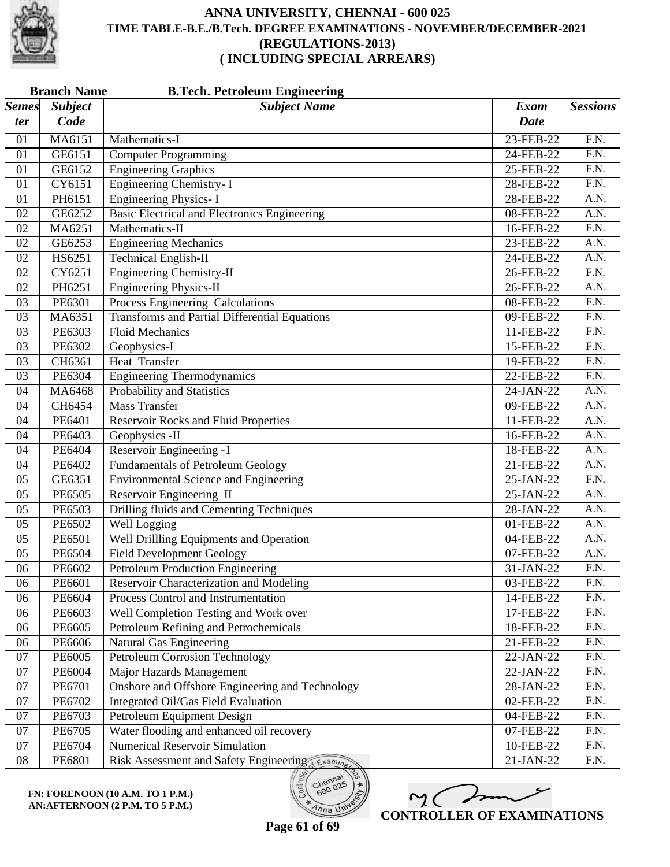

| <b>Subject Name</b><br><b>Subject</b><br><b>Exam</b><br>Code<br><b>Date</b><br>ter<br>MA6151<br>23-FEB-22<br>F.N.<br>01<br>Mathematics-I<br>GE6151<br><b>Computer Programming</b><br>F.N.<br>01<br>24-FEB-22<br><b>Engineering Graphics</b><br>$\overline{F.N.}$<br>GE6152<br>25-FEB-22<br>01<br>Engineering Chemistry- I<br>$\overline{F.N.}$<br>CY6151<br>01<br>28-FEB-22<br><b>Engineering Physics-I</b><br>A.N.<br>PH6151<br>28-FEB-22<br>01<br><b>Basic Electrical and Electronics Engineering</b><br>08-FEB-22<br>A.N.<br>02<br>GE6252<br>$\overline{F.N.}$<br>Mathematics-II<br>16-FEB-22<br>02<br>MA6251<br>23-FEB-22<br>A.N.<br>02<br>GE6253<br><b>Engineering Mechanics</b><br><b>Technical English-II</b><br>A.N.<br>02<br>HS6251<br>24-FEB-22<br><b>Engineering Chemistry-II</b><br>$\overline{F.N.}$<br>CY6251<br>26-FEB-22<br>02<br><b>Engineering Physics-II</b><br>$\overline{A.N.}$<br>02<br>PH6251<br>26-FEB-22<br>Process Engineering Calculations<br>$\overline{F.N.}$<br>PE6301<br>08-FEB-22<br>03<br><b>Transforms and Partial Differential Equations</b><br>F.N.<br>03<br>MA6351<br>09-FEB-22<br><b>Fluid Mechanics</b><br>$\overline{F.N.}$<br>03<br>PE6303<br>11-FEB-22<br>$\overline{F.N.}$<br>PE6302<br>Geophysics-I<br>15-FEB-22<br>03<br><b>Heat Transfer</b><br>CH6361<br>F.N.<br>03<br>19-FEB-22<br>PE6304<br><b>Engineering Thermodynamics</b><br>F.N.<br>03<br>22-FEB-22<br>Probability and Statistics<br>MA6468<br>A.N.<br>04<br>24-JAN-22<br><b>Mass Transfer</b><br>$\overline{A.N.}$<br>CH6454<br>09-FEB-22<br>04<br>PE6401<br><b>Reservoir Rocks and Fluid Properties</b><br>11-FEB-22<br>A.N.<br>04<br>Geophysics -II<br>A.N.<br>04<br>PE6403<br>16-FEB-22<br>Reservoir Engineering -1<br>PE6404<br>18-FEB-22<br>A.N.<br>04<br><b>Fundamentals of Petroleum Geology</b><br>$\overline{A.N.}$<br>PE6402<br>04<br>21-FEB-22<br><b>Environmental Science and Engineering</b><br>$\overline{F.N.}$<br>GE6351<br>25-JAN-22<br>05<br>Reservoir Engineering II<br>A.N.<br>05<br>PE6505<br>25-JAN-22<br><b>Drilling fluids and Cementing Techniques</b><br>PE6503<br>28-JAN-22<br>A.N.<br>05<br><b>Well Logging</b><br>$\overline{A.N.}$<br>PE6502<br>05<br>01-FEB-22<br><b>Well Drillling Equipments and Operation</b><br>PE6501<br>A.N.<br>05<br>04-FEB-22<br><b>Field Development Geology</b><br>A.N.<br>05<br>PE6504<br>07-FEB-22<br><b>Petroleum Production Engineering</b><br>F.N.<br>06<br>PE6602<br>31-JAN-22<br>PE6601<br>F.N.<br>06<br>03-FEB-22<br>Reservoir Characterization and Modeling<br>Process Control and Instrumentation<br>PE6604<br>F.N.<br>06<br>14-FEB-22<br>F.N.<br>PE6603<br>Well Completion Testing and Work over<br>17-FEB-22<br>06<br>Petroleum Refining and Petrochemicals<br>F.N.<br>PE6605<br>18-FEB-22<br>06<br>F.N.<br>Natural Gas Engineering<br>06<br>PE6606<br>21-FEB-22<br><b>Petroleum Corrosion Technology</b><br>PE6005<br>F.N.<br>07<br>22-JAN-22<br>F.N.<br>07<br>PE6004<br>Major Hazards Management<br>22-JAN-22<br>Onshore and Offshore Engineering and Technology<br>PE6701<br>F.N.<br>07<br>28-JAN-22<br>F.N.<br>07<br>PE6702<br>Integrated Oil/Gas Field Evaluation<br>02-FEB-22<br>F.N.<br>07<br>PE6703<br>Petroleum Equipment Design<br>04-FEB-22<br>Water flooding and enhanced oil recovery<br>F.N.<br>07<br>PE6705<br>07-FEB-22<br><b>Numerical Reservoir Simulation</b><br>F.N.<br>07<br>PE6704<br>10-FEB-22 |              | <b>Branch Name</b><br><b>B.Tech. Petroleum Engineering</b> |                                        |           |                 |  |
|---------------------------------------------------------------------------------------------------------------------------------------------------------------------------------------------------------------------------------------------------------------------------------------------------------------------------------------------------------------------------------------------------------------------------------------------------------------------------------------------------------------------------------------------------------------------------------------------------------------------------------------------------------------------------------------------------------------------------------------------------------------------------------------------------------------------------------------------------------------------------------------------------------------------------------------------------------------------------------------------------------------------------------------------------------------------------------------------------------------------------------------------------------------------------------------------------------------------------------------------------------------------------------------------------------------------------------------------------------------------------------------------------------------------------------------------------------------------------------------------------------------------------------------------------------------------------------------------------------------------------------------------------------------------------------------------------------------------------------------------------------------------------------------------------------------------------------------------------------------------------------------------------------------------------------------------------------------------------------------------------------------------------------------------------------------------------------------------------------------------------------------------------------------------------------------------------------------------------------------------------------------------------------------------------------------------------------------------------------------------------------------------------------------------------------------------------------------------------------------------------------------------------------------------------------------------------------------------------------------------------------------------------------------------------------------------------------------------------------------------------------------------------------------------------------------------------------------------------------------------------------------------------------------------------------------------------------------------------------------------------------------------------------------------------------------------------------------------------------------------------------------------------------------------------------------------------------------------------------------------------------------------------------------------------------------------------------------------------------------------------------------------------|--------------|------------------------------------------------------------|----------------------------------------|-----------|-----------------|--|
|                                                                                                                                                                                                                                                                                                                                                                                                                                                                                                                                                                                                                                                                                                                                                                                                                                                                                                                                                                                                                                                                                                                                                                                                                                                                                                                                                                                                                                                                                                                                                                                                                                                                                                                                                                                                                                                                                                                                                                                                                                                                                                                                                                                                                                                                                                                                                                                                                                                                                                                                                                                                                                                                                                                                                                                                                                                                                                                                                                                                                                                                                                                                                                                                                                                                                                                                                                                                   | <b>Semes</b> |                                                            |                                        |           | <b>Sessions</b> |  |
|                                                                                                                                                                                                                                                                                                                                                                                                                                                                                                                                                                                                                                                                                                                                                                                                                                                                                                                                                                                                                                                                                                                                                                                                                                                                                                                                                                                                                                                                                                                                                                                                                                                                                                                                                                                                                                                                                                                                                                                                                                                                                                                                                                                                                                                                                                                                                                                                                                                                                                                                                                                                                                                                                                                                                                                                                                                                                                                                                                                                                                                                                                                                                                                                                                                                                                                                                                                                   |              |                                                            |                                        |           |                 |  |
|                                                                                                                                                                                                                                                                                                                                                                                                                                                                                                                                                                                                                                                                                                                                                                                                                                                                                                                                                                                                                                                                                                                                                                                                                                                                                                                                                                                                                                                                                                                                                                                                                                                                                                                                                                                                                                                                                                                                                                                                                                                                                                                                                                                                                                                                                                                                                                                                                                                                                                                                                                                                                                                                                                                                                                                                                                                                                                                                                                                                                                                                                                                                                                                                                                                                                                                                                                                                   |              |                                                            |                                        |           |                 |  |
|                                                                                                                                                                                                                                                                                                                                                                                                                                                                                                                                                                                                                                                                                                                                                                                                                                                                                                                                                                                                                                                                                                                                                                                                                                                                                                                                                                                                                                                                                                                                                                                                                                                                                                                                                                                                                                                                                                                                                                                                                                                                                                                                                                                                                                                                                                                                                                                                                                                                                                                                                                                                                                                                                                                                                                                                                                                                                                                                                                                                                                                                                                                                                                                                                                                                                                                                                                                                   |              |                                                            |                                        |           |                 |  |
|                                                                                                                                                                                                                                                                                                                                                                                                                                                                                                                                                                                                                                                                                                                                                                                                                                                                                                                                                                                                                                                                                                                                                                                                                                                                                                                                                                                                                                                                                                                                                                                                                                                                                                                                                                                                                                                                                                                                                                                                                                                                                                                                                                                                                                                                                                                                                                                                                                                                                                                                                                                                                                                                                                                                                                                                                                                                                                                                                                                                                                                                                                                                                                                                                                                                                                                                                                                                   |              |                                                            |                                        |           |                 |  |
|                                                                                                                                                                                                                                                                                                                                                                                                                                                                                                                                                                                                                                                                                                                                                                                                                                                                                                                                                                                                                                                                                                                                                                                                                                                                                                                                                                                                                                                                                                                                                                                                                                                                                                                                                                                                                                                                                                                                                                                                                                                                                                                                                                                                                                                                                                                                                                                                                                                                                                                                                                                                                                                                                                                                                                                                                                                                                                                                                                                                                                                                                                                                                                                                                                                                                                                                                                                                   |              |                                                            |                                        |           |                 |  |
|                                                                                                                                                                                                                                                                                                                                                                                                                                                                                                                                                                                                                                                                                                                                                                                                                                                                                                                                                                                                                                                                                                                                                                                                                                                                                                                                                                                                                                                                                                                                                                                                                                                                                                                                                                                                                                                                                                                                                                                                                                                                                                                                                                                                                                                                                                                                                                                                                                                                                                                                                                                                                                                                                                                                                                                                                                                                                                                                                                                                                                                                                                                                                                                                                                                                                                                                                                                                   |              |                                                            |                                        |           |                 |  |
|                                                                                                                                                                                                                                                                                                                                                                                                                                                                                                                                                                                                                                                                                                                                                                                                                                                                                                                                                                                                                                                                                                                                                                                                                                                                                                                                                                                                                                                                                                                                                                                                                                                                                                                                                                                                                                                                                                                                                                                                                                                                                                                                                                                                                                                                                                                                                                                                                                                                                                                                                                                                                                                                                                                                                                                                                                                                                                                                                                                                                                                                                                                                                                                                                                                                                                                                                                                                   |              |                                                            |                                        |           |                 |  |
|                                                                                                                                                                                                                                                                                                                                                                                                                                                                                                                                                                                                                                                                                                                                                                                                                                                                                                                                                                                                                                                                                                                                                                                                                                                                                                                                                                                                                                                                                                                                                                                                                                                                                                                                                                                                                                                                                                                                                                                                                                                                                                                                                                                                                                                                                                                                                                                                                                                                                                                                                                                                                                                                                                                                                                                                                                                                                                                                                                                                                                                                                                                                                                                                                                                                                                                                                                                                   |              |                                                            |                                        |           |                 |  |
|                                                                                                                                                                                                                                                                                                                                                                                                                                                                                                                                                                                                                                                                                                                                                                                                                                                                                                                                                                                                                                                                                                                                                                                                                                                                                                                                                                                                                                                                                                                                                                                                                                                                                                                                                                                                                                                                                                                                                                                                                                                                                                                                                                                                                                                                                                                                                                                                                                                                                                                                                                                                                                                                                                                                                                                                                                                                                                                                                                                                                                                                                                                                                                                                                                                                                                                                                                                                   |              |                                                            |                                        |           |                 |  |
|                                                                                                                                                                                                                                                                                                                                                                                                                                                                                                                                                                                                                                                                                                                                                                                                                                                                                                                                                                                                                                                                                                                                                                                                                                                                                                                                                                                                                                                                                                                                                                                                                                                                                                                                                                                                                                                                                                                                                                                                                                                                                                                                                                                                                                                                                                                                                                                                                                                                                                                                                                                                                                                                                                                                                                                                                                                                                                                                                                                                                                                                                                                                                                                                                                                                                                                                                                                                   |              |                                                            |                                        |           |                 |  |
|                                                                                                                                                                                                                                                                                                                                                                                                                                                                                                                                                                                                                                                                                                                                                                                                                                                                                                                                                                                                                                                                                                                                                                                                                                                                                                                                                                                                                                                                                                                                                                                                                                                                                                                                                                                                                                                                                                                                                                                                                                                                                                                                                                                                                                                                                                                                                                                                                                                                                                                                                                                                                                                                                                                                                                                                                                                                                                                                                                                                                                                                                                                                                                                                                                                                                                                                                                                                   |              |                                                            |                                        |           |                 |  |
|                                                                                                                                                                                                                                                                                                                                                                                                                                                                                                                                                                                                                                                                                                                                                                                                                                                                                                                                                                                                                                                                                                                                                                                                                                                                                                                                                                                                                                                                                                                                                                                                                                                                                                                                                                                                                                                                                                                                                                                                                                                                                                                                                                                                                                                                                                                                                                                                                                                                                                                                                                                                                                                                                                                                                                                                                                                                                                                                                                                                                                                                                                                                                                                                                                                                                                                                                                                                   |              |                                                            |                                        |           |                 |  |
|                                                                                                                                                                                                                                                                                                                                                                                                                                                                                                                                                                                                                                                                                                                                                                                                                                                                                                                                                                                                                                                                                                                                                                                                                                                                                                                                                                                                                                                                                                                                                                                                                                                                                                                                                                                                                                                                                                                                                                                                                                                                                                                                                                                                                                                                                                                                                                                                                                                                                                                                                                                                                                                                                                                                                                                                                                                                                                                                                                                                                                                                                                                                                                                                                                                                                                                                                                                                   |              |                                                            |                                        |           |                 |  |
|                                                                                                                                                                                                                                                                                                                                                                                                                                                                                                                                                                                                                                                                                                                                                                                                                                                                                                                                                                                                                                                                                                                                                                                                                                                                                                                                                                                                                                                                                                                                                                                                                                                                                                                                                                                                                                                                                                                                                                                                                                                                                                                                                                                                                                                                                                                                                                                                                                                                                                                                                                                                                                                                                                                                                                                                                                                                                                                                                                                                                                                                                                                                                                                                                                                                                                                                                                                                   |              |                                                            |                                        |           |                 |  |
|                                                                                                                                                                                                                                                                                                                                                                                                                                                                                                                                                                                                                                                                                                                                                                                                                                                                                                                                                                                                                                                                                                                                                                                                                                                                                                                                                                                                                                                                                                                                                                                                                                                                                                                                                                                                                                                                                                                                                                                                                                                                                                                                                                                                                                                                                                                                                                                                                                                                                                                                                                                                                                                                                                                                                                                                                                                                                                                                                                                                                                                                                                                                                                                                                                                                                                                                                                                                   |              |                                                            |                                        |           |                 |  |
|                                                                                                                                                                                                                                                                                                                                                                                                                                                                                                                                                                                                                                                                                                                                                                                                                                                                                                                                                                                                                                                                                                                                                                                                                                                                                                                                                                                                                                                                                                                                                                                                                                                                                                                                                                                                                                                                                                                                                                                                                                                                                                                                                                                                                                                                                                                                                                                                                                                                                                                                                                                                                                                                                                                                                                                                                                                                                                                                                                                                                                                                                                                                                                                                                                                                                                                                                                                                   |              |                                                            |                                        |           |                 |  |
|                                                                                                                                                                                                                                                                                                                                                                                                                                                                                                                                                                                                                                                                                                                                                                                                                                                                                                                                                                                                                                                                                                                                                                                                                                                                                                                                                                                                                                                                                                                                                                                                                                                                                                                                                                                                                                                                                                                                                                                                                                                                                                                                                                                                                                                                                                                                                                                                                                                                                                                                                                                                                                                                                                                                                                                                                                                                                                                                                                                                                                                                                                                                                                                                                                                                                                                                                                                                   |              |                                                            |                                        |           |                 |  |
|                                                                                                                                                                                                                                                                                                                                                                                                                                                                                                                                                                                                                                                                                                                                                                                                                                                                                                                                                                                                                                                                                                                                                                                                                                                                                                                                                                                                                                                                                                                                                                                                                                                                                                                                                                                                                                                                                                                                                                                                                                                                                                                                                                                                                                                                                                                                                                                                                                                                                                                                                                                                                                                                                                                                                                                                                                                                                                                                                                                                                                                                                                                                                                                                                                                                                                                                                                                                   |              |                                                            |                                        |           |                 |  |
|                                                                                                                                                                                                                                                                                                                                                                                                                                                                                                                                                                                                                                                                                                                                                                                                                                                                                                                                                                                                                                                                                                                                                                                                                                                                                                                                                                                                                                                                                                                                                                                                                                                                                                                                                                                                                                                                                                                                                                                                                                                                                                                                                                                                                                                                                                                                                                                                                                                                                                                                                                                                                                                                                                                                                                                                                                                                                                                                                                                                                                                                                                                                                                                                                                                                                                                                                                                                   |              |                                                            |                                        |           |                 |  |
|                                                                                                                                                                                                                                                                                                                                                                                                                                                                                                                                                                                                                                                                                                                                                                                                                                                                                                                                                                                                                                                                                                                                                                                                                                                                                                                                                                                                                                                                                                                                                                                                                                                                                                                                                                                                                                                                                                                                                                                                                                                                                                                                                                                                                                                                                                                                                                                                                                                                                                                                                                                                                                                                                                                                                                                                                                                                                                                                                                                                                                                                                                                                                                                                                                                                                                                                                                                                   |              |                                                            |                                        |           |                 |  |
|                                                                                                                                                                                                                                                                                                                                                                                                                                                                                                                                                                                                                                                                                                                                                                                                                                                                                                                                                                                                                                                                                                                                                                                                                                                                                                                                                                                                                                                                                                                                                                                                                                                                                                                                                                                                                                                                                                                                                                                                                                                                                                                                                                                                                                                                                                                                                                                                                                                                                                                                                                                                                                                                                                                                                                                                                                                                                                                                                                                                                                                                                                                                                                                                                                                                                                                                                                                                   |              |                                                            |                                        |           |                 |  |
|                                                                                                                                                                                                                                                                                                                                                                                                                                                                                                                                                                                                                                                                                                                                                                                                                                                                                                                                                                                                                                                                                                                                                                                                                                                                                                                                                                                                                                                                                                                                                                                                                                                                                                                                                                                                                                                                                                                                                                                                                                                                                                                                                                                                                                                                                                                                                                                                                                                                                                                                                                                                                                                                                                                                                                                                                                                                                                                                                                                                                                                                                                                                                                                                                                                                                                                                                                                                   |              |                                                            |                                        |           |                 |  |
|                                                                                                                                                                                                                                                                                                                                                                                                                                                                                                                                                                                                                                                                                                                                                                                                                                                                                                                                                                                                                                                                                                                                                                                                                                                                                                                                                                                                                                                                                                                                                                                                                                                                                                                                                                                                                                                                                                                                                                                                                                                                                                                                                                                                                                                                                                                                                                                                                                                                                                                                                                                                                                                                                                                                                                                                                                                                                                                                                                                                                                                                                                                                                                                                                                                                                                                                                                                                   |              |                                                            |                                        |           |                 |  |
|                                                                                                                                                                                                                                                                                                                                                                                                                                                                                                                                                                                                                                                                                                                                                                                                                                                                                                                                                                                                                                                                                                                                                                                                                                                                                                                                                                                                                                                                                                                                                                                                                                                                                                                                                                                                                                                                                                                                                                                                                                                                                                                                                                                                                                                                                                                                                                                                                                                                                                                                                                                                                                                                                                                                                                                                                                                                                                                                                                                                                                                                                                                                                                                                                                                                                                                                                                                                   |              |                                                            |                                        |           |                 |  |
|                                                                                                                                                                                                                                                                                                                                                                                                                                                                                                                                                                                                                                                                                                                                                                                                                                                                                                                                                                                                                                                                                                                                                                                                                                                                                                                                                                                                                                                                                                                                                                                                                                                                                                                                                                                                                                                                                                                                                                                                                                                                                                                                                                                                                                                                                                                                                                                                                                                                                                                                                                                                                                                                                                                                                                                                                                                                                                                                                                                                                                                                                                                                                                                                                                                                                                                                                                                                   |              |                                                            |                                        |           |                 |  |
|                                                                                                                                                                                                                                                                                                                                                                                                                                                                                                                                                                                                                                                                                                                                                                                                                                                                                                                                                                                                                                                                                                                                                                                                                                                                                                                                                                                                                                                                                                                                                                                                                                                                                                                                                                                                                                                                                                                                                                                                                                                                                                                                                                                                                                                                                                                                                                                                                                                                                                                                                                                                                                                                                                                                                                                                                                                                                                                                                                                                                                                                                                                                                                                                                                                                                                                                                                                                   |              |                                                            |                                        |           |                 |  |
|                                                                                                                                                                                                                                                                                                                                                                                                                                                                                                                                                                                                                                                                                                                                                                                                                                                                                                                                                                                                                                                                                                                                                                                                                                                                                                                                                                                                                                                                                                                                                                                                                                                                                                                                                                                                                                                                                                                                                                                                                                                                                                                                                                                                                                                                                                                                                                                                                                                                                                                                                                                                                                                                                                                                                                                                                                                                                                                                                                                                                                                                                                                                                                                                                                                                                                                                                                                                   |              |                                                            |                                        |           |                 |  |
|                                                                                                                                                                                                                                                                                                                                                                                                                                                                                                                                                                                                                                                                                                                                                                                                                                                                                                                                                                                                                                                                                                                                                                                                                                                                                                                                                                                                                                                                                                                                                                                                                                                                                                                                                                                                                                                                                                                                                                                                                                                                                                                                                                                                                                                                                                                                                                                                                                                                                                                                                                                                                                                                                                                                                                                                                                                                                                                                                                                                                                                                                                                                                                                                                                                                                                                                                                                                   |              |                                                            |                                        |           |                 |  |
|                                                                                                                                                                                                                                                                                                                                                                                                                                                                                                                                                                                                                                                                                                                                                                                                                                                                                                                                                                                                                                                                                                                                                                                                                                                                                                                                                                                                                                                                                                                                                                                                                                                                                                                                                                                                                                                                                                                                                                                                                                                                                                                                                                                                                                                                                                                                                                                                                                                                                                                                                                                                                                                                                                                                                                                                                                                                                                                                                                                                                                                                                                                                                                                                                                                                                                                                                                                                   |              |                                                            |                                        |           |                 |  |
|                                                                                                                                                                                                                                                                                                                                                                                                                                                                                                                                                                                                                                                                                                                                                                                                                                                                                                                                                                                                                                                                                                                                                                                                                                                                                                                                                                                                                                                                                                                                                                                                                                                                                                                                                                                                                                                                                                                                                                                                                                                                                                                                                                                                                                                                                                                                                                                                                                                                                                                                                                                                                                                                                                                                                                                                                                                                                                                                                                                                                                                                                                                                                                                                                                                                                                                                                                                                   |              |                                                            |                                        |           |                 |  |
|                                                                                                                                                                                                                                                                                                                                                                                                                                                                                                                                                                                                                                                                                                                                                                                                                                                                                                                                                                                                                                                                                                                                                                                                                                                                                                                                                                                                                                                                                                                                                                                                                                                                                                                                                                                                                                                                                                                                                                                                                                                                                                                                                                                                                                                                                                                                                                                                                                                                                                                                                                                                                                                                                                                                                                                                                                                                                                                                                                                                                                                                                                                                                                                                                                                                                                                                                                                                   |              |                                                            |                                        |           |                 |  |
|                                                                                                                                                                                                                                                                                                                                                                                                                                                                                                                                                                                                                                                                                                                                                                                                                                                                                                                                                                                                                                                                                                                                                                                                                                                                                                                                                                                                                                                                                                                                                                                                                                                                                                                                                                                                                                                                                                                                                                                                                                                                                                                                                                                                                                                                                                                                                                                                                                                                                                                                                                                                                                                                                                                                                                                                                                                                                                                                                                                                                                                                                                                                                                                                                                                                                                                                                                                                   |              |                                                            |                                        |           |                 |  |
|                                                                                                                                                                                                                                                                                                                                                                                                                                                                                                                                                                                                                                                                                                                                                                                                                                                                                                                                                                                                                                                                                                                                                                                                                                                                                                                                                                                                                                                                                                                                                                                                                                                                                                                                                                                                                                                                                                                                                                                                                                                                                                                                                                                                                                                                                                                                                                                                                                                                                                                                                                                                                                                                                                                                                                                                                                                                                                                                                                                                                                                                                                                                                                                                                                                                                                                                                                                                   |              |                                                            |                                        |           |                 |  |
|                                                                                                                                                                                                                                                                                                                                                                                                                                                                                                                                                                                                                                                                                                                                                                                                                                                                                                                                                                                                                                                                                                                                                                                                                                                                                                                                                                                                                                                                                                                                                                                                                                                                                                                                                                                                                                                                                                                                                                                                                                                                                                                                                                                                                                                                                                                                                                                                                                                                                                                                                                                                                                                                                                                                                                                                                                                                                                                                                                                                                                                                                                                                                                                                                                                                                                                                                                                                   |              |                                                            |                                        |           |                 |  |
|                                                                                                                                                                                                                                                                                                                                                                                                                                                                                                                                                                                                                                                                                                                                                                                                                                                                                                                                                                                                                                                                                                                                                                                                                                                                                                                                                                                                                                                                                                                                                                                                                                                                                                                                                                                                                                                                                                                                                                                                                                                                                                                                                                                                                                                                                                                                                                                                                                                                                                                                                                                                                                                                                                                                                                                                                                                                                                                                                                                                                                                                                                                                                                                                                                                                                                                                                                                                   |              |                                                            |                                        |           |                 |  |
|                                                                                                                                                                                                                                                                                                                                                                                                                                                                                                                                                                                                                                                                                                                                                                                                                                                                                                                                                                                                                                                                                                                                                                                                                                                                                                                                                                                                                                                                                                                                                                                                                                                                                                                                                                                                                                                                                                                                                                                                                                                                                                                                                                                                                                                                                                                                                                                                                                                                                                                                                                                                                                                                                                                                                                                                                                                                                                                                                                                                                                                                                                                                                                                                                                                                                                                                                                                                   |              |                                                            |                                        |           |                 |  |
|                                                                                                                                                                                                                                                                                                                                                                                                                                                                                                                                                                                                                                                                                                                                                                                                                                                                                                                                                                                                                                                                                                                                                                                                                                                                                                                                                                                                                                                                                                                                                                                                                                                                                                                                                                                                                                                                                                                                                                                                                                                                                                                                                                                                                                                                                                                                                                                                                                                                                                                                                                                                                                                                                                                                                                                                                                                                                                                                                                                                                                                                                                                                                                                                                                                                                                                                                                                                   |              |                                                            |                                        |           |                 |  |
|                                                                                                                                                                                                                                                                                                                                                                                                                                                                                                                                                                                                                                                                                                                                                                                                                                                                                                                                                                                                                                                                                                                                                                                                                                                                                                                                                                                                                                                                                                                                                                                                                                                                                                                                                                                                                                                                                                                                                                                                                                                                                                                                                                                                                                                                                                                                                                                                                                                                                                                                                                                                                                                                                                                                                                                                                                                                                                                                                                                                                                                                                                                                                                                                                                                                                                                                                                                                   |              |                                                            |                                        |           |                 |  |
|                                                                                                                                                                                                                                                                                                                                                                                                                                                                                                                                                                                                                                                                                                                                                                                                                                                                                                                                                                                                                                                                                                                                                                                                                                                                                                                                                                                                                                                                                                                                                                                                                                                                                                                                                                                                                                                                                                                                                                                                                                                                                                                                                                                                                                                                                                                                                                                                                                                                                                                                                                                                                                                                                                                                                                                                                                                                                                                                                                                                                                                                                                                                                                                                                                                                                                                                                                                                   |              |                                                            |                                        |           |                 |  |
|                                                                                                                                                                                                                                                                                                                                                                                                                                                                                                                                                                                                                                                                                                                                                                                                                                                                                                                                                                                                                                                                                                                                                                                                                                                                                                                                                                                                                                                                                                                                                                                                                                                                                                                                                                                                                                                                                                                                                                                                                                                                                                                                                                                                                                                                                                                                                                                                                                                                                                                                                                                                                                                                                                                                                                                                                                                                                                                                                                                                                                                                                                                                                                                                                                                                                                                                                                                                   |              |                                                            |                                        |           |                 |  |
|                                                                                                                                                                                                                                                                                                                                                                                                                                                                                                                                                                                                                                                                                                                                                                                                                                                                                                                                                                                                                                                                                                                                                                                                                                                                                                                                                                                                                                                                                                                                                                                                                                                                                                                                                                                                                                                                                                                                                                                                                                                                                                                                                                                                                                                                                                                                                                                                                                                                                                                                                                                                                                                                                                                                                                                                                                                                                                                                                                                                                                                                                                                                                                                                                                                                                                                                                                                                   |              |                                                            |                                        |           |                 |  |
|                                                                                                                                                                                                                                                                                                                                                                                                                                                                                                                                                                                                                                                                                                                                                                                                                                                                                                                                                                                                                                                                                                                                                                                                                                                                                                                                                                                                                                                                                                                                                                                                                                                                                                                                                                                                                                                                                                                                                                                                                                                                                                                                                                                                                                                                                                                                                                                                                                                                                                                                                                                                                                                                                                                                                                                                                                                                                                                                                                                                                                                                                                                                                                                                                                                                                                                                                                                                   |              |                                                            |                                        |           |                 |  |
|                                                                                                                                                                                                                                                                                                                                                                                                                                                                                                                                                                                                                                                                                                                                                                                                                                                                                                                                                                                                                                                                                                                                                                                                                                                                                                                                                                                                                                                                                                                                                                                                                                                                                                                                                                                                                                                                                                                                                                                                                                                                                                                                                                                                                                                                                                                                                                                                                                                                                                                                                                                                                                                                                                                                                                                                                                                                                                                                                                                                                                                                                                                                                                                                                                                                                                                                                                                                   |              |                                                            |                                        |           |                 |  |
|                                                                                                                                                                                                                                                                                                                                                                                                                                                                                                                                                                                                                                                                                                                                                                                                                                                                                                                                                                                                                                                                                                                                                                                                                                                                                                                                                                                                                                                                                                                                                                                                                                                                                                                                                                                                                                                                                                                                                                                                                                                                                                                                                                                                                                                                                                                                                                                                                                                                                                                                                                                                                                                                                                                                                                                                                                                                                                                                                                                                                                                                                                                                                                                                                                                                                                                                                                                                   | ${\bf 08}$   | PE6801                                                     | Risk Assessment and Safety Engineering | 21-JAN-22 | F.N.            |  |



 $m< 1$ **CONTROLLER OF EXAMINATIONS**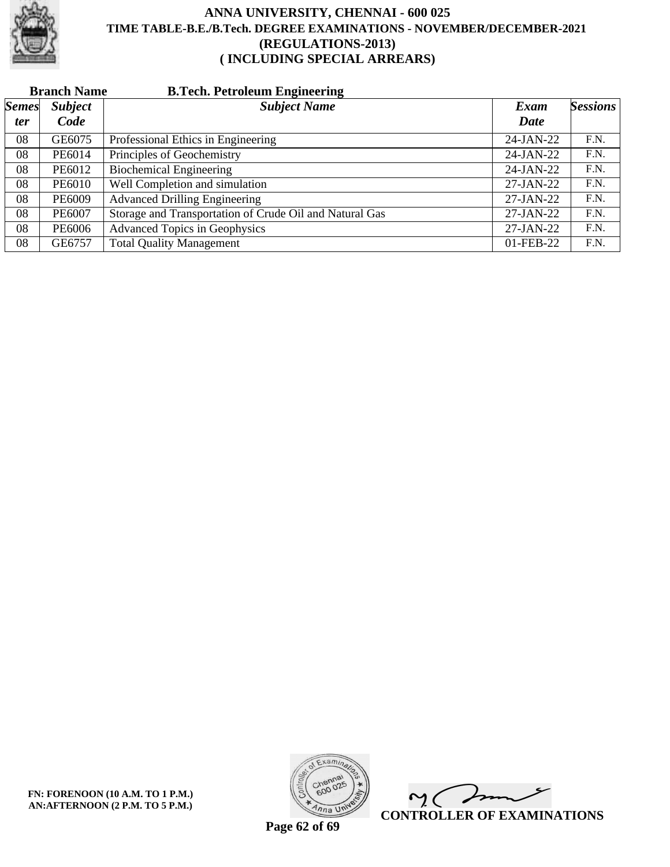

|              | <b>Branch Name</b> | <b>B.Tech. Petroleum Engineering</b>                    |              |                 |
|--------------|--------------------|---------------------------------------------------------|--------------|-----------------|
| <b>Semes</b> | <b>Subject</b>     | <b>Subject Name</b>                                     | Exam         | <b>Sessions</b> |
| ter          | Code               |                                                         | Date         |                 |
| 08           | GE6075             | Professional Ethics in Engineering                      | 24-JAN-22    | F.N.            |
| 08           | PE6014             | Principles of Geochemistry                              | 24-JAN-22    | F.N.            |
| 08           | PE6012             | <b>Biochemical Engineering</b>                          | $24$ -JAN-22 | F.N.            |
| 08           | PE6010             | Well Completion and simulation                          | 27-JAN-22    | F.N.            |
| 08           | PE6009             | <b>Advanced Drilling Engineering</b>                    | $27-JAN-22$  | F.N.            |
| 08           | PE6007             | Storage and Transportation of Crude Oil and Natural Gas | $27-JAN-22$  | F.N.            |
| 08           | PE6006             | <b>Advanced Topics in Geophysics</b>                    | 27-JAN-22    | F.N.            |
| 08           | GE6757             | <b>Total Quality Management</b>                         | 01-FEB-22    | F.N.            |



 $\overline{\phantom{a}}$  $\mathsf{M}(\mathbb{C})$ **CONTROLLER OF EXAMINATIONS**

**Page 62 of 69**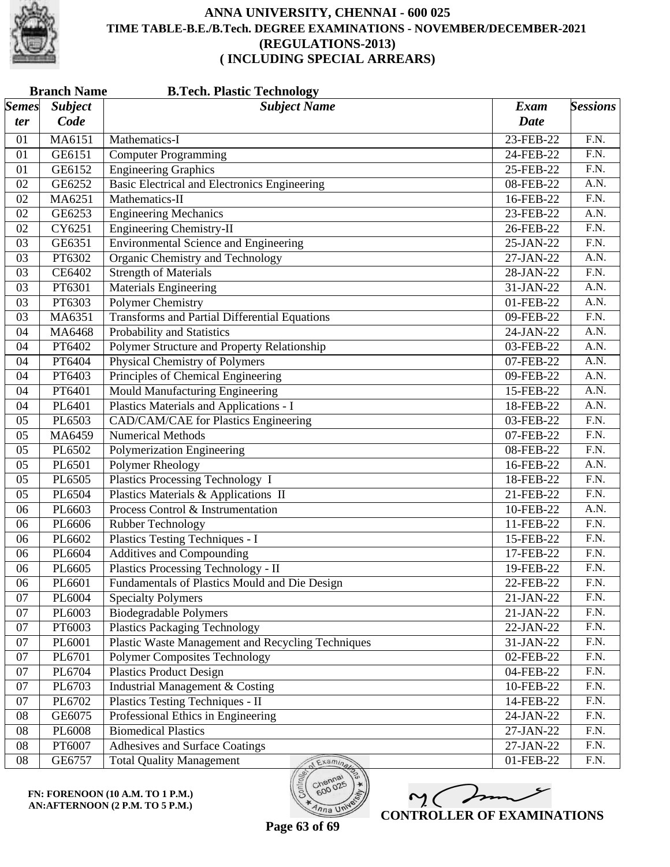

|                     | <b>Branch Name</b><br><b>B.Tech. Plastic Technology</b> |                                                      |                            |                   |  |
|---------------------|---------------------------------------------------------|------------------------------------------------------|----------------------------|-------------------|--|
| <i>Semes</i><br>ter | <b>Subject</b><br>Code                                  | <b>Subject Name</b>                                  | <b>Exam</b><br><b>Date</b> | <b>Sessions</b>   |  |
| 01                  | MA6151                                                  | Mathematics-I                                        | 23-FEB-22                  | F.N.              |  |
| 01                  | GE6151                                                  | <b>Computer Programming</b>                          | 24-FEB-22                  | F.N.              |  |
| 01                  | GE6152                                                  | <b>Engineering Graphics</b>                          | 25-FEB-22                  | F.N.              |  |
| 02                  | GE6252                                                  | Basic Electrical and Electronics Engineering         | 08-FEB-22                  | $\overline{A.N.}$ |  |
| 02                  | MA6251                                                  | Mathematics-II                                       | 16-FEB-22                  | F.N.              |  |
| 02                  | GE6253                                                  | <b>Engineering Mechanics</b>                         | 23-FEB-22                  | A.N.              |  |
| 02                  | CY6251                                                  | <b>Engineering Chemistry-II</b>                      | 26-FEB-22                  | $\overline{F.N.}$ |  |
| 03                  | GE6351                                                  | <b>Environmental Science and Engineering</b>         | 25-JAN-22                  | $\overline{F.N.}$ |  |
| 03                  | PT6302                                                  | <b>Organic Chemistry and Technology</b>              | 27-JAN-22                  | A.N.              |  |
| 03                  | CE6402                                                  |                                                      | 28-JAN-22                  | $\overline{F.N.}$ |  |
| 03                  | PT6301                                                  | <b>Strength of Materials</b>                         |                            | A.N.              |  |
|                     |                                                         | <b>Materials Engineering</b>                         | 31-JAN-22                  | $\overline{A.N.}$ |  |
| 03                  | PT6303                                                  | <b>Polymer Chemistry</b>                             | 01-FEB-22                  |                   |  |
| 03                  | MA6351                                                  | <b>Transforms and Partial Differential Equations</b> | 09-FEB-22                  | F.N.              |  |
| 04                  | MA6468                                                  | Probability and Statistics                           | 24-JAN-22                  | A.N.              |  |
| 04                  | PT6402                                                  | Polymer Structure and Property Relationship          | 03-FEB-22                  | $\overline{A.N.}$ |  |
| 04                  | PT6404                                                  | <b>Physical Chemistry of Polymers</b>                | 07-FEB-22                  | A.N.              |  |
| 04                  | PT6403                                                  | Principles of Chemical Engineering                   | 09-FEB-22                  | A.N.              |  |
| 04                  | PT6401                                                  | Mould Manufacturing Engineering                      | 15-FEB-22                  | A.N.              |  |
| 04                  | PL6401                                                  | Plastics Materials and Applications - I              | 18-FEB-22                  | $\overline{A.N.}$ |  |
| 05                  | PL6503                                                  | <b>CAD/CAM/CAE</b> for Plastics Engineering          | 03-FEB-22                  | $\overline{F.N.}$ |  |
| 05                  | MA6459                                                  | <b>Numerical Methods</b>                             | 07-FEB-22                  | F.N.              |  |
| 05                  | PL6502                                                  | Polymerization Engineering                           | 08-FEB-22                  | F.N.              |  |
| 05                  | PL6501                                                  | Polymer Rheology                                     | 16-FEB-22                  | $\overline{A.N.}$ |  |
| 05                  | PL6505                                                  | Plastics Processing Technology I                     | 18-FEB-22                  | $\overline{F.N.}$ |  |
| 05                  | PL6504                                                  | Plastics Materials & Applications II                 | 21-FEB-22                  | F.N.              |  |
| 06                  | PL6603                                                  | Process Control & Instrumentation                    | 10-FEB-22                  | A.N.              |  |
| 06                  | PL6606                                                  | Rubber Technology                                    | 11-FEB-22                  | $\overline{F.N.}$ |  |
| 06                  | PL6602                                                  | Plastics Testing Techniques - I                      | 15-FEB-22                  | $\overline{F.N.}$ |  |
| 06                  | PL6604                                                  | <b>Additives and Compounding</b>                     | 17-FEB-22                  | F.N.              |  |
| 06                  | PL6605                                                  | <b>Plastics Processing Technology - II</b>           | 19-FEB-22                  | F.N.              |  |
| 06                  | PL6601                                                  | Fundamentals of Plastics Mould and Die Design        | 22-FEB-22                  | F.N.              |  |
| 07                  | PL6004                                                  | <b>Specialty Polymers</b>                            | 21-JAN-22                  | F.N.              |  |
| 07                  | PL6003                                                  | <b>Biodegradable Polymers</b>                        | 21-JAN-22                  | F.N.              |  |
| 07                  | PT6003                                                  | <b>Plastics Packaging Technology</b>                 | 22-JAN-22                  | F.N.              |  |
| 07                  | PL6001                                                  | Plastic Waste Management and Recycling Techniques    | $\overline{3}$ 1-JAN-22    | F.N.              |  |
| 07                  | PL6701                                                  | <b>Polymer Composites Technology</b>                 | 02-FEB-22                  | F.N.              |  |
| 07                  | PL6704                                                  | <b>Plastics Product Design</b>                       | 04-FEB-22                  | F.N.              |  |
| 07                  | PL6703                                                  | Industrial Management & Costing                      | 10-FEB-22                  | F.N.              |  |
| 07                  | PL6702                                                  | Plastics Testing Techniques - II                     | 14-FEB-22                  | F.N.              |  |
| 08                  | GE6075                                                  | Professional Ethics in Engineering                   | 24-JAN-22                  | F.N.              |  |
| 08                  | PL6008                                                  | <b>Biomedical Plastics</b>                           | 27-JAN-22                  | F.N.              |  |
| 08                  | PT6007                                                  |                                                      |                            | F.N.              |  |
|                     |                                                         | Adhesives and Surface Coatings                       | 27-JAN-22                  |                   |  |
| 08                  | GE6757                                                  | <b>Total Quality Management</b><br>Examina           | 01-FEB-22                  | F.N.              |  |

**FN: FORENOON (10 A.M. TO 1 P.M.) AN:AFTERNOON (2 P.M. TO 5 P.M.)**



**Page 63 of 69**

 $n_{\text{na}}$  UN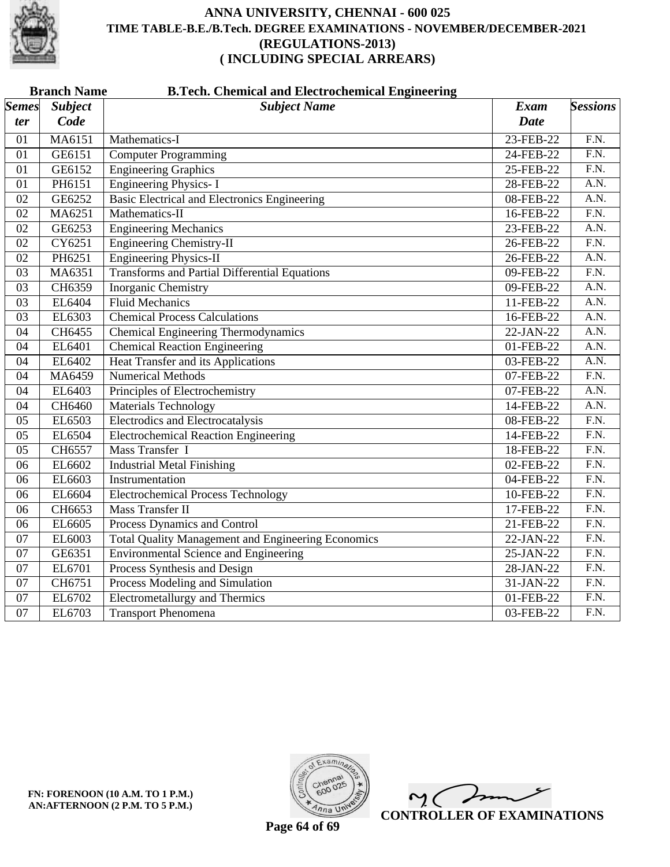

|                 | <b>B.Tech. Chemical and Electrochemical Engineering</b><br><b>Branch Name</b> |                                                           |             |                   |  |  |
|-----------------|-------------------------------------------------------------------------------|-----------------------------------------------------------|-------------|-------------------|--|--|
| <b>Semes</b>    | <b>Subject</b>                                                                | <b>Subject Name</b>                                       | <b>Exam</b> | <b>Sessions</b>   |  |  |
| ter             | Code                                                                          |                                                           | <b>Date</b> |                   |  |  |
| 01              | MA6151                                                                        | Mathematics-I                                             | 23-FEB-22   | $\overline{F.N.}$ |  |  |
| 01              | GE6151                                                                        | <b>Computer Programming</b>                               | 24-FEB-22   | $\overline{F.N.}$ |  |  |
| 01              | GE6152                                                                        | <b>Engineering Graphics</b>                               | 25-FEB-22   | F.N.              |  |  |
| 01              | PH6151                                                                        | <b>Engineering Physics-I</b>                              | 28-FEB-22   | $\overline{A.N.}$ |  |  |
| $\overline{02}$ | GE6252                                                                        | <b>Basic Electrical and Electronics Engineering</b>       | 08-FEB-22   | $\overline{A.N.}$ |  |  |
| 02              | MA6251                                                                        | Mathematics-II                                            | 16-FEB-22   | $\overline{F.N.}$ |  |  |
| $\overline{02}$ | GE6253                                                                        | <b>Engineering Mechanics</b>                              | 23-FEB-22   | A.N.              |  |  |
| 02              | CY6251                                                                        | <b>Engineering Chemistry-II</b>                           | 26-FEB-22   | $\overline{F.N.}$ |  |  |
| 02              | PH6251                                                                        | <b>Engineering Physics-II</b>                             | 26-FEB-22   | A.N.              |  |  |
| 03              | MA6351                                                                        | <b>Transforms and Partial Differential Equations</b>      | 09-FEB-22   | $\overline{F.N.}$ |  |  |
| 03              | CH6359                                                                        | Inorganic Chemistry                                       | 09-FEB-22   | A.N.              |  |  |
| 03              | EL6404                                                                        | <b>Fluid Mechanics</b>                                    | 11-FEB-22   | A.N.              |  |  |
| 03              | EL6303                                                                        | <b>Chemical Process Calculations</b>                      | 16-FEB-22   | A.N.              |  |  |
| 04              | CH6455                                                                        | <b>Chemical Engineering Thermodynamics</b>                | 22-JAN-22   | A.N.              |  |  |
| 04              | EL6401                                                                        | <b>Chemical Reaction Engineering</b>                      | 01-FEB-22   | A.N.              |  |  |
| $\overline{04}$ | EL6402                                                                        | Heat Transfer and its Applications                        | 03-FEB-22   | A.N.              |  |  |
| $\overline{04}$ | MA6459                                                                        | <b>Numerical Methods</b>                                  | 07-FEB-22   | F.N.              |  |  |
| $\overline{04}$ | EL6403                                                                        | Principles of Electrochemistry                            | 07-FEB-22   | A.N.              |  |  |
| 04              | CH6460                                                                        | <b>Materials Technology</b>                               | 14-FEB-22   | A.N.              |  |  |
| $\overline{05}$ | EL6503                                                                        | <b>Electrodics and Electrocatalysis</b>                   | 08-FEB-22   | $\overline{F.N.}$ |  |  |
| 05              | EL6504                                                                        | <b>Electrochemical Reaction Engineering</b>               | 14-FEB-22   | F.N.              |  |  |
| $\overline{05}$ | CH6557                                                                        | Mass Transfer I                                           | 18-FEB-22   | $\overline{F.N.}$ |  |  |
| 06              | EL6602                                                                        | <b>Industrial Metal Finishing</b>                         | 02-FEB-22   | $\overline{F.N.}$ |  |  |
| 06              | EL6603                                                                        | Instrumentation                                           | 04-FEB-22   | $\overline{F.N.}$ |  |  |
| 06              | EL6604                                                                        | <b>Electrochemical Process Technology</b>                 | 10-FEB-22   | $\overline{F.N.}$ |  |  |
| 06              | CH6653                                                                        | <b>Mass Transfer II</b>                                   | 17-FEB-22   | $\overline{F.N.}$ |  |  |
| 06              | EL6605                                                                        | Process Dynamics and Control                              | 21-FEB-22   | $\overline{F.N.}$ |  |  |
| 07              | EL6003                                                                        | <b>Total Quality Management and Engineering Economics</b> | 22-JAN-22   | $\overline{F.N.}$ |  |  |
| 07              | GE6351                                                                        | <b>Environmental Science and Engineering</b>              | 25-JAN-22   | F.N.              |  |  |
| 07              | EL6701                                                                        | Process Synthesis and Design                              | 28-JAN-22   | $\overline{F.N.}$ |  |  |
| 07              | CH6751                                                                        | Process Modeling and Simulation                           | 31-JAN-22   | F.N.              |  |  |
| 07              | EL6702                                                                        | <b>Electrometallurgy and Thermics</b>                     | 01-FEB-22   | $\overline{F.N.}$ |  |  |
| 07              | EL6703                                                                        | <b>Transport Phenomena</b>                                | 03-FEB-22   | F.N.              |  |  |



 $\overline{\phantom{a}}$  $\sim$  ( **CONTROLLER OF EXAMINATIONS**

**Page 64 of 69**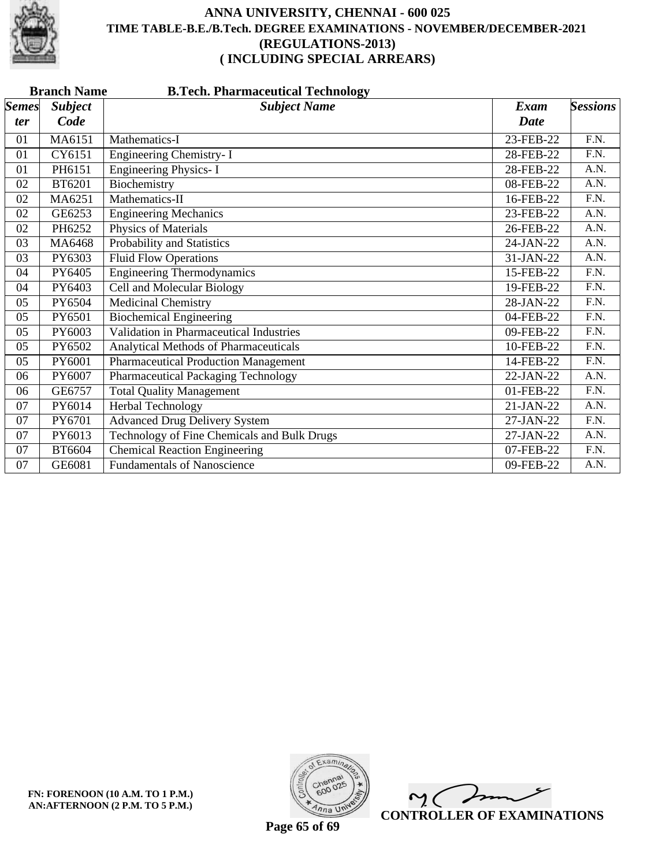

|                            | <b>Branch Name</b><br><b>B.Tech. Pharmaceutical Technology</b> |                                                |                     |                   |  |  |
|----------------------------|----------------------------------------------------------------|------------------------------------------------|---------------------|-------------------|--|--|
| <b>Semes</b><br><i>ter</i> | <b>Subject</b><br>Code                                         | <b>Subject Name</b>                            | Exam<br><b>Date</b> | <b>Sessions</b>   |  |  |
| 01                         | MA6151                                                         | Mathematics-I                                  | 23-FEB-22           | F.N.              |  |  |
| 01                         | CY6151                                                         | Engineering Chemistry- I                       | 28-FEB-22           | F.N.              |  |  |
| 01                         | PH6151                                                         | <b>Engineering Physics-I</b>                   | 28-FEB-22           | A.N.              |  |  |
| 02                         | <b>BT6201</b>                                                  | Biochemistry                                   | 08-FEB-22           | A.N.              |  |  |
| 02                         | MA6251                                                         | Mathematics-II                                 | 16-FEB-22           | $\overline{F.N.}$ |  |  |
| 02                         | GE6253                                                         | <b>Engineering Mechanics</b>                   | 23-FEB-22           | A.N.              |  |  |
| 02                         | PH6252                                                         | Physics of Materials                           | 26-FEB-22           | A.N.              |  |  |
| 03                         | MA6468                                                         | Probability and Statistics                     | 24-JAN-22           | A.N.              |  |  |
| 03                         | PY6303                                                         | <b>Fluid Flow Operations</b>                   | 31-JAN-22           | A.N.              |  |  |
| 04                         | PY6405                                                         | <b>Engineering Thermodynamics</b>              | 15-FEB-22           | $\overline{F.N.}$ |  |  |
| 04                         | PY6403                                                         | <b>Cell and Molecular Biology</b>              | 19-FEB-22           | F.N.              |  |  |
| 05                         | PY6504                                                         | <b>Medicinal Chemistry</b>                     | 28-JAN-22           | $\overline{F.N.}$ |  |  |
| 05                         | PY6501                                                         | <b>Biochemical Engineering</b>                 | 04-FEB-22           | F.N.              |  |  |
| 05                         | PY6003                                                         | <b>Validation in Pharmaceutical Industries</b> | 09-FEB-22           | F.N.              |  |  |
| 05                         | PY6502                                                         | Analytical Methods of Pharmaceuticals          | 10-FEB-22           | F.N.              |  |  |
| 05                         | PY6001                                                         | <b>Pharmaceutical Production Management</b>    | 14-FEB-22           | $\overline{F.N.}$ |  |  |
| 06                         | PY6007                                                         | <b>Pharmaceutical Packaging Technology</b>     | 22-JAN-22           | $\overline{A.N.}$ |  |  |
| 06                         | GE6757                                                         | <b>Total Quality Management</b>                | 01-FEB-22           | F.N.              |  |  |
| 07                         | PY6014                                                         | Herbal Technology                              | 21-JAN-22           | A.N.              |  |  |
| 07                         | PY6701                                                         | <b>Advanced Drug Delivery System</b>           | 27-JAN-22           | F.N.              |  |  |
| 07                         | PY6013                                                         | Technology of Fine Chemicals and Bulk Drugs    | 27-JAN-22           | A.N.              |  |  |
| 07                         | <b>BT6604</b>                                                  | <b>Chemical Reaction Engineering</b>           | 07-FEB-22           | $\overline{F.N.}$ |  |  |
| 07                         | GE6081                                                         | <b>Fundamentals of Nanoscience</b>             | 09-FEB-22           | A.N.              |  |  |



 $\overline{\phantom{a}}$  $\sim$  ( **CONTROLLER OF EXAMINATIONS**

**Page 65 of 69**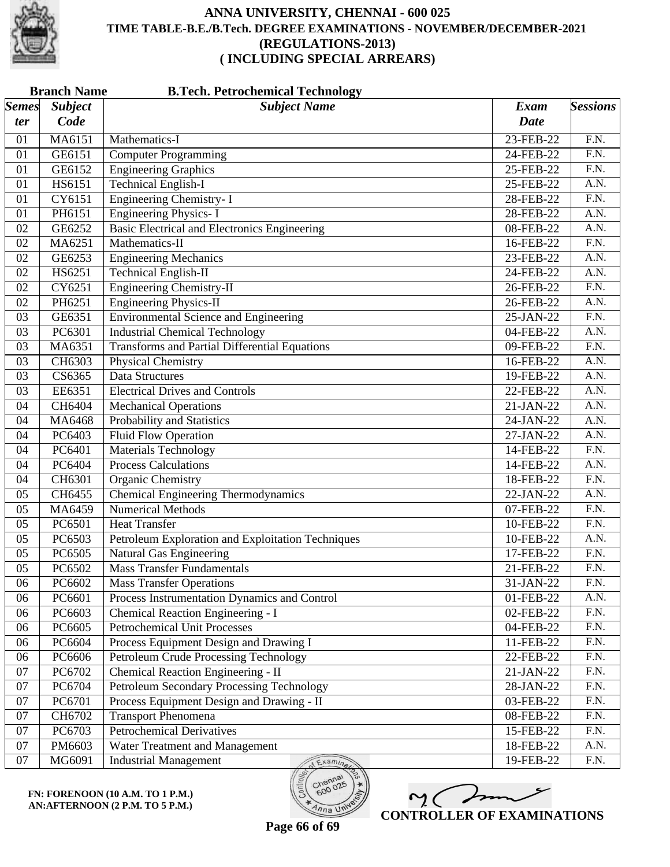

|              | <b>Branch Name</b><br><b>B.Tech. Petrochemical Technology</b> |                                                      |             |                   |  |
|--------------|---------------------------------------------------------------|------------------------------------------------------|-------------|-------------------|--|
| <b>Semes</b> | <b>Subject</b>                                                | <b>Subject Name</b>                                  | Exam        | <b>Sessions</b>   |  |
| ter          | Code                                                          |                                                      | <b>Date</b> |                   |  |
| 01           | MA6151                                                        | Mathematics-I                                        | 23-FEB-22   | F.N.              |  |
| 01           | GE6151                                                        | Computer Programming                                 | 24-FEB-22   | F.N.              |  |
| 01           | GE6152                                                        | <b>Engineering Graphics</b>                          | 25-FEB-22   | $\overline{F.N.}$ |  |
| 01           | HS6151                                                        | <b>Technical English-I</b>                           | 25-FEB-22   | A.N.              |  |
| 01           | CY6151                                                        | <b>Engineering Chemistry-I</b>                       | 28-FEB-22   | F.N.              |  |
| 01           | PH6151                                                        | <b>Engineering Physics-I</b>                         | 28-FEB-22   | A.N.              |  |
| 02           | GE6252                                                        | <b>Basic Electrical and Electronics Engineering</b>  | 08-FEB-22   | $\overline{A.N.}$ |  |
| 02           | MA6251                                                        | Mathematics-II                                       | 16-FEB-22   | $\overline{F.N.}$ |  |
| 02           | GE6253                                                        | <b>Engineering Mechanics</b>                         | 23-FEB-22   | A.N.              |  |
| 02           | HS6251                                                        | <b>Technical English-II</b>                          | 24-FEB-22   | A.N.              |  |
| 02           | CY6251                                                        | <b>Engineering Chemistry-II</b>                      | 26-FEB-22   | $\overline{F.N.}$ |  |
| 02           | PH6251                                                        | <b>Engineering Physics-II</b>                        | 26-FEB-22   | A.N.              |  |
| 03           | GE6351                                                        | <b>Environmental Science and Engineering</b>         | 25-JAN-22   | F.N.              |  |
| 03           | PC6301                                                        | <b>Industrial Chemical Technology</b>                | 04-FEB-22   | A.N.              |  |
| 03           | MA6351                                                        | <b>Transforms and Partial Differential Equations</b> | 09-FEB-22   | $\overline{F.N.}$ |  |
| 03           | CH6303                                                        | <b>Physical Chemistry</b>                            | 16-FEB-22   | A.N.              |  |
| 03           | CS6365                                                        | Data Structures                                      | 19-FEB-22   | A.N.              |  |
| 03           | EE6351                                                        | <b>Electrical Drives and Controls</b>                | 22-FEB-22   | A.N.              |  |
| 04           | CH6404                                                        | <b>Mechanical Operations</b>                         | 21-JAN-22   | $\overline{A.N.}$ |  |
| 04           | MA6468                                                        | Probability and Statistics                           | 24-JAN-22   | A.N.              |  |
| 04           | PC6403                                                        | <b>Fluid Flow Operation</b>                          | 27-JAN-22   | A.N.              |  |
| 04           | PC6401                                                        | <b>Materials Technology</b>                          | 14-FEB-22   | $\overline{F.N.}$ |  |
| 04           | PC6404                                                        | <b>Process Calculations</b>                          | 14-FEB-22   | $\overline{A.N.}$ |  |
| 04           | CH6301                                                        | Organic Chemistry                                    | 18-FEB-22   | $\overline{F.N.}$ |  |
| 05           | CH6455                                                        | <b>Chemical Engineering Thermodynamics</b>           | 22-JAN-22   | A.N.              |  |
| 05           | MA6459                                                        | <b>Numerical Methods</b>                             | 07-FEB-22   | $\overline{F.N.}$ |  |
| 05           | PC6501                                                        | <b>Heat Transfer</b>                                 | 10-FEB-22   | $\overline{F.N.}$ |  |
| 05           | PC6503                                                        | Petroleum Exploration and Exploitation Techniques    | 10-FEB-22   | A.N.              |  |
| 05           | PC6505                                                        | Natural Gas Engineering                              | 17-FEB-22   | F.N.              |  |
| 05           | PC6502                                                        | <b>Mass Transfer Fundamentals</b>                    | 21-FEB-22   | F.N.              |  |
| 06           | PC6602                                                        | <b>Mass Transfer Operations</b>                      | 31-JAN-22   | F.N.              |  |
| 06           | PC6601                                                        | Process Instrumentation Dynamics and Control         | 01-FEB-22   | A.N.              |  |
| 06           | PC6603                                                        | Chemical Reaction Engineering - I                    | 02-FEB-22   | F.N.              |  |
| 06           | PC6605                                                        | <b>Petrochemical Unit Processes</b>                  | 04-FEB-22   | F.N.              |  |
| 06           | PC6604                                                        | Process Equipment Design and Drawing I               | 11-FEB-22   | F.N.              |  |
| 06           | PC6606                                                        | Petroleum Crude Processing Technology                | 22-FEB-22   | F.N.              |  |
| 07           | PC6702                                                        | Chemical Reaction Engineering - II                   | 21-JAN-22   | F.N.              |  |
| 07           | PC6704                                                        | Petroleum Secondary Processing Technology            | 28-JAN-22   | F.N.              |  |
| 07           | PC6701                                                        | Process Equipment Design and Drawing - II            | 03-FEB-22   | F.N.              |  |
| 07           | CH6702                                                        | <b>Transport Phenomena</b>                           | 08-FEB-22   | F.N.              |  |
| 07           | PC6703                                                        | Petrochemical Derivatives                            | 15-FEB-22   | F.N.              |  |
| 07           | PM6603                                                        | Water Treatment and Management                       | 18-FEB-22   | A.N.              |  |
| 07           | MG6091                                                        | <b>Industrial Management</b><br>Examina              | 19-FEB-22   | F.N.              |  |

**FN: FORENOON (10 A.M. TO 1 P.M.) AN:AFTERNOON (2 P.M. TO 5 P.M.)**

M mm **CONTROLLER OF EXAMINATIONS**

600

 $\eta_{n}$  UN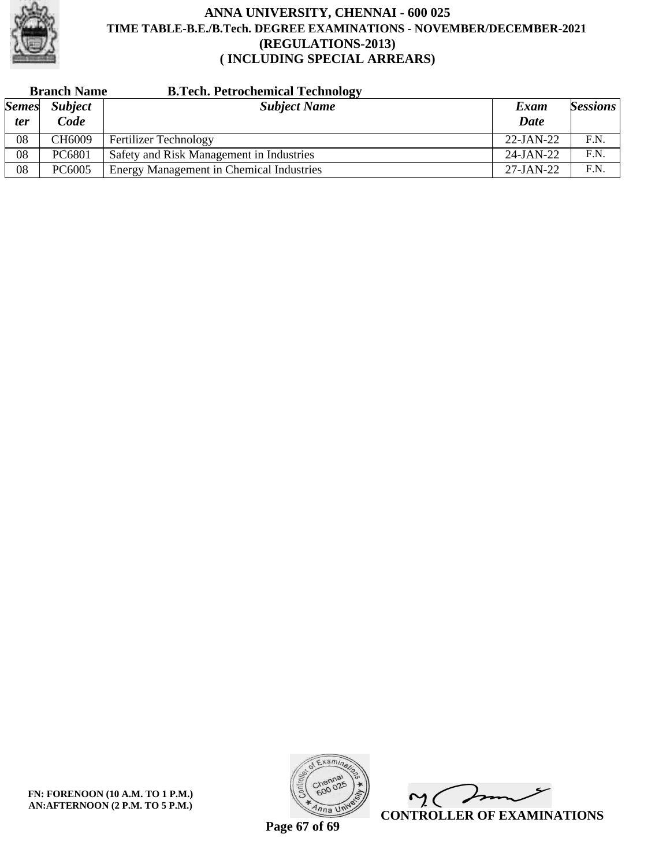

| <b>Branch Name</b>         |                        | <b>B.Tech. Petrochemical Technology</b>         |              |                 |
|----------------------------|------------------------|-------------------------------------------------|--------------|-----------------|
| <b>Semes</b><br><i>ter</i> | <b>Subject</b><br>Code | <b>Subject Name</b>                             | Exam<br>Date | <b>Sessions</b> |
| 08                         | CH6009                 | <b>Fertilizer Technology</b>                    | $22$ -JAN-22 | F.N.            |
| 08                         | PC6801                 | Safety and Risk Management in Industries        | $24$ -JAN-22 | F.N.            |
| 08                         | PC6005                 | <b>Energy Management in Chemical Industries</b> | $27$ -JAN-22 | F.N.            |

**FN: FORENOON (10 A.M. TO 1 P.M.) AN:AFTERNOON (2 P.M. TO 5 P.M.)**



 $\sqrt{2}$  $\sim$  ( **CONTROLLER OF EXAMINATIONS**

**Page 67 of 69**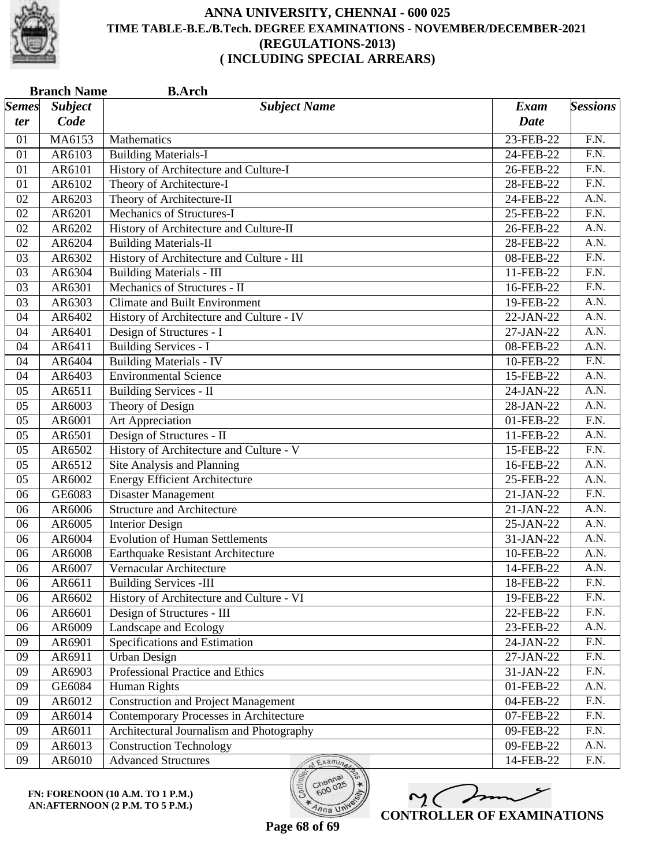

| <b>Branch Name</b><br><b>B.Arch</b> |                        |                                           |                            |                   |
|-------------------------------------|------------------------|-------------------------------------------|----------------------------|-------------------|
| <b>Semes</b><br>ter                 | <b>Subject</b><br>Code | <b>Subject Name</b>                       | <b>Exam</b><br><b>Date</b> | <b>Sessions</b>   |
| 01                                  | MA6153                 | Mathematics                               | 23-FEB-22                  | F.N.              |
| 01                                  | AR6103                 | <b>Building Materials-I</b>               | 24-FEB-22                  | F.N.              |
| 01                                  | AR6101                 | History of Architecture and Culture-I     | 26-FEB-22                  | F.N.              |
| 01                                  | AR6102                 | Theory of Architecture-I                  | 28-FEB-22                  | $\overline{F.N.}$ |
| 02                                  | AR6203                 | Theory of Architecture-II                 | 24-FEB-22                  | A.N.              |
| 02                                  | AR6201                 | Mechanics of Structures-I                 | 25-FEB-22                  | $\overline{F.N.}$ |
| 02                                  | AR6202                 | History of Architecture and Culture-II    | 26-FEB-22                  | $\overline{A.N.}$ |
| 02                                  | AR6204                 | <b>Building Materials-II</b>              | 28-FEB-22                  | A.N.              |
| 03                                  | AR6302                 | History of Architecture and Culture - III | 08-FEB-22                  | $\overline{F.N.}$ |
| 03                                  | AR6304                 | <b>Building Materials - III</b>           | 11-FEB-22                  | F.N.              |
| 03                                  | AR6301                 | Mechanics of Structures - II              | 16-FEB-22                  | F.N.              |
| 03                                  | AR6303                 | <b>Climate and Built Environment</b>      | 19-FEB-22                  | A.N.              |
| 04                                  | AR6402                 | History of Architecture and Culture - IV  | 22-JAN-22                  | A.N.              |
| 04                                  | AR6401                 | Design of Structures - I                  | 27-JAN-22                  | A.N.              |
| 04                                  | AR6411                 | <b>Building Services - I</b>              | 08-FEB-22                  | $\overline{A.N.}$ |
| 04                                  | AR6404                 | <b>Building Materials - IV</b>            | 10-FEB-22                  | F.N.              |
| 04                                  | AR6403                 | <b>Environmental Science</b>              | 15-FEB-22                  | A.N.              |
| 05                                  | AR6511                 | <b>Building Services - II</b>             | 24-JAN-22                  | A.N.              |
| 05                                  | AR6003                 | Theory of Design                          | 28-JAN-22                  | $\overline{A.N.}$ |
| 05                                  | AR6001                 | Art Appreciation                          | 01-FEB-22                  | $\overline{F.N.}$ |
| 05                                  | AR6501                 | Design of Structures - II                 | 11-FEB-22                  | A.N.              |
| 05                                  | AR6502                 | History of Architecture and Culture - V   | 15-FEB-22                  | $\overline{F.N.}$ |
| 05                                  | AR6512                 | Site Analysis and Planning                | 16-FEB-22                  | $\overline{A.N.}$ |
| 05                                  | AR6002                 | <b>Energy Efficient Architecture</b>      | 25-FEB-22                  | $\overline{A.N.}$ |
| 06                                  | GE6083                 | Disaster Management                       | 21-JAN-22                  | F.N.              |
| 06                                  | AR6006                 | <b>Structure and Architecture</b>         | 21-JAN-22                  | A.N.              |
| 06                                  | AR6005                 | <b>Interior Design</b>                    | 25-JAN-22                  | A.N.              |
| 06                                  | AR6004                 | <b>Evolution of Human Settlements</b>     | 31-JAN-22                  | A.N.              |
| 06                                  | AR6008                 | Earthquake Resistant Architecture         | 10-FEB-22                  | A.N.              |
| 06                                  | AR6007                 | Vernacular Architecture                   | 14-FEB-22                  | A.N.              |
| 06                                  | AR6611                 | <b>Building Services -III</b>             | 18-FEB-22                  | F.N.              |
| 06                                  | AR6602                 | History of Architecture and Culture - VI  | 19-FEB-22                  | F.N.              |
| 06                                  | AR6601                 | Design of Structures - III                | 22-FEB-22                  | F.N.              |
| 06                                  | AR6009                 | Landscape and Ecology                     | 23-FEB-22                  | A.N.              |
| 09                                  | AR6901                 | Specifications and Estimation             | 24-JAN-22                  | $\overline{F.N.}$ |
| 09                                  | AR6911                 | <b>Urban Design</b>                       | 27-JAN-22                  | F.N.              |
| 09                                  | AR6903                 | Professional Practice and Ethics          | 31-JAN-22                  | F.N.              |
| 09                                  | GE6084                 | Human Rights                              | 01-FEB-22                  | A.N.              |
| 09                                  | AR6012                 | Construction and Project Management       | 04-FEB-22                  | $\overline{F.N.}$ |
| 09                                  | AR6014                 | Contemporary Processes in Architecture    | 07-FEB-22                  | F.N.              |
| 09                                  | AR6011                 | Architectural Journalism and Photography  | 09-FEB-22                  | F.N.              |
| 09                                  | AR6013                 | <b>Construction Technology</b>            | 09-FEB-22                  | A.N.              |
| 09                                  | AR6010                 | <b>Advanced Structures</b><br>Examina     | 14-FEB-22                  | F.N.              |

M mm **CONTROLLER OF EXAMINATIONS**

600

 $4nna$  UN